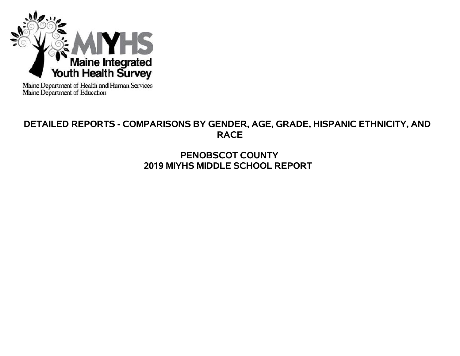

Maine Department of Health and Human Services<br>Maine Department of Education

# **DETAILED REPORTS - COMPARISONS BY GENDER, AGE, GRADE, HISPANIC ETHNICITY, AND RACE**

# **PENOBSCOT COUNTY 2019 MIYHS MIDDLE SCHOOL REPORT**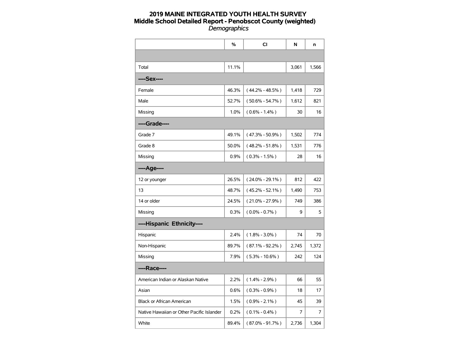|                                           | %     | <b>CI</b>           | N     | n     |
|-------------------------------------------|-------|---------------------|-------|-------|
|                                           |       |                     |       |       |
| Total                                     | 11.1% |                     | 3,061 | 1,566 |
| ----Sex----                               |       |                     |       |       |
| Female                                    | 46.3% | $(44.2\% - 48.5\%)$ | 1,418 | 729   |
| Male                                      | 52.7% | $(50.6\% - 54.7\%)$ | 1,612 | 821   |
| Missing                                   | 1.0%  | $(0.6\% - 1.4\%)$   | 30    | 16    |
| ----Grade----                             |       |                     |       |       |
| Grade 7                                   | 49.1% | $(47.3\% - 50.9\%)$ | 1,502 | 774   |
| Grade 8                                   | 50.0% | $(48.2\% - 51.8\%)$ | 1,531 | 776   |
| Missing                                   | 0.9%  | $(0.3\% - 1.5\%)$   | 28    | 16    |
| ----Age----                               |       |                     |       |       |
| 12 or younger                             | 26.5% | $(24.0\% - 29.1\%)$ | 812   | 422   |
| 13                                        | 48.7% | $(45.2\% - 52.1\%)$ | 1,490 | 753   |
| 14 or older                               | 24.5% | $(21.0\% - 27.9\%)$ | 749   | 386   |
| Missing                                   | 0.3%  | $(0.0\% - 0.7\%)$   | 9     | 5     |
| ----Hispanic Ethnicity----                |       |                     |       |       |
| Hispanic                                  | 2.4%  | $(1.8\% - 3.0\%)$   | 74    | 70    |
| Non-Hispanic                              | 89.7% | $(87.1\% - 92.2\%)$ | 2,745 | 1,372 |
| Missing                                   | 7.9%  | $(5.3\% - 10.6\%)$  | 242   | 124   |
| ----Race----                              |       |                     |       |       |
| American Indian or Alaskan Native         | 2.2%  | $(1.4\% - 2.9\%)$   | 66    | 55    |
| Asian                                     | 0.6%  | $(0.3\% - 0.9\%)$   | 18    | 17    |
| <b>Black or African American</b>          | 1.5%  | $(0.9\% - 2.1\%)$   | 45    | 39    |
| Native Hawaiian or Other Pacific Islander | 0.2%  | $(0.1\% - 0.4\%)$   | 7     | 7     |
| White                                     | 89.4% | $(87.0\% - 91.7\%)$ | 2,736 | 1,304 |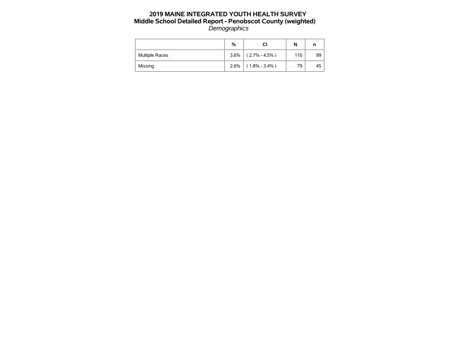|                       | %    | CI                | N   | n  |
|-----------------------|------|-------------------|-----|----|
| <b>Multiple Races</b> | 3.6% | $(2.7\% - 4.5\%)$ | 110 | 99 |
| Missing               | 2.6% | $(1.8\% - 3.4\%)$ | 79  | 45 |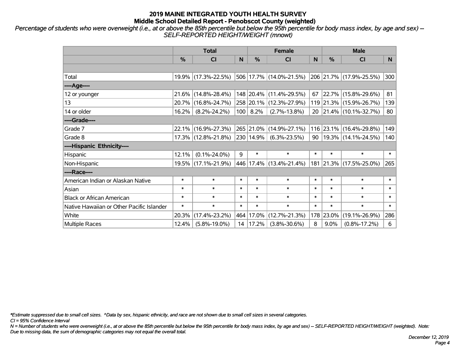*Percentage of students who were overweight (i.e., at or above the 85th percentile but below the 95th percentile for body mass index, by age and sex) -- SELF-REPORTED HEIGHT/WEIGHT (mnowt)*

|                                           | <b>Total</b>  |                        |        |               | <b>Female</b>           |        | <b>Male</b> |                                  |        |  |
|-------------------------------------------|---------------|------------------------|--------|---------------|-------------------------|--------|-------------|----------------------------------|--------|--|
|                                           | $\frac{0}{0}$ | CI                     | N      | $\frac{9}{6}$ | <b>CI</b>               | N      | %           | <b>CI</b>                        | N.     |  |
|                                           |               |                        |        |               |                         |        |             |                                  |        |  |
| Total                                     |               | 19.9% (17.3%-22.5%)    |        |               | 506 17.7% (14.0%-21.5%) |        |             | 206 21.7% (17.9%-25.5%)          | 300    |  |
| ----Age----                               |               |                        |        |               |                         |        |             |                                  |        |  |
| 12 or younger                             |               | $21.6\%$ (14.8%-28.4%) |        |               | 148 20.4% (11.4%-29.5%) | 67     |             | 22.7% (15.8%-29.6%)              | 81     |  |
| 13                                        |               | 20.7% (16.8%-24.7%)    |        |               | 258 20.1% (12.3%-27.9%) |        |             | 119 21.3% (15.9%-26.7%)          | 139    |  |
| 14 or older                               | 16.2%         | $(8.2\% - 24.2\%)$     |        | 100   8.2%    | $(2.7\% - 13.8\%)$      |        |             | 20 21.4% (10.1%-32.7%)           | 80     |  |
| ----Grade----                             |               |                        |        |               |                         |        |             |                                  |        |  |
| Grade 7                                   |               | 22.1% (16.9%-27.3%)    |        |               | 265 21.0% (14.9%-27.1%) |        |             | 116 23.1% (16.4%-29.8%)          | 149    |  |
| Grade 8                                   |               | 17.3% (12.8%-21.8%)    |        | 230 14.9%     | $(6.3\% - 23.5\%)$      |        |             | 90   19.3%   $(14.1\% - 24.5\%)$ | 140    |  |
| ----Hispanic Ethnicity----                |               |                        |        |               |                         |        |             |                                  |        |  |
| Hispanic                                  | 12.1%         | $(0.1\% - 24.0\%)$     | 9      | $\ast$        | $\ast$                  | $\ast$ | $\ast$      | $\ast$                           | $\ast$ |  |
| Non-Hispanic                              |               | 19.5% (17.1%-21.9%)    |        |               | 446 17.4% (13.4%-21.4%) |        |             | 181 21.3% (17.5%-25.0%)          | 265    |  |
| ----Race----                              |               |                        |        |               |                         |        |             |                                  |        |  |
| American Indian or Alaskan Native         | $\ast$        | $\ast$                 | $\ast$ | $\ast$        | $\ast$                  | $\ast$ | $\ast$      | $\ast$                           | $\ast$ |  |
| Asian                                     | $\ast$        | $\ast$                 | $\ast$ | $\ast$        | $\ast$                  | $\ast$ | $\ast$      | $\ast$                           | $\ast$ |  |
| <b>Black or African American</b>          | $\ast$        | $\ast$                 | $\ast$ | $\ast$        | $\ast$                  | $\ast$ | $\ast$      | $\ast$                           | $\ast$ |  |
| Native Hawaiian or Other Pacific Islander | $\ast$        | $\ast$                 | $\ast$ | $\ast$        | $\ast$                  | $\ast$ | $\ast$      | $\ast$                           | $\ast$ |  |
| White                                     | 20.3%         | $(17.4\% - 23.2\%)$    | 464    | 17.0%         | $(12.7\% - 21.3\%)$     |        | 178 23.0%   | $(19.1\% - 26.9\%)$              | 286    |  |
| Multiple Races                            | 12.4%         | $(5.8\% - 19.0\%)$     | 14     | 17.2%         | $(3.8\% - 30.6\%)$      | 8      | 9.0%        | $(0.8\% - 17.2\%)$               | 6      |  |

*\*Estimate suppressed due to small cell sizes. ^Data by sex, hispanic ethnicity, and race are not shown due to small cell sizes in several categories.*

*CI = 95% Confidence Interval*

*N = Number of students who were overweight (i.e., at or above the 85th percentile but below the 95th percentile for body mass index, by age and sex) -- SELF-REPORTED HEIGHT/WEIGHT (weighted). Note: Due to missing data, the sum of demographic categories may not equal the overall total.*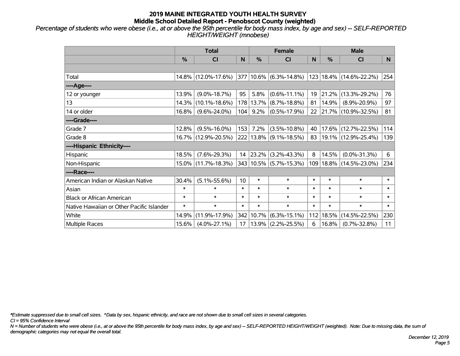*Percentage of students who were obese (i.e., at or above the 95th percentile for body mass index, by age and sex) -- SELF-REPORTED HEIGHT/WEIGHT (mnobese)*

|                                           | <b>Total</b> |                     |        |           | <b>Female</b>              |        | <b>Male</b> |                             |        |  |
|-------------------------------------------|--------------|---------------------|--------|-----------|----------------------------|--------|-------------|-----------------------------|--------|--|
|                                           | %            | <b>CI</b>           | N      | %         | <b>CI</b>                  | N      | %           | <b>CI</b>                   | N.     |  |
|                                           |              |                     |        |           |                            |        |             |                             |        |  |
| Total                                     |              | 14.8% (12.0%-17.6%) |        |           | 377   10.6%   (6.3%-14.8%) |        |             | 123 18.4% (14.6%-22.2%)     | 254    |  |
| ----Age----                               |              |                     |        |           |                            |        |             |                             |        |  |
| 12 or younger                             | 13.9%        | $(9.0\% - 18.7\%)$  | 95     | 5.8%      | $(0.6\% - 11.1\%)$         | 19     | 21.2%       | $(13.3\% - 29.2\%)$         | 76     |  |
| 13                                        | 14.3%        | $(10.1\% - 18.6\%)$ |        | 178 13.7% | $(8.7\% - 18.8\%)$         | 81     | 14.9%       | $(8.9\% - 20.9\%)$          | 97     |  |
| 14 or older                               | 16.8%        | $(9.6\% - 24.0\%)$  | 104    | 9.2%      | $(0.5\% - 17.9\%)$         | 22     |             | $ 21.7\% $ (10.9%-32.5%)    | 81     |  |
| ----Grade----                             |              |                     |        |           |                            |        |             |                             |        |  |
| Grade 7                                   | 12.8%        | $(9.5\% - 16.0\%)$  | 153    | 7.2%      | $(3.5\% - 10.8\%)$         | 40     | 17.6%       | $(12.7\% - 22.5\%)$         | 114    |  |
| Grade 8                                   |              | 16.7% (12.9%-20.5%) |        |           | 222 13.8% (9.1%-18.5%)     | 83     |             | $ 19.1\% $ (12.9%-25.4%)    | 139    |  |
| ----Hispanic Ethnicity----                |              |                     |        |           |                            |        |             |                             |        |  |
| Hispanic                                  | 18.5%        | $(7.6\% - 29.3\%)$  | 14     | 23.2%     | $(3.2\% - 43.3\%)$         | 8      | 14.5%       | $(0.0\% - 31.3\%)$          | 6      |  |
| Non-Hispanic                              | 15.0%        | $(11.7\% - 18.3\%)$ |        |           | 343 10.5% (5.7%-15.3%)     |        |             | 109   18.8%   (14.5%-23.0%) | 234    |  |
| ----Race----                              |              |                     |        |           |                            |        |             |                             |        |  |
| American Indian or Alaskan Native         | 30.4%        | $(5.1\% - 55.6\%)$  | 10     | $\ast$    | $\ast$                     | $\ast$ | $\ast$      | $\ast$                      | $\ast$ |  |
| Asian                                     | $\ast$       | $\ast$              | $\ast$ | $\ast$    | $\ast$                     | $\ast$ | $\ast$      | $\ast$                      | $\ast$ |  |
| <b>Black or African American</b>          | $\ast$       | $\ast$              | $\ast$ | $\ast$    | $\ast$                     | $\ast$ | $\ast$      | $\ast$                      | $\ast$ |  |
| Native Hawaiian or Other Pacific Islander | $\ast$       | $\ast$              | $\ast$ | $\ast$    | $\ast$                     | $\ast$ | $\ast$      | $\ast$                      | $\ast$ |  |
| White                                     | 14.9%        | $(11.9\% - 17.9\%)$ |        | 342 10.7% | $(6.3\% - 15.1\%)$         | 112    | 18.5%       | $(14.5\% - 22.5\%)$         | 230    |  |
| <b>Multiple Races</b>                     | 15.6%        | $(4.0\% - 27.1\%)$  | 17     | 13.9%     | $(2.2\% - 25.5\%)$         | 6      | 16.8%       | $(0.7\% - 32.8\%)$          | 11     |  |

*\*Estimate suppressed due to small cell sizes. ^Data by sex, hispanic ethnicity, and race are not shown due to small cell sizes in several categories.*

*CI = 95% Confidence Interval*

*N = Number of students who were obese (i.e., at or above the 95th percentile for body mass index, by age and sex) -- SELF-REPORTED HEIGHT/WEIGHT (weighted). Note: Due to missing data, the sum of demographic categories may not equal the overall total.*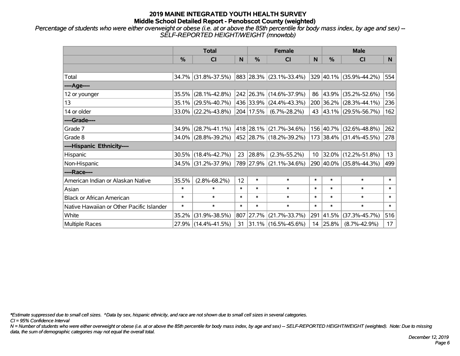*Percentage of students who were either overweight or obese (i.e. at or above the 85th percentile for body mass index, by age and sex) -- SELF-REPORTED HEIGHT/WEIGHT (mnowtob)*

|                                           | <b>Total</b>  |                        |        |           | <b>Female</b>           |        | <b>Male</b>      |                         |        |  |
|-------------------------------------------|---------------|------------------------|--------|-----------|-------------------------|--------|------------------|-------------------------|--------|--|
|                                           | $\frac{0}{0}$ | CI                     | N      | $\%$      | <b>CI</b>               | N      | $\%$             | <b>CI</b>               | N      |  |
|                                           |               |                        |        |           |                         |        |                  |                         |        |  |
| Total                                     |               | 34.7% (31.8%-37.5%)    |        |           | 883 28.3% (23.1%-33.4%) |        |                  | 329 40.1% (35.9%-44.2%) | 554    |  |
| ----Age----                               |               |                        |        |           |                         |        |                  |                         |        |  |
| 12 or younger                             | 35.5%         | $(28.1\% - 42.8\%)$    |        |           | 242 26.3% (14.6%-37.9%) | 86     | 43.9%            | $(35.2\% - 52.6\%)$     | 156    |  |
| 13                                        |               | 35.1% (29.5%-40.7%)    |        |           | 436 33.9% (24.4%-43.3%) |        |                  | 200 36.2% (28.3%-44.1%) | 236    |  |
| 14 or older                               |               | $33.0\%$ (22.2%-43.8%) |        | 204 17.5% | $(6.7\% - 28.2\%)$      |        |                  | 43 43.1% (29.5%-56.7%)  | 162    |  |
| ----Grade----                             |               |                        |        |           |                         |        |                  |                         |        |  |
| Grade 7                                   | 34.9%         | $(28.7\% - 41.1\%)$    |        |           | 418 28.1% (21.7%-34.6%) |        | 156 40.7%        | $(32.6\% - 48.8\%)$     | 262    |  |
| Grade 8                                   |               | 34.0% (28.8%-39.2%)    |        |           | 452 28.7% (18.2%-39.2%) |        |                  | 173 38.4% (31.4%-45.5%) | 278    |  |
| ----Hispanic Ethnicity----                |               |                        |        |           |                         |        |                  |                         |        |  |
| Hispanic                                  |               | $30.5\%$ (18.4%-42.7%) | 23     | 28.8%     | $(2.3\% - 55.2\%)$      |        | $10 \mid 32.0\%$ | $(12.2\% - 51.8\%)$     | 13     |  |
| Non-Hispanic                              |               | 34.5% (31.2%-37.9%)    |        |           | 789 27.9% (21.1%-34.6%) |        |                  | 290 40.0% (35.8%-44.3%) | 499    |  |
| ----Race----                              |               |                        |        |           |                         |        |                  |                         |        |  |
| American Indian or Alaskan Native         | 35.5%         | $(2.8\% - 68.2\%)$     | 12     | $\ast$    | $\ast$                  | $\ast$ | $\ast$           | $\ast$                  | $\ast$ |  |
| Asian                                     | $\ast$        | $\ast$                 | $\ast$ | $\ast$    | $\ast$                  | $\ast$ | $\ast$           | $\ast$                  | $\ast$ |  |
| <b>Black or African American</b>          | $\ast$        | $\ast$                 | $\ast$ | $\ast$    | $\ast$                  | $\ast$ | $\ast$           | $\ast$                  | $\ast$ |  |
| Native Hawaiian or Other Pacific Islander | $\ast$        | $\ast$                 | $\ast$ | $\ast$    | $\ast$                  | $\ast$ | $\ast$           | $\ast$                  | $\ast$ |  |
| White                                     | 35.2%         | $(31.9\% - 38.5\%)$    | 807    | 27.7%     | $(21.7\% - 33.7\%)$     |        | 291 41.5%        | $(37.3\% - 45.7\%)$     | 516    |  |
| Multiple Races                            |               | 27.9% (14.4%-41.5%)    | 31     |           | 31.1% (16.5%-45.6%)     |        | 14 25.8%         | $(8.7\% - 42.9\%)$      | 17     |  |

*\*Estimate suppressed due to small cell sizes. ^Data by sex, hispanic ethnicity, and race are not shown due to small cell sizes in several categories.*

*CI = 95% Confidence Interval*

*N = Number of students who were either overweight or obese (i.e. at or above the 85th percentile for body mass index, by age and sex) -- SELF-REPORTED HEIGHT/WEIGHT (weighted). Note: Due to missing data, the sum of demographic categories may not equal the overall total.*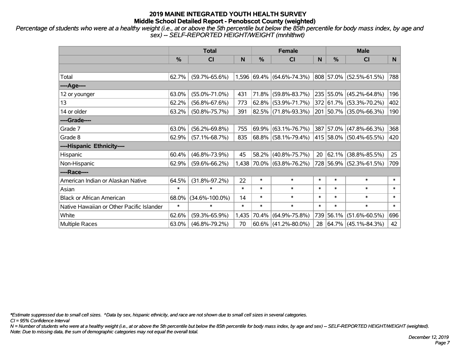*Percentage of students who were at a healthy weight (i.e., at or above the 5th percentile but below the 85th percentile for body mass index, by age and sex) -- SELF-REPORTED HEIGHT/WEIGHT (mnhlthwt)*

|                                           | <b>Total</b> |                      |              |        | <b>Female</b>             |             | <b>Male</b>   |                             |        |  |
|-------------------------------------------|--------------|----------------------|--------------|--------|---------------------------|-------------|---------------|-----------------------------|--------|--|
|                                           | %            | CI                   | $\mathsf{N}$ | %      | CI                        | $\mathbf N$ | $\frac{0}{0}$ | <b>CI</b>                   | N      |  |
|                                           |              |                      |              |        |                           |             |               |                             |        |  |
| Total                                     | 62.7%        | $(59.7\% - 65.6\%)$  |              |        | 1,596 69.4% (64.6%-74.3%) |             |               | 808 57.0% (52.5%-61.5%)     | 788    |  |
| ----Age----                               |              |                      |              |        |                           |             |               |                             |        |  |
| 12 or younger                             | 63.0%        | $(55.0\% - 71.0\%)$  | 431          | 71.8%  | $(59.8\% - 83.7\%)$       |             |               | 235 55.0% (45.2%-64.8%)     | 196    |  |
| 13                                        | 62.2%        | $(56.8\% - 67.6\%)$  | 773          | 62.8%  | $(53.9\% - 71.7\%)$       |             |               | 372 61.7% (53.3%-70.2%)     | 402    |  |
| 14 or older                               | 63.2%        | $(50.8\% - 75.7\%)$  | 391          |        | 82.5% (71.8%-93.3%)       |             |               | 201 50.7% (35.0%-66.3%)     | 190    |  |
| ----Grade----                             |              |                      |              |        |                           |             |               |                             |        |  |
| Grade 7                                   | 63.0%        | $(56.2\% - 69.8\%)$  | 755          | 69.9%  | $(63.1\% - 76.7\%)$       |             |               | 387 57.0% (47.8%-66.3%)     | 368    |  |
| Grade 8                                   | 62.9%        | $(57.1\% - 68.7\%)$  | 835          |        | $68.8\%$ (58.1%-79.4%)    |             |               | 415   58.0%   (50.4%-65.5%) | 420    |  |
| ----Hispanic Ethnicity----                |              |                      |              |        |                           |             |               |                             |        |  |
| Hispanic                                  | 60.4%        | $(46.8\% - 73.9\%)$  | 45           | 58.2%  | $(40.8\% - 75.7\%)$       | 20          |               | $62.1\%$ (38.8%-85.5%)      | 25     |  |
| Non-Hispanic                              | 62.9%        | $(59.6\% - 66.2\%)$  | 1,438        |        | 70.0% (63.8%-76.2%)       |             |               | 728 56.9% (52.3%-61.5%)     | 709    |  |
| ----Race----                              |              |                      |              |        |                           |             |               |                             |        |  |
| American Indian or Alaskan Native         | 64.5%        | $(31.8\% - 97.2\%)$  | 22           | $\ast$ | $\ast$                    | $\ast$      | $\ast$        | $\ast$                      | $\ast$ |  |
| Asian                                     | $\ast$       | $\ast$               | $\ast$       | $\ast$ | $\ast$                    | $\ast$      | $\ast$        | $\ast$                      | $\ast$ |  |
| <b>Black or African American</b>          | 68.0%        | $(34.6\% - 100.0\%)$ | 14           | $\ast$ | $\ast$                    | $\ast$      | $\ast$        | $\ast$                      | $\ast$ |  |
| Native Hawaiian or Other Pacific Islander | $\ast$       | $\ast$               | $\ast$       | $\ast$ | $\ast$                    | $\ast$      | $\ast$        | $\ast$                      | $\ast$ |  |
| White                                     | 62.6%        | $(59.3\% - 65.9\%)$  | 1,435        | 70.4%  | $(64.9\% - 75.8\%)$       |             | 739 56.1%     | $(51.6\% - 60.5\%)$         | 696    |  |
| Multiple Races                            | 63.0%        | $(46.8\% - 79.2\%)$  | 70           | 60.6%  | $(41.2\% - 80.0\%)$       | 28          |               | $ 64.7\% $ (45.1%-84.3%)    | 42     |  |

*\*Estimate suppressed due to small cell sizes. ^Data by sex, hispanic ethnicity, and race are not shown due to small cell sizes in several categories.*

*CI = 95% Confidence Interval*

*N = Number of students who were at a healthy weight (i.e., at or above the 5th percentile but below the 85th percentile for body mass index, by age and sex) -- SELF-REPORTED HEIGHT/WEIGHT (weighted). Note: Due to missing data, the sum of demographic categories may not equal the overall total.*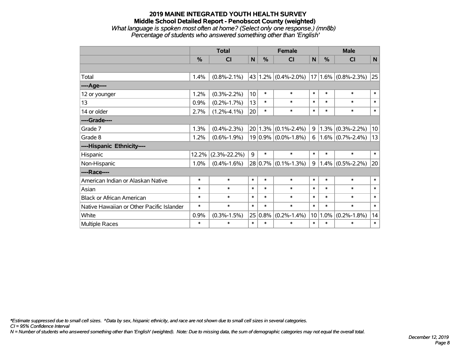## **2019 MAINE INTEGRATED YOUTH HEALTH SURVEY Middle School Detailed Report - Penobscot County (weighted)** *What language is spoken most often at home? (Select only one response.) (mn8b) Percentage of students who answered something other than 'English'*

|                                           |        | <b>Total</b>       |                 | <b>Female</b> | <b>Male</b>                        |        |        |                            |        |
|-------------------------------------------|--------|--------------------|-----------------|---------------|------------------------------------|--------|--------|----------------------------|--------|
|                                           | %      | CI                 | N               | $\%$          | CI                                 | N      | %      | <b>CI</b>                  | N      |
|                                           |        |                    |                 |               |                                    |        |        |                            |        |
| Total                                     | 1.4%   | $(0.8\% - 2.1\%)$  |                 |               | 43   1.2% $(0.4\textdegree-2.0\%)$ |        |        | $ 17 1.6\% $ (0.8%-2.3%)   | 25     |
| ----Age----                               |        |                    |                 |               |                                    |        |        |                            |        |
| 12 or younger                             | 1.2%   | $(0.3\% - 2.2\%)$  | 10 <sup>1</sup> | $\ast$        | $\ast$                             | $\ast$ | $\ast$ | $\ast$                     | $\ast$ |
| 13                                        | 0.9%   | $(0.2\% - 1.7\%)$  | 13              | $\ast$        | $\ast$                             | $\ast$ | $\ast$ | $\ast$                     | $\ast$ |
| 14 or older                               | 2.7%   | $(1.2\% - 4.1\%)$  | 20              | $\ast$        | $\ast$                             | $\ast$ | $\ast$ | $\ast$                     | $\ast$ |
| ----Grade----                             |        |                    |                 |               |                                    |        |        |                            |        |
| Grade 7                                   | 1.3%   | $(0.4\% - 2.3\%)$  |                 | $20 1.3\% $   | $(0.1\% - 2.4\%)$                  | 9      | 1.3%   | $(0.3\% - 2.2\%)$          | 10     |
| Grade 8                                   | 1.2%   | $(0.6\% - 1.9\%)$  |                 |               | $19 0.9\% $ (0.0%-1.8%)            |        |        | 6   1.6% $(0.7\% - 2.4\%)$ | 13     |
| ----Hispanic Ethnicity----                |        |                    |                 |               |                                    |        |        |                            |        |
| Hispanic                                  | 12.2%  | $(2.3\% - 22.2\%)$ | 9               | $\ast$        | $\ast$                             | $\ast$ | $\ast$ | $\ast$                     | $\ast$ |
| Non-Hispanic                              | 1.0%   | $(0.4\% - 1.6\%)$  |                 |               | $28 0.7\% $ (0.1%-1.3%)            | 9      |        | $1.4\%$ (0.5%-2.2%)        | 20     |
| ----Race----                              |        |                    |                 |               |                                    |        |        |                            |        |
| American Indian or Alaskan Native         | $\ast$ | $\ast$             | $\ast$          | $\ast$        | $\ast$                             | $\ast$ | $\ast$ | $\ast$                     | $\ast$ |
| Asian                                     | $\ast$ | $\ast$             | $\ast$          | $\ast$        | $\ast$                             | $\ast$ | $\ast$ | $\ast$                     | $\ast$ |
| <b>Black or African American</b>          | $\ast$ | $\ast$             | $\ast$          | $\ast$        | $\ast$                             | $\ast$ | $\ast$ | $\ast$                     | $\ast$ |
| Native Hawaiian or Other Pacific Islander | $\ast$ | $\ast$             | $\ast$          | $\ast$        | $\ast$                             | $\ast$ | $\ast$ | $\ast$                     | $\ast$ |
| White                                     | 0.9%   | $(0.3\% - 1.5\%)$  | 25              | 0.8%          | $(0.2\% - 1.4\%)$                  | 10     | 1.0%   | $(0.2\% - 1.8\%)$          | 14     |
| <b>Multiple Races</b>                     | $\ast$ | *                  | $\ast$          | $\ast$        | $\ast$                             | $\ast$ | $\ast$ | $\ast$                     | $\ast$ |

*\*Estimate suppressed due to small cell sizes. ^Data by sex, hispanic ethnicity, and race are not shown due to small cell sizes in several categories.*

*CI = 95% Confidence Interval*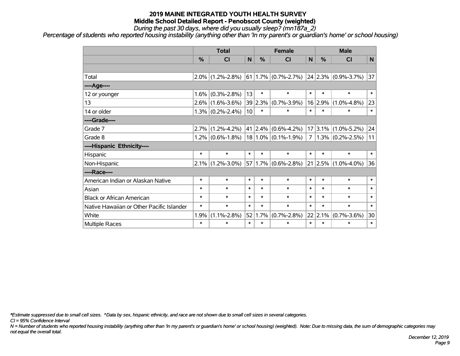*During the past 30 days, where did you usually sleep? (mn187a\_2)*

*Percentage of students who reported housing instability (anything other than 'In my parent's or guardian's home' or school housing)*

|                                           | <b>Total</b> |                     |        | <b>Female</b>   |                                      |                | <b>Male</b> |                         |        |
|-------------------------------------------|--------------|---------------------|--------|-----------------|--------------------------------------|----------------|-------------|-------------------------|--------|
|                                           | %            | <b>CI</b>           | N      | %               | <b>CI</b>                            | N              | %           | <b>CI</b>               | N.     |
|                                           |              |                     |        |                 |                                      |                |             |                         |        |
| Total                                     | $2.0\%$      | $(1.2\% - 2.8\%)$   |        |                 | $61 \mid 1.7\% \mid (0.7\% - 2.7\%)$ |                |             | $24$ 2.3% (0.9%-3.7%)   | 37     |
| ----Age----                               |              |                     |        |                 |                                      |                |             |                         |        |
| 12 or younger                             | 1.6%         | $(0.3\% - 2.8\%)$   | 13     | $\ast$          | $\ast$                               | $\ast$         | $\ast$      | $\ast$                  | $\ast$ |
| 13                                        | $2.6\%$      | $(1.6\% - 3.6\%)$   |        | 39 2.3%         | $(0.7\% - 3.9\%)$                    |                | 16 2.9%     | $(1.0\% - 4.8\%)$       | 23     |
| 14 or older                               |              | $1.3\%$ (0.2%-2.4%) | 10     | $\ast$          | $\ast$                               | $\ast$         | $\ast$      | $\ast$                  | $\ast$ |
| ----Grade----                             |              |                     |        |                 |                                      |                |             |                         |        |
| Grade 7                                   | 2.7%         | $(1.2\% - 4.2\%)$   |        | $41 \,   2.4\%$ | $(0.6\% - 4.2\%)$                    |                |             | $17 3.1\% $ (1.0%-5.2%) | 24     |
| Grade 8                                   |              | $1.2\%$ (0.6%-1.8%) |        |                 | $18 1.0\% $ (0.1%-1.9%)              | 7 <sup>1</sup> |             | $1.3\%$ (0.2%-2.5%)     | 11     |
| ----Hispanic Ethnicity----                |              |                     |        |                 |                                      |                |             |                         |        |
| Hispanic                                  | $\ast$       | $\ast$              | $\ast$ | $\ast$          | $\ast$                               | $\ast$         | $\ast$      | $\ast$                  | $\ast$ |
| Non-Hispanic                              | 2.1%         | $(1.2\% - 3.0\%)$   |        |                 | $57 1.7\% $ (0.6%-2.8%)              |                | 21   2.5%   | $(1.0\% - 4.0\%)$       | 36     |
| ----Race----                              |              |                     |        |                 |                                      |                |             |                         |        |
| American Indian or Alaskan Native         | $\ast$       | $\ast$              | $\ast$ | $\ast$          | $\ast$                               | $\ast$         | $\ast$      | $\ast$                  | $\ast$ |
| Asian                                     | $\ast$       | $\ast$              | $\ast$ | $\ast$          | $\ast$                               | $\ast$         | $\ast$      | $\ast$                  | $\ast$ |
| <b>Black or African American</b>          | $\ast$       | $\ast$              | $\ast$ | $\ast$          | $\ast$                               | $\ast$         | $\ast$      | $\ast$                  | $\ast$ |
| Native Hawaiian or Other Pacific Islander | $\ast$       | $\ast$              | $\ast$ | $\ast$          | $\ast$                               | $\ast$         | $\ast$      | $\ast$                  | $\ast$ |
| White                                     | 1.9%         | $(1.1\% - 2.8\%)$   | 52     | 1.7%            | $(0.7\% - 2.8\%)$                    |                | 22 2.1%     | $(0.7\% - 3.6\%)$       | 30     |
| <b>Multiple Races</b>                     | $\ast$       | $\ast$              | $\ast$ | $\ast$          | $\ast$                               | $\ast$         | $\ast$      | $\ast$                  | $\ast$ |

*\*Estimate suppressed due to small cell sizes. ^Data by sex, hispanic ethnicity, and race are not shown due to small cell sizes in several categories.*

*CI = 95% Confidence Interval*

*N = Number of students who reported housing instability (anything other than 'In my parent's or guardian's home' or school housing) (weighted). Note: Due to missing data, the sum of demographic categories may not equal the overall total.*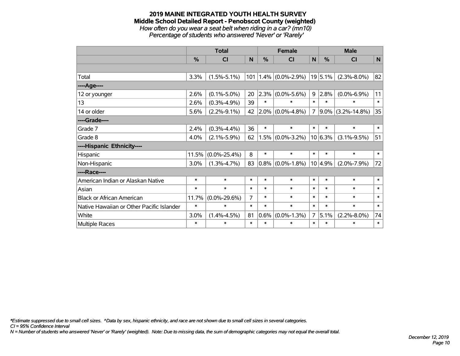#### **2019 MAINE INTEGRATED YOUTH HEALTH SURVEY Middle School Detailed Report - Penobscot County (weighted)** *How often do you wear a seat belt when riding in a car? (mn10)*

*Percentage of students who answered 'Never' or 'Rarely'*

|                                           | <b>Total</b> |                    |        | <b>Female</b> |                     |        | <b>Male</b>    |                    |              |
|-------------------------------------------|--------------|--------------------|--------|---------------|---------------------|--------|----------------|--------------------|--------------|
|                                           | $\%$         | CI                 | N      | $\frac{0}{0}$ | <b>CI</b>           | N      | $\%$           | <b>CI</b>          | N            |
|                                           |              |                    |        |               |                     |        |                |                    |              |
| Total                                     | 3.3%         | $(1.5\% - 5.1\%)$  | 101    |               | $1.4\%$ (0.0%-2.9%) |        | $ 19 5.1\% $   | $(2.3\% - 8.0\%)$  | 82           |
| ---- Age----                              |              |                    |        |               |                     |        |                |                    |              |
| 12 or younger                             | 2.6%         | $(0.1\% - 5.0\%)$  | 20     | 2.3%          | $(0.0\% - 5.6\%)$   |        | $9 \mid 2.8\%$ | $(0.0\% - 6.9\%)$  | 11           |
| 13                                        | 2.6%         | $(0.3\% - 4.9\%)$  | 39     | $\ast$        | $\ast$              | $\ast$ | $\ast$         | $\ast$             | $\ast$       |
| 14 or older                               | 5.6%         | $(2.2\% - 9.1\%)$  | 42     | $2.0\%$       | $(0.0\% - 4.8\%)$   | 7      | $9.0\%$        | $(3.2\% - 14.8\%)$ | 35           |
| ----Grade----                             |              |                    |        |               |                     |        |                |                    |              |
| Grade 7                                   | 2.4%         | $(0.3\% - 4.4\%)$  | 36     | $\ast$        | $\ast$              | $\ast$ | $\ast$         | $\ast$             | $\pmb{\ast}$ |
| Grade 8                                   | 4.0%         | $(2.1\% - 5.9\%)$  | 62     | 1.5%          | $(0.0\% - 3.2\%)$   |        | $10 6.3\%$     | $(3.1\% - 9.5\%)$  | 51           |
| ----Hispanic Ethnicity----                |              |                    |        |               |                     |        |                |                    |              |
| Hispanic                                  | 11.5%        | $(0.0\% - 25.4\%)$ | 8      | $\ast$        | $\ast$              | $\ast$ | $\ast$         | $\ast$             | $\ast$       |
| Non-Hispanic                              | 3.0%         | $(1.3\% - 4.7\%)$  | 83     |               | $0.8\%$ (0.0%-1.8%) |        | 10 4.9%        | $(2.0\% - 7.9\%)$  | 72           |
| ----Race----                              |              |                    |        |               |                     |        |                |                    |              |
| American Indian or Alaskan Native         | $\ast$       | $\ast$             | $\ast$ | $\ast$        | $\ast$              | $\ast$ | $\ast$         | $\ast$             | $\ast$       |
| Asian                                     | $\ast$       | $\ast$             | $\ast$ | $\ast$        | $\ast$              | $\ast$ | $\ast$         | $\ast$             | $\ast$       |
| <b>Black or African American</b>          | 11.7%        | $(0.0\% - 29.6\%)$ | 7      | $\ast$        | $\ast$              | $\ast$ | $\ast$         | $\ast$             | $\ast$       |
| Native Hawaiian or Other Pacific Islander | $\ast$       | $\ast$             | $\ast$ | $\ast$        | $\ast$              | $\ast$ | $\ast$         | $\ast$             | $\ast$       |
| White                                     | 3.0%         | $(1.4\% - 4.5\%)$  | 81     | 0.6%          | $(0.0\% - 1.3\%)$   | 7      | 5.1%           | $(2.2\% - 8.0\%)$  | 74           |
| Multiple Races                            | $\ast$       | $\ast$             | $\ast$ | $\ast$        | $\ast$              | $\ast$ | $\ast$         | $\ast$             | $\ast$       |

*\*Estimate suppressed due to small cell sizes. ^Data by sex, hispanic ethnicity, and race are not shown due to small cell sizes in several categories.*

*CI = 95% Confidence Interval*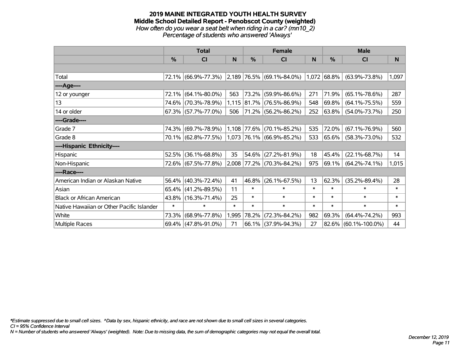#### **2019 MAINE INTEGRATED YOUTH HEALTH SURVEY Middle School Detailed Report - Penobscot County (weighted)** *How often do you wear a seat belt when riding in a car? (mn10\_2) Percentage of students who answered 'Always'*

|                                           | <b>Total</b> |                                               |        |               | Female                      |        | <b>Male</b>   |                         |        |  |
|-------------------------------------------|--------------|-----------------------------------------------|--------|---------------|-----------------------------|--------|---------------|-------------------------|--------|--|
|                                           | $\%$         | <b>CI</b>                                     | N      | $\frac{0}{0}$ | <b>CI</b>                   | N      | $\%$          | <b>CI</b>               | N      |  |
|                                           |              |                                               |        |               |                             |        |               |                         |        |  |
| Total                                     |              | 72.1% (66.9%-77.3%) 2,189 76.5% (69.1%-84.0%) |        |               |                             |        | $1,072$ 68.8% | $(63.9\% - 73.8\%)$     | 1,097  |  |
| ----Age----                               |              |                                               |        |               |                             |        |               |                         |        |  |
| 12 or younger                             | 72.1%        | $(64.1\% - 80.0\%)$                           | 563    | 73.2%         | $(59.9\% - 86.6\%)$         | 271    | 71.9%         | $(65.1\% - 78.6\%)$     | 287    |  |
| 13                                        |              | 74.6% (70.3%-78.9%)                           |        |               | 1,115 81.7% (76.5%-86.9%)   | 548    | 69.8%         | $(64.1\% - 75.5\%)$     | 559    |  |
| 14 or older                               |              | $67.3\%$ (57.7%-77.0%)                        | 506    |               | 71.2% (56.2%-86.2%)         | 252    | $63.8\%$      | $(54.0\% - 73.7\%)$     | 250    |  |
| ----Grade----                             |              |                                               |        |               |                             |        |               |                         |        |  |
| Grade 7                                   |              | 74.3% (69.7%-78.9%)                           |        | 1,108 77.6%   | $(70.1\% - 85.2\%)$         | 535    | 72.0%         | $(67.1\% - 76.9\%)$     | 560    |  |
| Grade 8                                   |              | 70.1% (62.8%-77.5%) 1,073 76.1% (66.9%-85.2%) |        |               |                             | 533    | $ 65.6\% $    | $(58.3\% - 73.0\%)$     | 532    |  |
| ----Hispanic Ethnicity----                |              |                                               |        |               |                             |        |               |                         |        |  |
| Hispanic                                  | 52.5%        | $(36.1\% - 68.8\%)$                           | 35     | 54.6%         | $(27.2\% - 81.9\%)$         | 18     | 45.4%         | $(22.1\% - 68.7\%)$     | 14     |  |
| Non-Hispanic                              |              | 72.6% (67.5%-77.8%)                           |        |               | $2,008$ 77.2% (70.3%-84.2%) | 975    | 69.1%         | $(64.2\% - 74.1\%)$     | 1,015  |  |
| ----Race----                              |              |                                               |        |               |                             |        |               |                         |        |  |
| American Indian or Alaskan Native         |              | 56.4% (40.3%-72.4%)                           | 41     | 46.8%         | $(26.1\% - 67.5\%)$         | 13     | 62.3%         | $(35.2\% - 89.4\%)$     | 28     |  |
| Asian                                     |              | $65.4\%$ (41.2%-89.5%)                        | 11     | $\ast$        | $\ast$                      | $\ast$ | $\ast$        | $\ast$                  | $\ast$ |  |
| <b>Black or African American</b>          |              | 43.8% (16.3%-71.4%)                           | 25     | $\ast$        | $\ast$                      | $\ast$ | $\ast$        | $\ast$                  | $\ast$ |  |
| Native Hawaiian or Other Pacific Islander | $\ast$       | $\ast$                                        | $\ast$ | $\ast$        | $\ast$                      | $\ast$ | $\ast$        | $\ast$                  | $\ast$ |  |
| White                                     | 73.3%        | $(68.9\% - 77.8\%)$                           | 1,995  | 78.2%         | $(72.3\% - 84.2\%)$         | 982    | 69.3%         | $(64.4\% - 74.2\%)$     | 993    |  |
| Multiple Races                            |              | 69.4% (47.8%-91.0%)                           | 71     |               | 66.1% (37.9%-94.3%)         | 27     |               | $82.6\%$ (60.1%-100.0%) | 44     |  |

*\*Estimate suppressed due to small cell sizes. ^Data by sex, hispanic ethnicity, and race are not shown due to small cell sizes in several categories.*

*CI = 95% Confidence Interval*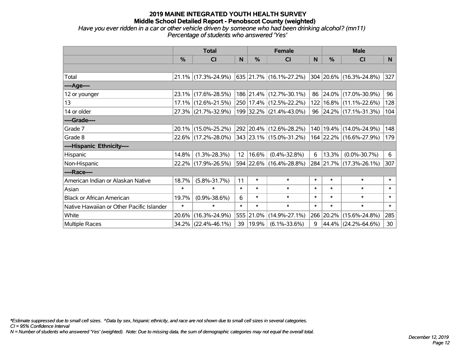## **2019 MAINE INTEGRATED YOUTH HEALTH SURVEY Middle School Detailed Report - Penobscot County (weighted)** *Have you ever ridden in a car or other vehicle driven by someone who had been drinking alcohol? (mn11)*

*Percentage of students who answered 'Yes'*

|                                           | <b>Total</b>  |                                             |                   |            | <b>Female</b>               |        | <b>Male</b> |                             |        |
|-------------------------------------------|---------------|---------------------------------------------|-------------------|------------|-----------------------------|--------|-------------|-----------------------------|--------|
|                                           | $\frac{0}{0}$ | <b>CI</b>                                   | N                 | %          | <b>CI</b>                   | N      | %           | <b>CI</b>                   | N.     |
|                                           |               |                                             |                   |            |                             |        |             |                             |        |
| Total                                     |               | 21.1% (17.3%-24.9%)                         |                   |            | 635   21.7%   (16.1%-27.2%) |        |             | 304 20.6% (16.3%-24.8%)     | 327    |
| ----Age----                               |               |                                             |                   |            |                             |        |             |                             |        |
| 12 or younger                             | $23.1\%$      | $(17.6\% - 28.5\%)$                         |                   |            | 186 21.4% (12.7%-30.1%)     |        | 86 24.0%    | $(17.0\% - 30.9\%)$         | 96     |
| 13                                        |               | 17.1% (12.6%-21.5%)                         |                   |            | 250   17.4%   (12.5%-22.2%) |        |             | 122   16.8%   (11.1%-22.6%) | 128    |
| 14 or older                               |               | 27.3% (21.7%-32.9%)                         |                   |            | 199 32.2% (21.4%-43.0%)     |        |             | 96 24.2% (17.1%-31.3%)      | 104    |
| ----Grade----                             |               |                                             |                   |            |                             |        |             |                             |        |
| Grade 7                                   | 20.1%         | $(15.0\% - 25.2\%)$                         |                   |            | 292 20.4% (12.6%-28.2%)     | 140    | 19.4%       | $(14.0\% - 24.9\%)$         | 148    |
| Grade 8                                   |               | 22.6% (17.2%-28.0%) 343 23.1% (15.0%-31.2%) |                   |            |                             |        |             | 164 22.2% (16.6%-27.9%)     | 179    |
| ----Hispanic Ethnicity----                |               |                                             |                   |            |                             |        |             |                             |        |
| Hispanic                                  | 14.8%         | $(1.3\% - 28.3\%)$                          | $12 \overline{ }$ | 16.6%      | $(0.4\% - 32.8\%)$          | 6      | 13.3%       | $(0.0\% - 30.7\%)$          | 6      |
| Non-Hispanic                              |               | 22.2% (17.9%-26.5%)                         |                   |            | 594 22.6% (16.4%-28.8%)     |        |             | 284 21.7% (17.3%-26.1%)     | 307    |
| ----Race----                              |               |                                             |                   |            |                             |        |             |                             |        |
| American Indian or Alaskan Native         | 18.7%         | $(5.8\% - 31.7\%)$                          | 11                | $\ast$     | $\ast$                      | $\ast$ | $\ast$      | $\ast$                      | $\ast$ |
| Asian                                     | $\ast$        | $\ast$                                      | $\ast$            | $\ast$     | $\ast$                      | $\ast$ | $\ast$      | $\ast$                      | $\ast$ |
| <b>Black or African American</b>          | 19.7%         | $(0.9\% - 38.6\%)$                          | 6                 | $\ast$     | $\ast$                      | $\ast$ | $\ast$      | $\ast$                      | $\ast$ |
| Native Hawaiian or Other Pacific Islander | $\ast$        | $\ast$                                      | $\ast$            | $\ast$     | $\ast$                      | $\ast$ | $\ast$      | $\ast$                      | $\ast$ |
| White                                     | 20.6%         | $(16.3\% - 24.9\%)$                         |                   | 555 21.0%  | $(14.9\% - 27.1\%)$         |        | 266 20.2%   | $(15.6\% - 24.8\%)$         | 285    |
| Multiple Races                            |               | 34.2% (22.4%-46.1%)                         |                   | 39   19.9% | $(6.1\% - 33.6\%)$          | 9      |             | 44.4% (24.2%-64.6%)         | 30     |

*\*Estimate suppressed due to small cell sizes. ^Data by sex, hispanic ethnicity, and race are not shown due to small cell sizes in several categories.*

*CI = 95% Confidence Interval*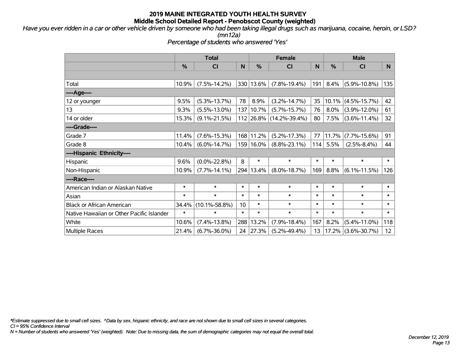*Have you ever ridden in a car or other vehicle driven by someone who had been taking illegal drugs such as marijuana, cocaine, heroin, or LSD? (mn12a)*

*Percentage of students who answered 'Yes'*

|                                           | <b>Total</b> |                     |        |           | <b>Female</b>           | <b>Male</b> |        |                    |        |
|-------------------------------------------|--------------|---------------------|--------|-----------|-------------------------|-------------|--------|--------------------|--------|
|                                           | %            | <b>CI</b>           | N      | %         | <b>CI</b>               | N           | %      | <b>CI</b>          | N      |
|                                           |              |                     |        |           |                         |             |        |                    |        |
| Total                                     | 10.9%        | $(7.5\% - 14.2\%)$  |        | 330 13.6% | $(7.8\% - 19.4\%)$      | 191         | 8.4%   | $(5.9\% - 10.8\%)$ | 135    |
| ----Age----                               |              |                     |        |           |                         |             |        |                    |        |
| 12 or younger                             | 9.5%         | $(5.3\% - 13.7\%)$  | 78     | 8.9%      | $(3.2\% - 14.7\%)$      | 35          | 10.1%  | $(4.5\% - 15.7\%)$ | 42     |
| 13                                        | 9.3%         | $(5.5\% - 13.0\%)$  |        | 137 10.7% | $(5.7\% - 15.7\%)$      | 76          | 8.0%   | $(3.9\% - 12.0\%)$ | 61     |
| 14 or older                               | 15.3%        | $(9.1\% - 21.5\%)$  |        |           | 112 26.8% (14.2%-39.4%) | 80          | 7.5%   | $(3.6\% - 11.4\%)$ | 32     |
| ----Grade----                             |              |                     |        |           |                         |             |        |                    |        |
| Grade 7                                   | 11.4%        | $(7.6\% - 15.3\%)$  |        | 168 11.2% | $(5.2\% - 17.3\%)$      | 77          | 11.7%  | $(7.7\% - 15.6\%)$ | 91     |
| Grade 8                                   | 10.4%        | $(6.0\% - 14.7\%)$  |        | 159 16.0% | $(8.8\% - 23.1\%)$      | 114         | 5.5%   | $(2.5\% - 8.4\%)$  | 44     |
| ----Hispanic Ethnicity----                |              |                     |        |           |                         |             |        |                    |        |
| Hispanic                                  | 9.6%         | $(0.0\% - 22.8\%)$  | 8      | $\ast$    | $\ast$                  | $\ast$      | $\ast$ | $\ast$             | $\ast$ |
| Non-Hispanic                              | 10.9%        | $(7.7\% - 14.1\%)$  |        | 294 13.4% | $(8.0\% - 18.7\%)$      | 169         | 8.8%   | $(6.1\% - 11.5\%)$ | 126    |
| ----Race----                              |              |                     |        |           |                         |             |        |                    |        |
| American Indian or Alaskan Native         | $\ast$       | $\ast$              | $\ast$ | $\ast$    | $\ast$                  | $\ast$      | $\ast$ | $\ast$             | $\ast$ |
| Asian                                     | $\ast$       | $\ast$              | $\ast$ | $\ast$    | $\ast$                  | $\ast$      | $\ast$ | $\ast$             | $\ast$ |
| <b>Black or African American</b>          | 34.4%        | $(10.1\% - 58.8\%)$ | 10     | $\ast$    | $\ast$                  | $\ast$      | $\ast$ | $\ast$             | $\ast$ |
| Native Hawaiian or Other Pacific Islander | $\ast$       | $\ast$              | $\ast$ | $\ast$    | $\ast$                  | $\ast$      | $\ast$ | $\ast$             | $\ast$ |
| White                                     | 10.6%        | $(7.4\% - 13.8\%)$  | 288    | 13.2%     | $(7.9\% - 18.4\%)$      | 167         | 8.2%   | $(5.4\% - 11.0\%)$ | 118    |
| <b>Multiple Races</b>                     | 21.4%        | $(6.7\% - 36.0\%)$  | 24     | 27.3%     | $(5.2\% - 49.4\%)$      | 13          | 17.2%  | $(3.6\% - 30.7\%)$ | 12     |

*\*Estimate suppressed due to small cell sizes. ^Data by sex, hispanic ethnicity, and race are not shown due to small cell sizes in several categories.*

*CI = 95% Confidence Interval*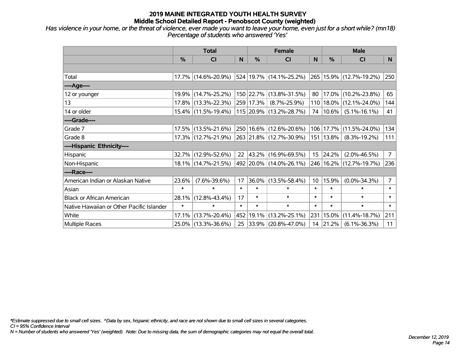*Has violence in your home, or the threat of violence, ever made you want to leave your home, even just for a short while? (mn18) Percentage of students who answered 'Yes'*

|                                           | <b>Total</b> |                     |        | <b>Female</b> | <b>Male</b>             |                 |             |                         |                |
|-------------------------------------------|--------------|---------------------|--------|---------------|-------------------------|-----------------|-------------|-------------------------|----------------|
|                                           | $\%$         | <b>CI</b>           | N      | %             | <b>CI</b>               | N               | $\%$        | <b>CI</b>               | N              |
|                                           |              |                     |        |               |                         |                 |             |                         |                |
| Total                                     |              | 17.7% (14.6%-20.9%) |        |               | 524 19.7% (14.1%-25.2%) |                 |             | 265 15.9% (12.7%-19.2%) | 250            |
| ----Age----                               |              |                     |        |               |                         |                 |             |                         |                |
| 12 or younger                             | $19.9\%$     | $(14.7\% - 25.2\%)$ |        |               | 150 22.7% (13.8%-31.5%) | 80              | 17.0%       | $(10.2\% - 23.8\%)$     | 65             |
| 13                                        |              | 17.8% (13.3%-22.3%) |        | 259 17.3%     | $(8.7\% - 25.9\%)$      | 110             | 18.0%       | $(12.1\% - 24.0\%)$     | 144            |
| 14 or older                               |              | 15.4% (11.5%-19.4%) |        |               | 115 20.9% (13.2%-28.7%) | 74              | $10.6\%$    | $(5.1\% - 16.1\%)$      | 41             |
| ----Grade----                             |              |                     |        |               |                         |                 |             |                         |                |
| Grade 7                                   |              | 17.5% (13.5%-21.6%) |        |               | 250 16.6% (12.6%-20.6%) | 106             | 17.7%       | $(11.5\% - 24.0\%)$     | 134            |
| Grade 8                                   |              | 17.3% (12.7%-21.9%) |        |               | 263 21.8% (12.7%-30.9%) |                 | 151   13.8% | $(8.3\% - 19.2\%)$      | 111            |
| ----Hispanic Ethnicity----                |              |                     |        |               |                         |                 |             |                         |                |
| Hispanic                                  | 32.7%        | $(12.9\% - 52.6\%)$ | 22     |               | 43.2% (16.9%-69.5%)     |                 | 15 24.2%    | $(2.0\% - 46.5\%)$      | 7 <sup>1</sup> |
| Non-Hispanic                              |              | 18.1% (14.7%-21.5%) |        |               | 492 20.0% (14.0%-26.1%) |                 |             | 246 16.2% (12.7%-19.7%) | 236            |
| ----Race----                              |              |                     |        |               |                         |                 |             |                         |                |
| American Indian or Alaskan Native         | 23.6%        | $(7.6\% - 39.6\%)$  | 17     | 36.0%         | $(13.5\% - 58.4\%)$     | 10 <sup>°</sup> | 15.9%       | $(0.0\% - 34.3\%)$      | $\overline{7}$ |
| Asian                                     | $\ast$       | $\ast$              | $\ast$ | $\ast$        | $\ast$                  | $\ast$          | $\ast$      | $\ast$                  | $\ast$         |
| <b>Black or African American</b>          | 28.1%        | $(12.8\% - 43.4\%)$ | 17     | $\ast$        | $\ast$                  | $\ast$          | $\ast$      | $\ast$                  | $\ast$         |
| Native Hawaiian or Other Pacific Islander | $\ast$       | $\ast$              | $\ast$ | $\ast$        | $\ast$                  | $\ast$          | $\ast$      | $\ast$                  | $\ast$         |
| White                                     | 17.1%        | $(13.7\% - 20.4\%)$ |        | 452 19.1%     | $(13.2\% - 25.1\%)$     | 231             | 15.0%       | $(11.4\% - 18.7\%)$     | 211            |
| Multiple Races                            |              | 25.0% (13.3%-36.6%) |        |               | 25 33.9% (20.8%-47.0%)  |                 | 14 21.2%    | $(6.1\% - 36.3\%)$      | 11             |

*\*Estimate suppressed due to small cell sizes. ^Data by sex, hispanic ethnicity, and race are not shown due to small cell sizes in several categories.*

*CI = 95% Confidence Interval*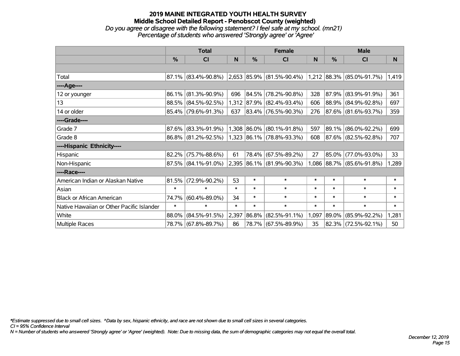## **2019 MAINE INTEGRATED YOUTH HEALTH SURVEY Middle School Detailed Report - Penobscot County (weighted)** *Do you agree or disagree with the following statement? I feel safe at my school. (mn21) Percentage of students who answered 'Strongly agree' or 'Agree'*

|                                           | <b>Total</b>  |                        |        |            | <b>Female</b>                                                                                       |        | <b>Male</b> |                           |        |  |
|-------------------------------------------|---------------|------------------------|--------|------------|-----------------------------------------------------------------------------------------------------|--------|-------------|---------------------------|--------|--|
|                                           | $\frac{0}{0}$ | CI                     | N      | %          | CI                                                                                                  | N      | %           | <b>CI</b>                 | N      |  |
|                                           |               |                        |        |            |                                                                                                     |        |             |                           |        |  |
| Total                                     |               | 87.1% (83.4%-90.8%)    |        |            | $\vert 2,653 \vert 85.9\% \vert (81.5\% - 90.4\%) \vert 1,212 \vert 88.3\% \vert (85.0\% - 91.7\%)$ |        |             |                           | 1,419  |  |
| ----Age----                               |               |                        |        |            |                                                                                                     |        |             |                           |        |  |
| 12 or younger                             | 86.1%         | $(81.3\% - 90.9\%)$    | 696    | $ 84.5\% $ | $(78.2\% - 90.8\%)$                                                                                 | 328    | 87.9%       | $(83.9\% - 91.9\%)$       | 361    |  |
| 13                                        |               | 88.5% (84.5%-92.5%)    |        |            | 1,312 87.9% (82.4%-93.4%)                                                                           | 606    |             | 88.9% (84.9%-92.8%)       | 697    |  |
| 14 or older                               |               | 85.4% (79.6%-91.3%)    | 637    |            | 83.4% (76.5%-90.3%)                                                                                 | 276    |             | 87.6% (81.6%-93.7%)       | 359    |  |
| ----Grade----                             |               |                        |        |            |                                                                                                     |        |             |                           |        |  |
| Grade 7                                   | 87.6%         | $(83.3\% - 91.9\%)$    |        |            | 1,308 86.0% (80.1%-91.8%)                                                                           | 597    | $ 89.1\% $  | $(86.0\% - 92.2\%)$       | 699    |  |
| Grade 8                                   |               | 86.8% (81.2%-92.5%)    |        |            | 1,323 86.1% (78.8%-93.3%)                                                                           | 608    |             | 87.6% (82.5%-92.8%)       | 707    |  |
| ----Hispanic Ethnicity----                |               |                        |        |            |                                                                                                     |        |             |                           |        |  |
| Hispanic                                  | 82.2%         | $(75.7\% - 88.6\%)$    | 61     |            | 78.4% (67.5%-89.2%)                                                                                 | 27     | $ 85.0\% $  | $(77.0\% - 93.0\%)$       | 33     |  |
| Non-Hispanic                              |               | $87.5\%$ (84.1%-91.0%) |        |            | 2,395 86.1% (81.9%-90.3%)                                                                           |        |             | 1,086 88.7% (85.6%-91.8%) | 1,289  |  |
| ----Race----                              |               |                        |        |            |                                                                                                     |        |             |                           |        |  |
| American Indian or Alaskan Native         | 81.5%         | $(72.9\% - 90.2\%)$    | 53     | $\ast$     | $\ast$                                                                                              | $\ast$ | $\ast$      | $\ast$                    | $\ast$ |  |
| Asian                                     | $\ast$        | $\ast$                 | $\ast$ | $\ast$     | $\ast$                                                                                              | $\ast$ | $\ast$      | $\ast$                    | $\ast$ |  |
| <b>Black or African American</b>          | 74.7%         | $(60.4\% - 89.0\%)$    | 34     | $\ast$     | $\ast$                                                                                              | $\ast$ | $\ast$      | $\ast$                    | $\ast$ |  |
| Native Hawaiian or Other Pacific Islander | $\ast$        | $\ast$                 | $\ast$ | $\ast$     | $\ast$                                                                                              | $\ast$ | $\ast$      | $\ast$                    | $\ast$ |  |
| White                                     | 88.0%         | $(84.5\% - 91.5\%)$    | 2,397  | 86.8%      | $(82.5\% - 91.1\%)$                                                                                 | 1,097  | $ 89.0\% $  | $(85.9\% - 92.2\%)$       | 1,281  |  |
| Multiple Races                            |               | 78.7% (67.8%-89.7%)    | 86     |            | 78.7% (67.5%-89.9%)                                                                                 | 35     | $ 82.3\% $  | $(72.5\% - 92.1\%)$       | 50     |  |

*\*Estimate suppressed due to small cell sizes. ^Data by sex, hispanic ethnicity, and race are not shown due to small cell sizes in several categories.*

*CI = 95% Confidence Interval*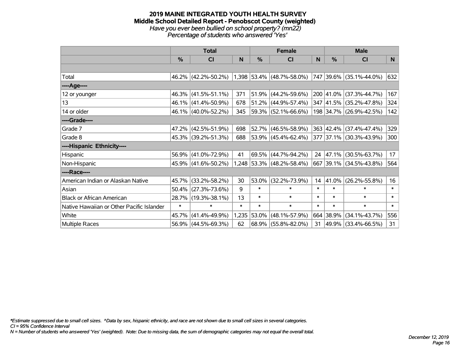#### **2019 MAINE INTEGRATED YOUTH HEALTH SURVEY Middle School Detailed Report - Penobscot County (weighted)** *Have you ever been bullied on school property? (mn22) Percentage of students who answered 'Yes'*

|                                           | <b>Total</b>  |                        |        | <b>Female</b> | <b>Male</b>                 |        |           |                         |        |
|-------------------------------------------|---------------|------------------------|--------|---------------|-----------------------------|--------|-----------|-------------------------|--------|
|                                           | $\frac{0}{0}$ | CI                     | N      | $\frac{0}{0}$ | CI                          | N      | %         | <b>CI</b>               | N      |
|                                           |               |                        |        |               |                             |        |           |                         |        |
| Total                                     |               | 46.2% (42.2%-50.2%)    |        |               | $1,398$ 53.4% (48.7%-58.0%) |        |           | 747 39.6% (35.1%-44.0%) | 632    |
| ----Age----                               |               |                        |        |               |                             |        |           |                         |        |
| 12 or younger                             |               | $46.3\%$ (41.5%-51.1%) | 371    | 51.9%         | $(44.2\% - 59.6\%)$         |        | 200 41.0% | $(37.3\% - 44.7\%)$     | 167    |
| 13                                        |               | 46.1% (41.4%-50.9%)    | 678    |               | $51.2\%$ (44.9%-57.4%)      |        |           | 347 41.5% (35.2%-47.8%) | 324    |
| 14 or older                               |               | 46.1% (40.0%-52.2%)    | 345    |               | $ 59.3\% $ (52.1%-66.6%)    |        |           | 198 34.7% (26.9%-42.5%) | 142    |
| ----Grade----                             |               |                        |        |               |                             |        |           |                         |        |
| Grade 7                                   |               | 47.2% (42.5%-51.9%)    | 698    | 52.7%         | $(46.5\% - 58.9\%)$         |        |           | 363 42.4% (37.4%-47.4%) | 329    |
| Grade 8                                   |               | 45.3% (39.2%-51.3%)    | 688    |               | 53.9% (45.4%-62.4%)         |        |           | 377 37.1% (30.3%-43.9%) | 300    |
| ----Hispanic Ethnicity----                |               |                        |        |               |                             |        |           |                         |        |
| Hispanic                                  |               | 56.9% (41.0%-72.9%)    | 41     | 69.5%         | $(44.7\% - 94.2\%)$         | 24     | 47.1%     | $(30.5\% - 63.7\%)$     | 17     |
| Non-Hispanic                              |               | 45.9% (41.6%-50.2%)    |        |               | 1,248 53.3% (48.2%-58.4%)   |        |           | 667 39.1% (34.5%-43.8%) | 564    |
| ----Race----                              |               |                        |        |               |                             |        |           |                         |        |
| American Indian or Alaskan Native         | 45.7%         | $(33.2\% - 58.2\%)$    | 30     | 53.0%         | $(32.2\% - 73.9\%)$         | 14     | 41.0%     | $(26.2\% - 55.8\%)$     | 16     |
| Asian                                     | 50.4%         | $(27.3\% - 73.6\%)$    | 9      | $\ast$        | $\ast$                      | $\ast$ | $\ast$    | $\ast$                  | $\ast$ |
| <b>Black or African American</b>          |               | 28.7% (19.3%-38.1%)    | 13     | $\ast$        | $\ast$                      | $\ast$ | $\ast$    | $\ast$                  | $\ast$ |
| Native Hawaiian or Other Pacific Islander | $\ast$        | $\ast$                 | $\ast$ | $\ast$        | $\ast$                      | $\ast$ | $\ast$    | $\ast$                  | $\ast$ |
| White                                     | 45.7%         | $(41.4\% - 49.9\%)$    | 1,235  | 53.0%         | $(48.1\% - 57.9\%)$         |        | 664 38.9% | $(34.1\% - 43.7\%)$     | 556    |
| Multiple Races                            |               | 56.9% (44.5%-69.3%)    | 62     |               | $68.9\%$ (55.8%-82.0%)      | 31     |           | 49.9% (33.4%-66.5%)     | 31     |

*\*Estimate suppressed due to small cell sizes. ^Data by sex, hispanic ethnicity, and race are not shown due to small cell sizes in several categories.*

*CI = 95% Confidence Interval*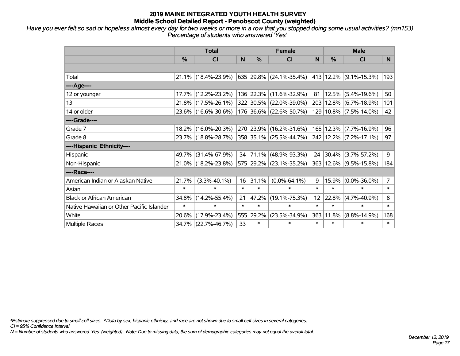*Have you ever felt so sad or hopeless almost every day for two weeks or more in a row that you stopped doing some usual activities? (mn153) Percentage of students who answered 'Yes'*

|                                           | <b>Total</b>  |                     |        |           | <b>Female</b>                 | <b>Male</b> |            |                              |                |
|-------------------------------------------|---------------|---------------------|--------|-----------|-------------------------------|-------------|------------|------------------------------|----------------|
|                                           | $\frac{0}{0}$ | <b>CI</b>           | N      | %         | <b>CI</b>                     | N           | %          | <b>CI</b>                    | N.             |
|                                           |               |                     |        |           |                               |             |            |                              |                |
| Total                                     |               | 21.1% (18.4%-23.9%) |        |           | 635 29.8% $(24.1\% - 35.4\%)$ |             |            | 413 12.2% (9.1%-15.3%)       | 193            |
| ----Age----                               |               |                     |        |           |                               |             |            |                              |                |
| 12 or younger                             | 17.7%         | $(12.2\% - 23.2\%)$ |        | 136 22.3% | $(11.6\% - 32.9\%)$           | 81          |            | $12.5\%$ (5.4%-19.6%)        | 50             |
| 13                                        | 21.8%         | $(17.5\% - 26.1\%)$ |        |           | 322 30.5% (22.0%-39.0%)       |             |            | 203   12.8%   (6.7%-18.9%)   | 101            |
| 14 or older                               |               | 23.6% (16.6%-30.6%) |        |           | 176 36.6% (22.6%-50.7%)       |             |            | 129 10.8% (7.5%-14.0%)       | 42             |
| ----Grade----                             |               |                     |        |           |                               |             |            |                              |                |
| Grade 7                                   | 18.2%         | $(16.0\% - 20.3\%)$ |        | 270 23.9% | $(16.2\% - 31.6\%)$           |             |            | 165   12.3%   (7.7%-16.9%)   | 96             |
| Grade 8                                   |               | 23.7% (18.8%-28.7%) |        |           | 358 35.1% (25.5%-44.7%)       |             |            | $242$   12.2%   (7.2%-17.1%) | 97             |
| ----Hispanic Ethnicity----                |               |                     |        |           |                               |             |            |                              |                |
| Hispanic                                  | 49.7%         | $(31.4\% - 67.9\%)$ | 34     | 71.1%     | $(48.9\% - 93.3\%)$           | 24          |            | $30.4\%$ (3.7%-57.2%)        | 9              |
| Non-Hispanic                              |               | 21.0% (18.2%-23.8%) |        |           | 575 29.2% (23.1%-35.2%)       |             |            | 363 12.6% (9.5%-15.8%)       | 184            |
| ----Race----                              |               |                     |        |           |                               |             |            |                              |                |
| American Indian or Alaskan Native         | 21.7%         | $(3.3\% - 40.1\%)$  | 16     | 31.1%     | $(0.0\% - 64.1\%)$            | 9           |            | $15.9\%$ (0.0%-36.0%)        | $\overline{7}$ |
| Asian                                     | $\ast$        | $\ast$              | $\ast$ | $\ast$    | $\ast$                        | $\ast$      | $\ast$     | $\ast$                       | $\ast$         |
| <b>Black or African American</b>          | 34.8%         | $(14.2\% - 55.4\%)$ | 21     | 47.2%     | $(19.1\% - 75.3\%)$           | 12          | 22.8%      | $(4.7\% - 40.9\%)$           | 8              |
| Native Hawaiian or Other Pacific Islander | $\ast$        | $\ast$              | $\ast$ | $\ast$    | $\ast$                        | $\ast$      | $\ast$     | $\ast$                       | $\pmb{\ast}$   |
| White                                     | 20.6%         | $(17.9\% - 23.4\%)$ |        | 555 29.2% | $(23.5\% - 34.9\%)$           | 363         | $ 11.8\% $ | $(8.8\% - 14.9\%)$           | 168            |
| <b>Multiple Races</b>                     |               | 34.7% (22.7%-46.7%) | 33     | $\ast$    | $\ast$                        | $\ast$      | $\ast$     | $\ast$                       | $\ast$         |

*\*Estimate suppressed due to small cell sizes. ^Data by sex, hispanic ethnicity, and race are not shown due to small cell sizes in several categories.*

*CI = 95% Confidence Interval*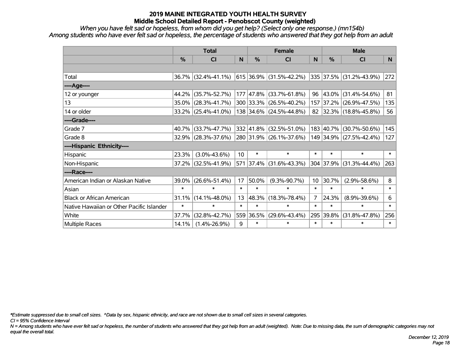*When you have felt sad or hopeless, from whom did you get help? (Select only one response.) (mn154b) Among students who have ever felt sad or hopeless, the percentage of students who answered that they got help from an adult*

|                                           | <b>Total</b> |                        |        | <b>Female</b> | <b>Male</b>             |        |           |                         |                |
|-------------------------------------------|--------------|------------------------|--------|---------------|-------------------------|--------|-----------|-------------------------|----------------|
|                                           | %            | <b>CI</b>              | N      | $\%$          | <b>CI</b>               | N      | %         | <b>CI</b>               | N <sub>1</sub> |
|                                           |              |                        |        |               |                         |        |           |                         |                |
| Total                                     |              | $36.7\%$ (32.4%-41.1%) |        |               | 615 36.9% (31.5%-42.2%) |        |           | 335 37.5% (31.2%-43.9%) | 272            |
| ----Age----                               |              |                        |        |               |                         |        |           |                         |                |
| 12 or younger                             | 44.2%        | $(35.7\% - 52.7\%)$    |        | 177 47.8%     | $(33.7\% - 61.8\%)$     | 96     | 43.0%     | $(31.4\% - 54.6\%)$     | 81             |
| 13                                        | 35.0%        | $(28.3\% - 41.7\%)$    |        |               | 300 33.3% (26.5%-40.2%) |        | 157 37.2% | $(26.9\% - 47.5\%)$     | 135            |
| 14 or older                               |              | $33.2\%$ (25.4%-41.0%) |        |               | 138 34.6% (24.5%-44.8%) |        |           | 82 32.3% (18.8%-45.8%)  | 56             |
| ----Grade----                             |              |                        |        |               |                         |        |           |                         |                |
| Grade 7                                   | 40.7%        | $(33.7\% - 47.7\%)$    |        | 332 41.8%     | $(32.5\% - 51.0\%)$     |        | 183 40.7% | $(30.7\% - 50.6\%)$     | 145            |
| Grade 8                                   |              | $32.9\%$ (28.3%-37.6%) |        |               | 280 31.9% (26.1%-37.6%) |        |           | 149 34.9% (27.5%-42.4%) | 127            |
| ----Hispanic Ethnicity----                |              |                        |        |               |                         |        |           |                         |                |
| Hispanic                                  | 23.3%        | $(3.0\% - 43.6\%)$     | 10     | $\ast$        | $\ast$                  | $\ast$ | $\ast$    | $\ast$                  | $\ast$         |
| Non-Hispanic                              | 37.2%        | $(32.5\% - 41.9\%)$    |        |               | 571 37.4% (31.6%-43.3%) |        | 304 37.9% | $(31.3\% - 44.4\%)$     | 263            |
| ----Race----                              |              |                        |        |               |                         |        |           |                         |                |
| American Indian or Alaskan Native         | 39.0%        | $(26.6\% - 51.4\%)$    | 17     | 50.0%         | $(9.3\% - 90.7\%)$      | 10     | 30.7%     | $(2.9\% - 58.6\%)$      | 8              |
| Asian                                     | $\ast$       | $\ast$                 | $\ast$ | $\ast$        | $\ast$                  | $\ast$ | $\ast$    | $\ast$                  | $\ast$         |
| <b>Black or African American</b>          | 31.1%        | $(14.1\% - 48.0\%)$    | 13     | 48.3%         | $(18.3\% - 78.4\%)$     | 7      | 24.3%     | $(8.9\% - 39.6\%)$      | 6              |
| Native Hawaiian or Other Pacific Islander | $\ast$       | $\ast$                 | $\ast$ | $\ast$        | $\ast$                  | $\ast$ | $\ast$    | $\ast$                  | $\ast$         |
| White                                     | 37.7%        | $(32.8\% - 42.7\%)$    |        | 559 36.5%     | $(29.6\% - 43.4\%)$     | 295    | 39.8%     | $(31.8\% - 47.8\%)$     | 256            |
| Multiple Races                            | 14.1%        | $(1.4\% - 26.9\%)$     | 9      | $\ast$        | $\ast$                  | $\ast$ | $\ast$    | $\ast$                  | $\ast$         |

*\*Estimate suppressed due to small cell sizes. ^Data by sex, hispanic ethnicity, and race are not shown due to small cell sizes in several categories.*

*CI = 95% Confidence Interval*

*N = Among students who have ever felt sad or hopeless, the number of students who answered that they got help from an adult (weighted). Note: Due to missing data, the sum of demographic categories may not equal the overall total.*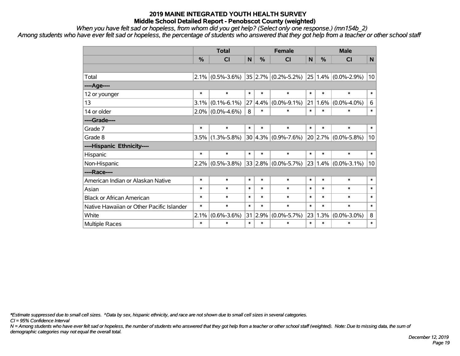*When you have felt sad or hopeless, from whom did you get help? (Select only one response.) (mn154b\_2)*

*Among students who have ever felt sad or hopeless, the percentage of students who answered that they got help from a teacher or other school staff*

|                                           | <b>Total</b>  |                     | <b>Female</b> |               |                              | <b>Male</b> |           |                              |              |
|-------------------------------------------|---------------|---------------------|---------------|---------------|------------------------------|-------------|-----------|------------------------------|--------------|
|                                           | $\frac{0}{0}$ | CI                  | N             | $\frac{0}{0}$ | <b>CI</b>                    | N           | $\%$      | <b>CI</b>                    | $\mathsf{N}$ |
|                                           |               |                     |               |               |                              |             |           |                              |              |
| Total                                     |               | $2.1\%$ (0.5%-3.6%) |               |               | $ 35 2.7\%  (0.2\% - 5.2\%)$ |             |           | $ 25 1.4\%  (0.0\% - 2.9\%)$ | 10           |
| ----Age----                               |               |                     |               |               |                              |             |           |                              |              |
| 12 or younger                             | $\ast$        | $\ast$              | $\ast$        | $\ast$        | $\ast$                       | $\ast$      | $\ast$    | $\ast$                       | $\ast$       |
| 13                                        | 3.1%          | $(0.1\% - 6.1\%)$   | 27            | 4.4%          | $(0.0\% - 9.1\%)$            | 21          | 1.6%      | $(0.0\% - 4.0\%)$            | 6            |
| 14 or older                               | $2.0\%$       | $(0.0\% - 4.6\%)$   | 8             | $\ast$        | $\ast$                       | $\ast$      | $\ast$    | $\ast$                       | $\ast$       |
| ----Grade----                             |               |                     |               |               |                              |             |           |                              |              |
| Grade 7                                   | $\ast$        | $\ast$              | $\ast$        | $\ast$        | $\ast$                       | $\ast$      | $\ast$    | $\ast$                       | $\ast$       |
| Grade 8                                   | 3.5%          | $(1.3\% - 5.8\%)$   |               |               | $30 4.3\% $ (0.9%-7.6%)      |             | $20$ 2.7% | $(0.0\% - 5.8\%)$            | 10           |
| ----Hispanic Ethnicity----                |               |                     |               |               |                              |             |           |                              |              |
| Hispanic                                  | $\ast$        | $\ast$              | $\ast$        | $\ast$        | $\ast$                       | $\ast$      | $\ast$    | $\ast$                       | $\ast$       |
| Non-Hispanic                              | $2.2\%$       | $(0.5\% - 3.8\%)$   |               |               | $33 2.8\% $ (0.0%-5.7%)      |             | 23 1.4%   | $(0.0\% - 3.1\%)$            | 10           |
| ----Race----                              |               |                     |               |               |                              |             |           |                              |              |
| American Indian or Alaskan Native         | $\ast$        | $\ast$              | $\ast$        | $\ast$        | $\ast$                       | $\ast$      | $\ast$    | $\ast$                       | $\ast$       |
| Asian                                     | $\ast$        | $\ast$              | $\ast$        | $\ast$        | $\ast$                       | $\ast$      | $\ast$    | $\ast$                       | $\ast$       |
| <b>Black or African American</b>          | $\ast$        | $\ast$              | $\ast$        | $\ast$        | $\ast$                       | $\ast$      | $\ast$    | $\ast$                       | $\ast$       |
| Native Hawaiian or Other Pacific Islander | $\ast$        | $\ast$              | $\ast$        | $\ast$        | $\ast$                       | $\ast$      | $\ast$    | $\ast$                       | $\ast$       |
| White                                     | 2.1%          | $(0.6\% - 3.6\%)$   | 31            | 2.9%          | $(0.0\% - 5.7\%)$            | 23          | 1.3%      | $(0.0\% - 3.0\%)$            | 8            |
| Multiple Races                            | $\ast$        | $\ast$              | $\ast$        | $\ast$        | $\ast$                       | $\ast$      | $\ast$    | $\ast$                       | $\ast$       |

*\*Estimate suppressed due to small cell sizes. ^Data by sex, hispanic ethnicity, and race are not shown due to small cell sizes in several categories.*

*CI = 95% Confidence Interval*

*N = Among students who have ever felt sad or hopeless, the number of students who answered that they got help from a teacher or other school staff (weighted). Note: Due to missing data, the sum of demographic categories may not equal the overall total.*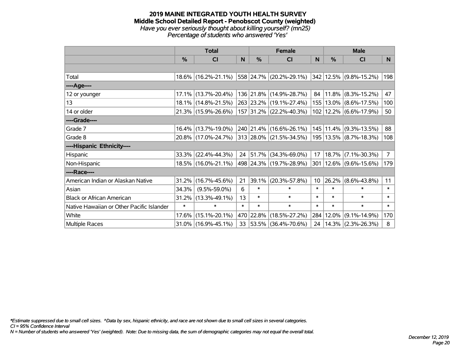#### **2019 MAINE INTEGRATED YOUTH HEALTH SURVEY Middle School Detailed Report - Penobscot County (weighted)** *Have you ever seriously thought about killing yourself? (mn25) Percentage of students who answered 'Yes'*

|                                           | <b>Total</b> |                        |        |            | <b>Female</b>                                                      | <b>Male</b> |           |                            |             |
|-------------------------------------------|--------------|------------------------|--------|------------|--------------------------------------------------------------------|-------------|-----------|----------------------------|-------------|
|                                           | %            | <b>CI</b>              | N      | %          | <b>CI</b>                                                          | N           | $\%$      | <b>CI</b>                  | N           |
|                                           |              |                        |        |            |                                                                    |             |           |                            |             |
| Total                                     |              |                        |        |            | 18.6% (16.2%-21.1%) 558 24.7% (20.2%-29.1%) 342 12.5% (9.8%-15.2%) |             |           |                            | 198         |
| ----Age----                               |              |                        |        |            |                                                                    |             |           |                            |             |
| 12 or younger                             | 17.1%        | $(13.7\% - 20.4\%)$    |        |            | 136 21.8% (14.9%-28.7%)                                            | 84          |           | $11.8\%$ (8.3%-15.2%)      | 47          |
| 13                                        |              | 18.1% (14.8%-21.5%)    |        |            | 263 23.2% (19.1%-27.4%)                                            |             |           | 155   13.0%   (8.6%-17.5%) | 100         |
| 14 or older                               |              | 21.3% (15.9%-26.6%)    |        |            | 157 31.2% (22.2%-40.3%)                                            |             |           | 102   12.2%   (6.6%-17.9%) | 50          |
| ----Grade----                             |              |                        |        |            |                                                                    |             |           |                            |             |
| Grade 7                                   | 16.4%        | $(13.7\% - 19.0\%)$    |        |            | 240 21.4% (16.6%-26.1%)                                            |             |           | 145   11.4%   (9.3%-13.5%) | 88          |
| Grade 8                                   |              | 20.8% (17.0%-24.7%)    |        |            | 313 28.0% (21.5%-34.5%)                                            |             |           | 195   13.5%   (8.7%-18.3%) | 108         |
| ----Hispanic Ethnicity----                |              |                        |        |            |                                                                    |             |           |                            |             |
| Hispanic                                  | 33.3%        | $(22.4\% - 44.3\%)$    | 24     | 51.7%      | $(34.3\% - 69.0\%)$                                                | 17          |           | $18.7\%$ (7.1%-30.3%)      | $7^{\circ}$ |
| Non-Hispanic                              |              | 18.5% (16.0%-21.1%)    |        |            | 498 24.3% (19.7%-28.9%)                                            |             |           | 301   12.6%   (9.6%-15.6%) | 179         |
| ----Race----                              |              |                        |        |            |                                                                    |             |           |                            |             |
| American Indian or Alaskan Native         | 31.2%        | $(16.7\% - 45.6\%)$    | 21     | 39.1%      | $(20.3\% - 57.8\%)$                                                | 10          | 26.2%     | $(8.6\% - 43.8\%)$         | 11          |
| Asian                                     | 34.3%        | $(9.5\% - 59.0\%)$     | 6      | $\ast$     | $\ast$                                                             | $\ast$      | $\ast$    | $\ast$                     | $\ast$      |
| <b>Black or African American</b>          | 31.2%        | $(13.3\% - 49.1\%)$    | 13     | $\ast$     | $\ast$                                                             | $\ast$      | $\ast$    | $\ast$                     | $\ast$      |
| Native Hawaiian or Other Pacific Islander | $\ast$       | $\ast$                 | $\ast$ | $\ast$     | $\ast$                                                             | $\ast$      | $\ast$    | $\ast$                     | $\ast$      |
| White                                     | 17.6%        | $(15.1\% - 20.1\%)$    |        | 470 22.8%  | $(18.5\% - 27.2\%)$                                                |             | 284 12.0% | $(9.1\% - 14.9\%)$         | 170         |
| Multiple Races                            |              | $31.0\%$ (16.9%-45.1%) | 33     | $ 53.5\% $ | $(36.4\% - 70.6\%)$                                                | 24          |           | $ 14.3\% $ (2.3%-26.3%)    | 8           |

*\*Estimate suppressed due to small cell sizes. ^Data by sex, hispanic ethnicity, and race are not shown due to small cell sizes in several categories.*

*CI = 95% Confidence Interval*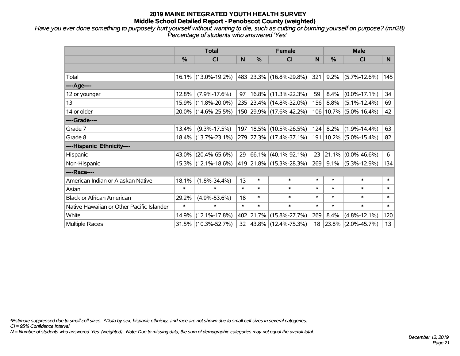*Have you ever done something to purposely hurt yourself without wanting to die, such as cutting or burning yourself on purpose? (mn28) Percentage of students who answered 'Yes'*

|                                           | <b>Total</b> |                        |        |           | <b>Female</b>                                  | <b>Male</b>   |            |                            |        |
|-------------------------------------------|--------------|------------------------|--------|-----------|------------------------------------------------|---------------|------------|----------------------------|--------|
|                                           | %            | <b>CI</b>              | N      | %         | <b>CI</b>                                      | N             | $\%$       | <b>CI</b>                  | N.     |
|                                           |              |                        |        |           |                                                |               |            |                            |        |
| Total                                     |              | 16.1% (13.0%-19.2%)    |        |           | 483 23.3% (16.8%-29.8%)                        | $ 321\rangle$ |            | $9.2\%$ (5.7%-12.6%)       | 145    |
| ----Age----                               |              |                        |        |           |                                                |               |            |                            |        |
| 12 or younger                             | 12.8%        | $(7.9\% - 17.6\%)$     | 97     |           | 16.8% (11.3%-22.3%)                            | 59            | 8.4%       | $(0.0\% - 17.1\%)$         | 34     |
| 13                                        | 15.9%        | $(11.8\% - 20.0\%)$    |        |           | 235 23.4% (14.8%-32.0%)                        | 156           | $8.8\%$    | $(5.1\% - 12.4\%)$         | 69     |
| 14 or older                               |              | 20.0% (14.6%-25.5%)    |        |           | 150 29.9% (17.6%-42.2%)                        |               |            | 106   10.7%   (5.0%-16.4%) | 42     |
| ----Grade----                             |              |                        |        |           |                                                |               |            |                            |        |
| Grade 7                                   | 13.4%        | $(9.3\% - 17.5\%)$     |        |           | 197   18.5%   (10.5%-26.5%)                    |               | $124$ 8.2% | $(1.9\% - 14.4\%)$         | 63     |
| Grade 8                                   |              | 18.4% (13.7%-23.1%)    |        |           | 279 27.3% (17.4%-37.1%) 191 10.2% (5.0%-15.4%) |               |            |                            | 82     |
| ----Hispanic Ethnicity----                |              |                        |        |           |                                                |               |            |                            |        |
| Hispanic                                  | 43.0%        | $(20.4\% - 65.6\%)$    | 29     |           | $ 66.1\% $ (40.1%-92.1%)                       | 23            | $ 21.1\% $ | $(0.0\% - 46.6\%)$         | 6      |
| Non-Hispanic                              |              | 15.3% (12.1%-18.6%)    |        |           | 419 21.8% (15.3%-28.3%)                        | 269           | $9.1\%$    | $(5.3\% - 12.9\%)$         | 134    |
| ----Race----                              |              |                        |        |           |                                                |               |            |                            |        |
| American Indian or Alaskan Native         | 18.1%        | $(1.8\% - 34.4\%)$     | 13     | $\ast$    | $\ast$                                         | $\ast$        | $\ast$     | $\ast$                     | $\ast$ |
| Asian                                     | $\ast$       | $\ast$                 | $\ast$ | $\ast$    | $\ast$                                         | $\ast$        | $\ast$     | $\ast$                     | $\ast$ |
| <b>Black or African American</b>          | 29.2%        | $(4.9\% - 53.6\%)$     | 18     | $\ast$    | $\ast$                                         | $\ast$        | $\ast$     | $\ast$                     | $\ast$ |
| Native Hawaiian or Other Pacific Islander | $\ast$       | $\ast$                 | $\ast$ | $\ast$    | $\ast$                                         | $\ast$        | $\ast$     | $\ast$                     | $\ast$ |
| White                                     | 14.9%        | $(12.1\% - 17.8\%)$    |        | 402 21.7% | $(15.8\% - 27.7\%)$                            | 269           | 8.4%       | $(4.8\% - 12.1\%)$         | 120    |
| <b>Multiple Races</b>                     |              | $31.5\%$ (10.3%-52.7%) |        |           | 32 43.8% (12.4%-75.3%)                         | 18            |            | 23.8% (2.0%-45.7%)         | 13     |

*\*Estimate suppressed due to small cell sizes. ^Data by sex, hispanic ethnicity, and race are not shown due to small cell sizes in several categories.*

*CI = 95% Confidence Interval*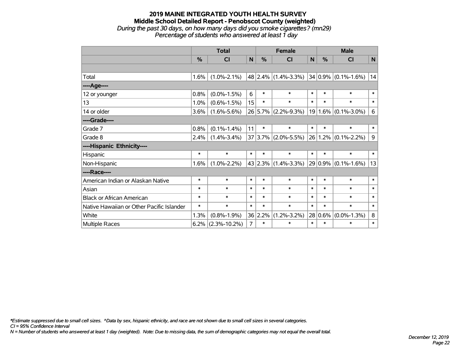## **2019 MAINE INTEGRATED YOUTH HEALTH SURVEY Middle School Detailed Report - Penobscot County (weighted)** *During the past 30 days, on how many days did you smoke cigarettes? (mn29) Percentage of students who answered at least 1 day*

|                                           | <b>Total</b> |                    |                | <b>Female</b> |                                         |        | <b>Male</b> |                         |              |
|-------------------------------------------|--------------|--------------------|----------------|---------------|-----------------------------------------|--------|-------------|-------------------------|--------------|
|                                           | $\%$         | CI                 | N              | %             | <b>CI</b>                               | N      | $\%$        | <b>CI</b>               | $\mathsf{N}$ |
|                                           |              |                    |                |               |                                         |        |             |                         |              |
| Total                                     | 1.6%         | $(1.0\% - 2.1\%)$  |                |               | 48 2.4% (1.4%-3.3%) 34 0.9% (0.1%-1.6%) |        |             |                         | 14           |
| ----Age----                               |              |                    |                |               |                                         |        |             |                         |              |
| 12 or younger                             | 0.8%         | $(0.0\% - 1.5\%)$  | 6              | $\ast$        | $\ast$                                  | $\ast$ | $\ast$      | $\ast$                  | $\ast$       |
| 13                                        | 1.0%         | $(0.6\% - 1.5\%)$  | 15             | $\ast$        | $\ast$                                  | $\ast$ | $\ast$      | $\ast$                  | $\ast$       |
| 14 or older                               | 3.6%         | $(1.6\% - 5.6\%)$  |                |               | 26 5.7% (2.2%-9.3%)                     |        |             | $19 1.6\% $ (0.1%-3.0%) | 6            |
| ----Grade----                             |              |                    |                |               |                                         |        |             |                         |              |
| Grade 7                                   | 0.8%         | $(0.1\% - 1.4\%)$  | 11             | $\ast$        | $\ast$                                  | $\ast$ | $\ast$      | $\ast$                  | $\ast$       |
| Grade 8                                   | 2.4%         | $(1.4\% - 3.4\%)$  |                |               | $37 3.7\% $ (2.0%-5.5%)                 |        | 26 1.2%     | $(0.1\% - 2.2\%)$       | 9            |
| ----Hispanic Ethnicity----                |              |                    |                |               |                                         |        |             |                         |              |
| Hispanic                                  | $\ast$       | $\ast$             | $\ast$         | $\ast$        | $\ast$                                  | $\ast$ | $\ast$      | $\ast$                  | $\ast$       |
| Non-Hispanic                              | 1.6%         | $(1.0\% - 2.2\%)$  |                |               | 43 2.3% (1.4%-3.3%) 29 0.9% (0.1%-1.6%) |        |             |                         | 13           |
| ----Race----                              |              |                    |                |               |                                         |        |             |                         |              |
| American Indian or Alaskan Native         | $\ast$       | $\ast$             | $\ast$         | $\ast$        | $\ast$                                  | $\ast$ | $\ast$      | $\ast$                  | $\ast$       |
| Asian                                     | $\ast$       | $\ast$             | $\ast$         | $\ast$        | $\ast$                                  | $\ast$ | $\ast$      | $\ast$                  | $\ast$       |
| <b>Black or African American</b>          | $\ast$       | $\ast$             | $\ast$         | $\ast$        | $\ast$                                  | $\ast$ | $\ast$      | $\ast$                  | $\ast$       |
| Native Hawaiian or Other Pacific Islander | $\ast$       | $\ast$             | $\ast$         | $\ast$        | $\ast$                                  | $\ast$ | $\ast$      | $\ast$                  | $\ast$       |
| White                                     | 1.3%         | $(0.8\% - 1.9\%)$  |                | 36 2.2%       | $(1.2\% - 3.2\%)$                       |        | 28 0.6%     | $(0.0\% - 1.3\%)$       | 8            |
| Multiple Races                            | 6.2%         | $(2.3\% - 10.2\%)$ | $\overline{7}$ | $\ast$        | $\ast$                                  | $\ast$ | $\ast$      | $\ast$                  | $\ast$       |

*\*Estimate suppressed due to small cell sizes. ^Data by sex, hispanic ethnicity, and race are not shown due to small cell sizes in several categories.*

*CI = 95% Confidence Interval*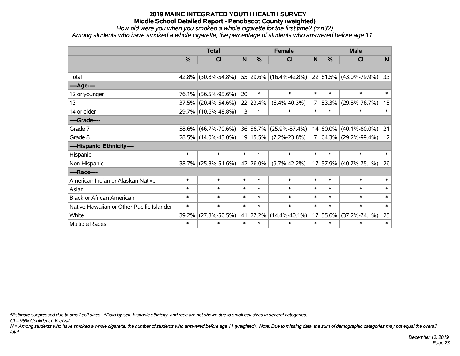*How old were you when you smoked a whole cigarette for the first time? (mn32)*

*Among students who have smoked a whole cigarette, the percentage of students who answered before age 11*

|                                           | <b>Total</b> |                     |        |          | <b>Female</b>          | <b>Male</b>    |               |                          |        |
|-------------------------------------------|--------------|---------------------|--------|----------|------------------------|----------------|---------------|--------------------------|--------|
|                                           | $\%$         | CI                  | N      | %        | <b>CI</b>              | N              | $\frac{0}{0}$ | <b>CI</b>                | N      |
|                                           |              |                     |        |          |                        |                |               |                          |        |
| Total                                     |              | 42.8% (30.8%-54.8%) |        |          | 55 29.6% (16.4%-42.8%) |                |               | 22 61.5% (43.0%-79.9%)   | 33     |
| ----Age----                               |              |                     |        |          |                        |                |               |                          |        |
| 12 or younger                             | 76.1%        | $(56.5\% - 95.6\%)$ | 20     | $\ast$   | $\ast$                 | $\ast$         | $\ast$        | $\ast$                   | $\ast$ |
| 13                                        |              | 37.5% (20.4%-54.6%) |        | 22 23.4% | $(6.4\% - 40.3\%)$     | $\overline{7}$ | 53.3%         | $(29.8\% - 76.7\%)$      | 15     |
| 14 or older                               |              | 29.7% (10.6%-48.8%) | 13     | $\ast$   | $\ast$                 | $\ast$         | $\ast$        | $\ast$                   | $\ast$ |
| ----Grade----                             |              |                     |        |          |                        |                |               |                          |        |
| Grade 7                                   | 58.6%        | $(46.7\% - 70.6\%)$ |        | 36 56.7% | $(25.9\% - 87.4\%)$    |                | $14 60.0\%$   | $(40.1\% - 80.0\%)$      | 21     |
| Grade 8                                   |              | 28.5% (14.0%-43.0%) |        | 19 15.5% | $(7.2\% - 23.8\%)$     | 7              |               | $ 64.3\% $ (29.2%-99.4%) | 12     |
| ----Hispanic Ethnicity----                |              |                     |        |          |                        |                |               |                          |        |
| Hispanic                                  | $\ast$       | $\ast$              | $\ast$ | $\ast$   | $\ast$                 | $\ast$         | $\ast$        | $\ast$                   | $\ast$ |
| Non-Hispanic                              |              | 38.7% (25.8%-51.6%) |        | 42 26.0% | $(9.7\% - 42.2\%)$     |                |               | 17 57.9% (40.7%-75.1%)   | 26     |
| ----Race----                              |              |                     |        |          |                        |                |               |                          |        |
| American Indian or Alaskan Native         | $\ast$       | $\ast$              | $\ast$ | $\ast$   | $\ast$                 | $\ast$         | $\ast$        | $\ast$                   | $\ast$ |
| Asian                                     | $\ast$       | $\ast$              | $\ast$ | $\ast$   | $\ast$                 | $\ast$         | $\ast$        | $\ast$                   | $\ast$ |
| <b>Black or African American</b>          | $\ast$       | $\ast$              | $\ast$ | $\ast$   | $\ast$                 | $\ast$         | $\ast$        | $\ast$                   | $\ast$ |
| Native Hawaiian or Other Pacific Islander | $\ast$       | $\ast$              | $\ast$ | $\ast$   | $\ast$                 | $\ast$         | $\ast$        | $\ast$                   | $\ast$ |
| White                                     | 39.2%        | $(27.8\% - 50.5\%)$ |        | 41 27.2% | $(14.4\% - 40.1\%)$    | 17             | 55.6%         | $(37.2\% - 74.1\%)$      | 25     |
| Multiple Races                            | $\ast$       | $\ast$              | $\ast$ | $\ast$   | $\ast$                 | $\ast$         | $\ast$        | $\ast$                   | $\ast$ |

*\*Estimate suppressed due to small cell sizes. ^Data by sex, hispanic ethnicity, and race are not shown due to small cell sizes in several categories.*

*CI = 95% Confidence Interval*

*N = Among students who have smoked a whole cigarette, the number of students who answered before age 11 (weighted). Note: Due to missing data, the sum of demographic categories may not equal the overall total.*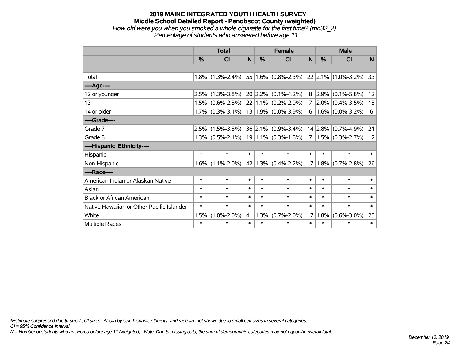#### **2019 MAINE INTEGRATED YOUTH HEALTH SURVEY Middle School Detailed Report - Penobscot County (weighted)** *How old were you when you smoked a whole cigarette for the first time? (mn32\_2) Percentage of students who answered before age 11*

|                                           | <b>Total</b>  |                     | <b>Female</b> |         |                                    | <b>Male</b>    |               |                              |        |
|-------------------------------------------|---------------|---------------------|---------------|---------|------------------------------------|----------------|---------------|------------------------------|--------|
|                                           | $\frac{0}{0}$ | <b>CI</b>           | N             | $\%$    | <b>CI</b>                          | N              | $\frac{0}{0}$ | CI                           | N      |
|                                           |               |                     |               |         |                                    |                |               |                              |        |
| Total                                     | 1.8%          | $(1.3\% - 2.4\%)$   |               |         | $ 55 1.6\% $ (0.8%-2.3%)           |                |               | $ 22 2.1\%  (1.0\% - 3.2\%)$ | 33     |
| ----Age----                               |               |                     |               |         |                                    |                |               |                              |        |
| 12 or younger                             | 2.5%          | $(1.3\% - 3.8\%)$   |               | 20 2.2% | $(0.1\% - 4.2\%)$                  | 8 <sup>1</sup> | 2.9%          | $(0.1\% - 5.8\%)$            | 12     |
| 13                                        | $1.5\%$       | $(0.6\% - 2.5\%)$   |               |         | $22 1.1\% $ (0.2%-2.0%)            | 7 <sup>1</sup> |               | $2.0\%$ (0.4%-3.5%)          | 15     |
| 14 or older                               |               | $1.7\%$ (0.3%-3.1%) |               |         | $13 1.9\% $ (0.0%-3.9%)            | 6              |               | $1.6\%$ (0.0%-3.2%)          | 6      |
| ----Grade----                             |               |                     |               |         |                                    |                |               |                              |        |
| Grade 7                                   | 2.5%          | $(1.5\% - 3.5\%)$   |               | 36 2.1% | $(0.9\% - 3.4\%)$                  |                | 14 2.8%       | $(0.7\% - 4.9\%)$            | 21     |
| Grade 8                                   |               | $1.3\%$ (0.5%-2.1%) |               |         | $19 1.1\% $ (0.3%-1.8%)            | 7 <sup>1</sup> |               | $1.5\%$ (0.3%-2.7%)          | 12     |
| ----Hispanic Ethnicity----                |               |                     |               |         |                                    |                |               |                              |        |
| Hispanic                                  | $\ast$        | $\ast$              | $\ast$        | $\ast$  | $\ast$                             | $\ast$         | $\ast$        | $\ast$                       | $\ast$ |
| Non-Hispanic                              | 1.6%          | $(1.1\% - 2.0\%)$   |               |         | 42   1.3% $(0.4\textdegree-2.2\%)$ |                |               | $17 1.8\% $ (0.7%-2.8%)      | 26     |
| ----Race----                              |               |                     |               |         |                                    |                |               |                              |        |
| American Indian or Alaskan Native         | $\ast$        | $\ast$              | $\ast$        | $\ast$  | $\ast$                             | $\ast$         | $\ast$        | $\ast$                       | $\ast$ |
| Asian                                     | *             | $\ast$              | $\ast$        | $\ast$  | $\ast$                             | $\ast$         | $\ast$        | $\ast$                       | $\ast$ |
| <b>Black or African American</b>          | $\ast$        | $\ast$              | $\ast$        | $\ast$  | $\ast$                             | $\ast$         | $\ast$        | $\ast$                       | $\ast$ |
| Native Hawaiian or Other Pacific Islander | $\ast$        | $\ast$              | $\ast$        | $\ast$  | $\ast$                             | $\ast$         | $\ast$        | $\ast$                       | $\ast$ |
| White                                     | 1.5%          | $(1.0\% - 2.0\%)$   | 41            | 1.3%    | $(0.7\% - 2.0\%)$                  | 17             | 1.8%          | $(0.6\% - 3.0\%)$            | 25     |
| Multiple Races                            | $\ast$        | $\ast$              | $\ast$        | $\ast$  | $\ast$                             | $\ast$         | $\ast$        | $\ast$                       | $\ast$ |

*\*Estimate suppressed due to small cell sizes. ^Data by sex, hispanic ethnicity, and race are not shown due to small cell sizes in several categories.*

*CI = 95% Confidence Interval*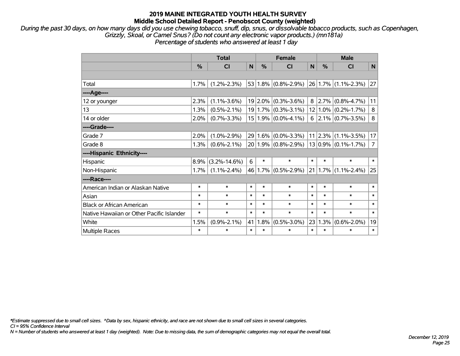*During the past 30 days, on how many days did you use chewing tobacco, snuff, dip, snus, or dissolvable tobacco products, such as Copenhagen, Grizzly, Skoal, or Camel Snus? (Do not count any electronic vapor products.) (mn181a) Percentage of students who answered at least 1 day*

|                                           | <b>Total</b> |                    |        |        | <b>Female</b>                             |        | <b>Male</b> |                          |                |  |
|-------------------------------------------|--------------|--------------------|--------|--------|-------------------------------------------|--------|-------------|--------------------------|----------------|--|
|                                           | %            | CI                 | N      | %      | <b>CI</b>                                 | N      | %           | CI                       | N              |  |
|                                           |              |                    |        |        |                                           |        |             |                          |                |  |
| Total                                     | 1.7%         | $(1.2\% - 2.3\%)$  |        |        | 53 1.8% $(0.8\textdegree-2.9\textdegree)$ |        |             | 26 1.7% (1.1%-2.3%)      | 27             |  |
| ----Age----                               |              |                    |        |        |                                           |        |             |                          |                |  |
| 12 or younger                             | 2.3%         | $(1.1\% - 3.6\%)$  |        |        | $19 2.0\% $ (0.3%-3.6%)                   | 8      | 2.7%        | $(0.8\% - 4.7\%)$        | 11             |  |
| 13                                        | 1.3%         | $(0.5\% - 2.1\%)$  |        |        | $19 1.7\% $ (0.3%-3.1%)                   |        | $12 1.0\%$  | $(0.2\% - 1.7\%)$        | 8              |  |
| 14 or older                               | 2.0%         | $(0.7\% - 3.3\%)$  |        |        | $15 1.9\% $ (0.0%-4.1%)                   |        |             | $6$   2.1%   (0.7%-3.5%) | 8              |  |
| ----Grade----                             |              |                    |        |        |                                           |        |             |                          |                |  |
| Grade 7                                   | 2.0%         | $(1.0\% - 2.9\%)$  |        |        | $29 1.6\% $ (0.0%-3.3%)                   |        | 11 2.3%     | $(1.1\% - 3.5\%)$        | 17             |  |
| Grade 8                                   | 1.3%         | $(0.6\% - 2.1\%)$  |        |        | $20 1.9\% $ (0.8%-2.9%)                   |        |             | $13 0.9\% $ (0.1%-1.7%)  | $\overline{7}$ |  |
| ----Hispanic Ethnicity----                |              |                    |        |        |                                           |        |             |                          |                |  |
| Hispanic                                  | 8.9%         | $(3.2\% - 14.6\%)$ | 6      | $\ast$ | $\ast$                                    | $\ast$ | $\ast$      | $\ast$                   | $\ast$         |  |
| Non-Hispanic                              | 1.7%         | $(1.1\% - 2.4\%)$  |        |        | 46 1.7% (0.5%-2.9%)                       |        | 21 1.7%     | $(1.1\% - 2.4\%)$        | 25             |  |
| ----Race----                              |              |                    |        |        |                                           |        |             |                          |                |  |
| American Indian or Alaskan Native         | $\ast$       | $\ast$             | $\ast$ | $\ast$ | $\ast$                                    | $\ast$ | $\ast$      | $\ast$                   | $\ast$         |  |
| Asian                                     | $\ast$       | $\ast$             | $\ast$ | $\ast$ | $\ast$                                    | $\ast$ | $\ast$      | $\ast$                   | $\ast$         |  |
| <b>Black or African American</b>          | $\ast$       | $\ast$             | $\ast$ | $\ast$ | $\ast$                                    | $\ast$ | $\ast$      | $\ast$                   | $\ast$         |  |
| Native Hawaiian or Other Pacific Islander | $\ast$       | $\ast$             | $\ast$ | $\ast$ | $\ast$                                    | $\ast$ | $\ast$      | $\ast$                   | $\ast$         |  |
| White                                     | 1.5%         | $(0.9\% - 2.1\%)$  | 41     | 1.8%   | $(0.5\% - 3.0\%)$                         | 23     | 1.3%        | $(0.6\% - 2.0\%)$        | 19             |  |
| Multiple Races                            | $\ast$       | $\ast$             | $\ast$ | $\ast$ | $\ast$                                    | $\ast$ | $\ast$      | $\ast$                   | $\ast$         |  |

*\*Estimate suppressed due to small cell sizes. ^Data by sex, hispanic ethnicity, and race are not shown due to small cell sizes in several categories.*

*CI = 95% Confidence Interval*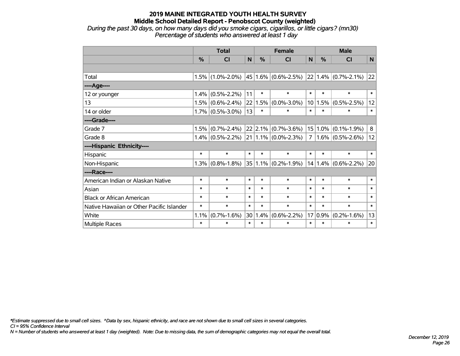*During the past 30 days, on how many days did you smoke cigars, cigarillos, or little cigars? (mn30) Percentage of students who answered at least 1 day*

|                                           | <b>Total</b> |                     |        |        | <b>Female</b>                        |                | <b>Male</b> |                          |              |  |
|-------------------------------------------|--------------|---------------------|--------|--------|--------------------------------------|----------------|-------------|--------------------------|--------------|--|
|                                           | %            | <b>CI</b>           | N      | %      | <b>CI</b>                            | N              | $\%$        | <b>CI</b>                | $\mathsf{N}$ |  |
|                                           |              |                     |        |        |                                      |                |             |                          |              |  |
| Total                                     | 1.5%         | $(1.0\% - 2.0\%)$   |        |        | $45 1.6\% $ (0.6%-2.5%)              |                |             | $ 22 1.4\% $ (0.7%-2.1%) | 22           |  |
| ----Age----                               |              |                     |        |        |                                      |                |             |                          |              |  |
| 12 or younger                             | 1.4%         | $(0.5\% - 2.2\%)$   | 11     | $\ast$ | $\ast$                               | $\ast$         | $\ast$      | $\ast$                   | $\ast$       |  |
| 13                                        | 1.5%         | $(0.6\% - 2.4\%)$   | 22     | 1.5%   | $(0.0\% - 3.0\%)$                    | 10             | 1.5%        | $(0.5\% - 2.5\%)$        | 12           |  |
| 14 or older                               |              | $1.7\%$ (0.5%-3.0%) | 13     | $\ast$ | $\ast$                               | $\ast$         | $\ast$      | $\ast$                   | $\ast$       |  |
| ----Grade----                             |              |                     |        |        |                                      |                |             |                          |              |  |
| Grade 7                                   | 1.5%         | $(0.7\% - 2.4\%)$   |        |        | $22$ 2.1% (0.7%-3.6%)                |                | $15 1.0\% $ | $(0.1\% - 1.9\%)$        | 8            |  |
| Grade 8                                   |              | $1.4\%$ (0.5%-2.2%) |        |        | $21 \mid 1.1\% \mid (0.0\% - 2.3\%)$ | 7 <sup>1</sup> |             | $1.6\%$ (0.5%-2.6%)      | 12           |  |
| ----Hispanic Ethnicity----                |              |                     |        |        |                                      |                |             |                          |              |  |
| Hispanic                                  | $\ast$       | $\ast$              | $\ast$ | $\ast$ | $\ast$                               | $\ast$         | $\ast$      | $\ast$                   | $\ast$       |  |
| Non-Hispanic                              | 1.3%         | $(0.8\% - 1.8\%)$   |        |        | $35 1.1\% $ (0.2%-1.9%)              | 14             |             | $1.4\%$ (0.6%-2.2%)      | 20           |  |
| ----Race----                              |              |                     |        |        |                                      |                |             |                          |              |  |
| American Indian or Alaskan Native         | $\ast$       | $\ast$              | $\ast$ | $\ast$ | $\ast$                               | $\ast$         | $\ast$      | $\ast$                   | $\ast$       |  |
| Asian                                     | $\ast$       | $\ast$              | $\ast$ | $\ast$ | $\ast$                               | $\ast$         | $\ast$      | $\ast$                   | $\ast$       |  |
| <b>Black or African American</b>          | $\ast$       | $\ast$              | $\ast$ | $\ast$ | $\ast$                               | $\ast$         | $\ast$      | $\ast$                   | $\ast$       |  |
| Native Hawaiian or Other Pacific Islander | $\ast$       | $\ast$              | $\ast$ | $\ast$ | $\ast$                               | $\ast$         | $\ast$      | $\ast$                   | $\ast$       |  |
| White                                     | 1.1%         | $(0.7\% - 1.6\%)$   | 30     | 1.4%   | $(0.6\% - 2.2\%)$                    |                | $17 0.9\%$  | $(0.2\% - 1.6\%)$        | 13           |  |
| Multiple Races                            | $\ast$       | $\ast$              | $\ast$ | $\ast$ | $\ast$                               | $\ast$         | $\ast$      | $\ast$                   | $\ast$       |  |

*\*Estimate suppressed due to small cell sizes. ^Data by sex, hispanic ethnicity, and race are not shown due to small cell sizes in several categories.*

*CI = 95% Confidence Interval*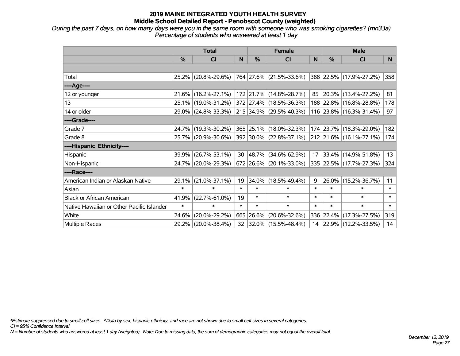*During the past 7 days, on how many days were you in the same room with someone who was smoking cigarettes? (mn33a) Percentage of students who answered at least 1 day*

|                                           | <b>Total</b> |                     |        |            | <b>Female</b>           |              | <b>Male</b> |                         |        |
|-------------------------------------------|--------------|---------------------|--------|------------|-------------------------|--------------|-------------|-------------------------|--------|
|                                           | $\%$         | <b>CI</b>           | N      | $\%$       | <b>CI</b>               | <sub>N</sub> | %           | <b>CI</b>               | N.     |
|                                           |              |                     |        |            |                         |              |             |                         |        |
| Total                                     |              | 25.2% (20.8%-29.6%) |        |            | 764 27.6% (21.5%-33.6%) |              |             | 388 22.5% (17.9%-27.2%) | 358    |
| ----Age----                               |              |                     |        |            |                         |              |             |                         |        |
| 12 or younger                             |              | 21.6% (16.2%-27.1%) |        |            | 172 21.7% (14.8%-28.7%) | 85           | 20.3%       | $(13.4\% - 27.2\%)$     | 81     |
| 13                                        |              | 25.1% (19.0%-31.2%) |        |            | 372 27.4% (18.5%-36.3%) |              |             | 188 22.8% (16.8%-28.8%) | 178    |
| 14 or older                               |              | 29.0% (24.8%-33.3%) |        |            | 215 34.9% (29.5%-40.3%) |              |             | 116 23.8% (16.3%-31.4%) | 97     |
| ----Grade----                             |              |                     |        |            |                         |              |             |                         |        |
| Grade 7                                   |              | 24.7% (19.3%-30.2%) |        |            | 365 25.1% (18.0%-32.3%) |              | 174 23.7%   | $(18.3\% - 29.0\%)$     | 182    |
| Grade 8                                   |              | 25.7% (20.9%-30.6%) |        |            | 392 30.0% (22.8%-37.1%) |              |             | 212 21.6% (16.1%-27.1%) | 174    |
| ----Hispanic Ethnicity----                |              |                     |        |            |                         |              |             |                         |        |
| Hispanic                                  | 39.9%        | $(26.7\% - 53.1\%)$ | 30     | $ 48.7\% $ | $(34.6\% - 62.9\%)$     | 17           | 33.4%       | $(14.9\% - 51.8\%)$     | 13     |
| Non-Hispanic                              |              | 24.7% (20.0%-29.3%) |        |            | 672 26.6% (20.1%-33.0%) |              |             | 335 22.5% (17.7%-27.3%) | 324    |
| ----Race----                              |              |                     |        |            |                         |              |             |                         |        |
| American Indian or Alaskan Native         | 29.1%        | $(21.0\% - 37.1\%)$ | 19     | $34.0\%$   | $(18.5\% - 49.4\%)$     | 9            | 26.0%       | $(15.2\% - 36.7\%)$     | 11     |
| Asian                                     | $\ast$       | $\ast$              | $\ast$ | $\ast$     | $\ast$                  | $\ast$       | $\ast$      | $\ast$                  | $\ast$ |
| <b>Black or African American</b>          | 41.9%        | $(22.7\% - 61.0\%)$ | 19     | $\ast$     | $\ast$                  | $\ast$       | $\ast$      | $\ast$                  | $\ast$ |
| Native Hawaiian or Other Pacific Islander | $\ast$       | $\ast$              | $\ast$ | $\ast$     | $\ast$                  | $\ast$       | $\ast$      | $\ast$                  | $\ast$ |
| White                                     | 24.6%        | $(20.0\% - 29.2\%)$ |        | 665 26.6%  | $(20.6\% - 32.6\%)$     |              | 336 22.4%   | $(17.3\% - 27.5\%)$     | 319    |
| <b>Multiple Races</b>                     |              | 29.2% (20.0%-38.4%) |        |            | 32 32.0% (15.5%-48.4%)  |              |             | 14 22.9% (12.2%-33.5%)  | 14     |

*\*Estimate suppressed due to small cell sizes. ^Data by sex, hispanic ethnicity, and race are not shown due to small cell sizes in several categories.*

*CI = 95% Confidence Interval*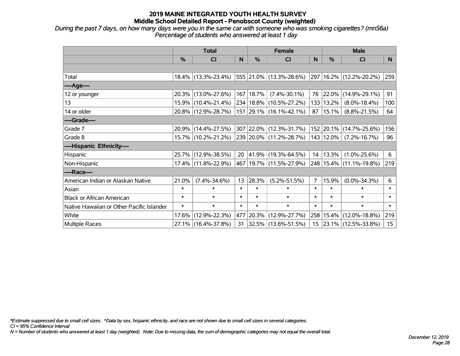*During the past 7 days, on how many days were you in the same car with someone who was smoking cigarettes? (mn56a) Percentage of students who answered at least 1 day*

|                                           | <b>Total</b> |                        |        |             | <b>Female</b>             |                | <b>Male</b>   |                         |                  |
|-------------------------------------------|--------------|------------------------|--------|-------------|---------------------------|----------------|---------------|-------------------------|------------------|
|                                           | %            | CI                     | N      | %           | <b>CI</b>                 | <sub>N</sub>   | %             | <b>CI</b>               | N.               |
|                                           |              |                        |        |             |                           |                |               |                         |                  |
| Total                                     |              | $18.4\%$ (13.3%-23.4%) |        |             | 555 21.0% (13.3%-28.6%)   |                |               | 297 16.2% (12.2%-20.2%) | 259              |
| ----Age----                               |              |                        |        |             |                           |                |               |                         |                  |
| 12 or younger                             |              | 20.3% (13.0%-27.6%)    |        | 167   18.7% | $(7.4\% - 30.1\%)$        | 76             | 22.0%         | $(14.9\% - 29.1\%)$     | 91               |
| 13                                        |              | 15.9% (10.4%-21.4%)    |        |             | 234 18.8% (10.5%-27.2%)   | 133            | 13.2%         | $(8.0\% - 18.4\%)$      | 100              |
| 14 or older                               |              | 20.8% (12.9%-28.7%)    |        |             | $151$ 29.1% (16.1%-42.1%) | 87             | 15.1%         | $(8.8\% - 21.5\%)$      | 64               |
| ----Grade----                             |              |                        |        |             |                           |                |               |                         |                  |
| Grade 7                                   |              | 20.9% (14.4%-27.5%)    |        |             | 307 22.0% (12.3%-31.7%)   |                | 152 20.1%     | $(14.7\% - 25.6\%)$     | 156              |
| Grade 8                                   |              | 15.7% (10.2%-21.2%)    |        |             | 239 20.0% (11.2%-28.7%)   |                | $143$   12.0% | $(7.2\% - 16.7\%)$      | 96               |
| ----Hispanic Ethnicity----                |              |                        |        |             |                           |                |               |                         |                  |
| Hispanic                                  |              | 25.7% (12.9%-38.5%)    | 20     |             | 41.9% (19.3%-64.5%)       | 14             | 13.3%         | $(1.0\% - 25.6\%)$      | 6                |
| Non-Hispanic                              |              | 17.4% (11.8%-22.9%)    |        |             | 467 19.7% (11.5%-27.9%)   |                |               | 248 15.4% (11.1%-19.8%) | 219              |
| ----Race----                              |              |                        |        |             |                           |                |               |                         |                  |
| American Indian or Alaskan Native         | 21.0%        | $(7.4\% - 34.6\%)$     | 13     | 28.3%       | $(5.2\% - 51.5\%)$        | $\overline{7}$ | 15.9%         | $(0.0\% - 34.3\%)$      | 6                |
| Asian                                     | $\ast$       | $\ast$                 | $\ast$ | $\ast$      | $\ast$                    | $\ast$         | $\ast$        | $\ast$                  | $\ast$           |
| <b>Black or African American</b>          | $\ast$       | $\ast$                 | $\ast$ | $\ast$      | $\ast$                    | $\ast$         | $\ast$        | $\ast$                  | $\ast$           |
| Native Hawaiian or Other Pacific Islander | $\ast$       | $\ast$                 | $\ast$ | $\ast$      | $\ast$                    | $\ast$         | $\ast$        | $\ast$                  | $\ast$           |
| White                                     | 17.6%        | $(12.9\% - 22.3\%)$    | 477    |             | 20.3% (12.9%-27.7%)       | 258            | 15.4%         | $(12.0\% - 18.8\%)$     | 219              |
| <b>Multiple Races</b>                     |              | 27.1% (16.4%-37.8%)    | 31     |             | $ 32.5\% $ (13.6%-51.5%)  |                |               | 15 23.1% (12.5%-33.8%)  | 15 <sub>15</sub> |

*\*Estimate suppressed due to small cell sizes. ^Data by sex, hispanic ethnicity, and race are not shown due to small cell sizes in several categories.*

*CI = 95% Confidence Interval*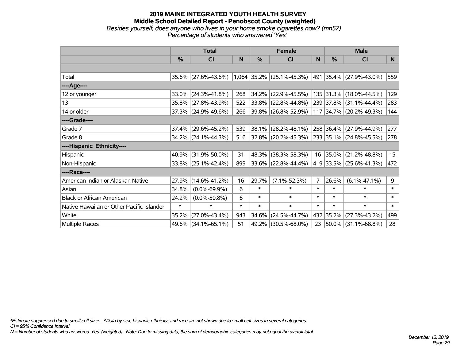#### **2019 MAINE INTEGRATED YOUTH HEALTH SURVEY Middle School Detailed Report - Penobscot County (weighted)** *Besides yourself, does anyone who lives in your home smoke cigarettes now? (mn57) Percentage of students who answered 'Yes'*

|                                           | <b>Total</b> |                     |        |        | <b>Female</b>               |                | <b>Male</b>   |                         |                  |  |
|-------------------------------------------|--------------|---------------------|--------|--------|-----------------------------|----------------|---------------|-------------------------|------------------|--|
|                                           | %            | CI                  | N      | %      | <b>CI</b>                   | N              | $\frac{0}{0}$ | <b>CI</b>               | N                |  |
|                                           |              |                     |        |        |                             |                |               |                         |                  |  |
| Total                                     |              | 35.6% (27.6%-43.6%) |        |        | $1,064$ 35.2% (25.1%-45.3%) |                |               | 491 35.4% (27.9%-43.0%) | 559              |  |
| ----Age----                               |              |                     |        |        |                             |                |               |                         |                  |  |
| 12 or younger                             | 33.0%        | $(24.3\% - 41.8\%)$ | 268    | 34.2%  | $(22.9\% - 45.5\%)$         |                |               | 135 31.3% (18.0%-44.5%) | 129              |  |
| 13                                        |              | 35.8% (27.8%-43.9%) | 522    | 33.8%  | $(22.8\% - 44.8\%)$         |                |               | 239 37.8% (31.1%-44.4%) | 283              |  |
| 14 or older                               |              | 37.3% (24.9%-49.6%) | 266    |        | 39.8% (26.8%-52.9%)         |                |               | 117 34.7% (20.2%-49.3%) | 144              |  |
| ----Grade----                             |              |                     |        |        |                             |                |               |                         |                  |  |
| Grade 7                                   | 37.4%        | $(29.6\% - 45.2\%)$ | 539    | 38.1%  | $(28.2\% - 48.1\%)$         |                |               | 258 36.4% (27.9%-44.9%) | 277              |  |
| Grade 8                                   |              | 34.2% (24.1%-44.3%) | 516    |        | $32.8\%$ (20.2%-45.3%)      |                |               | 233 35.1% (24.8%-45.5%) | 278              |  |
| ----Hispanic Ethnicity----                |              |                     |        |        |                             |                |               |                         |                  |  |
| Hispanic                                  | 40.9%        | $(31.9\% - 50.0\%)$ | 31     | 48.3%  | $(38.3\% - 58.3\%)$         | 16             | 35.0%         | $(21.2\% - 48.8\%)$     | 15 <sub>15</sub> |  |
| Non-Hispanic                              |              | 33.8% (25.1%-42.4%) | 899    |        | $33.6\%$ (22.8%-44.4%)      |                |               | 419 33.5% (25.6%-41.3%) | 472              |  |
| ----Race----                              |              |                     |        |        |                             |                |               |                         |                  |  |
| American Indian or Alaskan Native         | 27.9%        | $(14.6\% - 41.2\%)$ | 16     | 29.7%  | $(7.1\% - 52.3\%)$          | $\overline{7}$ | 26.6%         | $(6.1\% - 47.1\%)$      | 9                |  |
| Asian                                     | 34.8%        | $(0.0\% - 69.9\%)$  | 6      | $\ast$ | $\ast$                      | $\ast$         | $\ast$        | $\ast$                  | $\ast$           |  |
| <b>Black or African American</b>          | 24.2%        | $(0.0\% - 50.8\%)$  | 6      | $\ast$ | $\ast$                      | $\ast$         | $\ast$        | $\ast$                  | $\ast$           |  |
| Native Hawaiian or Other Pacific Islander | $\ast$       | $\ast$              | $\ast$ | $\ast$ | $\ast$                      | $\ast$         | $\ast$        | $\ast$                  | $\ast$           |  |
| White                                     | 35.2%        | $(27.0\% - 43.4\%)$ | 943    | 34.6%  | $(24.5\% - 44.7\%)$         | 432            | 35.2%         | $(27.3\% - 43.2\%)$     | 499              |  |
| Multiple Races                            |              | 49.6% (34.1%-65.1%) | 51     | 49.2%  | $(30.5\% - 68.0\%)$         | 23             |               | 50.0% (31.1%-68.8%)     | 28               |  |

*\*Estimate suppressed due to small cell sizes. ^Data by sex, hispanic ethnicity, and race are not shown due to small cell sizes in several categories.*

*CI = 95% Confidence Interval*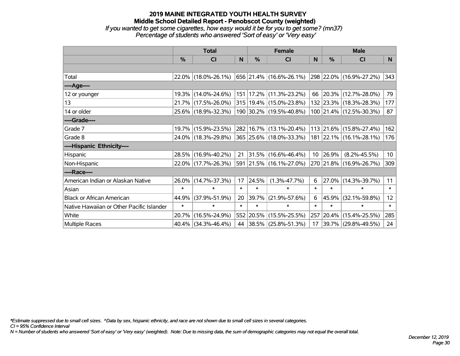## **2019 MAINE INTEGRATED YOUTH HEALTH SURVEY Middle School Detailed Report - Penobscot County (weighted)** *If you wanted to get some cigarettes, how easy would it be for you to get some? (mn37) Percentage of students who answered 'Sort of easy' or 'Very easy'*

|                                           | <b>Total</b> |                     |        |        | <b>Female</b>                   |        | <b>Male</b>   |                         |                 |  |
|-------------------------------------------|--------------|---------------------|--------|--------|---------------------------------|--------|---------------|-------------------------|-----------------|--|
|                                           | %            | <b>CI</b>           | N      | $\%$   | <b>CI</b>                       | N      | $\frac{0}{0}$ | <b>CI</b>               | N <sub>1</sub>  |  |
|                                           |              |                     |        |        |                                 |        |               |                         |                 |  |
| Total                                     |              | 22.0% (18.0%-26.1%) |        |        | $ 656 21.4\% (16.6\% - 26.1\%)$ |        |               | 298 22.0% (16.9%-27.2%) | 343             |  |
| ----Age----                               |              |                     |        |        |                                 |        |               |                         |                 |  |
| 12 or younger                             | $19.3\%$     | $(14.0\% - 24.6\%)$ |        |        | 151   17.2%   (11.3%-23.2%)     |        | 66 20.3%      | $(12.7\% - 28.0\%)$     | 79              |  |
| 13                                        |              | 21.7% (17.5%-26.0%) |        |        | 315   19.4%   (15.0%-23.8%)     |        |               | 132 23.3% (18.3%-28.3%) | 177             |  |
| 14 or older                               |              | 25.6% (18.9%-32.3%) |        |        | 190 30.2% (19.5%-40.8%)         |        |               | 100 21.4% (12.5%-30.3%) | 87              |  |
| ----Grade----                             |              |                     |        |        |                                 |        |               |                         |                 |  |
| Grade 7                                   | $19.7\%$     | $(15.9\% - 23.5\%)$ |        |        | 282   16.7%   (13.1%-20.4%)     |        | 113 21.6%     | $(15.8\% - 27.4\%)$     | 162             |  |
| Grade 8                                   |              | 24.0% (18.3%-29.8%) |        |        | 365 25.6% (18.0%-33.3%)         |        |               | 181 22.1% (16.1%-28.1%) | 176             |  |
| ----Hispanic Ethnicity----                |              |                     |        |        |                                 |        |               |                         |                 |  |
| Hispanic                                  | 28.5%        | $(16.9\% - 40.2\%)$ | 21     |        | $ 31.5\% $ (16.6%-46.4%)        |        | 10 26.9%      | $(8.2\% - 45.5\%)$      | 10 <sup>°</sup> |  |
| Non-Hispanic                              |              | 22.0% (17.7%-26.3%) |        |        | 591 21.5% (16.1%-27.0%)         |        |               | 270 21.8% (16.9%-26.7%) | 309             |  |
| ----Race----                              |              |                     |        |        |                                 |        |               |                         |                 |  |
| American Indian or Alaskan Native         | 26.0%        | $(14.7\% - 37.3\%)$ | 17     | 24.5%  | $(1.3\% - 47.7\%)$              | 6      | 27.0%         | $(14.3\% - 39.7\%)$     | 11              |  |
| Asian                                     | $\ast$       | $\ast$              | $\ast$ | $\ast$ | $\ast$                          | $\ast$ | $\ast$        | $\ast$                  | $\ast$          |  |
| <b>Black or African American</b>          | 44.9%        | $(37.9\% - 51.9\%)$ | 20     | 39.7%  | $(21.9\% - 57.6\%)$             | 6      | 45.9%         | $(32.1\% - 59.8\%)$     | 12 <sub>2</sub> |  |
| Native Hawaiian or Other Pacific Islander | $\ast$       | $\ast$              | $\ast$ | $\ast$ | $\ast$                          | $\ast$ | $\ast$        | $\ast$                  | $\ast$          |  |
| White                                     | 20.7%        | $(16.5\% - 24.9\%)$ |        |        | 552 20.5% (15.5%-25.5%)         | 257    | 20.4%         | $(15.4\% - 25.5\%)$     | 285             |  |
| <b>Multiple Races</b>                     |              | 40.4% (34.3%-46.4%) |        |        | 44 38.5% (25.8%-51.3%)          | 17     | 39.7%         | $(29.8\% - 49.5\%)$     | 24              |  |

*\*Estimate suppressed due to small cell sizes. ^Data by sex, hispanic ethnicity, and race are not shown due to small cell sizes in several categories.*

*CI = 95% Confidence Interval*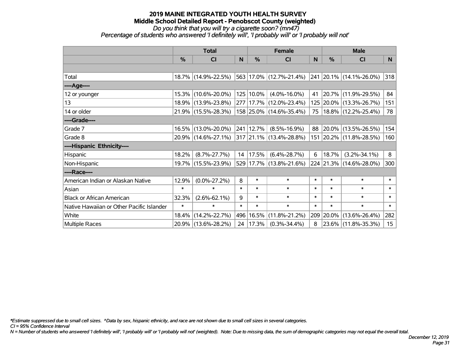*Do you think that you will try a cigarette soon? (mn47)*

*Percentage of students who answered 'I definitely will', 'I probably will' or 'I probably will not'*

|                                           | <b>Total</b>  |                     |        | <b>Female</b> |                                  |        | <b>Male</b> |                                 |                  |  |
|-------------------------------------------|---------------|---------------------|--------|---------------|----------------------------------|--------|-------------|---------------------------------|------------------|--|
|                                           | $\frac{0}{0}$ | CI                  | N      | $\%$          | CI                               | N      | %           | <b>CI</b>                       | <b>N</b>         |  |
|                                           |               |                     |        |               |                                  |        |             |                                 |                  |  |
| Total                                     |               | 18.7% (14.9%-22.5%) |        |               | $ 563 17.0\%  (12.7\% - 21.4\%)$ |        |             | $ 241 20.1\% (14.1\% - 26.0\%)$ | 318              |  |
| ----Age----                               |               |                     |        |               |                                  |        |             |                                 |                  |  |
| 12 or younger                             |               | 15.3% (10.6%-20.0%) |        | 125 10.0%     | $(4.0\% - 16.0\%)$               | 41     |             | 20.7% (11.9%-29.5%)             | 84               |  |
| 13                                        |               | 18.9% (13.9%-23.8%) |        |               | 277 17.7% (12.0%-23.4%)          |        |             | 125 20.0% (13.3%-26.7%)         | 151              |  |
| 14 or older                               |               | 21.9% (15.5%-28.3%) |        |               | 158 25.0% (14.6%-35.4%)          | 75     |             | 18.8% (12.2%-25.4%)             | 78               |  |
| ----Grade----                             |               |                     |        |               |                                  |        |             |                                 |                  |  |
| Grade 7                                   |               | 16.5% (13.0%-20.0%) |        | 241 12.7%     | $(8.5\% - 16.9\%)$               | 88     | $ 20.0\% $  | $(13.5\% - 26.5\%)$             | 154              |  |
| Grade 8                                   |               | 20.9% (14.6%-27.1%) |        |               | $ 317 21.1\% (13.4\% - 28.8\%)$  |        |             | 151 20.2% (11.8%-28.5%)         | 160              |  |
| ----Hispanic Ethnicity----                |               |                     |        |               |                                  |        |             |                                 |                  |  |
| Hispanic                                  | 18.2%         | $(8.7\% - 27.7\%)$  | 14     | 17.5%         | $(6.4\% - 28.7\%)$               | 6      | 18.7%       | $(3.2\% - 34.1\%)$              | 8                |  |
| Non-Hispanic                              |               | 19.7% (15.5%-23.9%) |        |               | 529 17.7% (13.8%-21.6%)          |        |             | 224 21.3% (14.6%-28.0%)         | 300              |  |
| ----Race----                              |               |                     |        |               |                                  |        |             |                                 |                  |  |
| American Indian or Alaskan Native         | 12.9%         | $(0.0\% - 27.2\%)$  | 8      | $\ast$        | $\ast$                           | $\ast$ | $\ast$      | $\ast$                          | $\ast$           |  |
| Asian                                     | $\ast$        | $\ast$              | $\ast$ | $\ast$        | $\ast$                           | $\ast$ | $\ast$      | $\ast$                          | $\ast$           |  |
| <b>Black or African American</b>          | 32.3%         | $(2.6\% - 62.1\%)$  | 9      | $\ast$        | $\ast$                           | $\ast$ | $\ast$      | $\ast$                          | $\ast$           |  |
| Native Hawaiian or Other Pacific Islander | $\ast$        | $\ast$              | $\ast$ | $\ast$        | $\ast$                           | $\ast$ | $\ast$      | $\ast$                          | $\ast$           |  |
| White                                     | 18.4%         | $(14.2\% - 22.7\%)$ |        | 496 16.5%     | $(11.8\% - 21.2\%)$              | 209    | 20.0%       | $(13.6\% - 26.4\%)$             | 282              |  |
| Multiple Races                            |               | 20.9% (13.6%-28.2%) |        | 24   17.3%    | $(0.3\% - 34.4\%)$               | 8      |             | 23.6% (11.8%-35.3%)             | 15 <sub>15</sub> |  |

*\*Estimate suppressed due to small cell sizes. ^Data by sex, hispanic ethnicity, and race are not shown due to small cell sizes in several categories.*

*CI = 95% Confidence Interval*

*N = Number of students who answered 'I definitely will', 'I probably will' or 'I probably will not' (weighted). Note: Due to missing data, the sum of demographic categories may not equal the overall total.*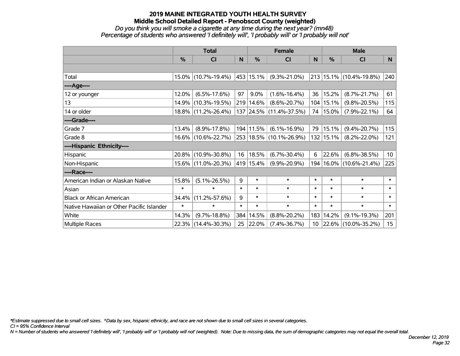#### *Do you think you will smoke a cigarette at any time during the next year? (mn48) Percentage of students who answered 'I definitely will', 'I probably will' or 'I probably will not'*

|                                           | <b>Total</b> |                     |        | <b>Female</b> |                         |        | <b>Male</b>   |                         |                  |  |
|-------------------------------------------|--------------|---------------------|--------|---------------|-------------------------|--------|---------------|-------------------------|------------------|--|
|                                           | %            | C <sub>l</sub>      | N      | $\%$          | <b>CI</b>               | N      | $\frac{0}{0}$ | <b>CI</b>               | N                |  |
|                                           |              |                     |        |               |                         |        |               |                         |                  |  |
| Total                                     |              | 15.0% (10.7%-19.4%) |        | 453 15.1%     | $(9.3\% - 21.0\%)$      |        |               | 213 15.1% (10.4%-19.8%) | 240              |  |
| ----Age----                               |              |                     |        |               |                         |        |               |                         |                  |  |
| 12 or younger                             | 12.0%        | $(6.5\% - 17.6\%)$  | 97     | 9.0%          | $(1.6\% - 16.4\%)$      | 36     | 15.2%         | $(8.7\% - 21.7\%)$      | 61               |  |
| 13                                        |              | 14.9% (10.3%-19.5%) |        | 219 14.6%     | $(8.6\% - 20.7\%)$      |        | 104 15.1%     | $(9.8\% - 20.5\%)$      | 115              |  |
| 14 or older                               |              | 18.8% (11.2%-26.4%) |        |               | 137 24.5% (11.4%-37.5%) | 74     | $15.0\%$      | $(7.9\% - 22.1\%)$      | 64               |  |
| ----Grade----                             |              |                     |        |               |                         |        |               |                         |                  |  |
| Grade 7                                   | 13.4%        | $(8.9\% - 17.8\%)$  |        | 194 11.5%     | $(6.1\% - 16.9\%)$      | 79     | 15.1%         | $(9.4\% - 20.7\%)$      | 115              |  |
| Grade 8                                   |              | 16.6% (10.6%-22.7%) |        |               | 253 18.5% (10.1%-26.9%) |        | 132 15.1%     | $(8.2\% - 22.0\%)$      | 121              |  |
| ----Hispanic Ethnicity----                |              |                     |        |               |                         |        |               |                         |                  |  |
| Hispanic                                  |              | 20.8% (10.9%-30.8%) | 16     | 18.5%         | $(6.7\% - 30.4\%)$      | 6      | 22.6%         | $(6.8\% - 38.5\%)$      | 10 <sup>°</sup>  |  |
| Non-Hispanic                              |              | 15.6% (11.0%-20.3%) |        | 419 15.4%     | $(9.9\% - 20.9\%)$      | 194    |               | $16.0\%$ (10.6%-21.4%)  | 225              |  |
| ----Race----                              |              |                     |        |               |                         |        |               |                         |                  |  |
| American Indian or Alaskan Native         | 15.8%        | $(5.1\% - 26.5\%)$  | 9      | $\ast$        | $\ast$                  | $\ast$ | $\ast$        | $\ast$                  | $\ast$           |  |
| Asian                                     | $\ast$       | $\ast$              | $\ast$ | $\ast$        | $\ast$                  | $\ast$ | $\ast$        | $\ast$                  | $\ast$           |  |
| <b>Black or African American</b>          | 34.4%        | $(11.2\% - 57.6\%)$ | 9      | $\ast$        | $\ast$                  | $\ast$ | $\ast$        | $\ast$                  | $\ast$           |  |
| Native Hawaiian or Other Pacific Islander | $\ast$       | $\ast$              | $\ast$ | $\ast$        | $\ast$                  | $\ast$ | $\ast$        | $\ast$                  | $\pmb{\ast}$     |  |
| White                                     | 14.3%        | $(9.7\% - 18.8\%)$  | 384    | 14.5%         | $(8.8\% - 20.2\%)$      | 183    | 14.2%         | $(9.1\% - 19.3\%)$      | 201              |  |
| <b>Multiple Races</b>                     |              | 22.3% (14.4%-30.3%) | 25     | $ 22.0\%$     | $(7.4\% - 36.7\%)$      |        |               | 10 22.6% (10.0%-35.2%)  | 15 <sub>15</sub> |  |

*\*Estimate suppressed due to small cell sizes. ^Data by sex, hispanic ethnicity, and race are not shown due to small cell sizes in several categories.*

*CI = 95% Confidence Interval*

*N = Number of students who answered 'I definitely will', 'I probably will' or 'I probably will not' (weighted). Note: Due to missing data, the sum of demographic categories may not equal the overall total.*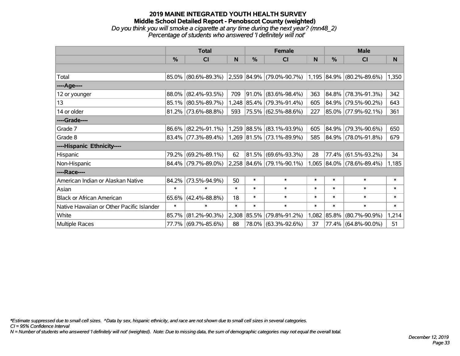## **2019 MAINE INTEGRATED YOUTH HEALTH SURVEY Middle School Detailed Report - Penobscot County (weighted)** *Do you think you will smoke a cigarette at any time during the next year? (mn48\_2) Percentage of students who answered 'I definitely will not'*

|                                           | <b>Total</b> |                                               |        |            | <b>Female</b>             |        | <b>Male</b>   |                           |        |  |
|-------------------------------------------|--------------|-----------------------------------------------|--------|------------|---------------------------|--------|---------------|---------------------------|--------|--|
|                                           | $\%$         | CI                                            | N      | %          | <b>CI</b>                 | N      | $\frac{0}{0}$ | <b>CI</b>                 | N      |  |
|                                           |              |                                               |        |            |                           |        |               |                           |        |  |
| Total                                     |              | 85.0% (80.6%-89.3%) 2,559 84.9% (79.0%-90.7%) |        |            |                           |        |               | 1,195 84.9% (80.2%-89.6%) | 1,350  |  |
| ----Age----                               |              |                                               |        |            |                           |        |               |                           |        |  |
| 12 or younger                             | 88.0%        | $(82.4\% - 93.5\%)$                           | 709    | $ 91.0\% $ | $(83.6\% - 98.4\%)$       | 363    | 84.8%         | $(78.3\% - 91.3\%)$       | 342    |  |
| 13                                        |              | 85.1% (80.5%-89.7%)                           |        |            | 1,248 85.4% (79.3%-91.4%) | 605    |               | 84.9% (79.5%-90.2%)       | 643    |  |
| 14 or older                               |              | $81.2\%$ (73.6%-88.8%)                        | 593    |            | 75.5% (62.5%-88.6%)       | 227    |               | 85.0% (77.9%-92.1%)       | 361    |  |
| ----Grade----                             |              |                                               |        |            |                           |        |               |                           |        |  |
| Grade 7                                   | 86.6%        | $(82.2\% - 91.1\%)$                           |        |            | 1,259 88.5% (83.1%-93.9%) | 605    | 84.9%         | $(79.3\% - 90.6\%)$       | 650    |  |
| Grade 8                                   |              | $83.4\%$ (77.3%-89.4%)                        |        |            | 1,269 81.5% (73.1%-89.9%) | 585    |               | 84.9% (78.0%-91.8%)       | 679    |  |
| ----Hispanic Ethnicity----                |              |                                               |        |            |                           |        |               |                           |        |  |
| Hispanic                                  | 79.2%        | $(69.2\% - 89.1\%)$                           | 62     | $ 81.5\% $ | $(69.6\% - 93.3\%)$       | 28     | 77.4%         | $(61.5\% - 93.2\%)$       | 34     |  |
| Non-Hispanic                              |              | 84.4% (79.7%-89.0%)                           |        |            | 2,258 84.6% (79.1%-90.1%) | 1,065  |               | 84.0% (78.6%-89.4%)       | 1,185  |  |
| ----Race----                              |              |                                               |        |            |                           |        |               |                           |        |  |
| American Indian or Alaskan Native         | 84.2%        | $(73.5\% - 94.9\%)$                           | 50     | $\ast$     | $\ast$                    | $\ast$ | $\ast$        | $\ast$                    | $\ast$ |  |
| Asian                                     | $\ast$       | $\ast$                                        | $\ast$ | $\ast$     | $\ast$                    | $\ast$ | $\ast$        | $\ast$                    | $\ast$ |  |
| <b>Black or African American</b>          | 65.6%        | $(42.4\% - 88.8\%)$                           | 18     | $\ast$     | $\ast$                    | $\ast$ | $\ast$        | $\ast$                    | $\ast$ |  |
| Native Hawaiian or Other Pacific Islander | $\ast$       | $\ast$                                        | $\ast$ | $\ast$     | $\ast$                    | $\ast$ | $\ast$        | $\ast$                    | $\ast$ |  |
| White                                     | 85.7%        | $(81.2\% - 90.3\%)$                           | 2,308  | 85.5%      | $(79.8\% - 91.2\%)$       | 1,082  | 85.8%         | $(80.7\% - 90.9\%)$       | 1,214  |  |
| Multiple Races                            |              | 77.7% (69.7%-85.6%)                           | 88     |            | 78.0% (63.3%-92.6%)       | 37     |               | 77.4% (64.8%-90.0%)       | 51     |  |

*\*Estimate suppressed due to small cell sizes. ^Data by sex, hispanic ethnicity, and race are not shown due to small cell sizes in several categories.*

*CI = 95% Confidence Interval*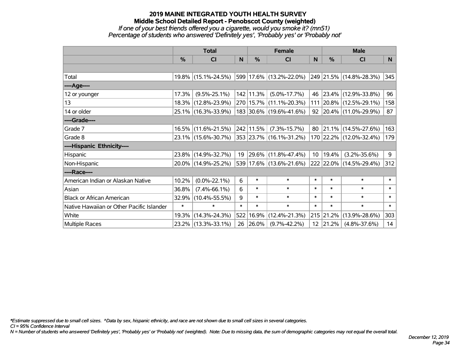## **2019 MAINE INTEGRATED YOUTH HEALTH SURVEY Middle School Detailed Report - Penobscot County (weighted)** *If one of your best friends offered you a cigarette, would you smoke it? (mn51) Percentage of students who answered 'Definitely yes', 'Probably yes' or 'Probably not'*

|                                           | <b>Total</b> |                     |              |            | <b>Female</b>                |                 | <b>Male</b>      |                              |        |  |
|-------------------------------------------|--------------|---------------------|--------------|------------|------------------------------|-----------------|------------------|------------------------------|--------|--|
|                                           | %            | CI                  | $\mathsf{N}$ | %          | C <sub>l</sub>               | <sub>N</sub>    | %                | <b>CI</b>                    | N      |  |
|                                           |              |                     |              |            |                              |                 |                  |                              |        |  |
| Total                                     |              | 19.8% (15.1%-24.5%) |              |            | 599 17.6% (13.2%-22.0%)      |                 |                  | 249 21.5% (14.8%-28.3%)      | 345    |  |
| ----Age----                               |              |                     |              |            |                              |                 |                  |                              |        |  |
| 12 or younger                             | 17.3%        | $(9.5\% - 25.1\%)$  |              | 142 11.3%  | $(5.0\% - 17.7\%)$           |                 |                  | 46 23.4% (12.9%-33.8%)       | 96     |  |
| 13                                        | $18.3\%$     | $(12.8\% - 23.9\%)$ |              |            | 270   15.7%   (11.1%-20.3%)  |                 |                  | 111 20.8% (12.5%-29.1%)      | 158    |  |
| 14 or older                               |              | 25.1% (16.3%-33.9%) |              |            | 183 30.6% (19.6%-41.6%)      |                 |                  | $92$   20.4%   (11.0%-29.9%) | 87     |  |
| ----Grade----                             |              |                     |              |            |                              |                 |                  |                              |        |  |
| Grade 7                                   | 16.5%        | $(11.6\% - 21.5\%)$ |              | 242 11.5%  | $(7.3\% - 15.7\%)$           | 80              |                  | $ 21.1\% $ (14.5%-27.6%)     | 163    |  |
| Grade 8                                   |              | 23.1% (15.6%-30.7%) |              |            | $ 353 23.7\% $ (16.1%-31.2%) |                 |                  | 170 22.2% (12.0%-32.4%)      | 179    |  |
| ----Hispanic Ethnicity----                |              |                     |              |            |                              |                 |                  |                              |        |  |
| Hispanic                                  |              | 23.8% (14.9%-32.7%) | 19           |            | $ 29.6\% $ (11.8%-47.4%)     | 10 <sup>1</sup> | 19.4%            | $(3.2\% - 35.6\%)$           | 9      |  |
| Non-Hispanic                              |              | 20.0% (14.9%-25.2%) |              |            | 539 17.6% (13.6%-21.6%)      |                 |                  | 222 22.0% (14.5%-29.4%)      | 312    |  |
| ----Race----                              |              |                     |              |            |                              |                 |                  |                              |        |  |
| American Indian or Alaskan Native         | 10.2%        | $(0.0\% - 22.1\%)$  | 6            | $\ast$     | $\ast$                       | $\ast$          | $\ast$           | $\ast$                       | $\ast$ |  |
| Asian                                     | 36.8%        | $(7.4\% - 66.1\%)$  | 6            | $\ast$     | $\ast$                       | $\ast$          | $\ast$           | $\ast$                       | $\ast$ |  |
| <b>Black or African American</b>          | 32.9%        | $(10.4\% - 55.5\%)$ | 9            | $\ast$     | $\ast$                       | $\ast$          | $\ast$           | $\ast$                       | $\ast$ |  |
| Native Hawaiian or Other Pacific Islander | $\ast$       | $\ast$              | $\ast$       | $\ast$     | $\ast$                       | $\ast$          | $\ast$           | $\ast$                       | $\ast$ |  |
| White                                     | 19.3%        | $(14.3\% - 24.3\%)$ |              | 522 16.9%  | $(12.4\% - 21.3\%)$          |                 | 215 21.2%        | $(13.9\% - 28.6\%)$          | 303    |  |
| Multiple Races                            |              | 23.2% (13.3%-33.1%) | 26           | $ 26.0\% $ | $(9.7\% - 42.2\%)$           |                 | $12 \mid 21.2\%$ | $(4.8\% - 37.6\%)$           | 14     |  |

*\*Estimate suppressed due to small cell sizes. ^Data by sex, hispanic ethnicity, and race are not shown due to small cell sizes in several categories.*

*CI = 95% Confidence Interval*

*N = Number of students who answered 'Definitely yes', 'Probably yes' or 'Probably not' (weighted). Note: Due to missing data, the sum of demographic categories may not equal the overall total.*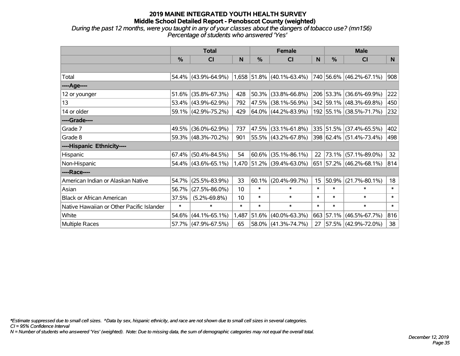# **2019 MAINE INTEGRATED YOUTH HEALTH SURVEY Middle School Detailed Report - Penobscot County (weighted)** *During the past 12 months, were you taught in any of your classes about the dangers of tobacco use? (mn156)*

*Percentage of students who answered 'Yes'*

|                                           | <b>Total</b>  |                        |        |               | <b>Female</b>                                 |        | <b>Male</b>   |                         |        |
|-------------------------------------------|---------------|------------------------|--------|---------------|-----------------------------------------------|--------|---------------|-------------------------|--------|
|                                           | $\frac{0}{0}$ | CI                     | N      | $\frac{0}{0}$ | <b>CI</b>                                     | N      | $\frac{0}{0}$ | <b>CI</b>               | N      |
|                                           |               |                        |        |               |                                               |        |               |                         |        |
| Total                                     |               |                        |        |               | 54.4% (43.9%-64.9%) 1,658 51.8% (40.1%-63.4%) |        |               | 740 56.6% (46.2%-67.1%) | 908    |
| ----Age----                               |               |                        |        |               |                                               |        |               |                         |        |
| 12 or younger                             | 51.6%         | $(35.8\% - 67.3\%)$    | 428    |               | 50.3% (33.8%-66.8%)                           |        |               | 206 53.3% (36.6%-69.9%) | 222    |
| 13                                        |               | 53.4% (43.9%-62.9%)    | 792    |               | 47.5% (38.1%-56.9%)                           |        |               | 342 59.1% (48.3%-69.8%) | 450    |
| 14 or older                               |               | 59.1% (42.9%-75.2%)    | 429    |               | $ 64.0\% $ (44.2%-83.9%)                      |        |               | 192 55.1% (38.5%-71.7%) | 232    |
| ----Grade----                             |               |                        |        |               |                                               |        |               |                         |        |
| Grade 7                                   | 49.5%         | $(36.0\% - 62.9\%)$    | 737    |               | 47.5% (33.1%-61.8%)                           |        |               | 335 51.5% (37.4%-65.5%) | 402    |
| Grade 8                                   |               | 59.3% (48.3%-70.2%)    | 901    |               | 55.5% (43.2%-67.8%)                           |        |               | 398 62.4% (51.4%-73.4%) | 498    |
| ----Hispanic Ethnicity----                |               |                        |        |               |                                               |        |               |                         |        |
| Hispanic                                  | 67.4%         | $(50.4\% - 84.5\%)$    | 54     | 60.6%         | $(35.1\% - 86.1\%)$                           | 22     |               | 73.1% (57.1%-89.0%)     | 32     |
| Non-Hispanic                              |               | $54.4\%$ (43.6%-65.1%) |        |               | 1,470 51.2% (39.4%-63.0%)                     |        |               | 651 57.2% (46.2%-68.1%) | 814    |
| ----Race----                              |               |                        |        |               |                                               |        |               |                         |        |
| American Indian or Alaskan Native         | 54.7%         | $(25.5\% - 83.9\%)$    | 33     | 60.1%         | $(20.4\% - 99.7\%)$                           | 15     | 50.9%         | $(21.7\% - 80.1\%)$     | 18     |
| Asian                                     | 56.7%         | $(27.5\% - 86.0\%)$    | 10     | $\ast$        | $\ast$                                        | $\ast$ | $\ast$        | $\ast$                  | $\ast$ |
| <b>Black or African American</b>          | 37.5%         | $(5.2\% - 69.8\%)$     | 10     | $\ast$        | $\ast$                                        | $\ast$ | $\ast$        | $\ast$                  | $\ast$ |
| Native Hawaiian or Other Pacific Islander | $\ast$        | $\ast$                 | $\ast$ | $\ast$        | $\ast$                                        | $\ast$ | $\ast$        | $\ast$                  | $\ast$ |
| White                                     | 54.6%         | $(44.1\% - 65.1\%)$    | 1,487  | 51.6%         | $(40.0\% - 63.3\%)$                           |        |               | 663 57.1% (46.5%-67.7%) | 816    |
| Multiple Races                            |               | 57.7% (47.9%-67.5%)    | 65     |               | 58.0% (41.3%-74.7%)                           | 27     |               | 57.5% (42.9%-72.0%)     | 38     |

*\*Estimate suppressed due to small cell sizes. ^Data by sex, hispanic ethnicity, and race are not shown due to small cell sizes in several categories.*

*CI = 95% Confidence Interval*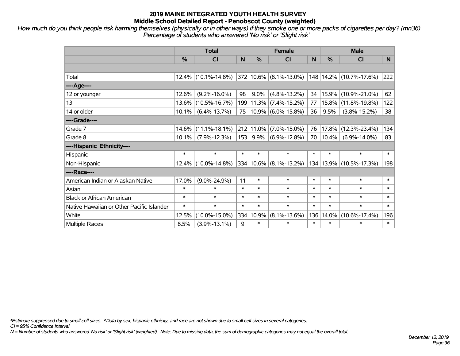*How much do you think people risk harming themselves (physically or in other ways) if they smoke one or more packs of cigarettes per day? (mn36) Percentage of students who answered 'No risk' or 'Slight risk'*

|                                           | <b>Total</b> |                     |        |         | <b>Female</b>         |        | <b>Male</b> |                                                          |        |  |
|-------------------------------------------|--------------|---------------------|--------|---------|-----------------------|--------|-------------|----------------------------------------------------------|--------|--|
|                                           | %            | <b>CI</b>           | N      | %       | <b>CI</b>             | N      | %           | <b>CI</b>                                                | N.     |  |
|                                           |              |                     |        |         |                       |        |             |                                                          |        |  |
| Total                                     |              | 12.4% (10.1%-14.8%) |        |         |                       |        |             | $ 372 10.6\% $ (8.1%-13.0%) $ 148 14.2\% $ (10.7%-17.6%) | 222    |  |
| ----Age----                               |              |                     |        |         |                       |        |             |                                                          |        |  |
| 12 or younger                             | 12.6%        | $(9.2\% - 16.0\%)$  | 98     | $9.0\%$ | $(4.8\% - 13.2\%)$    | 34     | 15.9%       | $(10.9\% - 21.0\%)$                                      | 62     |  |
| 13                                        | 13.6%        | $(10.5\% - 16.7\%)$ | 199    |         | $11.3\%$ (7.4%-15.2%) | 77     | 15.8%       | $(11.8\% - 19.8\%)$                                      | 122    |  |
| 14 or older                               | $10.1\%$     | $(6.4\% - 13.7\%)$  | 75     |         | $10.9\%$ (6.0%-15.8%) | 36     | 9.5%        | $(3.8\% - 15.2\%)$                                       | 38     |  |
| ----Grade----                             |              |                     |        |         |                       |        |             |                                                          |        |  |
| Grade 7                                   | 14.6%        | $(11.1\% - 18.1\%)$ | 212    | 11.0%   | $(7.0\% - 15.0\%)$    | 76     | 17.8%       | $(12.3\% - 23.4\%)$                                      | 134    |  |
| Grade 8                                   | $10.1\%$     | $(7.9\% - 12.3\%)$  | 153    | 9.9%    | $(6.9\% - 12.8\%)$    | 70     | 10.4%       | $(6.9\% - 14.0\%)$                                       | 83     |  |
| ----Hispanic Ethnicity----                |              |                     |        |         |                       |        |             |                                                          |        |  |
| Hispanic                                  | $\ast$       | $\ast$              | $\ast$ | $\ast$  | $\ast$                | $\ast$ | $\ast$      | $\ast$                                                   | $\ast$ |  |
| Non-Hispanic                              | 12.4%        | $(10.0\% - 14.8\%)$ | 334    |         | $10.6\%$ (8.1%-13.2%) | 134    |             | $13.9\%$ (10.5%-17.3%)                                   | 198    |  |
| ----Race----                              |              |                     |        |         |                       |        |             |                                                          |        |  |
| American Indian or Alaskan Native         | 17.0%        | $(9.0\% - 24.9\%)$  | 11     | $\ast$  | $\ast$                | $\ast$ | $\ast$      | $\ast$                                                   | $\ast$ |  |
| Asian                                     | $\ast$       | $\ast$              | $\ast$ | $\ast$  | $\ast$                | $\ast$ | $\ast$      | $\ast$                                                   | $\ast$ |  |
| <b>Black or African American</b>          | $\ast$       | $\ast$              | $\ast$ | $\ast$  | $\ast$                | $\ast$ | $\ast$      | $\ast$                                                   | $\ast$ |  |
| Native Hawaiian or Other Pacific Islander | $\ast$       | $\ast$              | $\ast$ | $\ast$  | $\ast$                | $\ast$ | $\ast$      | $\ast$                                                   | $\ast$ |  |
| White                                     | 12.5%        | $(10.0\% - 15.0\%)$ | 334    | 10.9%   | $(8.1\% - 13.6\%)$    | 136    | 14.0%       | $(10.6\% - 17.4\%)$                                      | 196    |  |
| <b>Multiple Races</b>                     | 8.5%         | $(3.9\% - 13.1\%)$  | 9      | $\ast$  | $\ast$                | $\ast$ | $\ast$      | $\ast$                                                   | $\ast$ |  |

*\*Estimate suppressed due to small cell sizes. ^Data by sex, hispanic ethnicity, and race are not shown due to small cell sizes in several categories.*

*CI = 95% Confidence Interval*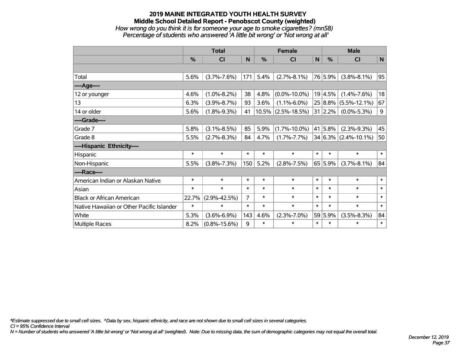## **2019 MAINE INTEGRATED YOUTH HEALTH SURVEY Middle School Detailed Report - Penobscot County (weighted)** *How wrong do you think it is for someone your age to smoke cigarettes? (mn58) Percentage of students who answered 'A little bit wrong' or 'Not wrong at all'*

|                                           | <b>Total</b>  |                    |        |        | <b>Female</b>         | <b>Male</b> |                 |                          |             |
|-------------------------------------------|---------------|--------------------|--------|--------|-----------------------|-------------|-----------------|--------------------------|-------------|
|                                           | $\frac{0}{0}$ | <b>CI</b>          | N      | %      | <b>CI</b>             | N           | %               | <b>CI</b>                | $\mathbf N$ |
|                                           |               |                    |        |        |                       |             |                 |                          |             |
| Total                                     | 5.6%          | $(3.7\% - 7.6\%)$  | 171    | 5.4%   | $(2.7\% - 8.1\%)$     |             | 76 5.9%         | $(3.8\% - 8.1\%)$        | 95          |
| ---- Age----                              |               |                    |        |        |                       |             |                 |                          |             |
| 12 or younger                             | 4.6%          | $(1.0\% - 8.2\%)$  | 38     | 4.8%   | $(0.0\% - 10.0\%)$    |             | 19 4.5%         | $(1.4\% - 7.6\%)$        | 18          |
| 13                                        | 6.3%          | $(3.9\% - 8.7\%)$  | 93     | 3.6%   | $(1.1\% - 6.0\%)$     |             | 25 8.8%         | $(5.5\% - 12.1\%)$       | 67          |
| 14 or older                               | 5.6%          | $(1.8\% - 9.3\%)$  | 41     |        | $10.5\%$ (2.5%-18.5%) |             | $31 \mid 2.2\%$ | $(0.0\% - 5.3\%)$        | 9           |
| ----Grade----                             |               |                    |        |        |                       |             |                 |                          |             |
| Grade 7                                   | 5.8%          | $(3.1\% - 8.5\%)$  | 85     | 5.9%   | $(1.7\% - 10.0\%)$    |             | 41 5.8%         | $(2.3\% - 9.3\%)$        | 45          |
| Grade 8                                   | 5.5%          | $(2.7\% - 8.3\%)$  | 84     | 4.7%   | $(1.7\% - 7.7\%)$     |             |                 | $34 6.3\% $ (2.4%-10.1%) | 50          |
| ----Hispanic Ethnicity----                |               |                    |        |        |                       |             |                 |                          |             |
| Hispanic                                  | $\ast$        | $\ast$             | $\ast$ | $\ast$ | $\ast$                | $\ast$      | $\ast$          | $\ast$                   | $\ast$      |
| Non-Hispanic                              | 5.5%          | $(3.8\% - 7.3\%)$  | 150    | 5.2%   | $(2.8\% - 7.5\%)$     |             | 65 5.9%         | $(3.7\% - 8.1\%)$        | 84          |
| ----Race----                              |               |                    |        |        |                       |             |                 |                          |             |
| American Indian or Alaskan Native         | $\ast$        | $\ast$             | $\ast$ | $\ast$ | $\ast$                | $\ast$      | $\ast$          | $\ast$                   | $\ast$      |
| Asian                                     | $\ast$        | $\ast$             | $\ast$ | $\ast$ | $\ast$                | $\ast$      | $\ast$          | $\ast$                   | $\ast$      |
| <b>Black or African American</b>          | 22.7%         | $(2.9\% - 42.5\%)$ | 7      | $\ast$ | $\ast$                | $\ast$      | $\ast$          | $\ast$                   | $\ast$      |
| Native Hawaiian or Other Pacific Islander | $\ast$        | $\ast$             | $\ast$ | $\ast$ | $\ast$                | $\ast$      | $\ast$          | $\ast$                   | $\ast$      |
| White                                     | 5.3%          | $(3.6\% - 6.9\%)$  | 143    | 4.6%   | $(2.3\% - 7.0\%)$     |             | 59 5.9%         | $(3.5\% - 8.3\%)$        | 84          |
| Multiple Races                            | 8.2%          | $(0.8\% - 15.6\%)$ | 9      | $\ast$ | $\ast$                | $\ast$      | $\ast$          | $\ast$                   | $\ast$      |

*\*Estimate suppressed due to small cell sizes. ^Data by sex, hispanic ethnicity, and race are not shown due to small cell sizes in several categories.*

*CI = 95% Confidence Interval*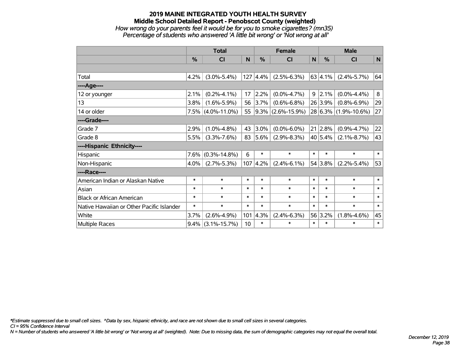## **2019 MAINE INTEGRATED YOUTH HEALTH SURVEY Middle School Detailed Report - Penobscot County (weighted)** *How wrong do your parents feel it would be for you to smoke cigarettes? (mn35) Percentage of students who answered 'A little bit wrong' or 'Not wrong at all'*

|                                           | <b>Total</b>  |                      |        | <b>Female</b>    |                        |              | <b>Male</b>     |                          |              |
|-------------------------------------------|---------------|----------------------|--------|------------------|------------------------|--------------|-----------------|--------------------------|--------------|
|                                           | $\frac{0}{0}$ | CI                   | N      | %                | <b>CI</b>              | $\mathsf{N}$ | %               | <b>CI</b>                | $\mathsf{N}$ |
|                                           |               |                      |        |                  |                        |              |                 |                          |              |
| Total                                     | 4.2%          | $(3.0\% - 5.4\%)$    |        | $127 \,   4.4\%$ | $(2.5\% - 6.3\%)$      |              | 63 4.1%         | $(2.4\% - 5.7\%)$        | 64           |
| ---- Age----                              |               |                      |        |                  |                        |              |                 |                          |              |
| 12 or younger                             | 2.1%          | $(0.2\% - 4.1\%)$    | 17     | 2.2%             | $(0.0\% - 4.7\%)$      |              | $9 \mid 2.1\%$  | $(0.0\% - 4.4\%)$        | 8            |
| 13                                        | $3.8\%$       | $(1.6\% - 5.9\%)$    | 56     | 3.7%             | $(0.6\% - 6.8\%)$      |              | 26 3.9%         | $(0.8\% - 6.9\%)$        | 29           |
| 14 or older                               |               | $7.5\%$ (4.0%-11.0%) | 55     |                  | $ 9.3\% $ (2.6%-15.9%) |              |                 | $28 6.3\% $ (1.9%-10.6%) | 27           |
| ----Grade----                             |               |                      |        |                  |                        |              |                 |                          |              |
| Grade 7                                   | 2.9%          | $(1.0\% - 4.8\%)$    | 43     | 3.0%             | $(0.0\% - 6.0\%)$      |              | $21 \,   2.8\%$ | $(0.9\% - 4.7\%)$        | 22           |
| Grade 8                                   | 5.5%          | $(3.3\% - 7.6\%)$    | 83     | $ 5.6\% $        | $(2.9\% - 8.3\%)$      |              | 40 5.4%         | $(2.1\% - 8.7\%)$        | 43           |
| ----Hispanic Ethnicity----                |               |                      |        |                  |                        |              |                 |                          |              |
| Hispanic                                  | 7.6%          | $(0.3\% - 14.8\%)$   | 6      | $\ast$           | $\ast$                 | $\ast$       | $\ast$          | $\ast$                   | $\ast$       |
| Non-Hispanic                              | $4.0\%$       | $(2.7\% - 5.3\%)$    |        | $107 \,   4.2\%$ | $(2.4\% - 6.1\%)$      |              | 54 3.8%         | $(2.2\% - 5.4\%)$        | 53           |
| ----Race----                              |               |                      |        |                  |                        |              |                 |                          |              |
| American Indian or Alaskan Native         | $\ast$        | $\ast$               | $\ast$ | $\ast$           | $\ast$                 | $\ast$       | $\ast$          | $\ast$                   | $\ast$       |
| Asian                                     | $\ast$        | $\ast$               | $\ast$ | $\ast$           | $\ast$                 | $\ast$       | $\ast$          | $\ast$                   | $\ast$       |
| <b>Black or African American</b>          | $\ast$        | $\ast$               | $\ast$ | $\ast$           | $\ast$                 | $\ast$       | $\ast$          | $\ast$                   | $\ast$       |
| Native Hawaiian or Other Pacific Islander | *             | $\ast$               | $\ast$ | $\ast$           | $\ast$                 | $\ast$       | $\ast$          | $\ast$                   | $\ast$       |
| White                                     | 3.7%          | $(2.6\% - 4.9\%)$    | 101    | 4.3%             | $(2.4\% - 6.3\%)$      |              | 56 3.2%         | $(1.8\% - 4.6\%)$        | 45           |
| Multiple Races                            | $9.4\%$       | $(3.1\% - 15.7\%)$   | 10     | $\ast$           | $\ast$                 | $\ast$       | $\ast$          | $\ast$                   | $\ast$       |

*\*Estimate suppressed due to small cell sizes. ^Data by sex, hispanic ethnicity, and race are not shown due to small cell sizes in several categories.*

*CI = 95% Confidence Interval*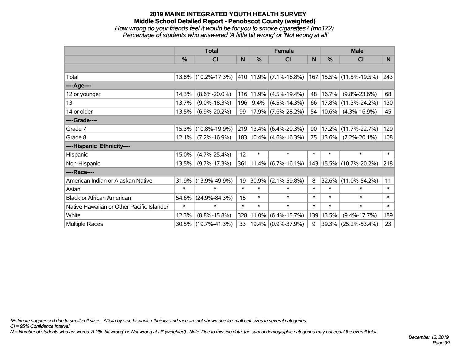## **2019 MAINE INTEGRATED YOUTH HEALTH SURVEY Middle School Detailed Report - Penobscot County (weighted)** *How wrong do your friends feel it would be for you to smoke cigarettes? (mn172) Percentage of students who answered 'A little bit wrong' or 'Not wrong at all'*

|                                           | <b>Total</b> |                     |                 |           | <b>Female</b>                           |        | <b>Male</b>   |                             |        |  |
|-------------------------------------------|--------------|---------------------|-----------------|-----------|-----------------------------------------|--------|---------------|-----------------------------|--------|--|
|                                           | %            | CI                  | N               | $\%$      | <b>CI</b>                               | N      | $\frac{0}{0}$ | <b>CI</b>                   | N      |  |
|                                           |              |                     |                 |           |                                         |        |               |                             |        |  |
| Total                                     |              | 13.8% (10.2%-17.3%) |                 |           | $ 410 11.9\% $ (7.1%-16.8%)             |        |               | 167   15.5%   (11.5%-19.5%) | 243    |  |
| ----Age----                               |              |                     |                 |           |                                         |        |               |                             |        |  |
| 12 or younger                             | 14.3%        | $(8.6\% - 20.0\%)$  |                 | 116 11.9% | $(4.5\% - 19.4\%)$                      | 48     | 16.7%         | $(9.8\% - 23.6\%)$          | 68     |  |
| 13                                        | 13.7%        | $(9.0\% - 18.3\%)$  | 196             | $9.4\%$   | $(4.5\% - 14.3\%)$                      | 66     | 17.8%         | $(11.3\% - 24.2\%)$         | 130    |  |
| 14 or older                               | 13.5%        | $(6.9\% - 20.2\%)$  | 99              |           | $ 17.9\% $ (7.6%-28.2%)                 |        | 54   10.6%    | $(4.3\% - 16.9\%)$          | 45     |  |
| ----Grade----                             |              |                     |                 |           |                                         |        |               |                             |        |  |
| Grade 7                                   | 15.3%        | $(10.8\% - 19.9\%)$ |                 | 219 13.4% | $(6.4\% - 20.3\%)$                      | 90     | 17.2%         | $(11.7\% - 22.7\%)$         | 129    |  |
| Grade 8                                   | 12.1%        | $(7.2\% - 16.9\%)$  |                 |           | 183   10.4%   (4.6%-16.3%)              | 75     | $ 13.6\% $    | $(7.2\% - 20.1\%)$          | 108    |  |
| ----Hispanic Ethnicity----                |              |                     |                 |           |                                         |        |               |                             |        |  |
| Hispanic                                  | 15.0%        | $(4.7\% - 25.4\%)$  | 12 <sup>2</sup> | $\ast$    | $\ast$                                  | $\ast$ | $\ast$        | $\ast$                      | $\ast$ |  |
| Non-Hispanic                              | 13.5%        | $(9.7\% - 17.3\%)$  |                 |           | $361 \mid 11.4\% \mid (6.7\% - 16.1\%)$ |        | 143   15.5%   | $(10.7\% - 20.2\%)$         | 218    |  |
| ----Race----                              |              |                     |                 |           |                                         |        |               |                             |        |  |
| American Indian or Alaskan Native         | 31.9%        | $(13.9\% - 49.9\%)$ | 19              | 30.9%     | $(2.1\% - 59.8\%)$                      | 8      | 32.6%         | $(11.0\% - 54.2\%)$         | 11     |  |
| Asian                                     | $\ast$       | $\ast$              | $\ast$          | $\ast$    | $\ast$                                  | $\ast$ | $\ast$        | $\ast$                      | $\ast$ |  |
| <b>Black or African American</b>          | 54.6%        | $(24.9\% - 84.3\%)$ | 15              | $\ast$    | $\ast$                                  | $\ast$ | $\ast$        | $\ast$                      | $\ast$ |  |
| Native Hawaiian or Other Pacific Islander | $\ast$       | $\ast$              | $\ast$          | $\ast$    | $\ast$                                  | $\ast$ | $\ast$        | $\ast$                      | $\ast$ |  |
| White                                     | 12.3%        | $(8.8\% - 15.8\%)$  | 328             | 11.0%     | $(6.4\% - 15.7\%)$                      | 139    | 13.5%         | $(9.4\% - 17.7\%)$          | 189    |  |
| <b>Multiple Races</b>                     |              | 30.5% (19.7%-41.3%) | 33              |           | $19.4\%$ (0.9%-37.9%)                   | 9      | 39.3%         | $(25.2\% - 53.4\%)$         | 23     |  |

*\*Estimate suppressed due to small cell sizes. ^Data by sex, hispanic ethnicity, and race are not shown due to small cell sizes in several categories.*

*CI = 95% Confidence Interval*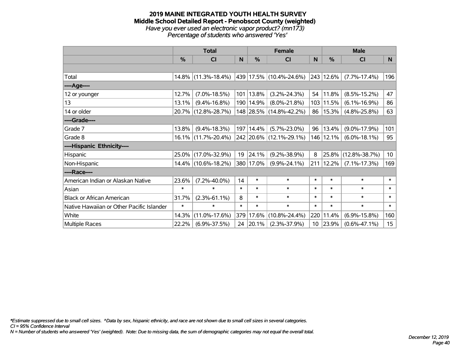#### **2019 MAINE INTEGRATED YOUTH HEALTH SURVEY Middle School Detailed Report - Penobscot County (weighted)** *Have you ever used an electronic vapor product? (mn173) Percentage of students who answered 'Yes'*

|                                           |               | <b>Total</b>           |        |               | <b>Female</b>               |                 |           | <b>Male</b>         |                 |
|-------------------------------------------|---------------|------------------------|--------|---------------|-----------------------------|-----------------|-----------|---------------------|-----------------|
|                                           | $\frac{0}{0}$ | CI                     | N      | $\frac{0}{0}$ | <b>CI</b>                   | N               | %         | <b>CI</b>           | N               |
|                                           |               |                        |        |               |                             |                 |           |                     |                 |
| Total                                     |               | $14.8\%$ (11.3%-18.4%) |        |               | 439   17.5%   (10.4%-24.6%) |                 | 243 12.6% | $(7.7\% - 17.4\%)$  | 196             |
| ----Age----                               |               |                        |        |               |                             |                 |           |                     |                 |
| 12 or younger                             | 12.7%         | $(7.0\% - 18.5\%)$     |        | 101   13.8%   | $(3.2\% - 24.3\%)$          | 54              | 11.8%     | $(8.5\% - 15.2\%)$  | 47              |
| 13                                        | 13.1%         | $(9.4\% - 16.8\%)$     |        | 190   14.9%   | $(8.0\% - 21.8\%)$          | 103             | 11.5%     | $(6.1\% - 16.9\%)$  | 86              |
| 14 or older                               |               | 20.7% (12.8%-28.7%)    |        |               | 148 28.5% (14.8%-42.2%)     | 86              | 15.3%     | $(4.8\% - 25.8\%)$  | 63              |
| ----Grade----                             |               |                        |        |               |                             |                 |           |                     |                 |
| Grade 7                                   | 13.8%         | $(9.4\% - 18.3\%)$     |        | 197   14.4%   | $(5.7\% - 23.0\%)$          | 96              | 13.4%     | $(9.0\% - 17.9\%)$  | 101             |
| Grade 8                                   |               | $16.1\%$ (11.7%-20.4%) |        |               | 242 20.6% (12.1%-29.1%)     |                 | 146 12.1% | $(6.0\% - 18.1\%)$  | 95              |
| ----Hispanic Ethnicity----                |               |                        |        |               |                             |                 |           |                     |                 |
| Hispanic                                  |               | 25.0% (17.0%-32.9%)    | 19     | 24.1%         | $(9.2\% - 38.9\%)$          | 8               | 25.8%     | $(12.8\% - 38.7\%)$ | 10 <sup>°</sup> |
| Non-Hispanic                              |               | 14.4% (10.6%-18.2%)    |        | 380 17.0%     | $(9.9\% - 24.1\%)$          | 211             | 12.2%     | $(7.1\% - 17.3\%)$  | 169             |
| ----Race----                              |               |                        |        |               |                             |                 |           |                     |                 |
| American Indian or Alaskan Native         | 23.6%         | $(7.2\% - 40.0\%)$     | 14     | $\ast$        | $\ast$                      | $\ast$          | $\ast$    | $\ast$              | $\ast$          |
| Asian                                     | $\ast$        | $\ast$                 | $\ast$ | $\ast$        | $\ast$                      | $\ast$          | $\ast$    | $\ast$              | $\ast$          |
| <b>Black or African American</b>          | 31.7%         | $(2.3\% - 61.1\%)$     | 8      | $\ast$        | $\ast$                      | $\ast$          | $\ast$    | $\ast$              | $\ast$          |
| Native Hawaiian or Other Pacific Islander | $\ast$        | $\ast$                 | $\ast$ | $\ast$        | $\ast$                      | $\ast$          | $\ast$    | $\ast$              | $\ast$          |
| White                                     | 14.3%         | $(11.0\% - 17.6\%)$    | 379    | 17.6%         | $(10.8\% - 24.4\%)$         | 220             | 11.4%     | $(6.9\% - 15.8\%)$  | 160             |
| <b>Multiple Races</b>                     | 22.2%         | $(6.9\% - 37.5\%)$     |        | 24 20.1%      | $(2.3\% - 37.9\%)$          | 10 <sup>°</sup> | 23.9%     | $(0.6\% - 47.1\%)$  | 15              |

*\*Estimate suppressed due to small cell sizes. ^Data by sex, hispanic ethnicity, and race are not shown due to small cell sizes in several categories.*

*CI = 95% Confidence Interval*

*N = Number of students who answered 'Yes' (weighted). Note: Due to missing data, the sum of demographic categories may not equal the overall total.*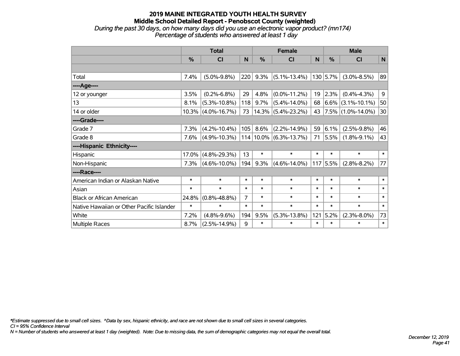### **2019 MAINE INTEGRATED YOUTH HEALTH SURVEY Middle School Detailed Report - Penobscot County (weighted)** *During the past 30 days, on how many days did you use an electronic vapor product? (mn174) Percentage of students who answered at least 1 day*

|                                           | <b>Total</b> |                    |                |           | <b>Female</b>      | <b>Male</b> |            |                        |        |
|-------------------------------------------|--------------|--------------------|----------------|-----------|--------------------|-------------|------------|------------------------|--------|
|                                           | %            | <b>CI</b>          | N              | %         | <b>CI</b>          | N           | %          | <b>CI</b>              | N      |
|                                           |              |                    |                |           |                    |             |            |                        |        |
| Total                                     | 7.4%         | $(5.0\% - 9.8\%)$  | 220            | 9.3%      | $(5.1\% - 13.4\%)$ |             | 130 5.7%   | $(3.0\% - 8.5\%)$      | 89     |
| ---- Age----                              |              |                    |                |           |                    |             |            |                        |        |
| 12 or younger                             | 3.5%         | $(0.2\% - 6.8\%)$  | 29             | 4.8%      | $(0.0\% - 11.2\%)$ | 19          | 2.3%       | $(0.4\% - 4.3\%)$      | 9      |
| 13                                        | 8.1%         | $(5.3\% - 10.8\%)$ | 118            | 9.7%      | $(5.4\% - 14.0\%)$ | 68          | 6.6%       | $(3.1\% - 10.1\%)$     | 50     |
| 14 or older                               | 10.3%        | $(4.0\% - 16.7\%)$ | 73             | 14.3%     | $(5.4\% - 23.2\%)$ | 43          |            | $ 7.5\% $ (1.0%-14.0%) | 30     |
| ----Grade----                             |              |                    |                |           |                    |             |            |                        |        |
| Grade 7                                   | 7.3%         | $(4.2\% - 10.4\%)$ | 105            | 8.6%      | $(2.2\% - 14.9\%)$ | 59          | 6.1%       | $(2.5\% - 9.8\%)$      | 46     |
| Grade 8                                   | 7.6%         | $(4.9\% - 10.3\%)$ |                | 114 10.0% | $(6.3\% - 13.7\%)$ | 71          | 5.5%       | $(1.8\% - 9.1\%)$      | 43     |
| ----Hispanic Ethnicity----                |              |                    |                |           |                    |             |            |                        |        |
| Hispanic                                  | 17.0%        | $(4.8\% - 29.3\%)$ | 13             | $\ast$    | $\ast$             | $\ast$      | $\ast$     | $\ast$                 | $\ast$ |
| Non-Hispanic                              | 7.3%         | $(4.6\% - 10.0\%)$ | 194            | 9.3%      | $(4.6\% - 14.0\%)$ |             | $117$ 5.5% | $(2.8\% - 8.2\%)$      | 77     |
| ----Race----                              |              |                    |                |           |                    |             |            |                        |        |
| American Indian or Alaskan Native         | $\ast$       | $\ast$             | $\ast$         | $\ast$    | $\ast$             | $\ast$      | $\ast$     | $\ast$                 | $\ast$ |
| Asian                                     | $\ast$       | $\ast$             | $\ast$         | $\ast$    | $\ast$             | $\ast$      | $\ast$     | $\ast$                 | $\ast$ |
| <b>Black or African American</b>          | 24.8%        | $(0.8\% - 48.8\%)$ | $\overline{7}$ | $\ast$    | $\ast$             | $\ast$      | $\ast$     | $\ast$                 | $\ast$ |
| Native Hawaiian or Other Pacific Islander | $\ast$       | $\ast$             | $\ast$         | $\ast$    | $\ast$             | $\ast$      | $\ast$     | $\ast$                 | $\ast$ |
| White                                     | 7.2%         | $(4.8\% - 9.6\%)$  | 194            | 9.5%      | $(5.3\% - 13.8\%)$ | 121         | 5.2%       | $(2.3\% - 8.0\%)$      | 73     |
| <b>Multiple Races</b>                     | 8.7%         | $(2.5\% - 14.9\%)$ | 9              | $\ast$    | $\ast$             | $\ast$      | $\ast$     | $\ast$                 | $\ast$ |

*\*Estimate suppressed due to small cell sizes. ^Data by sex, hispanic ethnicity, and race are not shown due to small cell sizes in several categories.*

*CI = 95% Confidence Interval*

*N = Number of students who answered at least 1 day (weighted). Note: Due to missing data, the sum of demographic categories may not equal the overall total.*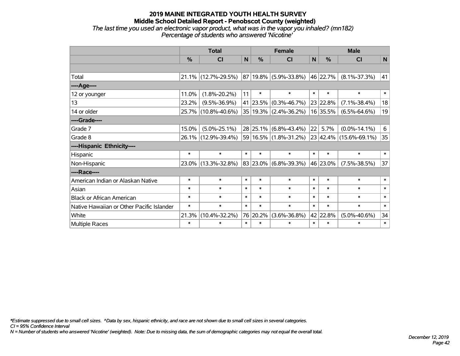### **2019 MAINE INTEGRATED YOUTH HEALTH SURVEY Middle School Detailed Report - Penobscot County (weighted)** *The last time you used an electronic vapor product, what was in the vapor you inhaled? (mn182) Percentage of students who answered 'Nicotine'*

|                                           | <b>Total</b> |                     |              |               | <b>Female</b>                  |        | <b>Male</b>   |                                                        |        |  |
|-------------------------------------------|--------------|---------------------|--------------|---------------|--------------------------------|--------|---------------|--------------------------------------------------------|--------|--|
|                                           | %            | CI                  | $\mathsf{N}$ | $\frac{0}{0}$ | CI                             | N      | $\frac{0}{0}$ | <b>CI</b>                                              | N      |  |
|                                           |              |                     |              |               |                                |        |               |                                                        |        |  |
| Total                                     |              | 21.1% (12.7%-29.5%) |              |               | 87 19.8% (5.9%-33.8%) 46 22.7% |        |               | $(8.1\% - 37.3\%)$                                     | 41     |  |
| ----Age----                               |              |                     |              |               |                                |        |               |                                                        |        |  |
| 12 or younger                             | 11.0%        | $(1.8\% - 20.2\%)$  | 11           | $\ast$        | $\ast$                         | $\ast$ | $\ast$        | $\ast$                                                 | $\ast$ |  |
| 13                                        | 23.2%        | $(9.5\% - 36.9\%)$  |              | 41 23.5%      | $(0.3\% - 46.7\%)$             |        | 23 22.8%      | $(7.1\% - 38.4\%)$                                     | 18     |  |
| 14 or older                               |              | 25.7% (10.8%-40.6%) |              |               | $35 19.3\% $ (2.4%-36.2%)      |        | 16 35.5%      | $(6.5\% - 64.6\%)$                                     | 19     |  |
| ----Grade----                             |              |                     |              |               |                                |        |               |                                                        |        |  |
| Grade 7                                   | 15.0%        | $(5.0\% - 25.1\%)$  |              | $28$ 25.1%    | $(6.8\% - 43.4\%)$             | 22     | 5.7%          | $(0.0\% - 14.1\%)$                                     | 6      |  |
| Grade 8                                   |              | 26.1% (12.9%-39.4%) |              |               |                                |        |               | $ 59 16.5\% $ (1.8%-31.2%) $ 23 42.4\% $ (15.6%-69.1%) | 35     |  |
| ----Hispanic Ethnicity----                |              |                     |              |               |                                |        |               |                                                        |        |  |
| Hispanic                                  | $\ast$       | $\ast$              | $\ast$       | $\ast$        | $\ast$                         | $\ast$ | $\ast$        | $\ast$                                                 | $\ast$ |  |
| Non-Hispanic                              |              | 23.0% (13.3%-32.8%) |              |               | 83 23.0% (6.8%-39.3%)          |        | 46 23.0%      | $(7.5\% - 38.5\%)$                                     | 37     |  |
| ----Race----                              |              |                     |              |               |                                |        |               |                                                        |        |  |
| American Indian or Alaskan Native         | $\ast$       | $\ast$              | $\ast$       | $\ast$        | $\ast$                         | $\ast$ | $\ast$        | $\ast$                                                 | $\ast$ |  |
| Asian                                     | $\ast$       | $\ast$              | $\ast$       | $\ast$        | $\ast$                         | $\ast$ | $\ast$        | $\ast$                                                 | $\ast$ |  |
| <b>Black or African American</b>          | $\ast$       | $\ast$              | $\ast$       | $\ast$        | $\ast$                         | $\ast$ | $\ast$        | $\ast$                                                 | $\ast$ |  |
| Native Hawaiian or Other Pacific Islander | $\ast$       | $\ast$              | $\ast$       | $\ast$        | $\ast$                         | $\ast$ | $\ast$        | $\ast$                                                 | $\ast$ |  |
| White                                     | 21.3%        | $(10.4\% - 32.2\%)$ |              | 76 20.2%      | $(3.6\% - 36.8\%)$             |        | 42 22.8%      | $(5.0\% - 40.6\%)$                                     | 34     |  |
| <b>Multiple Races</b>                     | $\ast$       | $\ast$              | $\ast$       | $\ast$        | $\ast$                         | $\ast$ | $\ast$        | $\ast$                                                 | $\ast$ |  |

*\*Estimate suppressed due to small cell sizes. ^Data by sex, hispanic ethnicity, and race are not shown due to small cell sizes in several categories.*

*CI = 95% Confidence Interval*

*N = Number of students who answered 'Nicotine' (weighted). Note: Due to missing data, the sum of demographic categories may not equal the overall total.*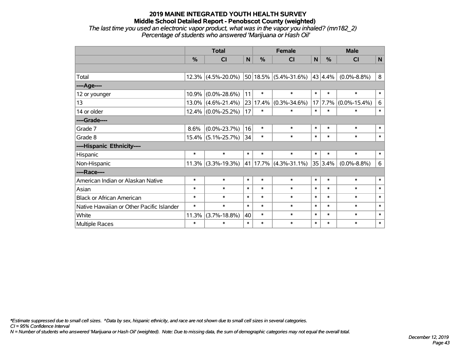## **2019 MAINE INTEGRATED YOUTH HEALTH SURVEY Middle School Detailed Report - Penobscot County (weighted)** *The last time you used an electronic vapor product, what was in the vapor you inhaled? (mn182\_2)*

*Percentage of students who answered 'Marijuana or Hash Oil'*

|                                           | <b>Total</b> |                       |        |        | <b>Female</b>             | <b>Male</b>  |                 |                    |              |
|-------------------------------------------|--------------|-----------------------|--------|--------|---------------------------|--------------|-----------------|--------------------|--------------|
|                                           | %            | CI                    | N      | %      | <b>CI</b>                 | $\mathsf{N}$ | %               | <b>CI</b>          | $\mathsf{N}$ |
|                                           |              |                       |        |        |                           |              |                 |                    |              |
| Total                                     |              | $12.3\%$ (4.5%-20.0%) |        |        | $50 18.5\% $ (5.4%-31.6%) |              | $43 \mid 4.4\%$ | $(0.0\% - 8.8\%)$  | 8            |
| ---- Age----                              |              |                       |        |        |                           |              |                 |                    |              |
| 12 or younger                             | 10.9%        | $(0.0\% - 28.6\%)$    | 11     | $\ast$ | $\ast$                    | $\ast$       | $\ast$          | $\ast$             | $\ast$       |
| 13                                        | 13.0%        | $(4.6\% - 21.4\%)$    | 23     | 17.4%  | $(0.3\% - 34.6\%)$        |              | 17 7.7%         | $(0.0\% - 15.4\%)$ | $\,6\,$      |
| 14 or older                               |              | $12.4\%$ (0.0%-25.2%) | 17     | $\ast$ | $\ast$                    | $\ast$       | $\ast$          | $\ast$             | $\ast$       |
| ----Grade----                             |              |                       |        |        |                           |              |                 |                    |              |
| Grade 7                                   | 8.6%         | $(0.0\% - 23.7\%)$    | 16     | $\ast$ | $\ast$                    | $\ast$       | $\ast$          | $\ast$             | $\ast$       |
| Grade 8                                   |              | $15.4\%$ (5.1%-25.7%) | 34     | $\ast$ | $\ast$                    | $\ast$       | $\ast$          | $\ast$             | $\ast$       |
| ----Hispanic Ethnicity----                |              |                       |        |        |                           |              |                 |                    |              |
| Hispanic                                  | $\ast$       | $\ast$                | $\ast$ | $\ast$ | $\ast$                    | $\ast$       | $\ast$          | $\ast$             | $\ast$       |
| Non-Hispanic                              | 11.3%        | $(3.3\% - 19.3\%)$    |        |        | 41   17.7%   (4.3%-31.1%) |              | 35 3.4%         | $(0.0\% - 8.8\%)$  | 6            |
| ----Race----                              |              |                       |        |        |                           |              |                 |                    |              |
| American Indian or Alaskan Native         | $\ast$       | $\ast$                | $\ast$ | $\ast$ | $\ast$                    | $\ast$       | $\ast$          | $\ast$             | $\ast$       |
| Asian                                     | $\ast$       | $\ast$                | $\ast$ | $\ast$ | $\ast$                    | $\ast$       | $\ast$          | $\ast$             | $\ast$       |
| <b>Black or African American</b>          | $\ast$       | $\ast$                | $\ast$ | $\ast$ | $\ast$                    | $\ast$       | $\ast$          | $\ast$             | $\ast$       |
| Native Hawaiian or Other Pacific Islander | $\ast$       | $\ast$                | $\ast$ | $\ast$ | $\ast$                    | $\ast$       | $\ast$          | $\ast$             | $\ast$       |
| White                                     | 11.3%        | $(3.7\% - 18.8\%)$    | 40     | $\ast$ | $\ast$                    | $\ast$       | $\ast$          | $\ast$             | $\ast$       |
| Multiple Races                            | $\ast$       | $\ast$                | $\ast$ | $\ast$ | $\ast$                    | $\ast$       | $\ast$          | $\ast$             | $\ast$       |

*\*Estimate suppressed due to small cell sizes. ^Data by sex, hispanic ethnicity, and race are not shown due to small cell sizes in several categories.*

*CI = 95% Confidence Interval*

*N = Number of students who answered 'Marijuana or Hash Oil' (weighted). Note: Due to missing data, the sum of demographic categories may not equal the overall total.*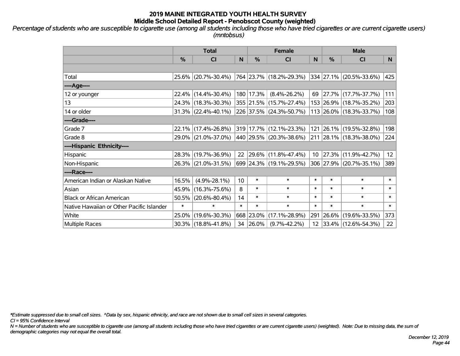*Percentage of students who are susceptible to cigarette use (among all students including those who have tried cigarettes or are current cigarette users) (mntobsus)*

|                                           | <b>Total</b>  |                                             |        | <b>Female</b> |                                                 | <b>Male</b> |               |                          |        |
|-------------------------------------------|---------------|---------------------------------------------|--------|---------------|-------------------------------------------------|-------------|---------------|--------------------------|--------|
|                                           | $\frac{0}{0}$ | <b>CI</b>                                   | N      | $\frac{0}{0}$ | CI                                              | N           | $\frac{0}{0}$ | <b>CI</b>                | N.     |
|                                           |               |                                             |        |               |                                                 |             |               |                          |        |
| Total                                     |               | 25.6% (20.7%-30.4%)                         |        |               | 764 23.7% (18.2%-29.3%) 334 27.1% (20.5%-33.6%) |             |               |                          | 425    |
| ----Age----                               |               |                                             |        |               |                                                 |             |               |                          |        |
| 12 or younger                             |               | 22.4% (14.4%-30.4%)                         |        | 180 17.3%     | $(8.4\% - 26.2\%)$                              | 69          |               | $ 27.7\% $ (17.7%-37.7%) | 111    |
| 13                                        |               | 24.3% (18.3%-30.3%)                         |        |               | 355 21.5% (15.7%-27.4%)                         |             |               | 153 26.9% (18.7%-35.2%)  | 203    |
| 14 or older                               |               | $31.3\%$ (22.4%-40.1%)                      |        |               | 226 37.5% (24.3%-50.7%)                         |             |               | 113 26.0% (18.3%-33.7%)  | 108    |
| ----Grade----                             |               |                                             |        |               |                                                 |             |               |                          |        |
| Grade 7                                   |               | $22.1\%$ (17.4%-26.8%)                      |        |               | 319 17.7% (12.1%-23.3%)                         |             |               | 121 26.1% (19.5%-32.8%)  | 198    |
| Grade 8                                   |               | 29.0% (21.0%-37.0%) 440 29.5% (20.3%-38.6%) |        |               |                                                 |             |               | 211 28.1% (18.3%-38.0%)  | 224    |
| ----Hispanic Ethnicity----                |               |                                             |        |               |                                                 |             |               |                          |        |
| Hispanic                                  |               | 28.3% (19.7%-36.9%)                         | 22     |               | $ 29.6\% $ (11.8%-47.4%)                        | 10          | 27.3%         | $(11.9\% - 42.7\%)$      | 12     |
| Non-Hispanic                              |               | 26.3% (21.0%-31.5%)                         |        |               | 699 24.3% (19.1%-29.5%)                         |             |               | 306 27.9% (20.7%-35.1%)  | 389    |
| ----Race----                              |               |                                             |        |               |                                                 |             |               |                          |        |
| American Indian or Alaskan Native         | 16.5%         | $(4.9\% - 28.1\%)$                          | 10     | $\ast$        | $\ast$                                          | $\ast$      | $\ast$        | $\ast$                   | $\ast$ |
| Asian                                     |               | 45.9% (16.3%-75.6%)                         | 8      | $\ast$        | $\ast$                                          | $\ast$      | $\ast$        | $\ast$                   | $\ast$ |
| <b>Black or African American</b>          | 50.5%         | $(20.6\% - 80.4\%)$                         | 14     | $\ast$        | $\ast$                                          | $\ast$      | $\ast$        | $\ast$                   | $\ast$ |
| Native Hawaiian or Other Pacific Islander | $\ast$        | $\ast$                                      | $\ast$ | $\ast$        | $\ast$                                          | $\ast$      | $\ast$        | $\ast$                   | $\ast$ |
| White                                     |               | 25.0% (19.6%-30.3%)                         |        | 668 23.0%     | $(17.1\% - 28.9\%)$                             |             | 291 26.6%     | $(19.6\% - 33.5\%)$      | 373    |
| <b>Multiple Races</b>                     |               | $30.3\%$ (18.8%-41.8%)                      | 34     | $ 26.0\% $    | $(9.7\% - 42.2\%)$                              | 12          |               | $ 33.4\% $ (12.6%-54.3%) | 22     |

*\*Estimate suppressed due to small cell sizes. ^Data by sex, hispanic ethnicity, and race are not shown due to small cell sizes in several categories.*

*CI = 95% Confidence Interval*

*N = Number of students who are susceptible to cigarette use (among all students including those who have tried cigarettes or are current cigarette users) (weighted). Note: Due to missing data, the sum of demographic categories may not equal the overall total.*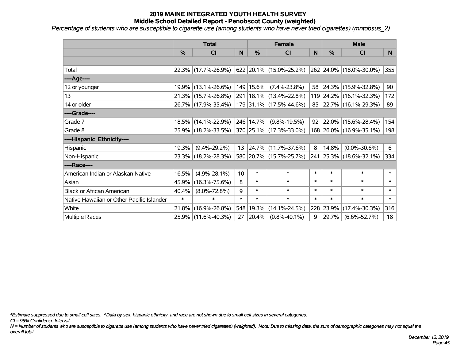*Percentage of students who are susceptible to cigarette use (among students who have never tried cigarettes) (mntobsus\_2)*

|                                           |               | <b>Total</b>           |        | <b>Female</b> |                             |        | <b>Male</b> |                         |        |  |
|-------------------------------------------|---------------|------------------------|--------|---------------|-----------------------------|--------|-------------|-------------------------|--------|--|
|                                           | $\frac{0}{0}$ | C <sub>l</sub>         | N      | $\frac{0}{0}$ | <b>CI</b>                   | N      | %           | <b>CI</b>               | N      |  |
|                                           |               |                        |        |               |                             |        |             |                         |        |  |
| Total                                     |               | 22.3% (17.7%-26.9%)    |        |               | 622   20.1%   (15.0%-25.2%) |        |             | 262 24.0% (18.0%-30.0%) | 355    |  |
| ----Age----                               |               |                        |        |               |                             |        |             |                         |        |  |
| 12 or younger                             |               | 19.9% (13.1%-26.6%)    |        | 149 15.6%     | $(7.4\% - 23.8\%)$          | 58     | 24.3%       | $(15.9\% - 32.8\%)$     | 90     |  |
| 13                                        |               | $21.3\%$ (15.7%-26.8%) |        |               | 291   18.1%   (13.4%-22.8%) |        |             | 119 24.2% (16.1%-32.3%) | 172    |  |
| 14 or older                               |               | 26.7% (17.9%-35.4%)    |        |               | 179 31.1% (17.5%-44.6%)     |        |             | 85 22.7% (16.1%-29.3%)  | 89     |  |
| ----Grade----                             |               |                        |        |               |                             |        |             |                         |        |  |
| Grade 7                                   |               | 18.5% (14.1%-22.9%)    |        | 246 14.7%     | $(9.8\% - 19.5\%)$          | 92     | 22.0%       | $(15.6\% - 28.4\%)$     | 154    |  |
| Grade 8                                   |               | 25.9% (18.2%-33.5%)    |        |               | 370 25.1% (17.3%-33.0%)     |        |             | 168 26.0% (16.9%-35.1%) | 198    |  |
| ----Hispanic Ethnicity----                |               |                        |        |               |                             |        |             |                         |        |  |
| Hispanic                                  | 19.3%         | $(9.4\% - 29.2\%)$     | 13     |               | $ 24.7\% $ (11.7%-37.6%)    | 8      | 14.8%       | $(0.0\% - 30.6\%)$      | 6      |  |
| Non-Hispanic                              |               | 23.3% (18.2%-28.3%)    |        |               | 580 20.7% (15.7%-25.7%)     |        |             | 241 25.3% (18.6%-32.1%) | 334    |  |
| ----Race----                              |               |                        |        |               |                             |        |             |                         |        |  |
| American Indian or Alaskan Native         | 16.5%         | $(4.9\% - 28.1\%)$     | 10     | $\ast$        | $\ast$                      | $\ast$ | $\ast$      | $\ast$                  | $\ast$ |  |
| Asian                                     | 45.9%         | $(16.3\% - 75.6\%)$    | 8      | $\ast$        | $\ast$                      | $\ast$ | $\ast$      | $\ast$                  | $\ast$ |  |
| <b>Black or African American</b>          | 40.4%         | $(8.0\% - 72.8\%)$     | 9      | $\ast$        | $\ast$                      | $\ast$ | $\ast$      | $\ast$                  | $\ast$ |  |
| Native Hawaiian or Other Pacific Islander | $\ast$        | $\ast$                 | $\ast$ | $\ast$        | $\ast$                      | $\ast$ | $\ast$      | $\ast$                  | $\ast$ |  |
| White                                     | 21.8%         | $(16.9\% - 26.8\%)$    | 548    | 19.3%         | $(14.1\% - 24.5\%)$         | 228    | 23.9%       | $(17.4\% - 30.3\%)$     | 316    |  |
| <b>Multiple Races</b>                     |               | 25.9% (11.6%-40.3%)    | 27     | $ 20.4\% $    | $(0.8\% - 40.1\%)$          | 9      | 29.7%       | $(6.6\% - 52.7\%)$      | 18     |  |

*\*Estimate suppressed due to small cell sizes. ^Data by sex, hispanic ethnicity, and race are not shown due to small cell sizes in several categories.*

*CI = 95% Confidence Interval*

*N = Number of students who are susceptible to cigarette use (among students who have never tried cigarettes) (weighted). Note: Due to missing data, the sum of demographic categories may not equal the overall total.*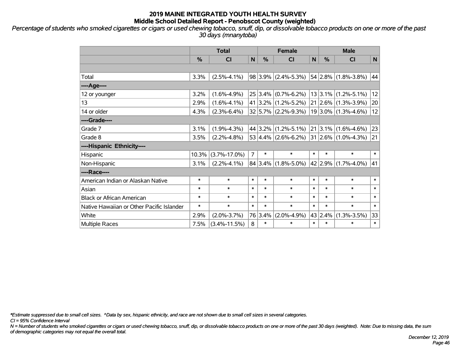*Percentage of students who smoked cigarettes or cigars or used chewing tobacco, snuff, dip, or dissolvable tobacco products on one or more of the past 30 days (mnanytoba)*

|                                           | <b>Total</b>  |                    |                |             | <b>Female</b>              |        | <b>Male</b> |                              |        |  |
|-------------------------------------------|---------------|--------------------|----------------|-------------|----------------------------|--------|-------------|------------------------------|--------|--|
|                                           | $\frac{0}{0}$ | <b>CI</b>          | N              | %           | C <sub>1</sub>             | N      | %           | <b>CI</b>                    | N      |  |
|                                           |               |                    |                |             |                            |        |             |                              |        |  |
| Total                                     | 3.3%          | $(2.5\% - 4.1\%)$  |                |             | $98 3.9\% $ (2.4%-5.3%)    |        |             | $ 54 2.8\% $ (1.8%-3.8%)     | 44     |  |
| ---- Age----                              |               |                    |                |             |                            |        |             |                              |        |  |
| 12 or younger                             | 3.2%          | $(1.6\% - 4.9\%)$  |                | $25 3.4\% $ | $(0.7\% - 6.2\%)$          |        |             | $13 3.1\% $ (1.2%-5.1%)      | 12     |  |
| 13                                        | 2.9%          | $(1.6\% - 4.1\%)$  |                |             | $41 3.2\% (1.2\% - 5.2\%)$ |        |             | $21 2.6\% $ (1.3%-3.9%)      | 20     |  |
| 14 or older                               | 4.3%          | $(2.3\% - 6.4\%)$  |                |             | 32 5.7% (2.2%-9.3%)        |        |             | $19 3.0\% $ (1.3%-4.6%)      | 12     |  |
| ----Grade----                             |               |                    |                |             |                            |        |             |                              |        |  |
| Grade 7                                   | 3.1%          | $(1.9\% - 4.3\%)$  |                | 44 3.2%     | $(1.2\% - 5.1\%)$          |        |             | $ 21 3.1\% $ (1.6%-4.6%)     | 23     |  |
| Grade 8                                   | 3.5%          | $(2.2\% - 4.8\%)$  |                |             | $53 4.4\% $ (2.6%-6.2%)    |        |             | $ 31 2.6\%  (1.0\% - 4.3\%)$ | 21     |  |
| ----Hispanic Ethnicity----                |               |                    |                |             |                            |        |             |                              |        |  |
| Hispanic                                  | 10.3%         | $(3.7\% - 17.0\%)$ | $\overline{7}$ | $\ast$      | $\ast$                     | $\ast$ | $\ast$      | $\ast$                       | $\ast$ |  |
| Non-Hispanic                              | 3.1%          | $(2.2\% - 4.1\%)$  |                | 84 3.4%     | $(1.8\% - 5.0\%)$          |        | 42 2.9%     | $(1.7\% - 4.0\%)$            | 41     |  |
| ----Race----                              |               |                    |                |             |                            |        |             |                              |        |  |
| American Indian or Alaskan Native         | $\ast$        | $\ast$             | $\ast$         | $\ast$      | $\ast$                     | $\ast$ | $\ast$      | $\ast$                       | $\ast$ |  |
| Asian                                     | $\ast$        | $\ast$             | $\ast$         | $\ast$      | $\ast$                     | $\ast$ | $\ast$      | $\ast$                       | $\ast$ |  |
| <b>Black or African American</b>          | $\ast$        | $\ast$             | $\ast$         | $\ast$      | $\ast$                     | $\ast$ | $\ast$      | $\ast$                       | $\ast$ |  |
| Native Hawaiian or Other Pacific Islander | $\ast$        | $\ast$             | $\ast$         | $\ast$      | $\ast$                     | $\ast$ | $\ast$      | $\ast$                       | $\ast$ |  |
| White                                     | 2.9%          | $(2.0\% - 3.7\%)$  | 76             | 3.4%        | $(2.0\% - 4.9\%)$          |        | 43 2.4%     | $(1.3\% - 3.5\%)$            | 33     |  |
| <b>Multiple Races</b>                     | 7.5%          | $(3.4\% - 11.5\%)$ | 8              | $\ast$      | $\ast$                     | $\ast$ | $\ast$      | $\ast$                       | $\ast$ |  |

*\*Estimate suppressed due to small cell sizes. ^Data by sex, hispanic ethnicity, and race are not shown due to small cell sizes in several categories.*

*CI = 95% Confidence Interval*

*N = Number of students who smoked cigarettes or cigars or used chewing tobacco, snuff, dip, or dissolvable tobacco products on one or more of the past 30 days (weighted). Note: Due to missing data, the sum of demographic categories may not equal the overall total.*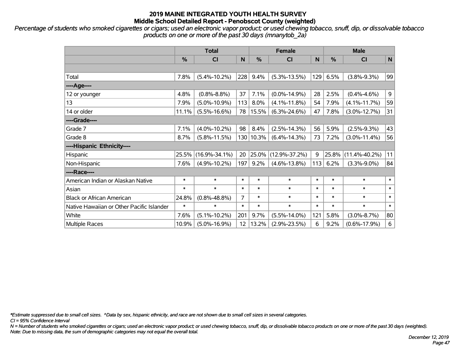*Percentage of students who smoked cigarettes or cigars; used an electronic vapor product; or used chewing tobacco, snuff, dip, or dissolvable tobacco products on one or more of the past 30 days (mnanytob\_2a)*

|                                           | <b>Total</b> |                     |        |           | <b>Female</b>       | <b>Male</b> |        |                     |             |
|-------------------------------------------|--------------|---------------------|--------|-----------|---------------------|-------------|--------|---------------------|-------------|
|                                           | %            | <b>CI</b>           | N      | %         | <b>CI</b>           | N           | %      | <b>CI</b>           | $\mathbf N$ |
|                                           |              |                     |        |           |                     |             |        |                     |             |
| Total                                     | 7.8%         | $(5.4\% - 10.2\%)$  | 228    | 9.4%      | $(5.3\% - 13.5\%)$  | 129         | 6.5%   | $(3.8\% - 9.3\%)$   | 99          |
| ----Age----                               |              |                     |        |           |                     |             |        |                     |             |
| 12 or younger                             | 4.8%         | $(0.8\% - 8.8\%)$   | 37     | 7.1%      | $(0.0\% - 14.9\%)$  | 28          | 2.5%   | $(0.4\% - 4.6\%)$   | 9           |
| 13                                        | 7.9%         | $(5.0\% - 10.9\%)$  | 113    | 8.0%      | $(4.1\% - 11.8\%)$  | 54          | 7.9%   | $(4.1\% - 11.7\%)$  | 59          |
| 14 or older                               | 11.1%        | $(5.5\% - 16.6\%)$  | 78     | 15.5%     | $(6.3\% - 24.6\%)$  | 47          | 7.8%   | $(3.0\% - 12.7\%)$  | 31          |
| ----Grade----                             |              |                     |        |           |                     |             |        |                     |             |
| Grade 7                                   | 7.1%         | $(4.0\% - 10.2\%)$  | 98     | 8.4%      | $(2.5\% - 14.3\%)$  | 56          | 5.9%   | $(2.5\% - 9.3\%)$   | 43          |
| Grade 8                                   | 8.7%         | $(5.8\% - 11.5\%)$  |        | 130 10.3% | $(6.4\% - 14.3\%)$  | 73          | 7.2%   | $(3.0\% - 11.4\%)$  | 56          |
| ----Hispanic Ethnicity----                |              |                     |        |           |                     |             |        |                     |             |
| Hispanic                                  | 25.5%        | $(16.9\% - 34.1\%)$ | 20     | 25.0%     | $(12.9\% - 37.2\%)$ | 9           | 25.8%  | $(11.4\% - 40.2\%)$ | 11          |
| Non-Hispanic                              | 7.6%         | $(4.9\% - 10.2\%)$  | 197    | 9.2%      | $(4.6\% - 13.8\%)$  | 113         | 6.2%   | $(3.3\% - 9.0\%)$   | 84          |
| ----Race----                              |              |                     |        |           |                     |             |        |                     |             |
| American Indian or Alaskan Native         | $\ast$       | $\ast$              | $\ast$ | $\ast$    | $\ast$              | $\ast$      | $\ast$ | $\ast$              | $\ast$      |
| Asian                                     | $\ast$       | $\ast$              | $\ast$ | $\ast$    | $\ast$              | $\ast$      | $\ast$ | $\ast$              | $\ast$      |
| <b>Black or African American</b>          | 24.8%        | $(0.8\% - 48.8\%)$  | 7      | $\ast$    | $\ast$              | $\ast$      | $\ast$ | $\ast$              | $\ast$      |
| Native Hawaiian or Other Pacific Islander | $\ast$       | $\ast$              | $\ast$ | $\ast$    | $\ast$              | $\ast$      | $\ast$ | $\ast$              | $\ast$      |
| White                                     | 7.6%         | $(5.1\% - 10.2\%)$  | 201    | 9.7%      | $(5.5\% - 14.0\%)$  | 121         | 5.8%   | $(3.0\% - 8.7\%)$   | 80          |
| <b>Multiple Races</b>                     | 10.9%        | $(5.0\% - 16.9\%)$  | 12     | 13.2%     | $(2.9\% - 23.5\%)$  | 6           | 9.2%   | $(0.6\% - 17.9\%)$  | 6           |

*\*Estimate suppressed due to small cell sizes. ^Data by sex, hispanic ethnicity, and race are not shown due to small cell sizes in several categories.*

*CI = 95% Confidence Interval*

*N = Number of students who smoked cigarettes or cigars; used an electronic vapor product; or used chewing tobacco, snuff, dip, or dissolvable tobacco products on one or more of the past 30 days (weighted). Note: Due to missing data, the sum of demographic categories may not equal the overall total.*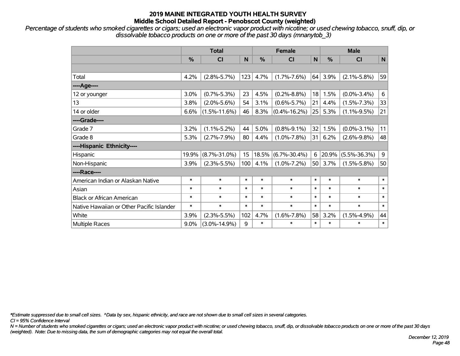*Percentage of students who smoked cigarettes or cigars; used an electronic vapor product with nicotine; or used chewing tobacco, snuff, dip, or dissolvable tobacco products on one or more of the past 30 days (mnanytob\_3)*

|                                           | <b>Total</b> |                    |        | <b>Female</b> |                    |                 | <b>Male</b>   |                    |             |  |
|-------------------------------------------|--------------|--------------------|--------|---------------|--------------------|-----------------|---------------|--------------------|-------------|--|
|                                           | %            | <b>CI</b>          | N      | $\frac{0}{0}$ | <b>CI</b>          | N               | $\frac{0}{0}$ | <b>CI</b>          | $\mathbf N$ |  |
|                                           |              |                    |        |               |                    |                 |               |                    |             |  |
| Total                                     | 4.2%         | $(2.8\% - 5.7\%)$  | 123    | 4.7%          | $(1.7\% - 7.6\%)$  | 64              | 3.9%          | $(2.1\% - 5.8\%)$  | 59          |  |
| ---- Age----                              |              |                    |        |               |                    |                 |               |                    |             |  |
| 12 or younger                             | 3.0%         | $(0.7\% - 5.3\%)$  | 23     | 4.5%          | $(0.2\% - 8.8\%)$  | 18              | 1.5%          | $(0.0\% - 3.4\%)$  | 6           |  |
| 13                                        | 3.8%         | $(2.0\% - 5.6\%)$  | 54     | 3.1%          | $(0.6\% - 5.7\%)$  | 21              | 4.4%          | $(1.5\% - 7.3\%)$  | 33          |  |
| 14 or older                               | 6.6%         | $(1.5\% - 11.6\%)$ | 46     | 8.3%          | $(0.4\% - 16.2\%)$ | 25              | 5.3%          | $(1.1\% - 9.5\%)$  | 21          |  |
| ----Grade----                             |              |                    |        |               |                    |                 |               |                    |             |  |
| Grade 7                                   | 3.2%         | $(1.1\% - 5.2\%)$  | 44     | 5.0%          | $(0.8\% - 9.1\%)$  | 32              | 1.5%          | $(0.0\% - 3.1\%)$  | 11          |  |
| Grade 8                                   | 5.3%         | $(2.7\% - 7.9\%)$  | 80     | 4.4%          | $(1.0\% - 7.8\%)$  | 31              | 6.2%          | $(2.6\% - 9.8\%)$  | 48          |  |
| ----Hispanic Ethnicity----                |              |                    |        |               |                    |                 |               |                    |             |  |
| Hispanic                                  | 19.9%        | $(8.7\% - 31.0\%)$ | 15     | 18.5%         | $(6.7\% - 30.4\%)$ | 6               | 20.9%         | $(5.5\% - 36.3\%)$ | $9\,$       |  |
| Non-Hispanic                              | 3.9%         | $(2.3\% - 5.5\%)$  | 100    | 4.1%          | $(1.0\% - 7.2\%)$  | 50 <sup>2</sup> | 3.7%          | $(1.5\% - 5.8\%)$  | 50          |  |
| ----Race----                              |              |                    |        |               |                    |                 |               |                    |             |  |
| American Indian or Alaskan Native         | $\ast$       | $\ast$             | $\ast$ | $\ast$        | $\ast$             | $\ast$          | $\ast$        | $\ast$             | $\ast$      |  |
| Asian                                     | $\ast$       | $\ast$             | $\ast$ | $\ast$        | $\ast$             | $\ast$          | $\ast$        | $\ast$             | $\ast$      |  |
| <b>Black or African American</b>          | $\ast$       | $\ast$             | $\ast$ | $\ast$        | $\ast$             | $\ast$          | $\ast$        | $\ast$             | $\ast$      |  |
| Native Hawaiian or Other Pacific Islander | $\ast$       | $\ast$             | $\ast$ | $\ast$        | $\ast$             | $\ast$          | $\ast$        | $\ast$             | $\ast$      |  |
| White                                     | 3.9%         | $(2.3\% - 5.5\%)$  | 102    | 4.7%          | $(1.6\% - 7.8\%)$  | 58              | 3.2%          | $(1.5\% - 4.9\%)$  | 44          |  |
| Multiple Races                            | 9.0%         | $(3.0\% - 14.9\%)$ | 9      | $\ast$        | $\ast$             | $\ast$          | $\ast$        | $\ast$             | $\ast$      |  |

*\*Estimate suppressed due to small cell sizes. ^Data by sex, hispanic ethnicity, and race are not shown due to small cell sizes in several categories.*

*CI = 95% Confidence Interval*

*N = Number of students who smoked cigarettes or cigars; used an electronic vapor product with nicotine; or used chewing tobacco, snuff, dip, or dissolvable tobacco products on one or more of the past 30 days (weighted). Note: Due to missing data, the sum of demographic categories may not equal the overall total.*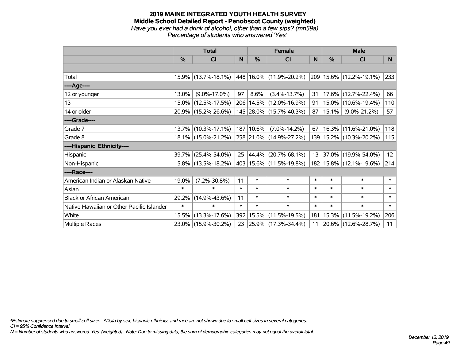#### **2019 MAINE INTEGRATED YOUTH HEALTH SURVEY Middle School Detailed Report - Penobscot County (weighted)** *Have you ever had a drink of alcohol, other than a few sips? (mn59a) Percentage of students who answered 'Yes'*

|                                           | <b>Total</b>  |                        |        |            | <b>Female</b>                   | <b>Male</b> |               |                              |                |
|-------------------------------------------|---------------|------------------------|--------|------------|---------------------------------|-------------|---------------|------------------------------|----------------|
|                                           | $\frac{0}{0}$ | CI                     | N      | $\%$       | <b>CI</b>                       | N           | $\frac{0}{0}$ | <b>CI</b>                    | N <sub>1</sub> |
|                                           |               |                        |        |            |                                 |             |               |                              |                |
| Total                                     |               | $15.9\%$ (13.7%-18.1%) |        |            | $ 448 16.0\% (11.9\% - 20.2\%)$ |             |               | $ 209 15.6\% $ (12.2%-19.1%) | 233            |
| ----Age----                               |               |                        |        |            |                                 |             |               |                              |                |
| 12 or younger                             | 13.0%         | $(9.0\% - 17.0\%)$     | 97     | 8.6%       | $(3.4\% - 13.7\%)$              | 31          |               | $17.6\%$ (12.7%-22.4%)       | 66             |
| 13                                        |               | 15.0% (12.5%-17.5%)    |        |            | 206   14.5%   (12.0%-16.9%)     | 91          |               | 15.0% (10.6%-19.4%)          | 110            |
| 14 or older                               |               | 20.9% (15.2%-26.6%)    |        |            | 145 28.0% (15.7%-40.3%)         | 87          | 15.1%         | $(9.0\% - 21.2\%)$           | 57             |
| ----Grade----                             |               |                        |        |            |                                 |             |               |                              |                |
| Grade 7                                   |               | $13.7\%$ (10.3%-17.1%) |        | 187 10.6%  | $(7.0\% - 14.2\%)$              | 67          |               | 16.3% (11.6%-21.0%)          | 118            |
| Grade 8                                   |               | 18.1% (15.0%-21.2%)    |        |            | 258 21.0% (14.9%-27.2%)         |             |               | 139   15.2%   (10.3%-20.2%)  | 115            |
| ----Hispanic Ethnicity----                |               |                        |        |            |                                 |             |               |                              |                |
| Hispanic                                  | $39.7\%$      | $(25.4\% - 54.0\%)$    | 25     | $ 44.4\% $ | $(20.7\% - 68.1\%)$             |             |               | 13 37.0% (19.9%-54.0%)       | 12             |
| Non-Hispanic                              |               | 15.8% (13.5%-18.2%)    |        |            | 403 15.6% (11.5%-19.8%)         |             |               | 182   15.8%   (12.1%-19.6%)  | 214            |
| ----Race----                              |               |                        |        |            |                                 |             |               |                              |                |
| American Indian or Alaskan Native         | 19.0%         | $(7.2\% - 30.8\%)$     | 11     | $\ast$     | $\ast$                          | $\ast$      | $\ast$        | $\ast$                       | $\ast$         |
| Asian                                     | $\ast$        | $\ast$                 | $\ast$ | $\ast$     | $\ast$                          | $\ast$      | $\ast$        | $\ast$                       | $\ast$         |
| <b>Black or African American</b>          | 29.2%         | $(14.9\% - 43.6\%)$    | 11     | $\ast$     | $\ast$                          | $\ast$      | $\ast$        | $\ast$                       | $\ast$         |
| Native Hawaiian or Other Pacific Islander | $\ast$        | $\ast$                 | $\ast$ | $\ast$     | $\ast$                          | $\ast$      | $\ast$        | $\ast$                       | $\ast$         |
| White                                     | 15.5%         | $(13.3\% - 17.6\%)$    |        | 392 15.5%  | $(11.5\% - 19.5\%)$             | 181         |               | 15.3% (11.5%-19.2%)          | 206            |
| <b>Multiple Races</b>                     |               | 23.0% (15.9%-30.2%)    | 23     |            | $ 25.9\% $ (17.3%-34.4%)        | 11          |               | 20.6% (12.6%-28.7%)          | 11             |

*\*Estimate suppressed due to small cell sizes. ^Data by sex, hispanic ethnicity, and race are not shown due to small cell sizes in several categories.*

*CI = 95% Confidence Interval*

*N = Number of students who answered 'Yes' (weighted). Note: Due to missing data, the sum of demographic categories may not equal the overall total.*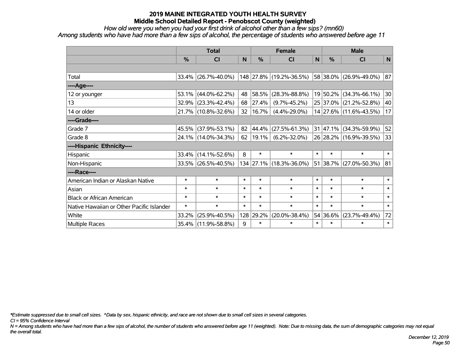*How old were you when you had your first drink of alcohol other than a few sips? (mn60)*

*Among students who have had more than a few sips of alcohol, the percentage of students who answered before age 11*

|                                           | <b>Total</b>  |                        |        |        | <b>Female</b>           | <b>Male</b>  |               |                        |        |
|-------------------------------------------|---------------|------------------------|--------|--------|-------------------------|--------------|---------------|------------------------|--------|
|                                           | $\frac{0}{0}$ | <b>CI</b>              | N      | %      | <b>CI</b>               | $\mathsf{N}$ | $\frac{0}{0}$ | <b>CI</b>              | N      |
|                                           |               |                        |        |        |                         |              |               |                        |        |
| Total                                     |               | $33.4\%$ (26.7%-40.0%) |        |        | 148 27.8% (19.2%-36.5%) |              |               | 58 38.0% (26.9%-49.0%) | 87     |
| ---- Age----                              |               |                        |        |        |                         |              |               |                        |        |
| 12 or younger                             | 53.1%         | $(44.0\% - 62.2\%)$    | 48     | 58.5%  | $(28.3\% - 88.8\%)$     |              | 19 50.2%      | $(34.3\% - 66.1\%)$    | 30     |
| 13                                        |               | 32.9% (23.3%-42.4%)    | 68     | 27.4%  | $(9.7\% - 45.2\%)$      |              |               | 25 37.0% (21.2%-52.8%) | 40     |
| 14 or older                               |               | 21.7% (10.8%-32.6%)    | 32     | 16.7%  | $(4.4\% - 29.0\%)$      |              |               | 14 27.6% (11.6%-43.5%) | 17     |
| ----Grade----                             |               |                        |        |        |                         |              |               |                        |        |
| Grade 7                                   | 45.5%         | $(37.9\% - 53.1\%)$    | 82     | 44.4%  | $(27.5\% - 61.3\%)$     |              |               | 31 47.1% (34.3%-59.9%) | 52     |
| Grade 8                                   |               | 24.1% (14.0%-34.3%)    | 62     | 19.1%  | $(6.2\% - 32.0\%)$      |              |               | 26 28.2% (16.9%-39.5%) | 33     |
| ----Hispanic Ethnicity----                |               |                        |        |        |                         |              |               |                        |        |
| <b>Hispanic</b>                           | 33.4%         | $(14.1\% - 52.6\%)$    | 8      | $\ast$ | $\ast$                  | $\ast$       | $\ast$        | $\ast$                 | $\ast$ |
| Non-Hispanic                              |               | 33.5% (26.5%-40.5%)    |        |        | 134 27.1% (18.3%-36.0%) |              |               | 51 38.7% (27.0%-50.3%) | 81     |
| ----Race----                              |               |                        |        |        |                         |              |               |                        |        |
| American Indian or Alaskan Native         | $\ast$        | $\ast$                 | $\ast$ | $\ast$ | $\ast$                  | $\ast$       | $\ast$        | $\ast$                 | $\ast$ |
| Asian                                     | $\ast$        | $\ast$                 | $\ast$ | $\ast$ | $\ast$                  | $\ast$       | $\ast$        | $\ast$                 | $\ast$ |
| <b>Black or African American</b>          | $\ast$        | $\ast$                 | $\ast$ | $\ast$ | $\ast$                  | $\ast$       | $\ast$        | $\ast$                 | $\ast$ |
| Native Hawaiian or Other Pacific Islander | $\ast$        | $\ast$                 | $\ast$ | $\ast$ | $\ast$                  | $\ast$       | $\ast$        | $\ast$                 | $\ast$ |
| White                                     | 33.2%         | $(25.9\% - 40.5\%)$    | 128    | 29.2%  | $(20.0\% - 38.4\%)$     |              | 54 36.6%      | $(23.7\% - 49.4\%)$    | 72     |
| Multiple Races                            |               | 35.4% (11.9%-58.8%)    | 9      | $\ast$ | $\ast$                  | $\ast$       | $\ast$        | $\ast$                 | $\ast$ |

*\*Estimate suppressed due to small cell sizes. ^Data by sex, hispanic ethnicity, and race are not shown due to small cell sizes in several categories.*

*CI = 95% Confidence Interval*

*N = Among students who have had more than a few sips of alcohol, the number of students who answered before age 11 (weighted). Note: Due to missing data, the sum of demographic categories may not equal the overall total.*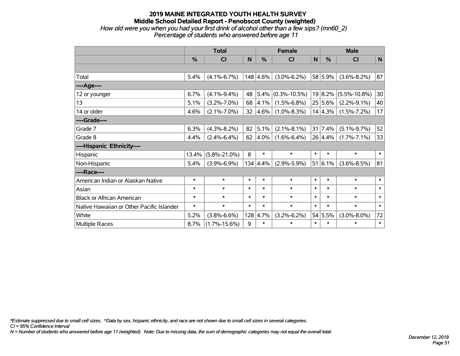### **2019 MAINE INTEGRATED YOUTH HEALTH SURVEY Middle School Detailed Report - Penobscot County (weighted)** *How old were you when you had your first drink of alcohol other than a few sips? (mn60\_2) Percentage of students who answered before age 11*

|                                           | <b>Total</b>  |                    |        |                  | <b>Female</b>      |        | <b>Male</b>     |                    |              |  |
|-------------------------------------------|---------------|--------------------|--------|------------------|--------------------|--------|-----------------|--------------------|--------------|--|
|                                           | $\frac{0}{0}$ | <b>CI</b>          | N      | %                | C <sub>1</sub>     | N      | %               | <b>CI</b>          | $\mathsf{N}$ |  |
|                                           |               |                    |        |                  |                    |        |                 |                    |              |  |
| Total                                     | 5.4%          | $(4.1\% - 6.7\%)$  |        | 148 4.6%         | $(3.0\% - 6.2\%)$  |        | 58 5.9%         | $(3.6\% - 8.2\%)$  | 87           |  |
| ---- Age----                              |               |                    |        |                  |                    |        |                 |                    |              |  |
| 12 or younger                             | 6.7%          | $(4.1\% - 9.4\%)$  | 48     | $5.4\%$          | $(0.3\% - 10.5\%)$ |        | 19 8.2%         | $(5.5\% - 10.8\%)$ | 30           |  |
| 13                                        | 5.1%          | $(3.2\% - 7.0\%)$  | 68     | 4.1%             | $(1.5\% - 6.8\%)$  |        | 25 5.6%         | $(2.2\% - 9.1\%)$  | 40           |  |
| 14 or older                               | 4.6%          | $(2.1\% - 7.0\%)$  | 32     | 4.6%             | $(1.0\% - 8.3\%)$  |        | 14 4.3%         | $(1.5\% - 7.2\%)$  | 17           |  |
| ----Grade----                             |               |                    |        |                  |                    |        |                 |                    |              |  |
| Grade 7                                   | 6.3%          | $(4.3\% - 8.2\%)$  | 82     | 5.1%             | $(2.1\% - 8.1\%)$  |        | $31 \mid 7.4\%$ | $(5.1\% - 9.7\%)$  | 52           |  |
| Grade 8                                   | 4.4%          | $(2.4\% - 6.4\%)$  | 62     | 4.0%             | $(1.6\% - 6.4\%)$  |        | 26 4.4%         | $(1.7\% - 7.1\%)$  | 33           |  |
| ----Hispanic Ethnicity----                |               |                    |        |                  |                    |        |                 |                    |              |  |
| Hispanic                                  | 13.4%         | $(5.8\% - 21.0\%)$ | 8      | $\ast$           | $\ast$             | $\ast$ | $\ast$          | $\ast$             | $\ast$       |  |
| Non-Hispanic                              | 5.4%          | $(3.9\% - 6.9\%)$  |        | $134 \,   4.4\%$ | $(2.9\% - 5.9\%)$  | 51     | 6.1%            | $(3.6\% - 8.5\%)$  | 81           |  |
| ----Race----                              |               |                    |        |                  |                    |        |                 |                    |              |  |
| American Indian or Alaskan Native         | $\ast$        | $\ast$             | $\ast$ | $\ast$           | $\ast$             | $\ast$ | $\ast$          | $\ast$             | $\ast$       |  |
| Asian                                     | $\ast$        | $\ast$             | $\ast$ | $\ast$           | $\ast$             | $\ast$ | $\ast$          | $\ast$             | $\ast$       |  |
| <b>Black or African American</b>          | $\ast$        | $\ast$             | $\ast$ | $\ast$           | $\ast$             | $\ast$ | $\ast$          | $\ast$             | $\ast$       |  |
| Native Hawaiian or Other Pacific Islander | $\ast$        | $\ast$             | $\ast$ | $\ast$           | $\ast$             | $\ast$ | $\ast$          | $\ast$             | $\ast$       |  |
| White                                     | 5.2%          | $(3.8\% - 6.6\%)$  | 128    | 4.7%             | $(3.2\% - 6.2\%)$  |        | 54 5.5%         | $(3.0\% - 8.0\%)$  | 72           |  |
| <b>Multiple Races</b>                     | 8.7%          | $(1.7\% - 15.6\%)$ | 9      | $\ast$           | $\ast$             | $\ast$ | $\ast$          | $\ast$             | $\ast$       |  |

*\*Estimate suppressed due to small cell sizes. ^Data by sex, hispanic ethnicity, and race are not shown due to small cell sizes in several categories.*

*CI = 95% Confidence Interval*

*N = Number of students who answered before age 11 (weighted). Note: Due to missing data, the sum of demographic categories may not equal the overall total.*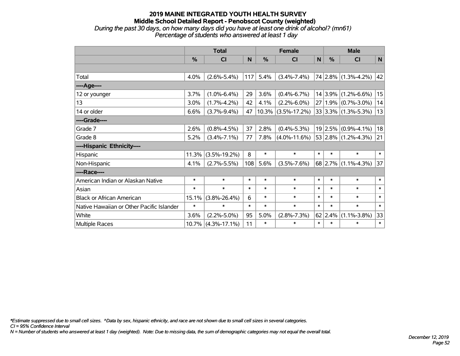### **2019 MAINE INTEGRATED YOUTH HEALTH SURVEY Middle School Detailed Report - Penobscot County (weighted)** *During the past 30 days, on how many days did you have at least one drink of alcohol? (mn61) Percentage of students who answered at least 1 day*

|                                           | <b>Total</b> |                    |        |               | <b>Female</b>      |              | <b>Male</b> |                              |              |  |
|-------------------------------------------|--------------|--------------------|--------|---------------|--------------------|--------------|-------------|------------------------------|--------------|--|
|                                           | %            | CI                 | N      | $\frac{9}{6}$ | <b>CI</b>          | $\mathsf{N}$ | %           | <b>CI</b>                    | $\mathsf{N}$ |  |
|                                           |              |                    |        |               |                    |              |             |                              |              |  |
| Total                                     | 4.0%         | $(2.6\% - 5.4\%)$  | 117    | 5.4%          | $(3.4\% - 7.4\%)$  |              |             | $74 2.8\% $ (1.3%-4.2%)      | 42           |  |
| ---- Age----                              |              |                    |        |               |                    |              |             |                              |              |  |
| 12 or younger                             | 3.7%         | $(1.0\% - 6.4\%)$  | 29     | 3.6%          | $(0.4\% - 6.7\%)$  |              | 14 3.9%     | $(1.2\% - 6.6\%)$            | 15           |  |
| 13                                        | 3.0%         | $(1.7\% - 4.2\%)$  | 42     | 4.1%          | $(2.2\% - 6.0\%)$  |              |             | $27 1.9\% $ (0.7%-3.0%)      | 14           |  |
| 14 or older                               | 6.6%         | $(3.7\% - 9.4\%)$  | 47     | 10.3%         | $(3.5\% - 17.2\%)$ |              |             | $33 3.3\% $ (1.3%-5.3%)      | 13           |  |
| ----Grade----                             |              |                    |        |               |                    |              |             |                              |              |  |
| Grade 7                                   | 2.6%         | $(0.8\% - 4.5\%)$  | 37     | 2.8%          | $(0.4\% - 5.3\%)$  |              |             | $19 2.5\% $ (0.9%-4.1%)      | 18           |  |
| Grade 8                                   | 5.2%         | $(3.4\% - 7.1\%)$  | 77     | 7.8%          | $(4.0\% - 11.6\%)$ |              |             | $ 53 2.8\%  (1.2\% - 4.3\%)$ | 21           |  |
| ----Hispanic Ethnicity----                |              |                    |        |               |                    |              |             |                              |              |  |
| Hispanic                                  | 11.3%        | $(3.5\% - 19.2\%)$ | 8      | $\ast$        | $\ast$             | $\ast$       | $\ast$      | $\ast$                       | $\ast$       |  |
| Non-Hispanic                              | 4.1%         | $(2.7\% - 5.5\%)$  | 108    | 5.6%          | $(3.5\% - 7.6\%)$  |              | 68 2.7%     | $(1.1\% - 4.3\%)$            | 37           |  |
| ----Race----                              |              |                    |        |               |                    |              |             |                              |              |  |
| American Indian or Alaskan Native         | $\ast$       | $\ast$             | $\ast$ | $\ast$        | $\ast$             | $\ast$       | $\ast$      | $\ast$                       | $\ast$       |  |
| Asian                                     | $\ast$       | $\ast$             | $\ast$ | $\ast$        | $\ast$             | $\ast$       | $\ast$      | $\ast$                       | $\ast$       |  |
| <b>Black or African American</b>          | 15.1%        | $(3.8\% - 26.4\%)$ | 6      | $\ast$        | $\ast$             | $\ast$       | $\ast$      | $\ast$                       | $\ast$       |  |
| Native Hawaiian or Other Pacific Islander | $\ast$       | $\ast$             | $\ast$ | $\ast$        | $\ast$             | $\ast$       | $\ast$      | $\ast$                       | $\ast$       |  |
| White                                     | 3.6%         | $(2.2\% - 5.0\%)$  | 95     | 5.0%          | $(2.8\% - 7.3\%)$  |              | $62$   2.4% | $(1.1\% - 3.8\%)$            | 33           |  |
| Multiple Races                            | 10.7%        | $(4.3\% - 17.1\%)$ | 11     | $\ast$        | $\ast$             | $\ast$       | $\ast$      | *                            | $\ast$       |  |

*\*Estimate suppressed due to small cell sizes. ^Data by sex, hispanic ethnicity, and race are not shown due to small cell sizes in several categories.*

*CI = 95% Confidence Interval*

*N = Number of students who answered at least 1 day (weighted). Note: Due to missing data, the sum of demographic categories may not equal the overall total.*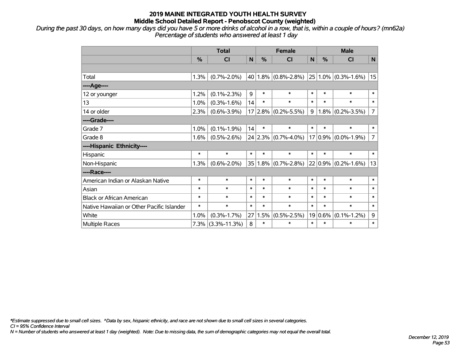*During the past 30 days, on how many days did you have 5 or more drinks of alcohol in a row, that is, within a couple of hours? (mn62a) Percentage of students who answered at least 1 day*

|                                           | <b>Total</b> |                   |        |        | <b>Female</b>           |              | <b>Male</b> |                          |                |  |
|-------------------------------------------|--------------|-------------------|--------|--------|-------------------------|--------------|-------------|--------------------------|----------------|--|
|                                           | %            | CI                | N      | %      | <b>CI</b>               | $\mathsf{N}$ | %           | <b>CI</b>                | $\mathsf{N}$   |  |
|                                           |              |                   |        |        |                         |              |             |                          |                |  |
| Total                                     | 1.3%         | $(0.7\% - 2.0\%)$ |        |        | $40 1.8\% $ (0.8%-2.8%) |              |             | $ 25 1.0\% $ (0.3%-1.6%) | 15             |  |
| ---- Age----                              |              |                   |        |        |                         |              |             |                          |                |  |
| 12 or younger                             | 1.2%         | $(0.1\% - 2.3\%)$ | 9      | $\ast$ | $\ast$                  | $\ast$       | $\ast$      | $\ast$                   | $\ast$         |  |
| 13                                        | 1.0%         | $(0.3\% - 1.6\%)$ | 14     | $\ast$ | $\ast$                  | $\ast$       | $\ast$      | $\ast$                   | $\ast$         |  |
| 14 or older                               | 2.3%         | $(0.6\% - 3.9\%)$ |        |        | $17 2.8\% $ (0.2%-5.5%) | 9            | 1.8%        | $(0.2\% - 3.5\%)$        | $\overline{7}$ |  |
| ----Grade----                             |              |                   |        |        |                         |              |             |                          |                |  |
| Grade 7                                   | 1.0%         | $(0.1\% - 1.9\%)$ | 14     | $\ast$ | $\ast$                  | $\ast$       | $\ast$      | $\ast$                   | $\ast$         |  |
| Grade 8                                   | 1.6%         | $(0.5\% - 2.6\%)$ |        |        | $24 2.3\% $ (0.7%-4.0%) |              |             | $17 0.9\% $ (0.0%-1.9%)  | 7              |  |
| ----Hispanic Ethnicity----                |              |                   |        |        |                         |              |             |                          |                |  |
| Hispanic                                  | $\ast$       | $\ast$            | $\ast$ | $\ast$ | $\ast$                  | $\ast$       | $\ast$      | $\ast$                   | $\ast$         |  |
| Non-Hispanic                              | 1.3%         | $(0.6\% - 2.0\%)$ | 35     |        | $1.8\%$ (0.7%-2.8%)     |              | 22 0.9%     | $(0.2\% - 1.6\%)$        | 13             |  |
| ----Race----                              |              |                   |        |        |                         |              |             |                          |                |  |
| American Indian or Alaskan Native         | $\ast$       | $\ast$            | $\ast$ | $\ast$ | $\ast$                  | $\ast$       | $\ast$      | $\ast$                   | $\ast$         |  |
| Asian                                     | $\ast$       | $\ast$            | $\ast$ | $\ast$ | $\ast$                  | $\ast$       | $\ast$      | $\ast$                   | $\ast$         |  |
| <b>Black or African American</b>          | $\ast$       | $\ast$            | $\ast$ | $\ast$ | $\ast$                  | $\ast$       | $\ast$      | $\ast$                   | $\ast$         |  |
| Native Hawaiian or Other Pacific Islander | $\ast$       | $\ast$            | $\ast$ | $\ast$ | $\ast$                  | $\ast$       | $\ast$      | $\ast$                   | $\ast$         |  |
| White                                     | 1.0%         | $(0.3\% - 1.7\%)$ | 27     | 1.5%   | $(0.5\% - 2.5\%)$       |              | 19 0.6%     | $(0.1\% - 1.2\%)$        | 9              |  |
| Multiple Races                            |              | 7.3% (3.3%-11.3%) | 8      | $\ast$ | $\ast$                  | $\ast$       | $\ast$      | $\ast$                   | $\ast$         |  |

*\*Estimate suppressed due to small cell sizes. ^Data by sex, hispanic ethnicity, and race are not shown due to small cell sizes in several categories.*

*CI = 95% Confidence Interval*

*N = Number of students who answered at least 1 day (weighted). Note: Due to missing data, the sum of demographic categories may not equal the overall total.*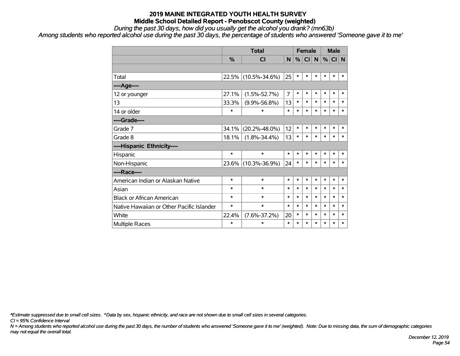*During the past 30 days, how did you usually get the alcohol you drank? (mn63b)*

*Among students who reported alcohol use during the past 30 days, the percentage of students who answered 'Someone gave it to me'*

|                                           |               | <b>Total</b>        |                | <b>Female</b> |        |        | <b>Male</b> |        |        |
|-------------------------------------------|---------------|---------------------|----------------|---------------|--------|--------|-------------|--------|--------|
|                                           | $\frac{9}{6}$ | <b>CI</b>           | N              | %             | CI     | N      | %           | CI N   |        |
|                                           |               |                     |                |               |        |        |             |        |        |
| Total                                     | 22.5%         | $(10.5\% - 34.6\%)$ | 25             | $\ast$        | $\ast$ | $\ast$ | $\ast$      | $\ast$ | $\ast$ |
| ---- Age----                              |               |                     |                |               |        |        |             |        |        |
| 12 or younger                             | 27.1%         | $(1.5\% - 52.7\%)$  | $\overline{7}$ | $\ast$        | $\ast$ | $\ast$ | $\ast$      | $\ast$ | $\ast$ |
| 13                                        | 33.3%         | $(9.9\% - 56.8\%)$  | 13             | $\ast$        | $\ast$ | $\ast$ | $\ast$      | $\ast$ | $\ast$ |
| 14 or older                               | ∗             | $\ast$              | $\ast$         | $\ast$        | $\ast$ | $\ast$ | $\ast$      | $\ast$ | $\ast$ |
| ----Grade----                             |               |                     |                |               |        |        |             |        |        |
| Grade 7                                   | 34.1%         | $(20.2\% - 48.0\%)$ | 12             | $\ast$        | $\ast$ | $\ast$ | $\ast$      | $\ast$ | $\ast$ |
| Grade 8                                   | 18.1%         | $(1.8\% - 34.4\%)$  | 13             | $\ast$        | $\ast$ | $\ast$ | $\ast$      | $\ast$ | $\ast$ |
| ----Hispanic Ethnicity----                |               |                     |                |               |        |        |             |        |        |
| Hispanic                                  | $\ast$        | $\ast$              | $\ast$         | $\ast$        | $\ast$ | $\ast$ | $\ast$      | $\ast$ | $\ast$ |
| Non-Hispanic                              | $23.6\%$      | $(10.3\% - 36.9\%)$ | 24             | $\ast$        | $\ast$ | $\ast$ | $\ast$      | $\ast$ | $\ast$ |
| ----Race----                              |               |                     |                |               |        |        |             |        |        |
| American Indian or Alaskan Native         | $\ast$        | $\ast$              | $\ast$         | $\ast$        | $\ast$ | $\ast$ | $\ast$      | $\ast$ | $\ast$ |
| Asian                                     | $\ast$        | $\ast$              | $\ast$         | $\ast$        | $\ast$ | $\ast$ | $\ast$      | $\ast$ | $\ast$ |
| <b>Black or African American</b>          | $\ast$        | $\ast$              | $\ast$         | $\ast$        | $\ast$ | $\ast$ | $\ast$      | $\ast$ | $\ast$ |
| Native Hawaiian or Other Pacific Islander | $\ast$        | $\ast$              | $\ast$         | $\ast$        | $\ast$ | $\ast$ | $\ast$      | $\ast$ | $\ast$ |
| White                                     | 22.4%         | $(7.6\% - 37.2\%)$  | 20             | $\ast$        | $\ast$ | $\ast$ | $\ast$      | $\ast$ | $\ast$ |
| <b>Multiple Races</b>                     | $\ast$        | $\ast$              | $\ast$         | $\ast$        | $\ast$ | $\ast$ | $\ast$      | $\ast$ | $\ast$ |

*\*Estimate suppressed due to small cell sizes. ^Data by sex, hispanic ethnicity, and race are not shown due to small cell sizes in several categories.*

*CI = 95% Confidence Interval*

*N = Among students who reported alcohol use during the past 30 days, the number of students who answered 'Someone gave it to me' (weighted). Note: Due to missing data, the sum of demographic categories may not equal the overall total.*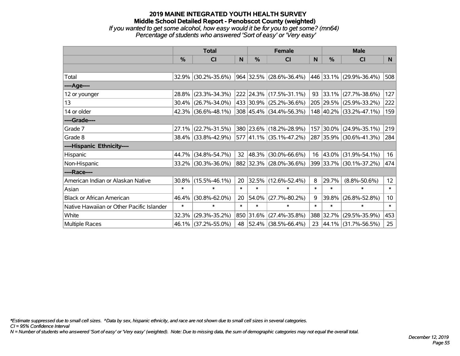## **2019 MAINE INTEGRATED YOUTH HEALTH SURVEY Middle School Detailed Report - Penobscot County (weighted)** *If you wanted to get some alcohol, how easy would it be for you to get some? (mn64) Percentage of students who answered 'Sort of easy' or 'Very easy'*

|                                           | <b>Total</b>  |                        |        | <b>Female</b> | <b>Male</b>                              |              |        |                         |                 |
|-------------------------------------------|---------------|------------------------|--------|---------------|------------------------------------------|--------------|--------|-------------------------|-----------------|
|                                           | $\frac{0}{0}$ | CI                     | N      | $\%$          | CI                                       | <sub>N</sub> | %      | <b>CI</b>               | N               |
|                                           |               |                        |        |               |                                          |              |        |                         |                 |
| Total                                     |               | 32.9% (30.2%-35.6%)    |        |               | 964 32.5% (28.6%-36.4%)                  |              |        | 446 33.1% (29.9%-36.4%) | 508             |
| ----Age----                               |               |                        |        |               |                                          |              |        |                         |                 |
| 12 or younger                             | 28.8%         | $(23.3\% - 34.3\%)$    |        |               | 222 24.3% (17.5%-31.1%)                  | $93 \mid$    | 33.1%  | $(27.7\% - 38.6\%)$     | 127             |
| 13                                        | 30.4%         | $(26.7\% - 34.0\%)$    |        |               | 433 30.9% (25.2%-36.6%)                  |              |        | 205 29.5% (25.9%-33.2%) | 222             |
| 14 or older                               |               | $42.3\%$ (36.6%-48.1%) |        |               | $308 \mid 45.4\% \mid (34.4\% - 56.3\%)$ |              |        | 148 40.2% (33.2%-47.1%) | 159             |
| ----Grade----                             |               |                        |        |               |                                          |              |        |                         |                 |
| Grade 7                                   | 27.1%         | $(22.7\% - 31.5\%)$    |        |               | 380 23.6% (18.2%-28.9%)                  | 157          | 30.0%  | $(24.9\% - 35.1\%)$     | 219             |
| Grade 8                                   |               | 38.4% (33.8%-42.9%)    |        |               | 577 41.1% (35.1%-47.2%)                  |              |        | 287 35.9% (30.6%-41.3%) | 284             |
| ----Hispanic Ethnicity----                |               |                        |        |               |                                          |              |        |                         |                 |
| Hispanic                                  | 44.7%         | $(34.8\% - 54.7\%)$    | 32     | $ 48.3\% $    | $(30.0\% - 66.6\%)$                      | 16           | 43.0%  | $(31.9\% - 54.1\%)$     | 16              |
| Non-Hispanic                              |               | 33.2% (30.3%-36.0%)    |        |               | 882 32.3% (28.0%-36.6%)                  |              |        | 399 33.7% (30.1%-37.2%) | 474             |
| ----Race----                              |               |                        |        |               |                                          |              |        |                         |                 |
| American Indian or Alaskan Native         |               | $30.8\%$ (15.5%-46.1%) | 20     |               | 32.5% (12.6%-52.4%)                      | 8            | 29.7%  | $(8.8\% - 50.6\%)$      | 12              |
| Asian                                     | $\ast$        | $\ast$                 | $\ast$ | $\ast$        | $\ast$                                   | $\ast$       | $\ast$ | $\ast$                  | $\ast$          |
| <b>Black or African American</b>          | 46.4%         | $(30.8\% - 62.0\%)$    | 20     | 54.0%         | $(27.7\% - 80.2\%)$                      | 9            | 39.8%  | $(26.8\% - 52.8\%)$     | 10 <sub>1</sub> |
| Native Hawaiian or Other Pacific Islander | $\ast$        | $\ast$                 | $\ast$ | $\ast$        | $\ast$                                   | $\ast$       | $\ast$ | $\ast$                  | $\ast$          |
| White                                     | 32.3%         | $(29.3\% - 35.2\%)$    |        | 850 31.6%     | $(27.4\% - 35.8\%)$                      | 388          | 32.7%  | $(29.5\% - 35.9\%)$     | 453             |
| Multiple Races                            |               | 46.1% (37.2%-55.0%)    |        |               | 48 52.4% (38.5%-66.4%)                   | 23           |        | 44.1% (31.7%-56.5%)     | 25              |

*\*Estimate suppressed due to small cell sizes. ^Data by sex, hispanic ethnicity, and race are not shown due to small cell sizes in several categories.*

*CI = 95% Confidence Interval*

*N = Number of students who answered 'Sort of easy' or 'Very easy' (weighted). Note: Due to missing data, the sum of demographic categories may not equal the overall total.*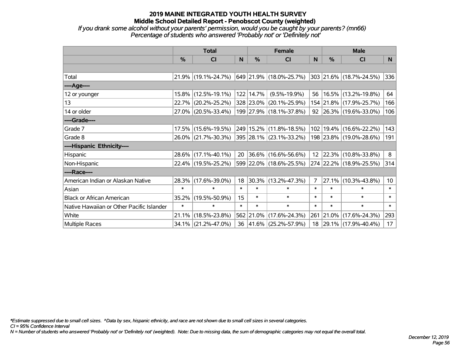*If you drank some alcohol without your parents' permission, would you be caught by your parents? (mn66) Percentage of students who answered 'Probably not' or 'Definitely not'*

|                                           | <b>Total</b>  |                     |        | <b>Female</b> | <b>Male</b>              |        |           |                         |                 |
|-------------------------------------------|---------------|---------------------|--------|---------------|--------------------------|--------|-----------|-------------------------|-----------------|
|                                           | $\frac{0}{0}$ | <b>CI</b>           | N      | $\%$          | <b>CI</b>                | N      | %         | <b>CI</b>               | N.              |
|                                           |               |                     |        |               |                          |        |           |                         |                 |
| Total                                     |               | 21.9% (19.1%-24.7%) |        |               | 649 21.9% (18.0%-25.7%)  |        |           | 303 21.6% (18.7%-24.5%) | 336             |
| ----Age----                               |               |                     |        |               |                          |        |           |                         |                 |
| 12 or younger                             | $15.8\%$      | $(12.5\% - 19.1\%)$ |        | 122 14.7%     | $(9.5\% - 19.9\%)$       | 56     |           | 16.5% (13.2%-19.8%)     | 64              |
| 13                                        | 22.7%         | $(20.2\% - 25.2\%)$ |        |               | 328 23.0% (20.1%-25.9%)  |        |           | 154 21.8% (17.9%-25.7%) | 166             |
| 14 or older                               |               | 27.0% (20.5%-33.4%) |        |               | 199 27.9% (18.1%-37.8%)  |        |           | 92 26.3% (19.6%-33.0%)  | 106             |
| ----Grade----                             |               |                     |        |               |                          |        |           |                         |                 |
| Grade 7                                   | 17.5%         | $(15.6\% - 19.5\%)$ |        |               | 249 15.2% (11.8%-18.5%)  | 102    | 19.4%     | $(16.6\% - 22.2\%)$     | 143             |
| Grade 8                                   |               | 26.0% (21.7%-30.3%) |        |               | 395 28.1% (23.1%-33.2%)  |        |           | 198 23.8% (19.0%-28.6%) | 191             |
| ----Hispanic Ethnicity----                |               |                     |        |               |                          |        |           |                         |                 |
| Hispanic                                  |               | 28.6% (17.1%-40.1%) | 20     |               | $ 36.6\% $ (16.6%-56.6%) |        | 12 22.3%  | $(10.8\% - 33.8\%)$     | 8               |
| Non-Hispanic                              |               | 22.4% (19.5%-25.2%) |        |               | 599 22.0% (18.6%-25.5%)  |        |           | 274 22.2% (18.9%-25.5%) | 314             |
| ----Race----                              |               |                     |        |               |                          |        |           |                         |                 |
| American Indian or Alaskan Native         | 28.3%         | $(17.6\% - 39.0\%)$ | 18     |               | $30.3\%$ (13.2%-47.3%)   | 7      | 27.1%     | $(10.3\% - 43.8\%)$     | 10 <sup>1</sup> |
| Asian                                     | $\ast$        | $\ast$              | $\ast$ | $\ast$        | $\ast$                   | $\ast$ | $\ast$    | $\ast$                  | $\ast$          |
| <b>Black or African American</b>          | 35.2%         | $(19.5\% - 50.9\%)$ | 15     | $\ast$        | $\ast$                   | $\ast$ | $\ast$    | $\ast$                  | $\ast$          |
| Native Hawaiian or Other Pacific Islander | $\ast$        | $\ast$              | $\ast$ | $\ast$        | $\ast$                   | $\ast$ | $\ast$    | $\ast$                  | $\ast$          |
| White                                     | 21.1%         | $(18.5\% - 23.8\%)$ |        | 562 21.0%     | $(17.6\% - 24.3\%)$      |        | 261 21.0% | $(17.6\% - 24.3\%)$     | 293             |
| Multiple Races                            |               | 34.1% (21.2%-47.0%) |        |               | 36 41.6% (25.2%-57.9%)   |        |           | 18 29.1% (17.9%-40.4%)  | 17              |

*\*Estimate suppressed due to small cell sizes. ^Data by sex, hispanic ethnicity, and race are not shown due to small cell sizes in several categories.*

*CI = 95% Confidence Interval*

*N = Number of students who answered 'Probably not' or 'Definitely not' (weighted). Note: Due to missing data, the sum of demographic categories may not equal the overall total.*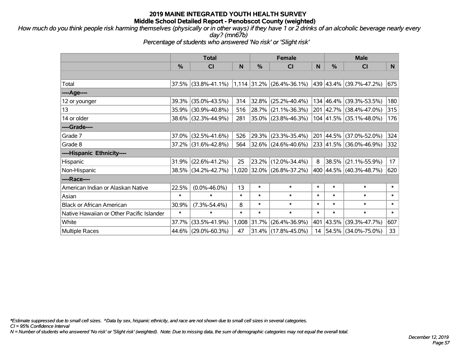*How much do you think people risk harming themselves (physically or in other ways) if they have 1 or 2 drinks of an alcoholic beverage nearly every day? (mn67b)*

*Percentage of students who answered 'No risk' or 'Slight risk'*

|                                           | <b>Total</b> |                        |        | <b>Female</b> |                             | <b>Male</b> |           |                                          |        |
|-------------------------------------------|--------------|------------------------|--------|---------------|-----------------------------|-------------|-----------|------------------------------------------|--------|
|                                           | %            | CI                     | N      | %             | C <sub>1</sub>              | N           | %         | <b>CI</b>                                | N      |
|                                           |              |                        |        |               |                             |             |           |                                          |        |
| Total                                     |              | 37.5% (33.8%-41.1%)    |        |               | $1,114$ 31.2% (26.4%-36.1%) |             |           | 439 43.4% (39.7%-47.2%)                  | 675    |
| ----Age----                               |              |                        |        |               |                             |             |           |                                          |        |
| 12 or younger                             | 39.3%        | $(35.0\% - 43.5\%)$    | 314    | 32.8%         | $(25.2\% - 40.4\%)$         |             | 134 46.4% | $(39.3\% - 53.5\%)$                      | 180    |
| 13                                        |              | 35.9% (30.9%-40.8%)    | 516    |               | 28.7% (21.1%-36.3%)         |             |           | 201 42.7% (38.4%-47.0%)                  | 315    |
| 14 or older                               |              | 38.6% (32.3%-44.9%)    | 281    |               | 35.0% (23.8%-46.3%)         |             |           | $104 \mid 41.5\% \mid (35.1\% - 48.0\%)$ | 176    |
| ----Grade----                             |              |                        |        |               |                             |             |           |                                          |        |
| Grade 7                                   |              | $37.0\%$ (32.5%-41.6%) | 526    | 29.3%         | $(23.3\% - 35.4\%)$         | 201         | 44.5%     | $(37.0\% - 52.0\%)$                      | 324    |
| Grade 8                                   |              | 37.2% (31.6%-42.8%)    | 564    |               | $ 32.6\% $ (24.6%-40.6%)    |             |           | 233 41.5% (36.0%-46.9%)                  | 332    |
| ----Hispanic Ethnicity----                |              |                        |        |               |                             |             |           |                                          |        |
| Hispanic                                  | 31.9%        | $(22.6\% - 41.2\%)$    | 25     |               | 23.2% (12.0%-34.4%)         | 8           | 38.5%     | $(21.1\% - 55.9\%)$                      | 17     |
| Non-Hispanic                              |              | 38.5% (34.2%-42.7%)    |        |               | 1,020 32.0% (26.8%-37.2%)   |             |           | 400 44.5% (40.3%-48.7%)                  | 620    |
| ----Race----                              |              |                        |        |               |                             |             |           |                                          |        |
| American Indian or Alaskan Native         | 22.5%        | $(0.0\% - 46.0\%)$     | 13     | $\ast$        | $\ast$                      | $\ast$      | $\ast$    | $\ast$                                   | $\ast$ |
| Asian                                     | $\ast$       | $\ast$                 | $\ast$ | $\ast$        | $\ast$                      | $\ast$      | $\ast$    | $\ast$                                   | $\ast$ |
| <b>Black or African American</b>          | 30.9%        | $(7.3\% - 54.4\%)$     | 8      | $\ast$        | $\ast$                      | $\ast$      | $\ast$    | $\ast$                                   | $\ast$ |
| Native Hawaiian or Other Pacific Islander | $\ast$       | $\ast$                 | $\ast$ | $\ast$        | $\ast$                      | $\ast$      | $\ast$    | $\ast$                                   | $\ast$ |
| White                                     | 37.7%        | $(33.5\% - 41.9\%)$    |        | 1,008 31.7%   | $(26.4\% - 36.9\%)$         | 401         | 43.5%     | $(39.3\% - 47.7\%)$                      | 607    |
| <b>Multiple Races</b>                     |              | 44.6% (29.0%-60.3%)    | 47     |               | 31.4% (17.8%-45.0%)         | 14          |           | $ 54.5\% $ (34.0%-75.0%)                 | 33     |

*\*Estimate suppressed due to small cell sizes. ^Data by sex, hispanic ethnicity, and race are not shown due to small cell sizes in several categories.*

*CI = 95% Confidence Interval*

*N = Number of students who answered 'No risk' or 'Slight risk' (weighted). Note: Due to missing data, the sum of demographic categories may not equal the overall total.*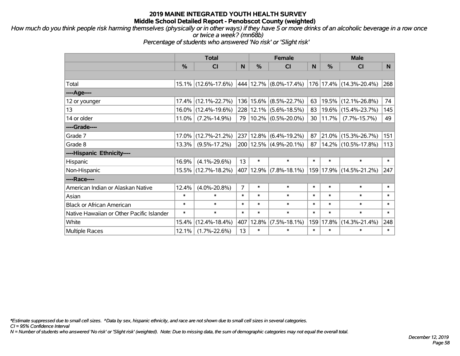*How much do you think people risk harming themselves (physically or in other ways) if they have 5 or more drinks of an alcoholic beverage in a row once or twice a week? (mn68b)*

*Percentage of students who answered 'No risk' or 'Slight risk'*

|                                           | <b>Total</b> |                     |                |           | <b>Female</b>              |        | <b>Male</b> |                         |        |  |
|-------------------------------------------|--------------|---------------------|----------------|-----------|----------------------------|--------|-------------|-------------------------|--------|--|
|                                           | %            | <b>CI</b>           | N              | %         | <b>CI</b>                  | N      | %           | <b>CI</b>               | N.     |  |
|                                           |              |                     |                |           |                            |        |             |                         |        |  |
| Total                                     |              | 15.1% (12.6%-17.6%) |                | 444 12.7% | $(8.0\% - 17.4\%)$         |        |             | 176 17.4% (14.3%-20.4%) | 268    |  |
| ----Age----                               |              |                     |                |           |                            |        |             |                         |        |  |
| 12 or younger                             | 17.4%        | $(12.1\% - 22.7\%)$ | 136            | 15.6%     | $(8.5\% - 22.7\%)$         | 63     | 19.5%       | $(12.1\% - 26.8\%)$     | 74     |  |
| 13                                        | 16.0%        | $(12.4\% - 19.6\%)$ |                |           | 228 12.1% (5.6%-18.5%)     | 83     | 19.6%       | $(15.4\% - 23.7\%)$     | 145    |  |
| 14 or older                               | $11.0\%$     | $(7.2\% - 14.9\%)$  | 79             |           | $10.2\%$ (0.5%-20.0%)      | 30     | 11.7%       | $(7.7\% - 15.7\%)$      | 49     |  |
| ----Grade----                             |              |                     |                |           |                            |        |             |                         |        |  |
| Grade 7                                   | 17.0%        | $(12.7\% - 21.2\%)$ | 237            | 12.8%     | $(6.4\% - 19.2\%)$         | 87     | 21.0%       | $(15.3\% - 26.7\%)$     | 151    |  |
| Grade 8                                   | 13.3%        | $(9.5\% - 17.2\%)$  |                |           | 200   12.5%   (4.9%-20.1%) | 87     |             | 14.2% (10.5%-17.8%)     | 113    |  |
| ----Hispanic Ethnicity----                |              |                     |                |           |                            |        |             |                         |        |  |
| Hispanic                                  | 16.9%        | $(4.1\% - 29.6\%)$  | 13             | $\ast$    | $\ast$                     | $\ast$ | $\ast$      | $\ast$                  | $\ast$ |  |
| Non-Hispanic                              | 15.5%        | $(12.7\% - 18.2\%)$ | 407            | 12.9%     | $(7.8\% - 18.1\%)$         |        | 159 17.9%   | $(14.5\% - 21.2\%)$     | 247    |  |
| ----Race----                              |              |                     |                |           |                            |        |             |                         |        |  |
| American Indian or Alaskan Native         | 12.4%        | $(4.0\% - 20.8\%)$  | $\overline{7}$ | $\ast$    | $\ast$                     | $\ast$ | $\ast$      | $\ast$                  | $\ast$ |  |
| Asian                                     | $\ast$       | *                   | $\ast$         | $\ast$    | $\ast$                     | $\ast$ | $\ast$      | $\ast$                  | $\ast$ |  |
| <b>Black or African American</b>          | $\ast$       | $\ast$              | $\ast$         | $\ast$    | $\ast$                     | $\ast$ | $\ast$      | $\ast$                  | $\ast$ |  |
| Native Hawaiian or Other Pacific Islander | $\ast$       | $\ast$              | $\ast$         | $\ast$    | $\ast$                     | $\ast$ | $\ast$      | $\ast$                  | $\ast$ |  |
| White                                     | 15.4%        | $(12.4\% - 18.4\%)$ | 407            | 12.8%     | $(7.5\% - 18.1\%)$         | 159    | 17.8%       | $(14.3\% - 21.4\%)$     | 248    |  |
| <b>Multiple Races</b>                     | 12.1%        | $(1.7\% - 22.6\%)$  | 13             | $\ast$    | $\ast$                     | $\ast$ | $\ast$      | *                       | $\ast$ |  |

*\*Estimate suppressed due to small cell sizes. ^Data by sex, hispanic ethnicity, and race are not shown due to small cell sizes in several categories.*

*CI = 95% Confidence Interval*

*N = Number of students who answered 'No risk' or 'Slight risk' (weighted). Note: Due to missing data, the sum of demographic categories may not equal the overall total.*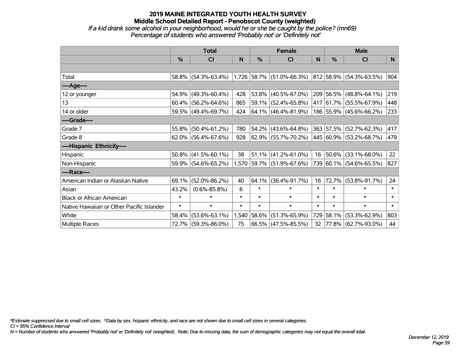### **2019 MAINE INTEGRATED YOUTH HEALTH SURVEY Middle School Detailed Report - Penobscot County (weighted)** *If a kid drank some alcohol in your neighborhood, would he or she be caught by the police? (mn69) Percentage of students who answered 'Probably not' or 'Definitely not'*

|                                           | <b>Total</b>  |                                               |        |             | <b>Female</b>             |        | <b>Male</b>   |                         |        |  |
|-------------------------------------------|---------------|-----------------------------------------------|--------|-------------|---------------------------|--------|---------------|-------------------------|--------|--|
|                                           | $\frac{0}{0}$ | CI                                            | N      | %           | <b>CI</b>                 | N      | $\frac{0}{0}$ | <b>CI</b>               | N.     |  |
|                                           |               |                                               |        |             |                           |        |               |                         |        |  |
| Total                                     |               | 58.8% (54.3%-63.4%) 1,726 58.7% (51.0%-66.3%) |        |             |                           |        |               | 812 58.9% (54.3%-63.5%) | 904    |  |
| ----Age----                               |               |                                               |        |             |                           |        |               |                         |        |  |
| 12 or younger                             | 54.9%         | $(49.3\% - 60.4\%)$                           | 428    | 53.8%       | $(40.5\% - 67.0\%)$       |        |               | 209 56.5% (48.8%-64.1%) | 219    |  |
| 13                                        |               | $60.4\%$ (56.2%-64.6%)                        | 865    |             | 59.1% (52.4%-65.8%)       |        |               | 417 61.7% (55.5%-67.9%) | 448    |  |
| 14 or older                               |               | 59.5% (49.4%-69.7%)                           | 424    |             | $ 64.1\% $ (46.4%-81.9%)  |        |               | 186 55.9% (45.6%-66.2%) | 233    |  |
| ----Grade----                             |               |                                               |        |             |                           |        |               |                         |        |  |
| Grade 7                                   | 55.8%         | $(50.4\% - 61.2\%)$                           | 780    | 54.2%       | $(43.6\% - 64.8\%)$       |        | 363 57.5%     | $(52.7\% - 62.3\%)$     | 417    |  |
| Grade 8                                   |               | $62.0\%$ (56.4%-67.6%)                        | 928    |             | $62.9\%$ (55.7%-70.2%)    |        |               | 445 60.9% (53.2%-68.7%) | 479    |  |
| ----Hispanic Ethnicity----                |               |                                               |        |             |                           |        |               |                         |        |  |
| Hispanic                                  |               | $50.8\%$ (41.5%-60.1%)                        | 38     | 51.1%       | $(41.2\% - 61.0\%)$       | 16     | $ 50.6\% $    | $(33.1\% - 68.0\%)$     | 22     |  |
| Non-Hispanic                              |               | 59.9% (54.6%-65.2%)                           |        |             | 1,570 59.7% (51.9%-67.6%) |        |               | 739 60.1% (54.6%-65.5%) | 827    |  |
| ----Race----                              |               |                                               |        |             |                           |        |               |                         |        |  |
| American Indian or Alaskan Native         | 69.1%         | $(52.0\% - 86.2\%)$                           | 40     | 64.1%       | $(36.4\% - 91.7\%)$       | 16     | 72.7%         | $(53.8\% - 91.7\%)$     | 24     |  |
| Asian                                     | 43.2%         | $(0.6\% - 85.8\%)$                            | 6      | $\ast$      | $\ast$                    | $\ast$ | $\ast$        | $\ast$                  | $\ast$ |  |
| <b>Black or African American</b>          | $\ast$        | $\ast$                                        | $\ast$ | $\ast$      | $\ast$                    | $\ast$ | $\ast$        | $\ast$                  | $\ast$ |  |
| Native Hawaiian or Other Pacific Islander | $\ast$        | $\ast$                                        | $\ast$ | $\ast$      | $\ast$                    | $\ast$ | $\ast$        | $\ast$                  | $\ast$ |  |
| White                                     | 58.4%         | $(53.6\% - 63.1\%)$                           |        | 1,540 58.6% | $(51.3\% - 65.9\%)$       | 729    | 58.1%         | $(53.3\% - 62.9\%)$     | 803    |  |
| <b>Multiple Races</b>                     |               | 72.7% (59.3%-86.0%)                           | 75     | 66.5%       | $(47.5\% - 85.5\%)$       | 32     |               | 77.8% (62.7%-93.0%)     | 44     |  |

*\*Estimate suppressed due to small cell sizes. ^Data by sex, hispanic ethnicity, and race are not shown due to small cell sizes in several categories.*

*CI = 95% Confidence Interval*

*N = Number of students who answered 'Probably not' or 'Definitely not' (weighted). Note: Due to missing data, the sum of demographic categories may not equal the overall total.*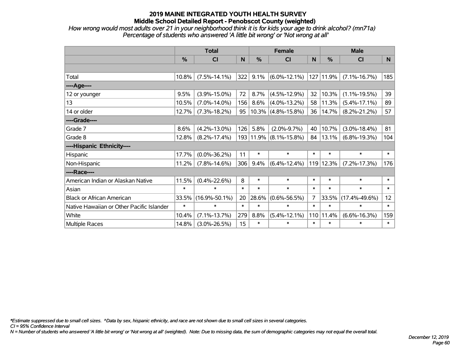*How wrong would most adults over 21 in your neighborhood think it is for kids your age to drink alcohol? (mn71a) Percentage of students who answered 'A little bit wrong' or 'Not wrong at all'*

|                                           | <b>Total</b> |                     |        |        | <b>Female</b>          |                | <b>Male</b>   |                     |                 |  |
|-------------------------------------------|--------------|---------------------|--------|--------|------------------------|----------------|---------------|---------------------|-----------------|--|
|                                           | %            | CI                  | N      | $\%$   | <b>CI</b>              | N              | $\frac{0}{0}$ | <b>CI</b>           | N               |  |
|                                           |              |                     |        |        |                        |                |               |                     |                 |  |
| Total                                     | 10.8%        | $(7.5\% - 14.1\%)$  | 322    | 9.1%   | $(6.0\% - 12.1\%)$     |                | 127 11.9%     | $(7.1\% - 16.7\%)$  | 185             |  |
| ----Age----                               |              |                     |        |        |                        |                |               |                     |                 |  |
| 12 or younger                             | 9.5%         | $(3.9\% - 15.0\%)$  | 72     | 8.7%   | $(4.5\% - 12.9\%)$     | 32             | 10.3%         | $(1.1\% - 19.5\%)$  | 39              |  |
| 13                                        | 10.5%        | $(7.0\% - 14.0\%)$  | 156    | 8.6%   | $(4.0\% - 13.2\%)$     | 58             | 11.3%         | $(5.4\% - 17.1\%)$  | 89              |  |
| 14 or older                               | 12.7%        | $(7.3\% - 18.2\%)$  | 95     |        | $10.3\%$ (4.8%-15.8%)  | 36             | 14.7%         | $(8.2\% - 21.2\%)$  | 57              |  |
| ----Grade----                             |              |                     |        |        |                        |                |               |                     |                 |  |
| Grade 7                                   | 8.6%         | $(4.2\% - 13.0\%)$  | 126    | 5.8%   | $(2.0\% - 9.7\%)$      | 40             | 10.7%         | $(3.0\% - 18.4\%)$  | 81              |  |
| Grade 8                                   | 12.8%        | $(8.2\% - 17.4\%)$  |        |        | 193 11.9% (8.1%-15.8%) |                | 84   13.1%    | $(6.8\% - 19.3\%)$  | 104             |  |
| ----Hispanic Ethnicity----                |              |                     |        |        |                        |                |               |                     |                 |  |
| Hispanic                                  | 17.7%        | $(0.0\% - 36.2\%)$  | 11     | $\ast$ | $\ast$                 | $\ast$         | $\ast$        | $\ast$              | $\ast$          |  |
| Non-Hispanic                              | 11.2%        | $(7.8\% - 14.6\%)$  | 306    | 9.4%   | $(6.4\% - 12.4\%)$     |                | 119 12.3%     | $(7.2\% - 17.3\%)$  | 176             |  |
| ----Race----                              |              |                     |        |        |                        |                |               |                     |                 |  |
| American Indian or Alaskan Native         | 11.5%        | $(0.4\% - 22.6\%)$  | 8      | $\ast$ | $\ast$                 | $\ast$         | $\ast$        | $\ast$              | $\ast$          |  |
| Asian                                     | $\ast$       | $\ast$              | $\ast$ | $\ast$ | $\ast$                 | $\ast$         | $\ast$        | $\ast$              | $\ast$          |  |
| <b>Black or African American</b>          | 33.5%        | $(16.9\% - 50.1\%)$ | 20     | 28.6%  | $(0.6\% - 56.5\%)$     | $\overline{7}$ | 33.5%         | $(17.4\% - 49.6\%)$ | 12 <sub>2</sub> |  |
| Native Hawaiian or Other Pacific Islander | $\ast$       | $\ast$              | $\ast$ | $\ast$ | $\ast$                 | $\ast$         | $\ast$        | $\ast$              | $\ast$          |  |
| White                                     | 10.4%        | $(7.1\% - 13.7\%)$  | 279    | 8.8%   | $(5.4\% - 12.1\%)$     | 110            | 11.4%         | $(6.6\% - 16.3\%)$  | 159             |  |
| <b>Multiple Races</b>                     | 14.8%        | $(3.0\% - 26.5\%)$  | 15     | $\ast$ | $\ast$                 | $\ast$         | $\ast$        | $\ast$              | $\ast$          |  |

*\*Estimate suppressed due to small cell sizes. ^Data by sex, hispanic ethnicity, and race are not shown due to small cell sizes in several categories.*

*CI = 95% Confidence Interval*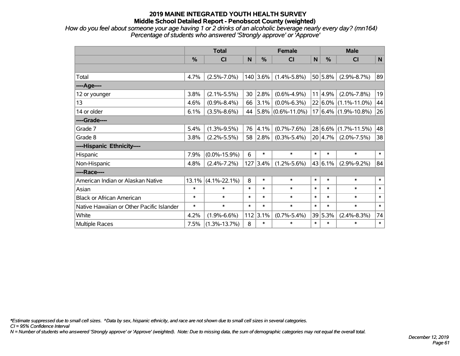*How do you feel about someone your age having 1 or 2 drinks of an alcoholic beverage nearly every day? (mn164) Percentage of students who answered 'Strongly approve' or 'Approve'*

|                                           | <b>Total</b>  |                    |             |            | <b>Female</b>          | <b>Male</b> |         |                          |              |
|-------------------------------------------|---------------|--------------------|-------------|------------|------------------------|-------------|---------|--------------------------|--------------|
|                                           | $\frac{9}{6}$ | CI                 | $\mathbf N$ | %          | <b>CI</b>              | N           | %       | <b>CI</b>                | $\mathsf{N}$ |
|                                           |               |                    |             |            |                        |             |         |                          |              |
| Total                                     | 4.7%          | $(2.5\% - 7.0\%)$  |             | $140$ 3.6% | $(1.4\% - 5.8\%)$      |             | 50 5.8% | $(2.9\% - 8.7\%)$        | 89           |
| ----Age----                               |               |                    |             |            |                        |             |         |                          |              |
| 12 or younger                             | 3.8%          | $(2.1\% - 5.5\%)$  | 30          | 2.8%       | $(0.6\% - 4.9\%)$      |             | 11 4.9% | $(2.0\% - 7.8\%)$        | 19           |
| 13                                        | 4.6%          | $(0.9\% - 8.4\%)$  | 66          | 3.1%       | $(0.0\% - 6.3\%)$      |             |         | $22 6.0\% $ (1.1%-11.0%) | 44           |
| 14 or older                               | 6.1%          | $(3.5\% - 8.6\%)$  | 44          |            | $ 5.8\% $ (0.6%-11.0%) |             |         | $17 6.4\% $ (1.9%-10.8%) | 26           |
| ----Grade----                             |               |                    |             |            |                        |             |         |                          |              |
| Grade 7                                   | 5.4%          | $(1.3\% - 9.5\%)$  | 76          | 4.1%       | $(0.7\% - 7.6\%)$      |             |         | $28 6.6\% $ (1.7%-11.5%) | 48           |
| Grade 8                                   | 3.8%          | $(2.2\% - 5.5\%)$  | 58          | 2.8%       | $(0.3\% - 5.4\%)$      |             | 20 4.7% | $(2.0\% - 7.5\%)$        | 38           |
| ----Hispanic Ethnicity----                |               |                    |             |            |                        |             |         |                          |              |
| Hispanic                                  | 7.9%          | $(0.0\% - 15.9\%)$ | 6           | $\ast$     | $\ast$                 | $\ast$      | $\ast$  | $\ast$                   | $\ast$       |
| Non-Hispanic                              | 4.8%          | $(2.4\% - 7.2\%)$  | 127         | 3.4%       | $(1.2\% - 5.6\%)$      |             | 43 6.1% | $(2.9\% - 9.2\%)$        | 84           |
| ----Race----                              |               |                    |             |            |                        |             |         |                          |              |
| American Indian or Alaskan Native         | 13.1%         | $(4.1\% - 22.1\%)$ | 8           | $\ast$     | $\ast$                 | $\ast$      | $\ast$  | $\ast$                   | $\ast$       |
| Asian                                     | $\ast$        | $\ast$             | $\ast$      | $\ast$     | $\ast$                 | $\ast$      | $\ast$  | $\ast$                   | $\ast$       |
| <b>Black or African American</b>          | $\ast$        | $\ast$             | $\ast$      | $\ast$     | $\ast$                 | $\ast$      | $\ast$  | $\ast$                   | $\ast$       |
| Native Hawaiian or Other Pacific Islander | $\ast$        | $\ast$             | $\ast$      | $\ast$     | $\ast$                 | $\ast$      | $\ast$  | $\ast$                   | $\ast$       |
| White                                     | 4.2%          | $(1.9\% - 6.6\%)$  | 112         | 3.1%       | $(0.7\% - 5.4\%)$      |             | 39 5.3% | $(2.4\% - 8.3\%)$        | 74           |
| Multiple Races                            | 7.5%          | $(1.3\% - 13.7\%)$ | 8           | $\ast$     | $\ast$                 | $\ast$      | $\ast$  | $\ast$                   | $\ast$       |

*\*Estimate suppressed due to small cell sizes. ^Data by sex, hispanic ethnicity, and race are not shown due to small cell sizes in several categories.*

*CI = 95% Confidence Interval*

*N = Number of students who answered 'Strongly approve' or 'Approve' (weighted). Note: Due to missing data, the sum of demographic categories may not equal the overall total.*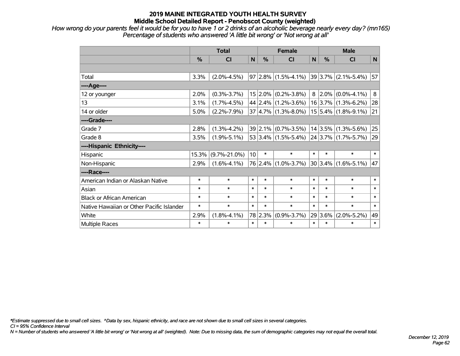*How wrong do your parents feel it would be for you to have 1 or 2 drinks of an alcoholic beverage nearly every day? (mn165) Percentage of students who answered 'A little bit wrong' or 'Not wrong at all'*

|                                           | <b>Total</b>  |                    |                 |         | <b>Female</b>                               | <b>Male</b> |             |                          |        |
|-------------------------------------------|---------------|--------------------|-----------------|---------|---------------------------------------------|-------------|-------------|--------------------------|--------|
|                                           | $\frac{0}{0}$ | CI                 | N               | %       | CI                                          | N           | %           | <b>CI</b>                | N      |
|                                           |               |                    |                 |         |                                             |             |             |                          |        |
| Total                                     | 3.3%          | $(2.0\% - 4.5\%)$  |                 |         | $97 2.8\% $ (1.5%-4.1%)                     |             |             | $ 39 3.7\% $ (2.1%-5.4%) | 57     |
| ---- Age----                              |               |                    |                 |         |                                             |             |             |                          |        |
| 12 or younger                             | 2.0%          | $(0.3\% - 3.7\%)$  |                 |         | $15 2.0\% $ (0.2%-3.8%)                     | 8           |             | $2.0\%$ (0.0%-4.1%)      | 8      |
| 13                                        | 3.1%          | $(1.7\% - 4.5\%)$  |                 |         | 44 2.4% (1.2%-3.6%)                         |             |             | $16$ 3.7% (1.3%-6.2%)    | 28     |
| 14 or older                               | 5.0%          | $(2.2\% - 7.9\%)$  |                 |         | $37 4.7\% $ (1.3%-8.0%)                     |             |             | $15 5.4\% $ (1.8%-9.1%)  | 21     |
| ----Grade----                             |               |                    |                 |         |                                             |             |             |                          |        |
| Grade 7                                   | 2.8%          | $(1.3\% - 4.2\%)$  |                 | 39 2.1% | $(0.7\% - 3.5\%)$                           |             |             | $14 3.5\% $ (1.3%-5.6%)  | 25     |
| Grade 8                                   | 3.5%          | $(1.9\% - 5.1\%)$  |                 |         | $53 3.4\% $ (1.5%-5.4%) 24 3.7% (1.7%-5.7%) |             |             |                          | 29     |
| ----Hispanic Ethnicity----                |               |                    |                 |         |                                             |             |             |                          |        |
| Hispanic                                  | 15.3%         | $(9.7\% - 21.0\%)$ | 10 <sup>1</sup> | $\ast$  | $\ast$                                      | $\ast$      | $\ast$      | $\ast$                   | $\ast$ |
| Non-Hispanic                              | 2.9%          | $(1.6\% - 4.1\%)$  |                 | 76 2.4% | $(1.0\% - 3.7\%)$                           |             | $30 3.4\% $ | $(1.6\% - 5.1\%)$        | 47     |
| ----Race----                              |               |                    |                 |         |                                             |             |             |                          |        |
| American Indian or Alaskan Native         | $\ast$        | $\ast$             | $\ast$          | $\ast$  | $\ast$                                      | $\ast$      | $\ast$      | $\ast$                   | $\ast$ |
| Asian                                     | $\ast$        | $\ast$             | $\ast$          | $\ast$  | $\ast$                                      | $\ast$      | $\ast$      | $\ast$                   | $\ast$ |
| <b>Black or African American</b>          | $\ast$        | $\ast$             | $\ast$          | $\ast$  | $\ast$                                      | $\ast$      | $\ast$      | $\ast$                   | $\ast$ |
| Native Hawaiian or Other Pacific Islander | $\ast$        | $\ast$             | $\ast$          | $\ast$  | $\ast$                                      | $\ast$      | $\ast$      | $\ast$                   | $\ast$ |
| White                                     | 2.9%          | $(1.8\% - 4.1\%)$  | 78              | 2.3%    | $(0.9\% - 3.7\%)$                           | 29          | 3.6%        | $(2.0\% - 5.2\%)$        | 49     |
| <b>Multiple Races</b>                     | $\ast$        | $\ast$             | $\ast$          | $\ast$  | $\ast$                                      | $\ast$      | $\ast$      | $\ast$                   | $\ast$ |

*\*Estimate suppressed due to small cell sizes. ^Data by sex, hispanic ethnicity, and race are not shown due to small cell sizes in several categories.*

*CI = 95% Confidence Interval*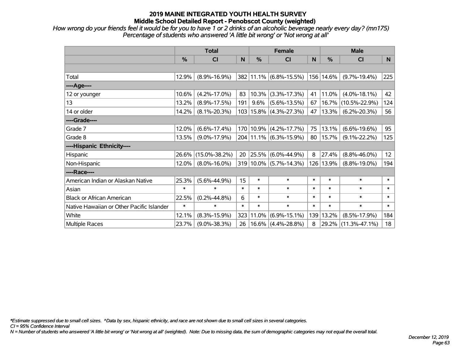*How wrong do your friends feel it would be for you to have 1 or 2 drinks of an alcoholic beverage nearly every day? (mn175) Percentage of students who answered 'A little bit wrong' or 'Not wrong at all'*

|                                           | <b>Total</b>  |                     |        |               | <b>Female</b>              |        | <b>Male</b> |                     |        |  |
|-------------------------------------------|---------------|---------------------|--------|---------------|----------------------------|--------|-------------|---------------------|--------|--|
|                                           | $\frac{0}{0}$ | CI                  | N      | $\frac{9}{6}$ | <b>CI</b>                  | N      | %           | <b>CI</b>           | N      |  |
|                                           |               |                     |        |               |                            |        |             |                     |        |  |
| Total                                     | 12.9%         | $(8.9\% - 16.9\%)$  |        |               | 382 11.1% (6.8%-15.5%)     |        | 156 14.6%   | $(9.7\% - 19.4\%)$  | 225    |  |
| ----Age----                               |               |                     |        |               |                            |        |             |                     |        |  |
| 12 or younger                             | 10.6%         | $(4.2\% - 17.0\%)$  | 83     | 10.3%         | $(3.3\% - 17.3\%)$         | 41     | 11.0%       | $(4.0\% - 18.1\%)$  | 42     |  |
| 13                                        | 13.2%         | $(8.9\% - 17.5\%)$  | 191    | $9.6\%$       | $(5.6\% - 13.5\%)$         | 67     | 16.7%       | $(10.5\% - 22.9\%)$ | 124    |  |
| 14 or older                               | 14.2%         | $(8.1\% - 20.3\%)$  |        |               | $103 15.8\% $ (4.3%-27.3%) | 47     | 13.3%       | $(6.2\% - 20.3\%)$  | 56     |  |
| ----Grade----                             |               |                     |        |               |                            |        |             |                     |        |  |
| Grade 7                                   | 12.0%         | $(6.6\% - 17.4\%)$  |        | 170 10.9%     | $(4.2\% - 17.7\%)$         | 75     | 13.1%       | $(6.6\% - 19.6\%)$  | 95     |  |
| Grade 8                                   | 13.5%         | $(9.0\% - 17.9\%)$  |        |               | 204 11.1% (6.3%-15.9%)     | 80     | 15.7%       | $(9.1\% - 22.2\%)$  | 125    |  |
| ----Hispanic Ethnicity----                |               |                     |        |               |                            |        |             |                     |        |  |
| Hispanic                                  | 26.6%         | $(15.0\% - 38.2\%)$ | 20     | 25.5%         | $(6.0\% - 44.9\%)$         | 8      | 27.4%       | $(8.8\% - 46.0\%)$  | 12     |  |
| Non-Hispanic                              | 12.0%         | $(8.0\% - 16.0\%)$  |        |               | $319 10.0\% $ (5.7%-14.3%) |        | 126 13.9%   | $(8.8\% - 19.0\%)$  | 194    |  |
| ----Race----                              |               |                     |        |               |                            |        |             |                     |        |  |
| American Indian or Alaskan Native         | 25.3%         | $(5.6\% - 44.9\%)$  | 15     | $\ast$        | $\ast$                     | $\ast$ | $\ast$      | $\ast$              | $\ast$ |  |
| Asian                                     | $\ast$        | $\ast$              | $\ast$ | $\ast$        | $\ast$                     | $\ast$ | $\ast$      | $\ast$              | $\ast$ |  |
| <b>Black or African American</b>          | 22.5%         | $(0.2\% - 44.8\%)$  | 6      | $\ast$        | $\ast$                     | $\ast$ | $\ast$      | $\ast$              | $\ast$ |  |
| Native Hawaiian or Other Pacific Islander | $\ast$        | $\ast$              | $\ast$ | $\ast$        | $\ast$                     | $\ast$ | $\ast$      | $\ast$              | $\ast$ |  |
| White                                     | 12.1%         | $(8.3\% - 15.9\%)$  | 323    | 11.0%         | $(6.9\% - 15.1\%)$         | 139    | 13.2%       | $(8.5\% - 17.9\%)$  | 184    |  |
| Multiple Races                            | 23.7%         | $(9.0\% - 38.3\%)$  | 26     | 16.6%         | $(4.4\% - 28.8\%)$         | 8      | 29.2%       | $(11.3\% - 47.1\%)$ | 18     |  |

*\*Estimate suppressed due to small cell sizes. ^Data by sex, hispanic ethnicity, and race are not shown due to small cell sizes in several categories.*

*CI = 95% Confidence Interval*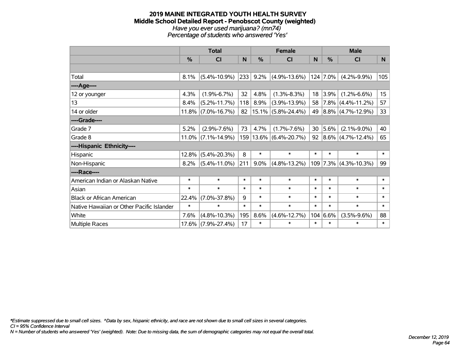#### **2019 MAINE INTEGRATED YOUTH HEALTH SURVEY Middle School Detailed Report - Penobscot County (weighted)** *Have you ever used marijuana? (mn74) Percentage of students who answered 'Yes'*

|                                           | <b>Total</b> |                    |        |        | <b>Female</b>           | <b>Male</b> |               |                         |                  |
|-------------------------------------------|--------------|--------------------|--------|--------|-------------------------|-------------|---------------|-------------------------|------------------|
|                                           | %            | <b>CI</b>          | N      | %      | <b>CI</b>               | N           | $\frac{0}{0}$ | <b>CI</b>               | N.               |
|                                           |              |                    |        |        |                         |             |               |                         |                  |
| Total                                     | 8.1%         | $(5.4\% - 10.9\%)$ | 233    | 9.2%   | $(4.9\% - 13.6\%)$      |             | $124   7.0\%$ | $(4.2\% - 9.9\%)$       | 105              |
| ----Age----                               |              |                    |        |        |                         |             |               |                         |                  |
| 12 or younger                             | 4.3%         | $(1.9\% - 6.7\%)$  | 32     | 4.8%   | $(1.3\% - 8.3\%)$       | 18          | 3.9%          | $(1.2\% - 6.6\%)$       | 15 <sub>15</sub> |
| 13                                        | 8.4%         | $(5.2\% - 11.7\%)$ | 118    | 8.9%   | $(3.9\% - 13.9\%)$      | 58          |               | $ 7.8\% $ (4.4%-11.2%)  | 57               |
| 14 or older                               | 11.8%        | $(7.0\% - 16.7\%)$ | 82     |        | $ 15.1\% $ (5.8%-24.4%) | 49          |               | $ 8.8\% $ (4.7%-12.9%)  | 33               |
| ----Grade----                             |              |                    |        |        |                         |             |               |                         |                  |
| Grade 7                                   | 5.2%         | $(2.9\% - 7.6\%)$  | 73     | 4.7%   | $(1.7\% - 7.6\%)$       | 30          | $ 5.6\%$      | $(2.1\% - 9.0\%)$       | 40               |
| Grade 8                                   | $11.0\%$     | $(7.1\% - 14.9\%)$ |        |        | 159 13.6% (6.4%-20.7%)  | 92          |               | $ 8.6\% $ (4.7%-12.4%)  | 65               |
| ----Hispanic Ethnicity----                |              |                    |        |        |                         |             |               |                         |                  |
| Hispanic                                  | 12.8%        | $(5.4\% - 20.3\%)$ | 8      | $\ast$ | $\ast$                  | $\ast$      | *             | $\ast$                  | $\ast$           |
| Non-Hispanic                              | 8.2%         | $(5.4\% - 11.0\%)$ | 211    | 9.0%   | $(4.8\% - 13.2\%)$      |             |               | $109$ 7.3% (4.3%-10.3%) | 99               |
| ----Race----                              |              |                    |        |        |                         |             |               |                         |                  |
| American Indian or Alaskan Native         | $\ast$       | $\ast$             | $\ast$ | $\ast$ | $\ast$                  | $\ast$      | $\ast$        | $\ast$                  | $\ast$           |
| Asian                                     | $\ast$       | $\ast$             | $\ast$ | $\ast$ | $\ast$                  | $\ast$      | $\ast$        | $\ast$                  | $\ast$           |
| <b>Black or African American</b>          | 22.4%        | $(7.0\% - 37.8\%)$ | 9      | $\ast$ | $\ast$                  | $\ast$      | $\ast$        | $\ast$                  | $\ast$           |
| Native Hawaiian or Other Pacific Islander | $\ast$       | $\ast$             | $\ast$ | $\ast$ | $\ast$                  | $\ast$      | $\ast$        | $\ast$                  | $\ast$           |
| White                                     | 7.6%         | $(4.8\% - 10.3\%)$ | 195    | 8.6%   | $(4.6\% - 12.7\%)$      |             | 104 6.6%      | $(3.5\% - 9.6\%)$       | 88               |
| <b>Multiple Races</b>                     | 17.6%        | $(7.9\% - 27.4\%)$ | 17     | $\ast$ | $\ast$                  | $\ast$      | *             | $\ast$                  | $\ast$           |

*\*Estimate suppressed due to small cell sizes. ^Data by sex, hispanic ethnicity, and race are not shown due to small cell sizes in several categories.*

*CI = 95% Confidence Interval*

*N = Number of students who answered 'Yes' (weighted). Note: Due to missing data, the sum of demographic categories may not equal the overall total.*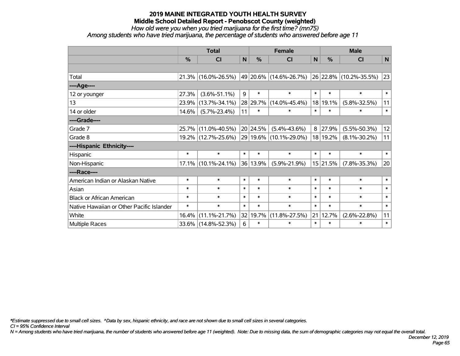*How old were you when you tried marijuana for the first time? (mn75)*

*Among students who have tried marijuana, the percentage of students who answered before age 11*

|                                           | <b>Total</b> |                     |        |          | <b>Female</b>          | <b>Male</b>  |          |                        |             |
|-------------------------------------------|--------------|---------------------|--------|----------|------------------------|--------------|----------|------------------------|-------------|
|                                           | %            | <b>CI</b>           | N      | %        | <b>CI</b>              | $\mathsf{N}$ | %        | <b>CI</b>              | $\mathbf N$ |
|                                           |              |                     |        |          |                        |              |          |                        |             |
| Total                                     |              | 21.3% (16.0%-26.5%) |        |          | 49 20.6% (14.6%-26.7%) |              |          | 26 22.8% (10.2%-35.5%) | 23          |
| ----Age----                               |              |                     |        |          |                        |              |          |                        |             |
| 12 or younger                             | 27.3%        | $(3.6\% - 51.1\%)$  | 9      | $\ast$   | $\ast$                 | $\ast$       | $\ast$   | $\ast$                 | $\ast$      |
| 13                                        | 23.9%        | $(13.7\% - 34.1\%)$ |        | 28 29.7% | $(14.0\% - 45.4\%)$    | 18           | 19.1%    | $(5.8\% - 32.5\%)$     | 11          |
| 14 or older                               | 14.6%        | $(5.7\% - 23.4\%)$  | 11     | $\ast$   | $\ast$                 | $\ast$       | $\ast$   | $\ast$                 | $\ast$      |
| ----Grade----                             |              |                     |        |          |                        |              |          |                        |             |
| Grade 7                                   | 25.7%        | $(11.0\% - 40.5\%)$ |        | 20 24.5% | $(5.4\% - 43.6\%)$     | 8            | 27.9%    | $(5.5\% - 50.3\%)$     | 12          |
| Grade 8                                   |              | 19.2% (12.7%-25.6%) |        |          | 29 19.6% (10.1%-29.0%) |              | 18 19.2% | $(8.1\% - 30.2\%)$     | 11          |
| ----Hispanic Ethnicity----                |              |                     |        |          |                        |              |          |                        |             |
| Hispanic                                  | $\ast$       | $\ast$              | $\ast$ | $\ast$   | $\ast$                 | $\ast$       | $\ast$   | $\ast$                 | $\ast$      |
| Non-Hispanic                              |              | 17.1% (10.1%-24.1%) |        | 36 13.9% | $(5.9\% - 21.9\%)$     |              | 15 21.5% | $(7.8\% - 35.3\%)$     | 20          |
| ----Race----                              |              |                     |        |          |                        |              |          |                        |             |
| American Indian or Alaskan Native         | $\ast$       | $\ast$              | $\ast$ | $\ast$   | $\ast$                 | $\ast$       | $\ast$   | $\ast$                 | $\ast$      |
| Asian                                     | $\ast$       | $\ast$              | $\ast$ | $\ast$   | $\ast$                 | $\ast$       | $\ast$   | $\ast$                 | $\ast$      |
| <b>Black or African American</b>          | $\ast$       | $\ast$              | $\ast$ | $\ast$   | $\ast$                 | $\ast$       | $\ast$   | $\ast$                 | $\ast$      |
| Native Hawaiian or Other Pacific Islander | $\ast$       | $\ast$              | $\ast$ | $\ast$   | $\ast$                 | $\ast$       | $\ast$   | $\ast$                 | $\ast$      |
| White                                     | 16.4%        | $(11.1\% - 21.7\%)$ |        | 32 19.7% | $(11.8\% - 27.5\%)$    | 21           | 12.7%    | $(2.6\% - 22.8\%)$     | 11          |
| <b>Multiple Races</b>                     |              | 33.6% (14.8%-52.3%) | 6      | $\ast$   | $\ast$                 | $\ast$       | $\ast$   | $\ast$                 | $\ast$      |

*\*Estimate suppressed due to small cell sizes. ^Data by sex, hispanic ethnicity, and race are not shown due to small cell sizes in several categories.*

*CI = 95% Confidence Interval*

*N = Among students who have tried marijuana, the number of students who answered before age 11 (weighted). Note: Due to missing data, the sum of demographic categories may not equal the overall total.*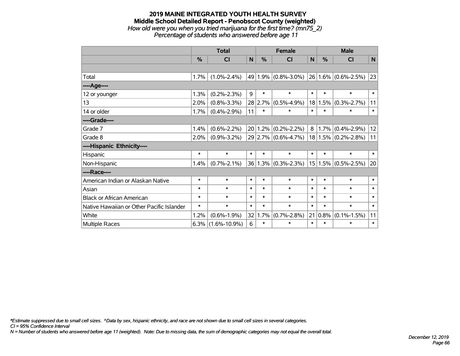### **2019 MAINE INTEGRATED YOUTH HEALTH SURVEY Middle School Detailed Report - Penobscot County (weighted)** *How old were you when you tried marijuana for the first time? (mn75\_2) Percentage of students who answered before age 11*

|                                           | <b>Total</b> |                    |        |         | <b>Female</b>             |        | <b>Male</b> |                         |        |  |
|-------------------------------------------|--------------|--------------------|--------|---------|---------------------------|--------|-------------|-------------------------|--------|--|
|                                           | %            | <b>CI</b>          | N      | %       | <b>CI</b>                 | N      | %           | <b>CI</b>               | N      |  |
|                                           |              |                    |        |         |                           |        |             |                         |        |  |
| Total                                     | 1.7%         | $(1.0\% - 2.4\%)$  |        |         | 49 1.9% $(0.8\% - 3.0\%)$ |        |             | 26 1.6% (0.6%-2.5%)     | 23     |  |
| ----Age----                               |              |                    |        |         |                           |        |             |                         |        |  |
| 12 or younger                             | 1.3%         | $(0.2\% - 2.3\%)$  | 9      | $\ast$  | $\ast$                    | $\ast$ | $\ast$      | $\ast$                  | $\ast$ |  |
| 13                                        | 2.0%         | $(0.8\% - 3.3\%)$  |        | 28 2.7% | $(0.5\% - 4.9\%)$         |        | 18 1.5%     | $(0.3\% - 2.7\%)$       | 11     |  |
| 14 or older                               | 1.7%         | $(0.4\% - 2.9\%)$  | 11     | $\ast$  | $\ast$                    | $\ast$ | $\ast$      | $\ast$                  | $\ast$ |  |
| ----Grade----                             |              |                    |        |         |                           |        |             |                         |        |  |
| Grade 7                                   | 1.4%         | $(0.6\% - 2.2\%)$  |        |         | $20 1.2\% $ (0.2%-2.2%)   | 8      | 1.7%        | $(0.4\% - 2.9\%)$       | 12     |  |
| Grade 8                                   | $2.0\%$      | $(0.9\% - 3.2\%)$  |        |         | 29 2.7% (0.6%-4.7%)       |        |             | $18 1.5\% $ (0.2%-2.8%) | 11     |  |
| ----Hispanic Ethnicity----                |              |                    |        |         |                           |        |             |                         |        |  |
| Hispanic                                  | $\ast$       | $\ast$             | $\ast$ | $\ast$  | $\ast$                    | $\ast$ | *           | $\ast$                  | $\ast$ |  |
| Non-Hispanic                              | 1.4%         | $(0.7\% - 2.1\%)$  |        |         | $36 1.3\% $ (0.3%-2.3%)   |        | 15 1.5%     | $(0.5\% - 2.5\%)$       | 20     |  |
| ----Race----                              |              |                    |        |         |                           |        |             |                         |        |  |
| American Indian or Alaskan Native         | $\ast$       | $\ast$             | $\ast$ | $\ast$  | $\ast$                    | $\ast$ | $\ast$      | $\ast$                  | $\ast$ |  |
| Asian                                     | $\ast$       | $\ast$             | $\ast$ | $\ast$  | $\ast$                    | $\ast$ | $\ast$      | $\ast$                  | $\ast$ |  |
| <b>Black or African American</b>          | $\ast$       | $\ast$             | $\ast$ | $\ast$  | $\ast$                    | $\ast$ | $\ast$      | $\ast$                  | $\ast$ |  |
| Native Hawaiian or Other Pacific Islander | $\ast$       | $\ast$             | $\ast$ | $\ast$  | $\ast$                    | $\ast$ | $\ast$      | $\ast$                  | $\ast$ |  |
| White                                     | 1.2%         | $(0.6\% - 1.9\%)$  | 32     | 1.7%    | $(0.7\% - 2.8\%)$         | 21     | 0.8%        | $(0.1\% - 1.5\%)$       | 11     |  |
| Multiple Races                            | 6.3%         | $(1.6\% - 10.9\%)$ | 6      | $\ast$  | $\ast$                    | $\ast$ | $\ast$      | $\ast$                  | $\ast$ |  |

*\*Estimate suppressed due to small cell sizes. ^Data by sex, hispanic ethnicity, and race are not shown due to small cell sizes in several categories.*

*CI = 95% Confidence Interval*

*N = Number of students who answered before age 11 (weighted). Note: Due to missing data, the sum of demographic categories may not equal the overall total.*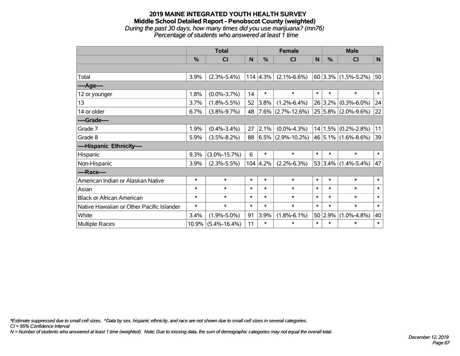### **2019 MAINE INTEGRATED YOUTH HEALTH SURVEY Middle School Detailed Report - Penobscot County (weighted)** *During the past 30 days, how many times did you use marijuana? (mn76) Percentage of students who answered at least 1 time*

|                                           | <b>Total</b> |                    |        |                  | <b>Female</b>        |              | <b>Male</b> |                           |              |  |
|-------------------------------------------|--------------|--------------------|--------|------------------|----------------------|--------------|-------------|---------------------------|--------------|--|
|                                           | %            | CI                 | N      | %                | <b>CI</b>            | $\mathsf{N}$ | %           | CI                        | $\mathsf{N}$ |  |
|                                           |              |                    |        |                  |                      |              |             |                           |              |  |
| Total                                     | 3.9%         | $(2.3\% - 5.4\%)$  |        | $114 \mid 4.3\%$ | $(2.1\% - 6.6\%)$    |              |             | $60$ 3.3% (1.5%-5.2%)     | 50           |  |
| ----Age----                               |              |                    |        |                  |                      |              |             |                           |              |  |
| 12 or younger                             | 1.8%         | $(0.0\% - 3.7\%)$  | 14     | $\ast$           | $\ast$               | $\ast$       | $\ast$      | $\ast$                    | $\ast$       |  |
| 13                                        | 3.7%         | $(1.8\% - 5.5\%)$  | 52     | 3.8%             | $(1.2\% - 6.4\%)$    |              | 26 3.2%     | $(0.3\% - 6.0\%)$         | 24           |  |
| 14 or older                               | 6.7%         | $(3.8\% - 9.7\%)$  | 48     |                  | $7.6\%$ (2.7%-12.6%) |              |             | $25 5.8\% $ (2.0%-9.6%)   | 22           |  |
| ----Grade----                             |              |                    |        |                  |                      |              |             |                           |              |  |
| Grade 7                                   | 1.9%         | $(0.4\% - 3.4\%)$  | 27     | 2.1%             | $(0.0\% - 4.3\%)$    |              | 14 1.5%     | $(0.2\% - 2.8\%)$         | 11           |  |
| Grade 8                                   | 5.9%         | $(3.5\% - 8.2\%)$  | 88     |                  | $6.5\%$ (2.9%-10.2%) |              |             | $46 5.1\% $ (1.6%-8.6%)   | 39           |  |
| ----Hispanic Ethnicity----                |              |                    |        |                  |                      |              |             |                           |              |  |
| Hispanic                                  | 9.3%         | $(3.0\% - 15.7\%)$ | 6      | $\ast$           | $\ast$               | $\ast$       | $\ast$      | $\ast$                    | $\ast$       |  |
| Non-Hispanic                              | 3.9%         | $(2.3\% - 5.5\%)$  |        | $104 \mid 4.2\%$ | $(2.2\% - 6.3\%)$    |              |             | 53 3.4% $(1.4\% - 5.4\%)$ | 47           |  |
| ----Race----                              |              |                    |        |                  |                      |              |             |                           |              |  |
| American Indian or Alaskan Native         | $\ast$       | $\ast$             | $\ast$ | $\ast$           | $\ast$               | $\ast$       | $\ast$      | $\ast$                    | $\ast$       |  |
| Asian                                     | $\ast$       | $\ast$             | $\ast$ | $\ast$           | $\ast$               | $\ast$       | $\ast$      | $\ast$                    | $\ast$       |  |
| <b>Black or African American</b>          | $\ast$       | $\ast$             | $\ast$ | $\ast$           | $\ast$               | $\ast$       | $\ast$      | $\ast$                    | $\ast$       |  |
| Native Hawaiian or Other Pacific Islander | $\ast$       | $\ast$             | $\ast$ | $\ast$           | $\ast$               | $\ast$       | $\ast$      | $\ast$                    | $\ast$       |  |
| White                                     | 3.4%         | $(1.9\% - 5.0\%)$  | 91     | 3.9%             | $(1.8\% - 6.1\%)$    |              | 50 2.9%     | $(1.0\% - 4.8\%)$         | 40           |  |
| <b>Multiple Races</b>                     | 10.9%        | $(5.4\% - 16.4\%)$ | 11     | $\ast$           | $\ast$               | $\ast$       | $\ast$      | $\ast$                    | $\ast$       |  |

*\*Estimate suppressed due to small cell sizes. ^Data by sex, hispanic ethnicity, and race are not shown due to small cell sizes in several categories.*

*CI = 95% Confidence Interval*

*N = Number of students who answered at least 1 time (weighted). Note: Due to missing data, the sum of demographic categories may not equal the overall total.*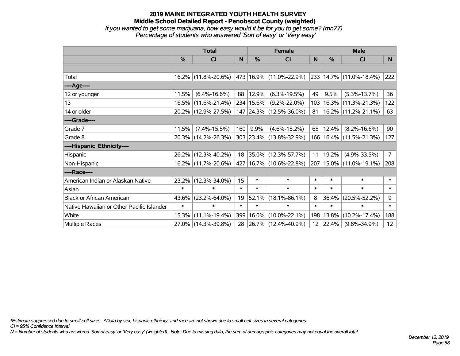### **2019 MAINE INTEGRATED YOUTH HEALTH SURVEY Middle School Detailed Report - Penobscot County (weighted)** *If you wanted to get some marijuana, how easy would it be for you to get some? (mn77) Percentage of students who answered 'Sort of easy' or 'Very easy'*

|                                           | <b>Total</b>  |                     |        | <b>Female</b> | <b>Male</b>                 |        |          |                             |                |
|-------------------------------------------|---------------|---------------------|--------|---------------|-----------------------------|--------|----------|-----------------------------|----------------|
|                                           | $\frac{0}{0}$ | CI                  | N      | %             | <b>CI</b>                   | N      | %        | <b>CI</b>                   | N              |
|                                           |               |                     |        |               |                             |        |          |                             |                |
| Total                                     |               | 16.2% (11.8%-20.6%) |        |               | 473 16.9% (11.0%-22.9%)     |        |          | 233 14.7% (11.0%-18.4%)     | 222            |
| ----Age----                               |               |                     |        |               |                             |        |          |                             |                |
| 12 or younger                             | 11.5%         | $(6.4\% - 16.6\%)$  | 88     | 12.9%         | $(6.3\% - 19.5\%)$          | 49     | 9.5%     | $(5.3\% - 13.7\%)$          | 36             |
| 13                                        |               | 16.5% (11.6%-21.4%) |        | 234 15.6%     | $(9.2\% - 22.0\%)$          | 103    | 16.3%    | $(11.3\% - 21.3\%)$         | 122            |
| 14 or older                               |               | 20.2% (12.9%-27.5%) |        |               | 147 24.3% (12.5%-36.0%)     | 81     |          | $16.2\%$ (11.2%-21.1%)      | 63             |
| ----Grade----                             |               |                     |        |               |                             |        |          |                             |                |
| Grade 7                                   | 11.5%         | $(7.4\% - 15.5\%)$  | 160    | 9.9%          | $(4.6\% - 15.2\%)$          | 65     | 12.4%    | $(8.2\% - 16.6\%)$          | 90             |
| Grade 8                                   |               | 20.3% (14.2%-26.3%) |        |               | 303 23.4% (13.8%-32.9%)     |        |          | 166   16.4%   (11.5%-21.3%) | 127            |
| ----Hispanic Ethnicity----                |               |                     |        |               |                             |        |          |                             |                |
| Hispanic                                  |               | 26.2% (12.3%-40.2%) | 18     |               | 35.0% (12.3%-57.7%)         | 11     | 19.2%    | $(4.9\% - 33.5\%)$          | 7 <sup>1</sup> |
| Non-Hispanic                              |               | 16.2% (11.7%-20.6%) |        |               | 427   16.7%   (10.6%-22.8%) | 207    |          | $15.0\%$ (11.0%-19.1%)      | 208            |
| ----Race----                              |               |                     |        |               |                             |        |          |                             |                |
| American Indian or Alaskan Native         | $23.2\%$      | $(12.3\% - 34.0\%)$ | 15     | $\ast$        | $\ast$                      | $\ast$ | $\ast$   | $\ast$                      | $\ast$         |
| Asian                                     | $\ast$        | $\ast$              | $\ast$ | $\ast$        | $\ast$                      | $\ast$ | $\ast$   | $\ast$                      | $\ast$         |
| <b>Black or African American</b>          | 43.6%         | $(23.2\% - 64.0\%)$ | 19     | 52.1%         | $(18.1\% - 86.1\%)$         | 8      | 36.4%    | $(20.5\% - 52.2\%)$         | 9              |
| Native Hawaiian or Other Pacific Islander | $\ast$        | $\ast$              | $\ast$ | $\ast$        | $\ast$                      | $\ast$ | $\ast$   | $\ast$                      | $\ast$         |
| White                                     | 15.3%         | $(11.1\% - 19.4\%)$ |        | 399   16.0%   | $(10.0\% - 22.1\%)$         | 198    | 13.8%    | $(10.2\% - 17.4\%)$         | 188            |
| <b>Multiple Races</b>                     |               | 27.0% (14.3%-39.8%) | 28     |               | $ 26.7\% $ (12.4%-40.9%)    |        | 12 22.4% | $(9.8\% - 34.9\%)$          | 12             |

*\*Estimate suppressed due to small cell sizes. ^Data by sex, hispanic ethnicity, and race are not shown due to small cell sizes in several categories.*

*CI = 95% Confidence Interval*

*N = Number of students who answered 'Sort of easy' or 'Very easy' (weighted). Note: Due to missing data, the sum of demographic categories may not equal the overall total.*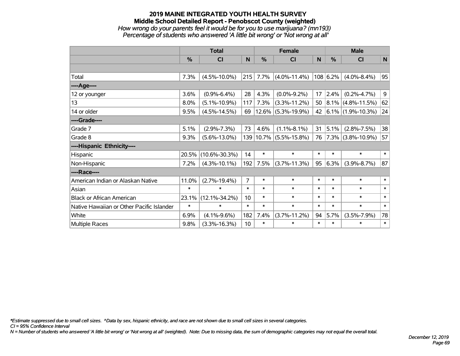## **2019 MAINE INTEGRATED YOUTH HEALTH SURVEY Middle School Detailed Report - Penobscot County (weighted)** *How wrong do your parents feel it would be for you to use marijuana? (mn193) Percentage of students who answered 'A little bit wrong' or 'Not wrong at all'*

|                                           | <b>Total</b> |                     |                 |        | <b>Female</b>          |        | <b>Male</b>   |                        |                |
|-------------------------------------------|--------------|---------------------|-----------------|--------|------------------------|--------|---------------|------------------------|----------------|
|                                           | $\%$         | <b>CI</b>           | N               | %      | <b>CI</b>              | N      | $\frac{0}{0}$ | <b>CI</b>              | ${\sf N}$      |
|                                           |              |                     |                 |        |                        |        |               |                        |                |
| Total                                     | 7.3%         | $(4.5\% - 10.0\%)$  | 215             | 7.7%   | $(4.0\% - 11.4\%)$     |        | 108 6.2%      | $(4.0\% - 8.4\%)$      | 95             |
| ----Age----                               |              |                     |                 |        |                        |        |               |                        |                |
| 12 or younger                             | 3.6%         | $(0.9\% - 6.4\%)$   | 28              | 4.3%   | $(0.0\% - 9.2\%)$      | 17     | 2.4%          | $(0.2\% - 4.7\%)$      | 9 <sup>1</sup> |
| 13                                        | 8.0%         | $(5.1\% - 10.9\%)$  | 117             | 7.3%   | $(3.3\% - 11.2\%)$     | 50     |               | $ 8.1\% $ (4.8%-11.5%) | 62             |
| 14 or older                               | 9.5%         | $(4.5\% - 14.5\%)$  | 69              |        | $12.6\%$ (5.3%-19.9%)  | 42     |               | $ 6.1\% $ (1.9%-10.3%) | 24             |
| ----Grade----                             |              |                     |                 |        |                        |        |               |                        |                |
| Grade 7                                   | 5.1%         | $(2.9\% - 7.3\%)$   | 73              | 4.6%   | $(1.1\% - 8.1\%)$      | 31     | 5.1%          | $(2.8\% - 7.5\%)$      | 38             |
| Grade 8                                   | 9.3%         | $(5.6\% - 13.0\%)$  |                 |        | 139 10.7% (5.5%-15.8%) | 76     |               | $ 7.3\% $ (3.8%-10.9%) | 57             |
| ----Hispanic Ethnicity----                |              |                     |                 |        |                        |        |               |                        |                |
| Hispanic                                  | 20.5%        | $(10.6\% - 30.3\%)$ | 14              | $\ast$ | $\ast$                 | $\ast$ | $\ast$        | $\ast$                 | $\ast$         |
| Non-Hispanic                              | 7.2%         | $(4.3\% - 10.1\%)$  | 192             | 7.5%   | $(3.7% - 11.3%)$       | 95     | 6.3%          | $(3.9\% - 8.7\%)$      | 87             |
| ----Race----                              |              |                     |                 |        |                        |        |               |                        |                |
| American Indian or Alaskan Native         | 11.0%        | $(2.7\% - 19.4\%)$  | $\overline{7}$  | $\ast$ | $\ast$                 | $\ast$ | $\ast$        | $\ast$                 | $\ast$         |
| Asian                                     | $\ast$       | $\ast$              | $\ast$          | $\ast$ | $\ast$                 | $\ast$ | $\ast$        | $\ast$                 | $\ast$         |
| <b>Black or African American</b>          | 23.1%        | $(12.1\% - 34.2\%)$ | 10 <sup>°</sup> | $\ast$ | $\ast$                 | $\ast$ | $\ast$        | $\ast$                 | $\ast$         |
| Native Hawaiian or Other Pacific Islander | $\ast$       | $\ast$              | $\ast$          | $\ast$ | $\ast$                 | $\ast$ | $\ast$        | $\ast$                 | $\ast$         |
| White                                     | 6.9%         | $(4.1\% - 9.6\%)$   | 182             | 7.4%   | $(3.7\% - 11.2\%)$     | 94     | 5.7%          | $(3.5\% - 7.9\%)$      | 78             |
| <b>Multiple Races</b>                     | 9.8%         | $(3.3\% - 16.3\%)$  | 10 <sup>1</sup> | $\ast$ | $\ast$                 | $\ast$ | $\ast$        | $\ast$                 | $\ast$         |

*\*Estimate suppressed due to small cell sizes. ^Data by sex, hispanic ethnicity, and race are not shown due to small cell sizes in several categories.*

*CI = 95% Confidence Interval*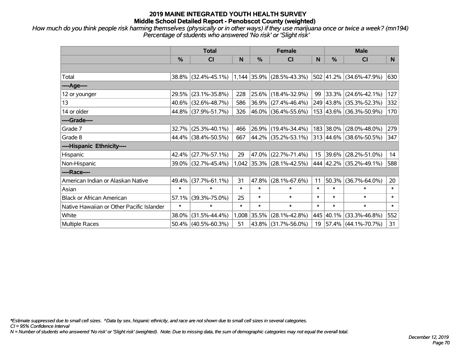*How much do you think people risk harming themselves (physically or in other ways) if they use marijuana once or twice a week? (mn194) Percentage of students who answered 'No risk' or 'Slight risk'*

|                                           | <b>Total</b>  |                                               |        | <b>Female</b> |                             | <b>Male</b> |               |                         |        |
|-------------------------------------------|---------------|-----------------------------------------------|--------|---------------|-----------------------------|-------------|---------------|-------------------------|--------|
|                                           | $\frac{0}{0}$ | <b>CI</b>                                     | N      | $\frac{0}{0}$ | C <sub>l</sub>              | N           | $\frac{0}{0}$ | <b>CI</b>               | N      |
|                                           |               |                                               |        |               |                             |             |               |                         |        |
| Total                                     |               | 38.8% (32.4%-45.1%) 1,144 35.9% (28.5%-43.3%) |        |               |                             |             |               | 502 41.2% (34.6%-47.9%) | 630    |
| ----Age----                               |               |                                               |        |               |                             |             |               |                         |        |
| 12 or younger                             | 29.5%         | $(23.1\% - 35.8\%)$                           | 228    | 25.6%         | $(18.4\% - 32.9\%)$         | 99          |               | 33.3% (24.6%-42.1%)     | 127    |
| 13                                        |               | 40.6% (32.6%-48.7%)                           | 586    |               | $36.9\%$ (27.4%-46.4%)      |             |               | 249 43.8% (35.3%-52.3%) | 332    |
| 14 or older                               |               | 44.8% (37.9%-51.7%)                           | 326    |               | 46.0% (36.4%-55.6%)         |             |               | 153 43.6% (36.3%-50.9%) | 170    |
| ----Grade----                             |               |                                               |        |               |                             |             |               |                         |        |
| Grade 7                                   | 32.7%         | $(25.3\% - 40.1\%)$                           | 466    |               | 26.9% (19.4%-34.4%)         |             | 183 38.0%     | $(28.0\% - 48.0\%)$     | 279    |
| Grade 8                                   |               | 44.4% (38.4%-50.5%)                           | 667    |               | 44.2% (35.2%-53.1%)         |             |               | 313 44.6% (38.6%-50.5%) | 347    |
| ----Hispanic Ethnicity----                |               |                                               |        |               |                             |             |               |                         |        |
| Hispanic                                  | 42.4%         | $(27.7\% - 57.1\%)$                           | 29     | 47.0%         | $(22.7\% - 71.4\%)$         | 15          | 39.6%         | $(28.2\% - 51.0\%)$     | 14     |
| Non-Hispanic                              |               | 39.0% (32.7%-45.4%)                           |        |               | $1,042$ 35.3% (28.1%-42.5%) |             |               | 444 42.2% (35.2%-49.1%) | 588    |
| ----Race----                              |               |                                               |        |               |                             |             |               |                         |        |
| American Indian or Alaskan Native         | 49.4%         | $(37.7\% - 61.1\%)$                           | 31     | 47.8%         | $(28.1\% - 67.6\%)$         | 11          | 50.3%         | $(36.7\% - 64.0\%)$     | 20     |
| Asian                                     | $\ast$        | $\ast$                                        | $\ast$ | $\ast$        | $\ast$                      | $\ast$      | $\ast$        | $\ast$                  | $\ast$ |
| <b>Black or African American</b>          | 57.1%         | $(39.3\% - 75.0\%)$                           | 25     | $\ast$        | $\ast$                      | $\ast$      | $\ast$        | $\ast$                  | $\ast$ |
| Native Hawaiian or Other Pacific Islander | $\ast$        | $\ast$                                        | $\ast$ | $\ast$        | $\ast$                      | $\ast$      | $\ast$        | $\ast$                  | $\ast$ |
| White                                     | 38.0%         | $(31.5\% - 44.4\%)$                           |        | 1,008 35.5%   | $(28.1\% - 42.8\%)$         |             | 445 40.1%     | $(33.3\% - 46.8\%)$     | 552    |
| Multiple Races                            |               | $50.4\%$ (40.5%-60.3%)                        | 51     | 43.8%         | $(31.7\% - 56.0\%)$         | 19          |               | $57.4\%$ (44.1%-70.7%)  | 31     |

*\*Estimate suppressed due to small cell sizes. ^Data by sex, hispanic ethnicity, and race are not shown due to small cell sizes in several categories.*

*CI = 95% Confidence Interval*

*N = Number of students who answered 'No risk' or 'Slight risk' (weighted). Note: Due to missing data, the sum of demographic categories may not equal the overall total.*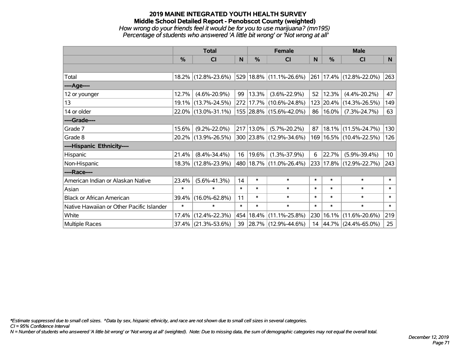## **2019 MAINE INTEGRATED YOUTH HEALTH SURVEY Middle School Detailed Report - Penobscot County (weighted)** *How wrong do your friends feel it would be for you to use marijuana? (mn195) Percentage of students who answered 'A little bit wrong' or 'Not wrong at all'*

|                                           | <b>Total</b>  |                        |        |            | <b>Female</b>           |        | <b>Male</b>   |                                   |                 |  |
|-------------------------------------------|---------------|------------------------|--------|------------|-------------------------|--------|---------------|-----------------------------------|-----------------|--|
|                                           | $\frac{0}{0}$ | CI                     | N      | $\%$       | <b>CI</b>               | N      | $\frac{0}{0}$ | <b>CI</b>                         | N.              |  |
|                                           |               |                        |        |            |                         |        |               |                                   |                 |  |
| Total                                     |               | 18.2% (12.8%-23.6%)    |        |            | 529 18.8% (11.1%-26.6%) |        |               | $ 261 17.4\% $ (12.8%-22.0%)      | 263             |  |
| ----Age----                               |               |                        |        |            |                         |        |               |                                   |                 |  |
| 12 or younger                             | 12.7%         | $(4.6\% - 20.9\%)$     | 99     | $ 13.3\% $ | $(3.6\% - 22.9\%)$      | 52     | 12.3%         | $(4.4\% - 20.2\%)$                | 47              |  |
| 13                                        |               | 19.1% (13.7%-24.5%)    |        |            | 272 17.7% (10.6%-24.8%) |        |               | 123 20.4% (14.3%-26.5%)           | 149             |  |
| 14 or older                               |               | 22.0% (13.0%-31.1%)    |        |            | 155 28.8% (15.6%-42.0%) | 86     | 16.0%         | $(7.3\% - 24.7\%)$                | 63              |  |
| ----Grade----                             |               |                        |        |            |                         |        |               |                                   |                 |  |
| Grade 7                                   | 15.6%         | $(9.2\% - 22.0\%)$     |        | 217 13.0%  | $(5.7\% - 20.2\%)$      | 87     |               | 18.1% (11.5%-24.7%)               | 130             |  |
| Grade 8                                   |               | 20.2% (13.9%-26.5%)    |        |            | 300 23.8% (12.9%-34.6%) |        |               | 169   16.5%   (10.4%-22.5%)       | 126             |  |
| ----Hispanic Ethnicity----                |               |                        |        |            |                         |        |               |                                   |                 |  |
| Hispanic                                  | 21.4%         | $(8.4\% - 34.4\%)$     | 16     | 19.6%      | $(1.3\% - 37.9\%)$      | 6      | 22.7%         | $(5.9\% - 39.4\%)$                | 10 <sup>°</sup> |  |
| Non-Hispanic                              |               | 18.3% (12.8%-23.9%)    |        |            | 480 18.7% (11.0%-26.4%) |        |               | 233 17.8% (12.9%-22.7%)           | 243             |  |
| ----Race----                              |               |                        |        |            |                         |        |               |                                   |                 |  |
| American Indian or Alaskan Native         | 23.4%         | $(5.6\% - 41.3\%)$     | 14     | $\ast$     | $\ast$                  | $\ast$ | $\ast$        | $\ast$                            | $\ast$          |  |
| Asian                                     | $\ast$        | $\ast$                 | $\ast$ | $\ast$     | $\ast$                  | $\ast$ | $\ast$        | $\ast$                            | $\ast$          |  |
| <b>Black or African American</b>          | 39.4%         | $(16.0\% - 62.8\%)$    | 11     | $\ast$     | $\ast$                  | $\ast$ | $\ast$        | $\ast$                            | $\ast$          |  |
| Native Hawaiian or Other Pacific Islander | $\ast$        | $\ast$                 | $\ast$ | $\ast$     | $\ast$                  | $\ast$ | $\ast$        | $\ast$                            | $\ast$          |  |
| White                                     | 17.4%         | $(12.4\% - 22.3\%)$    |        | 454 18.4%  | $(11.1\% - 25.8\%)$     | 230    |               | $16.1\%$ (11.6%-20.6%)            | 219             |  |
| <b>Multiple Races</b>                     |               | $37.4\%$ (21.3%-53.6%) |        |            | 39 28.7% (12.9%-44.6%)  |        |               | $14   44.7\%   (24.4\% - 65.0\%)$ | 25              |  |

*\*Estimate suppressed due to small cell sizes. ^Data by sex, hispanic ethnicity, and race are not shown due to small cell sizes in several categories.*

*CI = 95% Confidence Interval*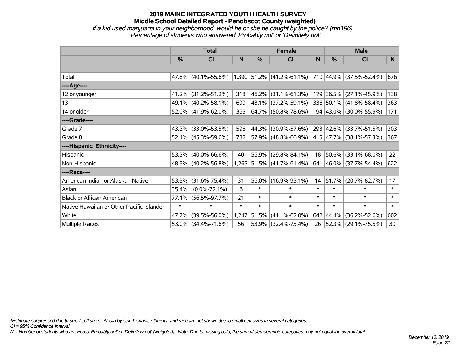## **2019 MAINE INTEGRATED YOUTH HEALTH SURVEY Middle School Detailed Report - Penobscot County (weighted)** *If a kid used marijuana in your neighborhood, would he or she be caught by the police? (mn196) Percentage of students who answered 'Probably not' or 'Definitely not'*

|                                           | <b>Total</b>  |                        |        | <b>Female</b> |                                                                       | <b>Male</b> |               |                          |        |
|-------------------------------------------|---------------|------------------------|--------|---------------|-----------------------------------------------------------------------|-------------|---------------|--------------------------|--------|
|                                           | $\frac{0}{0}$ | CI                     | N      | %             | CI                                                                    | N           | $\frac{0}{0}$ | <b>CI</b>                | N.     |
|                                           |               |                        |        |               |                                                                       |             |               |                          |        |
| Total                                     |               |                        |        |               | 47.8% (40.1%-55.6%) 1,390 51.2% (41.2%-61.1%) 710 44.9% (37.5%-52.4%) |             |               |                          | 676    |
| ----Age----                               |               |                        |        |               |                                                                       |             |               |                          |        |
| 12 or younger                             | 41.2%         | $(31.2\% - 51.2\%)$    | 318    | 46.2%         | $(31.1\% - 61.3\%)$                                                   |             |               | 179 36.5% (27.1%-45.9%)  | 138    |
| 13                                        |               | 49.1% (40.2%-58.1%)    | 699    |               | 48.1% (37.2%-59.1%)                                                   |             |               | 336 50.1% (41.8%-58.4%)  | 363    |
| 14 or older                               |               | $52.0\%$ (41.9%-62.0%) | 365    |               | $ 64.7\% $ (50.8%-78.6%)                                              |             |               | 194 43.0% (30.0%-55.9%)  | 171    |
| ----Grade----                             |               |                        |        |               |                                                                       |             |               |                          |        |
| Grade 7                                   | 43.3%         | $(33.0\% - 53.5\%)$    | 596    | 44.3%         | $(30.9\% - 57.6\%)$                                                   |             |               | 293 42.6% (33.7%-51.5%)  | 303    |
| Grade 8                                   |               | $52.4\%$ (45.3%-59.6%) | 782    |               | 57.9% (48.8%-66.9%)                                                   |             |               | 415 47.7% (38.1%-57.3%)  | 367    |
| ----Hispanic Ethnicity----                |               |                        |        |               |                                                                       |             |               |                          |        |
| Hispanic                                  | 53.3%         | $(40.0\% - 66.6\%)$    | 40     | 56.9%         | $(29.8\% - 84.1\%)$                                                   | 18          | $ 50.6\% $    | $(33.1\% - 68.0\%)$      | 22     |
| Non-Hispanic                              |               | 48.5% (40.2%-56.8%)    |        |               | $1,263$ 51.5% (41.7%-61.4%)                                           |             |               | 641 46.0% (37.7%-54.4%)  | 622    |
| ----Race----                              |               |                        |        |               |                                                                       |             |               |                          |        |
| American Indian or Alaskan Native         | 53.5%         | $(31.6\% - 75.4\%)$    | 31     | 56.0%         | $(16.9\% - 95.1\%)$                                                   | 14          | 51.7%         | $(20.7\% - 82.7\%)$      | 17     |
| Asian                                     | 35.4%         | $(0.0\% - 72.1\%)$     | 6      | $\ast$        | $\ast$                                                                | $\ast$      | $\ast$        | $\ast$                   | $\ast$ |
| <b>Black or African American</b>          | 77.1%         | $(56.5\% - 97.7\%)$    | 21     | $\ast$        | $\ast$                                                                | $\ast$      | $\ast$        | $\ast$                   | $\ast$ |
| Native Hawaiian or Other Pacific Islander | $\ast$        | $\ast$                 | $\ast$ | $\ast$        | $\ast$                                                                | $\ast$      | $\ast$        | $\ast$                   | $\ast$ |
| White                                     | 47.7%         | $(39.5\% - 56.0\%)$    | 1,247  | 51.5%         | $(41.1\% - 62.0\%)$                                                   | 642         | $ 44.4\% $    | $(36.2\% - 52.6\%)$      | 602    |
| <b>Multiple Races</b>                     |               | 53.0% (34.4%-71.6%)    | 56     |               | 53.9% (32.4%-75.4%)                                                   | 26          |               | $ 52.3\% $ (29.1%-75.5%) | 30     |

*\*Estimate suppressed due to small cell sizes. ^Data by sex, hispanic ethnicity, and race are not shown due to small cell sizes in several categories.*

*CI = 95% Confidence Interval*

*N = Number of students who answered 'Probably not' or 'Definitely not' (weighted). Note: Due to missing data, the sum of demographic categories may not equal the overall total.*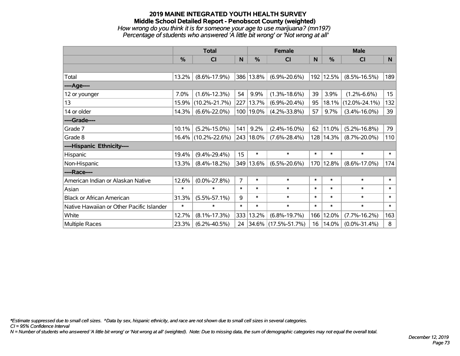## **2019 MAINE INTEGRATED YOUTH HEALTH SURVEY Middle School Detailed Report - Penobscot County (weighted)** *How wrong do you think it is for someone your age to use marijuana? (mn197) Percentage of students who answered 'A little bit wrong' or 'Not wrong at all'*

|                                           | <b>Total</b> |                     |                | <b>Female</b> | <b>Male</b>         |        |        |                     |        |
|-------------------------------------------|--------------|---------------------|----------------|---------------|---------------------|--------|--------|---------------------|--------|
|                                           | $\%$         | C <sub>l</sub>      | N              | $\%$          | CI                  | N      | %      | <b>CI</b>           | N      |
|                                           |              |                     |                |               |                     |        |        |                     |        |
| Total                                     | 13.2%        | $(8.6\% - 17.9\%)$  |                | 386 13.8%     | $(6.9\% - 20.6\%)$  | 192    | 12.5%  | $(8.5\% - 16.5\%)$  | 189    |
| ----Age----                               |              |                     |                |               |                     |        |        |                     |        |
| 12 or younger                             | 7.0%         | $(1.6\% - 12.3\%)$  | 54             | 9.9%          | $(1.3\% - 18.6\%)$  | 39     | 3.9%   | $(1.2\% - 6.6\%)$   | 15     |
| 13                                        | 15.9%        | $(10.2\% - 21.7\%)$ |                | 227 13.7%     | $(6.9\% - 20.4\%)$  | 95     | 18.1%  | $(12.0\% - 24.1\%)$ | 132    |
| 14 or older                               | 14.3%        | $(6.6\% - 22.0\%)$  |                | 100 19.0%     | $(4.2\% - 33.8\%)$  | 57     | 9.7%   | $(3.4\% - 16.0\%)$  | 39     |
| ----Grade----                             |              |                     |                |               |                     |        |        |                     |        |
| Grade 7                                   | 10.1%        | $(5.2\% - 15.0\%)$  | 141            | 9.2%          | $(2.4\% - 16.0\%)$  | 62     | 11.0%  | $(5.2\% - 16.8\%)$  | 79     |
| Grade 8                                   |              | 16.4% (10.2%-22.6%) |                | 243 18.0%     | $(7.6\% - 28.4\%)$  | 128    | 14.3%  | $(8.7\% - 20.0\%)$  | 110    |
| ----Hispanic Ethnicity----                |              |                     |                |               |                     |        |        |                     |        |
| Hispanic                                  | 19.4%        | $(9.4\% - 29.4\%)$  | 15             | $\ast$        | $\ast$              | $\ast$ | $\ast$ | $\ast$              | $\ast$ |
| Non-Hispanic                              | 13.3%        | $(8.4\% - 18.2\%)$  | 349            | 13.6%         | $(6.5\% - 20.6\%)$  | 170    | 12.8%  | $(8.6\% - 17.0\%)$  | 174    |
| ----Race----                              |              |                     |                |               |                     |        |        |                     |        |
| American Indian or Alaskan Native         | 12.6%        | $(0.0\% - 27.8\%)$  | $\overline{7}$ | $\ast$        | $\ast$              | $\ast$ | $\ast$ | $\ast$              | $\ast$ |
| Asian                                     | $\ast$       | $\ast$              | $\ast$         | $\ast$        | $\ast$              | $\ast$ | $\ast$ | $\ast$              | $\ast$ |
| <b>Black or African American</b>          | 31.3%        | $(5.5\% - 57.1\%)$  | 9              | $\ast$        | $\ast$              | $\ast$ | $\ast$ | $\ast$              | $\ast$ |
| Native Hawaiian or Other Pacific Islander | $\ast$       | $\ast$              | $\ast$         | $\ast$        | $\ast$              | $\ast$ | $\ast$ | $\ast$              | $\ast$ |
| White                                     | 12.7%        | $(8.1\% - 17.3\%)$  | 333            | 13.2%         | $(6.8\% - 19.7\%)$  | 166    | 12.0%  | $(7.7\% - 16.2\%)$  | 163    |
| Multiple Races                            | 23.3%        | $(6.2\% - 40.5\%)$  |                | 24 34.6%      | $(17.5\% - 51.7\%)$ | 16     | 14.0%  | $(0.0\% - 31.4\%)$  | 8      |

*\*Estimate suppressed due to small cell sizes. ^Data by sex, hispanic ethnicity, and race are not shown due to small cell sizes in several categories.*

*CI = 95% Confidence Interval*

*N = Number of students who answered 'A little bit wrong' or 'Not wrong at all' (weighted). Note: Due to missing data, the sum of demographic categories may not equal the overall total.*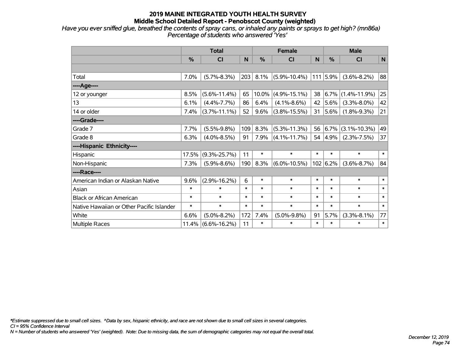*Have you ever sniffed glue, breathed the contents of spray cans, or inhaled any paints or sprays to get high? (mn86a) Percentage of students who answered 'Yes'*

|                                           | <b>Total</b> |                    |        | <b>Female</b> |                    |        | <b>Male</b>   |                    |        |
|-------------------------------------------|--------------|--------------------|--------|---------------|--------------------|--------|---------------|--------------------|--------|
|                                           | %            | <b>CI</b>          | N      | %             | CI                 | N      | $\frac{0}{0}$ | <b>CI</b>          | N      |
|                                           |              |                    |        |               |                    |        |               |                    |        |
| Total                                     | 7.0%         | $(5.7\% - 8.3\%)$  | 203    | 8.1%          | $(5.9\% - 10.4\%)$ |        | 111 5.9%      | $(3.6\% - 8.2\%)$  | 88     |
| ----Age----                               |              |                    |        |               |                    |        |               |                    |        |
| 12 or younger                             | 8.5%         | $(5.6\% - 11.4\%)$ | 65     | 10.0%         | $(4.9\% - 15.1\%)$ | 38     | 6.7%          | $(1.4\% - 11.9\%)$ | 25     |
| 13                                        | 6.1%         | $(4.4\% - 7.7\%)$  | 86     | 6.4%          | $(4.1\% - 8.6\%)$  | 42     | 5.6%          | $(3.3\% - 8.0\%)$  | 42     |
| 14 or older                               | 7.4%         | $(3.7\% - 11.1\%)$ | 52     | 9.6%          | $(3.8\% - 15.5\%)$ | 31     | $5.6\%$       | $(1.8\% - 9.3\%)$  | 21     |
| ----Grade----                             |              |                    |        |               |                    |        |               |                    |        |
| Grade 7                                   | 7.7%         | $(5.5\% - 9.8\%)$  | 109    | 8.3%          | $(5.3\% - 11.3\%)$ | 56     | 6.7%          | $(3.1\% - 10.3\%)$ | 49     |
| Grade 8                                   | 6.3%         | $(4.0\% - 8.5\%)$  | 91     | 7.9%          | $(4.1\% - 11.7\%)$ |        | 54 4.9%       | $(2.3\% - 7.5\%)$  | 37     |
| ----Hispanic Ethnicity----                |              |                    |        |               |                    |        |               |                    |        |
| Hispanic                                  | 17.5%        | $(9.3\% - 25.7\%)$ | 11     | $\ast$        | $\ast$             | $\ast$ | $\ast$        | $\ast$             | $\ast$ |
| Non-Hispanic                              | 7.3%         | $(5.9\% - 8.6\%)$  | 190    | 8.3%          | $(6.0\% - 10.5\%)$ |        | 102   6.2%    | $(3.6\% - 8.7\%)$  | 84     |
| ----Race----                              |              |                    |        |               |                    |        |               |                    |        |
| American Indian or Alaskan Native         | 9.6%         | $(2.9\% - 16.2\%)$ | 6      | $\ast$        | $\ast$             | $\ast$ | $\ast$        | $\ast$             | $\ast$ |
| Asian                                     | $\ast$       | $\ast$             | $\ast$ | $\ast$        | $\ast$             | $\ast$ | $\ast$        | $\ast$             | $\ast$ |
| <b>Black or African American</b>          | $\ast$       | $\ast$             | $\ast$ | $\ast$        | $\ast$             | $\ast$ | $\ast$        | $\ast$             | $\ast$ |
| Native Hawaiian or Other Pacific Islander | $\ast$       | $\ast$             | $\ast$ | $\ast$        | $\ast$             | $\ast$ | $\ast$        | $\ast$             | $\ast$ |
| White                                     | 6.6%         | $(5.0\% - 8.2\%)$  | 172    | 7.4%          | $(5.0\% - 9.8\%)$  | 91     | 5.7%          | $(3.3\% - 8.1\%)$  | 77     |
| Multiple Races                            | 11.4%        | $(6.6\% - 16.2\%)$ | 11     | $\ast$        | $\ast$             | $\ast$ | $\ast$        | $\ast$             | $\ast$ |

*\*Estimate suppressed due to small cell sizes. ^Data by sex, hispanic ethnicity, and race are not shown due to small cell sizes in several categories.*

*CI = 95% Confidence Interval*

*N = Number of students who answered 'Yes' (weighted). Note: Due to missing data, the sum of demographic categories may not equal the overall total.*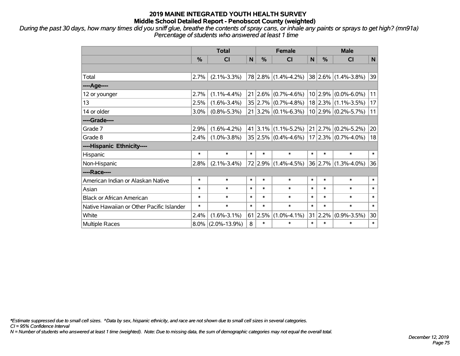*During the past 30 days, how many times did you sniff glue, breathe the contents of spray cans, or inhale any paints or sprays to get high? (mn91a) Percentage of students who answered at least 1 time*

|                                           | <b>Total</b> |                    |        | <b>Female</b>   |                           |        | <b>Male</b>     |                         |        |
|-------------------------------------------|--------------|--------------------|--------|-----------------|---------------------------|--------|-----------------|-------------------------|--------|
|                                           | %            | <b>CI</b>          | N      | $\frac{0}{0}$   | <b>CI</b>                 | N      | %               | <b>CI</b>               | N      |
|                                           |              |                    |        |                 |                           |        |                 |                         |        |
| Total                                     | 2.7%         | $(2.1\% - 3.3\%)$  |        |                 | 78 2.8% (1.4%-4.2%)       |        |                 | 38 2.6% (1.4%-3.8%)     | 39     |
| ----Age----                               |              |                    |        |                 |                           |        |                 |                         |        |
| 12 or younger                             | 2.7%         | $(1.1\% - 4.4\%)$  |        | $21   2.6\%  $  | $(0.7\% - 4.6\%)$         |        | 10 2.9%         | $(0.0\% - 6.0\%)$       | 11     |
| 13                                        | 2.5%         | $(1.6\% - 3.4\%)$  |        |                 | $35 2.7\% $ (0.7%-4.8%)   |        |                 | $18$ 2.3% (1.1%-3.5%)   | 17     |
| 14 or older                               | 3.0%         | $(0.8\% - 5.3\%)$  |        |                 | $21 3.2\% $ (0.1%-6.3%)   |        |                 | $10 2.9\% $ (0.2%-5.7%) | 11     |
| ----Grade----                             |              |                    |        |                 |                           |        |                 |                         |        |
| Grade 7                                   | 2.9%         | $(1.6\% - 4.2\%)$  |        |                 | $41$   3.1%   (1.1%-5.2%) |        | 21   2.7%       | $(0.2\% - 5.2\%)$       | 20     |
| Grade 8                                   | 2.4%         | $(1.0\% - 3.8\%)$  |        |                 | $35 2.5\% $ (0.4%-4.6%)   |        |                 | $17 2.3\% $ (0.7%-4.0%) | 18     |
| ----Hispanic Ethnicity----                |              |                    |        |                 |                           |        |                 |                         |        |
| Hispanic                                  | $\ast$       | $\ast$             | $\ast$ | $\ast$          | $\ast$                    | $\ast$ | $\ast$          | $\ast$                  | $\ast$ |
| Non-Hispanic                              | 2.8%         | $(2.1\% - 3.4\%)$  |        | 72 2.9%         | $(1.4\% - 4.5\%)$         |        | 36 2.7%         | $(1.3\% - 4.0\%)$       | 36     |
| ----Race----                              |              |                    |        |                 |                           |        |                 |                         |        |
| American Indian or Alaskan Native         | $\ast$       | $\ast$             | $\ast$ | $\ast$          | $\ast$                    | $\ast$ | $\ast$          | $\ast$                  | $\ast$ |
| Asian                                     | $\ast$       | $\ast$             | $\ast$ | $\ast$          | $\ast$                    | $\ast$ | $\ast$          | $\ast$                  | $\ast$ |
| <b>Black or African American</b>          | *            | $\ast$             | $\ast$ | $\ast$          | $\ast$                    | $\ast$ | $\ast$          | $\ast$                  | $\ast$ |
| Native Hawaiian or Other Pacific Islander | *            | $\ast$             | $\ast$ | $\ast$          | $\ast$                    | $\ast$ | $\ast$          | $\ast$                  | $\ast$ |
| White                                     | 2.4%         | $(1.6\% - 3.1\%)$  |        | $61 \,   2.5\%$ | $(1.0\% - 4.1\%)$         |        | $31 \mid 2.2\%$ | $(0.9\% - 3.5\%)$       | 30     |
| Multiple Races                            | $8.0\%$      | $(2.0\% - 13.9\%)$ | 8      | $\ast$          | $\ast$                    | $\ast$ | $\ast$          | $\ast$                  | $\ast$ |

*\*Estimate suppressed due to small cell sizes. ^Data by sex, hispanic ethnicity, and race are not shown due to small cell sizes in several categories.*

*CI = 95% Confidence Interval*

*N = Number of students who answered at least 1 time (weighted). Note: Due to missing data, the sum of demographic categories may not equal the overall total.*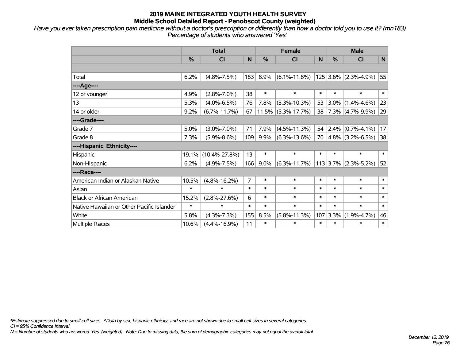*Have you ever taken prescription pain medicine without a doctor's prescription or differently than how a doctor told you to use it? (mn183) Percentage of students who answered 'Yes'*

|                                           | <b>Total</b>  |                     |                |         | <b>Female</b>         |        | <b>Male</b> |                     |        |  |
|-------------------------------------------|---------------|---------------------|----------------|---------|-----------------------|--------|-------------|---------------------|--------|--|
|                                           | $\frac{9}{6}$ | CI                  | N.             | %       | <b>CI</b>             | N      | %           | <b>CI</b>           | N      |  |
|                                           |               |                     |                |         |                       |        |             |                     |        |  |
| Total                                     | 6.2%          | $(4.8\% - 7.5\%)$   | 183            | 8.9%    | $(6.1\% - 11.8\%)$    | 125    | $ 3.6\% $   | $(2.3\% - 4.9\%)$   | 55     |  |
| ----Age----                               |               |                     |                |         |                       |        |             |                     |        |  |
| 12 or younger                             | 4.9%          | $(2.8\% - 7.0\%)$   | 38             | $\ast$  | $\ast$                | $\ast$ | $\ast$      | $\ast$              | $\ast$ |  |
| 13                                        | 5.3%          | $(4.0\% - 6.5\%)$   | 76             | 7.8%    | $(5.3\% - 10.3\%)$    | 53     | $3.0\%$     | $(1.4\% - 4.6\%)$   | 23     |  |
| 14 or older                               | 9.2%          | $(6.7\% - 11.7\%)$  | 67             |         | $11.5\%$ (5.3%-17.7%) | 38     |             | $7.3\%$ (4.7%-9.9%) | 29     |  |
| ----Grade----                             |               |                     |                |         |                       |        |             |                     |        |  |
| Grade 7                                   | 5.0%          | $(3.0\% - 7.0\%)$   | 71             | 7.9%    | $(4.5\% - 11.3\%)$    | 54     |             | $2.4\%$ (0.7%-4.1%) | 17     |  |
| Grade 8                                   | 7.3%          | $(5.9\% - 8.6\%)$   | 109            | 9.9%    | $(6.3\% - 13.6\%)$    | 70     |             | $4.8\%$ (3.2%-6.5%) | 38     |  |
| ----Hispanic Ethnicity----                |               |                     |                |         |                       |        |             |                     |        |  |
| Hispanic                                  | 19.1%         | $(10.4\% - 27.8\%)$ | 13             | $\ast$  | $\ast$                | $\ast$ | $\ast$      | $\ast$              | $\ast$ |  |
| Non-Hispanic                              | 6.2%          | $(4.9\% - 7.5\%)$   | 166            | $9.0\%$ | $(6.3\% - 11.7\%)$    |        | 113 3.7%    | $(2.3\% - 5.2\%)$   | 52     |  |
| ----Race----                              |               |                     |                |         |                       |        |             |                     |        |  |
| American Indian or Alaskan Native         | 10.5%         | $(4.8\% - 16.2\%)$  | $\overline{7}$ | $\ast$  | $\ast$                | $\ast$ | $\ast$      | $\ast$              | $\ast$ |  |
| Asian                                     | $\ast$        | $\ast$              | $\ast$         | $\ast$  | $\ast$                | $\ast$ | $\ast$      | $\ast$              | $\ast$ |  |
| <b>Black or African American</b>          | 15.2%         | $(2.8\% - 27.6\%)$  | 6              | $\ast$  | $\ast$                | $\ast$ | $\ast$      | $\ast$              | $\ast$ |  |
| Native Hawaiian or Other Pacific Islander | $\ast$        | $\ast$              | $\ast$         | $\ast$  | $\ast$                | $\ast$ | $\ast$      | $\ast$              | $\ast$ |  |
| White                                     | 5.8%          | $(4.3\% - 7.3\%)$   | 155            | 8.5%    | $(5.8\% - 11.3\%)$    | 107    | 3.3%        | $(1.9\% - 4.7\%)$   | 46     |  |
| Multiple Races                            | 10.6%         | $(4.4\% - 16.9\%)$  | 11             | $\ast$  | $\ast$                | $\ast$ | $\ast$      | $\ast$              | $\ast$ |  |

*\*Estimate suppressed due to small cell sizes. ^Data by sex, hispanic ethnicity, and race are not shown due to small cell sizes in several categories.*

*CI = 95% Confidence Interval*

*N = Number of students who answered 'Yes' (weighted). Note: Due to missing data, the sum of demographic categories may not equal the overall total.*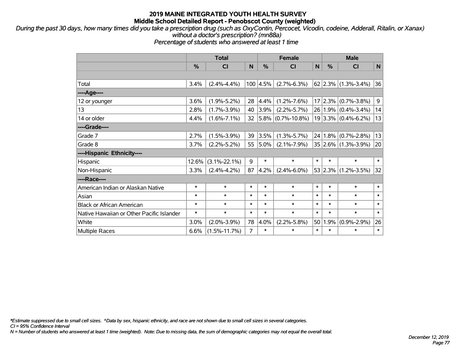*During the past 30 days, how many times did you take a prescription drug (such as OxyContin, Percocet, Vicodin, codeine, Adderall, Ritalin, or Xanax) without a doctor's prescription? (mn88a)*

*Percentage of students who answered at least 1 time*

|                                           | <b>Total</b> |                    |        |                  | <b>Female</b>          |        | <b>Male</b> |                                     |                  |  |
|-------------------------------------------|--------------|--------------------|--------|------------------|------------------------|--------|-------------|-------------------------------------|------------------|--|
|                                           | %            | CI                 | N      | %                | <b>CI</b>              | N      | %           | <b>CI</b>                           | $\mathsf{N}$     |  |
|                                           |              |                    |        |                  |                        |        |             |                                     |                  |  |
| Total                                     | 3.4%         | $(2.4\% - 4.4\%)$  |        | $100 \,   4.5\%$ | $(2.7\% - 6.3\%)$      |        |             | $62$ 2.3% (1.3%-3.4%)               | 36               |  |
| ----Age----                               |              |                    |        |                  |                        |        |             |                                     |                  |  |
| 12 or younger                             | 3.6%         | $(1.9\% - 5.2\%)$  | 28     | 4.4%             | $(1.2\% - 7.6\%)$      | 17     |             | $\vert 2.3\% \vert (0.7\% - 3.8\%)$ | $\boldsymbol{9}$ |  |
| 13                                        | 2.8%         | $(1.7\% - 3.9\%)$  | 40     | $3.9\%$          | $(2.2\% - 5.7\%)$      |        |             | $26 1.9\% $ (0.4%-3.4%)             | 14               |  |
| 14 or older                               | 4.4%         | $(1.6\% - 7.1\%)$  | 32     |                  | $ 5.8\% $ (0.7%-10.8%) |        |             | $19 3.3\% $ (0.4%-6.2%)             | 13               |  |
| ----Grade----                             |              |                    |        |                  |                        |        |             |                                     |                  |  |
| Grade 7                                   | 2.7%         | $(1.5\% - 3.9\%)$  | 39     | 3.5%             | $(1.3\% - 5.7\%)$      | 24     |             | $1.8\%$ (0.7%-2.8%)                 | 13               |  |
| Grade 8                                   | 3.7%         | $(2.2\% - 5.2\%)$  | 55     | 5.0%             | $(2.1\% - 7.9\%)$      |        |             | $35 2.6\% $ (1.3%-3.9%)             | 20               |  |
| ----Hispanic Ethnicity----                |              |                    |        |                  |                        |        |             |                                     |                  |  |
| Hispanic                                  | 12.6%        | $(3.1\% - 22.1\%)$ | 9      | $\ast$           | $\ast$                 | $\ast$ | $\ast$      | $\ast$                              | $\ast$           |  |
| Non-Hispanic                              | 3.3%         | $(2.4\% - 4.2\%)$  | 87     | 4.2%             | $(2.4\% - 6.0\%)$      |        |             | $53$ 2.3% (1.2%-3.5%)               | 32               |  |
| ----Race----                              |              |                    |        |                  |                        |        |             |                                     |                  |  |
| American Indian or Alaskan Native         | $\ast$       | $\ast$             | $\ast$ | $\ast$           | $\ast$                 | $\ast$ | $\ast$      | $\ast$                              | $\ast$           |  |
| Asian                                     | $\ast$       | $\ast$             | $\ast$ | $\ast$           | $\ast$                 | $\ast$ | $\ast$      | $\ast$                              | $\ast$           |  |
| <b>Black or African American</b>          | $\ast$       | $\ast$             | $\ast$ | $\ast$           | $\ast$                 | $\ast$ | $\ast$      | $\ast$                              | $\ast$           |  |
| Native Hawaiian or Other Pacific Islander | $\ast$       | $\ast$             | $\ast$ | $\ast$           | $\ast$                 | $\ast$ | $\ast$      | $\ast$                              | $\ast$           |  |
| White                                     | 3.0%         | $(2.0\% - 3.9\%)$  | 78     | 4.0%             | $(2.2\% - 5.8\%)$      | 50     | 1.9%        | $(0.9\% - 2.9\%)$                   | 26               |  |
| Multiple Races                            | 6.6%         | $(1.5\% - 11.7\%)$ | 7      | $\ast$           | $\ast$                 | $\ast$ | $\ast$      | $\ast$                              | $\ast$           |  |

*\*Estimate suppressed due to small cell sizes. ^Data by sex, hispanic ethnicity, and race are not shown due to small cell sizes in several categories.*

*CI = 95% Confidence Interval*

*N = Number of students who answered at least 1 time (weighted). Note: Due to missing data, the sum of demographic categories may not equal the overall total.*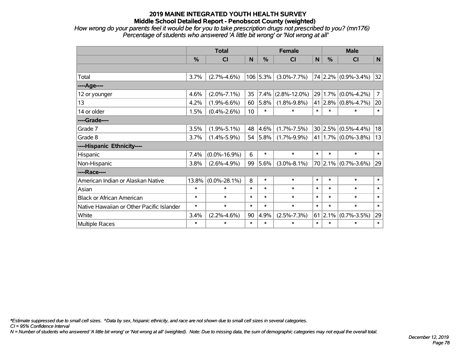*How wrong do your parents feel it would be for you to take prescription drugs not prescribed to you? (mn176) Percentage of students who answered 'A little bit wrong' or 'Not wrong at all'*

|                                           | <b>Total</b> |                    |        | <b>Female</b> |                    |        | <b>Male</b>   |                             |                |  |
|-------------------------------------------|--------------|--------------------|--------|---------------|--------------------|--------|---------------|-----------------------------|----------------|--|
|                                           | %            | CI                 | N      | %             | <b>CI</b>          | N      | $\frac{0}{0}$ | <b>CI</b>                   | N              |  |
|                                           |              |                    |        |               |                    |        |               |                             |                |  |
| Total                                     | 3.7%         | $(2.7\% - 4.6\%)$  |        | $106$ 5.3%    | $(3.0\% - 7.7\%)$  |        |               | 74 2.2% (0.9%-3.4%)         | 32             |  |
| ----Age----                               |              |                    |        |               |                    |        |               |                             |                |  |
| 12 or younger                             | 4.6%         | $(2.0\% - 7.1\%)$  | 35     | 7.4%          | $(2.8\% - 12.0\%)$ |        | 29 1.7%       | $(0.0\% - 4.2\%)$           | $\overline{7}$ |  |
| 13                                        | 4.2%         | $(1.9\% - 6.6\%)$  | 60     | 5.8%          | $(1.8\% - 9.8\%)$  |        |               | 41 2.8% (0.8%-4.7%)         | 20             |  |
| 14 or older                               | 1.5%         | $(0.4\% - 2.6\%)$  | 10     | $\ast$        | $\ast$             | $\ast$ | $\ast$        | $\ast$                      | $\ast$         |  |
| ----Grade----                             |              |                    |        |               |                    |        |               |                             |                |  |
| Grade 7                                   | 3.5%         | $(1.9\% - 5.1\%)$  | 48     | 4.6%          | $(1.7\% - 7.5\%)$  |        | 30 2.5%       | $(0.5\% - 4.4\%)$           | 18             |  |
| Grade 8                                   | 3.7%         | $(1.4\% - 5.9\%)$  | 54     | 5.8%          | $(1.7\% - 9.9\%)$  |        |               | 41   1.7% $(0.0\% - 3.8\%)$ | 13             |  |
| ----Hispanic Ethnicity----                |              |                    |        |               |                    |        |               |                             |                |  |
| Hispanic                                  | 7.4%         | $(0.0\% - 16.9\%)$ | 6      | $\ast$        | $\ast$             | $\ast$ | $\ast$        | $\ast$                      | $\ast$         |  |
| Non-Hispanic                              | 3.8%         | $(2.6\% - 4.9\%)$  | 99     | 5.6%          | $(3.0\% - 8.1\%)$  |        |               | $70$ 2.1% (0.7%-3.6%)       | 29             |  |
| ----Race----                              |              |                    |        |               |                    |        |               |                             |                |  |
| American Indian or Alaskan Native         | 13.8%        | $(0.0\% - 28.1\%)$ | 8      | $\ast$        | $\ast$             | $\ast$ | $\ast$        | $\ast$                      | $\ast$         |  |
| Asian                                     | $\ast$       | $\ast$             | $\ast$ | $\ast$        | $\ast$             | $\ast$ | $\ast$        | $\ast$                      | $\ast$         |  |
| <b>Black or African American</b>          | $\ast$       | $\ast$             | $\ast$ | $\ast$        | $\ast$             | $\ast$ | $\ast$        | $\ast$                      | $\ast$         |  |
| Native Hawaiian or Other Pacific Islander | $\ast$       | $\ast$             | $\ast$ | $\ast$        | $\ast$             | $\ast$ | $\ast$        | $\ast$                      | $\ast$         |  |
| White                                     | 3.4%         | $(2.2\% - 4.6\%)$  | 90     | 4.9%          | $(2.5\% - 7.3\%)$  | 61     | 2.1%          | $(0.7\% - 3.5\%)$           | 29             |  |
| <b>Multiple Races</b>                     | $\ast$       | $\ast$             | $\ast$ | $\ast$        | $\ast$             | $\ast$ | $\ast$        | $\ast$                      | $\ast$         |  |

*\*Estimate suppressed due to small cell sizes. ^Data by sex, hispanic ethnicity, and race are not shown due to small cell sizes in several categories.*

*CI = 95% Confidence Interval*

*N = Number of students who answered 'A little bit wrong' or 'Not wrong at all' (weighted). Note: Due to missing data, the sum of demographic categories may not equal the overall total.*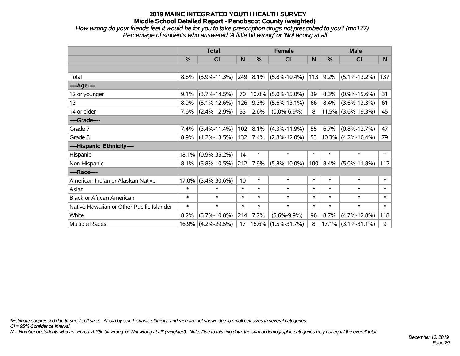*How wrong do your friends feel it would be for you to take prescription drugs not prescribed to you? (mn177) Percentage of students who answered 'A little bit wrong' or 'Not wrong at all'*

|                                           | <b>Total</b>  |                    |        | <b>Female</b> |                    | <b>Male</b> |               |                       |        |
|-------------------------------------------|---------------|--------------------|--------|---------------|--------------------|-------------|---------------|-----------------------|--------|
|                                           | $\frac{0}{0}$ | <b>CI</b>          | N      | %             | <b>CI</b>          | N           | $\frac{0}{0}$ | <b>CI</b>             | N      |
|                                           |               |                    |        |               |                    |             |               |                       |        |
| Total                                     | 8.6%          | $(5.9\% - 11.3\%)$ | 249    | 8.1%          | $(5.8\% - 10.4\%)$ | 113         | 9.2%          | $(5.1\% - 13.2\%)$    | 137    |
| ----Age----                               |               |                    |        |               |                    |             |               |                       |        |
| 12 or younger                             | 9.1%          | $(3.7\% - 14.5\%)$ | 70     | 10.0%         | $(5.0\% - 15.0\%)$ | 39          | 8.3%          | $(0.9\% - 15.6\%)$    | 31     |
| 13                                        | 8.9%          | $(5.1\% - 12.6\%)$ | 126    | 9.3%          | $(5.6\% - 13.1\%)$ | 66          | 8.4%          | $(3.6\% - 13.3\%)$    | 61     |
| 14 or older                               | 7.6%          | $(2.4\% - 12.9\%)$ | 53     | 2.6%          | $(0.0\% - 6.9\%)$  | 8           |               | $11.5\%$ (3.6%-19.3%) | 45     |
| ----Grade----                             |               |                    |        |               |                    |             |               |                       |        |
| Grade 7                                   | 7.4%          | $(3.4\% - 11.4\%)$ | 102    | 8.1%          | $(4.3\% - 11.9\%)$ | 55          | 6.7%          | $(0.8\% - 12.7\%)$    | 47     |
| Grade 8                                   | 8.9%          | $(4.2\% - 13.5\%)$ | 132    | 7.4%          | $(2.8\% - 12.0\%)$ | 53          |               | $10.3\%$ (4.2%-16.4%) | 79     |
| ----Hispanic Ethnicity----                |               |                    |        |               |                    |             |               |                       |        |
| Hispanic                                  | 18.1%         | $(0.9\% - 35.2\%)$ | 14     | $\ast$        | $\ast$             | $\ast$      | $\ast$        | $\ast$                | $\ast$ |
| Non-Hispanic                              | 8.1%          | $(5.8\% - 10.5\%)$ | 212    | 7.9%          | $(5.8\% - 10.0\%)$ | 100         | 8.4%          | $(5.0\% - 11.8\%)$    | 112    |
| ----Race----                              |               |                    |        |               |                    |             |               |                       |        |
| American Indian or Alaskan Native         | 17.0%         | $(3.4\% - 30.6\%)$ | 10     | $\ast$        | $\ast$             | $\ast$      | $\ast$        | $\ast$                | $\ast$ |
| Asian                                     | $\ast$        | $\ast$             | $\ast$ | $\ast$        | $\ast$             | $\ast$      | $\ast$        | $\ast$                | $\ast$ |
| <b>Black or African American</b>          | $\ast$        | $\ast$             | $\ast$ | $\ast$        | $\ast$             | $\ast$      | $\ast$        | $\ast$                | $\ast$ |
| Native Hawaiian or Other Pacific Islander | $\ast$        | $\ast$             | $\ast$ | $\ast$        | $\ast$             | $\ast$      | $\ast$        | $\ast$                | $\ast$ |
| White                                     | 8.2%          | $(5.7\% - 10.8\%)$ | 214    | 7.7%          | $(5.6\% - 9.9\%)$  | 96          | 8.7%          | $(4.7\% - 12.8\%)$    | 118    |
| <b>Multiple Races</b>                     | 16.9%         | $(4.2\% - 29.5\%)$ | 17     | 16.6%         | $(1.5\% - 31.7\%)$ | 8           | 17.1%         | $(3.1\% - 31.1\%)$    | 9      |

*\*Estimate suppressed due to small cell sizes. ^Data by sex, hispanic ethnicity, and race are not shown due to small cell sizes in several categories.*

*CI = 95% Confidence Interval*

*N = Number of students who answered 'A little bit wrong' or 'Not wrong at all' (weighted). Note: Due to missing data, the sum of demographic categories may not equal the overall total.*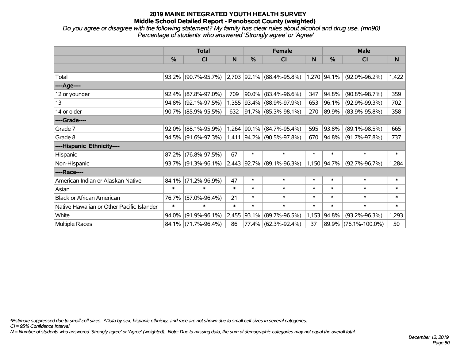*Do you agree or disagree with the following statement? My family has clear rules about alcohol and drug use. (mn90) Percentage of students who answered 'Strongly agree' or 'Agree'*

|                                           | <b>Total</b> |                        |        |             | <b>Female</b>                 |        | <b>Male</b>   |                      |        |  |
|-------------------------------------------|--------------|------------------------|--------|-------------|-------------------------------|--------|---------------|----------------------|--------|--|
|                                           | %            | <b>CI</b>              | N      | %           | CI                            | N      | $\frac{0}{0}$ | <b>CI</b>            | N      |  |
|                                           |              |                        |        |             |                               |        |               |                      |        |  |
| Total                                     |              | 93.2% (90.7%-95.7%)    |        |             | $2,703$ 92.1% (88.4%-95.8%)   |        | $1,270$ 94.1% | $(92.0\% - 96.2\%)$  | 1,422  |  |
| ----Age----                               |              |                        |        |             |                               |        |               |                      |        |  |
| 12 or younger                             | 92.4%        | $(87.8\% - 97.0\%)$    | 709    | 90.0%       | $(83.4\% - 96.6\%)$           | 347    | 94.8%         | $(90.8\% - 98.7\%)$  | 359    |  |
| 13                                        |              | 94.8% (92.1%-97.5%)    |        |             | 1,355   93.4%   (88.9%-97.9%) | 653    | 96.1%         | $(92.9\% - 99.3\%)$  | 702    |  |
| 14 or older                               |              | 90.7% (85.9%-95.5%)    | 632    |             | $ 91.7\% $ (85.3%-98.1%)      | 270    | 89.9%         | $(83.9\% - 95.8\%)$  | 358    |  |
| ----Grade----                             |              |                        |        |             |                               |        |               |                      |        |  |
| Grade 7                                   |              | $92.0\%$ (88.1%-95.9%) |        | 1,264 90.1% | $(84.7\% - 95.4\%)$           | 595    | 93.8%         | $(89.1\% - 98.5\%)$  | 665    |  |
| Grade 8                                   |              | 94.5% (91.6%-97.3%)    |        |             | 1,411 94.2% (90.5%-97.8%)     | 670    | 94.8%         | $(91.7\% - 97.8\%)$  | 737    |  |
| ----Hispanic Ethnicity----                |              |                        |        |             |                               |        |               |                      |        |  |
| Hispanic                                  | 87.2%        | $(76.8\% - 97.5\%)$    | 67     | $\ast$      | $\ast$                        | $\ast$ | $\ast$        | $\ast$               | $\ast$ |  |
| Non-Hispanic                              |              | 93.7% (91.3%-96.1%)    |        |             | 2,443 92.7% (89.1%-96.3%)     |        | 1,150 94.7%   | $(92.7\% - 96.7\%)$  | 1,284  |  |
| ----Race----                              |              |                        |        |             |                               |        |               |                      |        |  |
| American Indian or Alaskan Native         | 84.1%        | $(71.2\% - 96.9\%)$    | 47     | $\ast$      | $\ast$                        | $\ast$ | $\ast$        | $\ast$               | $\ast$ |  |
| Asian                                     | $\ast$       | $\ast$                 | $\ast$ | $\ast$      | $\ast$                        | $\ast$ | $\ast$        | $\ast$               | $\ast$ |  |
| <b>Black or African American</b>          | 76.7%        | $(57.0\% - 96.4\%)$    | 21     | $\ast$      | $\ast$                        | $\ast$ | $\ast$        | $\ast$               | $\ast$ |  |
| Native Hawaiian or Other Pacific Islander | $\ast$       | $\ast$                 | $\ast$ | $\ast$      | $\ast$                        | $\ast$ | $\ast$        | $\ast$               | $\ast$ |  |
| White                                     | 94.0%        | $(91.9\% - 96.1\%)$    | 2,455  | 93.1%       | $(89.7\% - 96.5\%)$           | 1,153  | 94.8%         | $(93.2\% - 96.3\%)$  | 1,293  |  |
| Multiple Races                            |              | 84.1% (71.7%-96.4%)    | 86     |             | 77.4% (62.3%-92.4%)           | 37     |               | 89.9% (76.1%-100.0%) | 50     |  |

*\*Estimate suppressed due to small cell sizes. ^Data by sex, hispanic ethnicity, and race are not shown due to small cell sizes in several categories.*

*CI = 95% Confidence Interval*

*N = Number of students who answered 'Strongly agree' or 'Agree' (weighted). Note: Due to missing data, the sum of demographic categories may not equal the overall total.*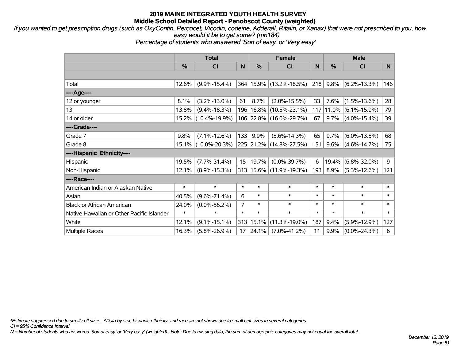*If you wanted to get prescription drugs (such as OxyContin, Percocet, Vicodin, codeine, Adderall, Ritalin, or Xanax) that were not prescribed to you, how easy would it be to get some? (mn184)*

*Percentage of students who answered 'Sort of easy' or 'Very easy'*

|                                           | <b>Total</b> |                     |        | <b>Female</b> | <b>Male</b>                 |        |              |                    |              |
|-------------------------------------------|--------------|---------------------|--------|---------------|-----------------------------|--------|--------------|--------------------|--------------|
|                                           | %            | <b>CI</b>           | N      | %             | <b>CI</b>                   | N.     | $\%$         | <b>CI</b>          | N            |
|                                           |              |                     |        |               |                             |        |              |                    |              |
| Total                                     | 12.6%        | $(9.9\% - 15.4\%)$  |        |               | 364   15.9%   (13.2%-18.5%) |        | $ 218 9.8\%$ | $(6.2\% - 13.3\%)$ | 146          |
| ----Age----                               |              |                     |        |               |                             |        |              |                    |              |
| 12 or younger                             | 8.1%         | $(3.2\% - 13.0\%)$  | 61     | 8.7%          | $(2.0\% - 15.5\%)$          | 33     | 7.6%         | $(1.5\% - 13.6\%)$ | 28           |
| 13                                        | 13.8%        | $(9.4\% - 18.3\%)$  |        | 196 16.8%     | $(10.5\% - 23.1\%)$         | 117    | 11.0%        | $(6.1\% - 15.9\%)$ | 79           |
| 14 or older                               |              | 15.2% (10.4%-19.9%) |        |               | 106 22.8% (16.0%-29.7%)     | 67     | 9.7%         | $(4.0\% - 15.4\%)$ | 39           |
| ----Grade----                             |              |                     |        |               |                             |        |              |                    |              |
| Grade 7                                   | 9.8%         | $(7.1\% - 12.6\%)$  | 133    | 9.9%          | $(5.6\% - 14.3\%)$          | 65     | 9.7%         | $(6.0\% - 13.5\%)$ | 68           |
| Grade 8                                   |              | 15.1% (10.0%-20.3%) |        |               | 225 21.2% (14.8%-27.5%)     | 151    | $9.6\%$      | $(4.6\% - 14.7\%)$ | 75           |
| ----Hispanic Ethnicity----                |              |                     |        |               |                             |        |              |                    |              |
| Hispanic                                  | 19.5%        | $(7.7\% - 31.4\%)$  | 15     | 19.7%         | $(0.0\% - 39.7\%)$          | 6      | 19.4%        | $(6.8\% - 32.0\%)$ | 9            |
| Non-Hispanic                              | 12.1%        | $(8.9\% - 15.3\%)$  |        |               | 313   15.6%   (11.9%-19.3%) | 193    | $8.9\%$      | $(5.3\% - 12.6\%)$ | 121          |
| ----Race----                              |              |                     |        |               |                             |        |              |                    |              |
| American Indian or Alaskan Native         | $\ast$       | $\ast$              | $\ast$ | $\ast$        | $\ast$                      | $\ast$ | $\ast$       | $\ast$             | $\ast$       |
| Asian                                     | 40.5%        | $(9.6\% - 71.4\%)$  | 6      | $\ast$        | $\ast$                      | $\ast$ | $\ast$       | $\ast$             | $\ast$       |
| <b>Black or African American</b>          | 24.0%        | $(0.0\% - 56.2\%)$  | 7      | $\ast$        | $\ast$                      | $\ast$ | $\ast$       | $\ast$             | $\ast$       |
| Native Hawaiian or Other Pacific Islander | $\ast$       | $\ast$              | $\ast$ | $\ast$        | $\ast$                      | $\ast$ | $\ast$       | $\ast$             | $\pmb{\ast}$ |
| White                                     | 12.1%        | $(9.1\% - 15.1\%)$  | 313    | 15.1%         | $(11.3\% - 19.0\%)$         | 187    | 9.4%         | $(5.9\% - 12.9\%)$ | 127          |
| <b>Multiple Races</b>                     | 16.3%        | $(5.8\% - 26.9\%)$  | 17     | 24.1%         | $(7.0\% - 41.2\%)$          | 11     | 9.9%         | $(0.0\% - 24.3\%)$ | 6            |

*\*Estimate suppressed due to small cell sizes. ^Data by sex, hispanic ethnicity, and race are not shown due to small cell sizes in several categories.*

*CI = 95% Confidence Interval*

*N = Number of students who answered 'Sort of easy' or 'Very easy' (weighted). Note: Due to missing data, the sum of demographic categories may not equal the overall total.*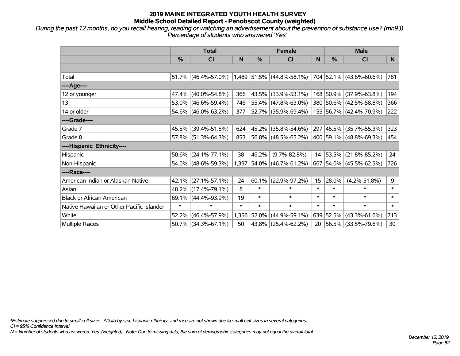*During the past 12 months, do you recall hearing, reading or watching an advertisement about the prevention of substance use? (mn93) Percentage of students who answered 'Yes'*

|                                           | <b>Total</b>  |                        |        | <b>Female</b> | <b>Male</b>                 |        |           |                          |        |
|-------------------------------------------|---------------|------------------------|--------|---------------|-----------------------------|--------|-----------|--------------------------|--------|
|                                           | $\frac{0}{0}$ | CI                     | N      | %             | <b>CI</b>                   | N      | %         | <b>CI</b>                | N.     |
|                                           |               |                        |        |               |                             |        |           |                          |        |
| Total                                     |               | $51.7\%$ (46.4%-57.0%) |        |               | $1,489$ 51.5% (44.8%-58.1%) |        |           | 704 52.1% (43.6%-60.6%)  | 781    |
| ----Age----                               |               |                        |        |               |                             |        |           |                          |        |
| 12 or younger                             | 47.4%         | $(40.0\% - 54.8\%)$    | 366    | 43.5%         | $(33.9\% - 53.1\%)$         |        |           | 168 50.9% (37.9%-63.8%)  | 194    |
| 13                                        |               | 53.0% (46.6%-59.4%)    | 746    |               | 55.4% (47.8%-63.0%)         |        |           | 380 50.6% (42.5%-58.8%)  | 366    |
| 14 or older                               |               | 54.6% (46.0%-63.2%)    | 377    |               | $ 52.7\% $ (35.9%-69.4%)    |        |           | 155 56.7% (42.4%-70.9%)  | 222    |
| ----Grade----                             |               |                        |        |               |                             |        |           |                          |        |
| Grade 7                                   |               | 45.5% (39.4%-51.5%)    | 624    | 45.2%         | $(35.8\% - 54.6\%)$         |        | 297 45.5% | $(35.7\% - 55.3\%)$      | 323    |
| Grade 8                                   |               | 57.8% (51.3%-64.3%)    | 853    |               | $ 56.8\% $ (48.5%-65.2%)    |        |           | 400 59.1% (48.8%-69.3%)  | 454    |
| ----Hispanic Ethnicity----                |               |                        |        |               |                             |        |           |                          |        |
| Hispanic                                  | 50.6%         | $(24.1\% - 77.1\%)$    | 38     | 46.2%         | $(9.7\% - 82.8\%)$          | 14     | 53.5%     | $(21.8\% - 85.2\%)$      | 24     |
| Non-Hispanic                              |               | 54.0% (48.6%-59.3%)    |        |               | 1,397 54.0% (46.7%-61.2%)   |        |           | 667 54.0% (45.5%-62.5%)  | 726    |
| ----Race----                              |               |                        |        |               |                             |        |           |                          |        |
| American Indian or Alaskan Native         |               | 42.1% (27.1%-57.1%)    | 24     | 60.1%         | $(22.9\% - 97.2\%)$         | 15     | 28.0%     | $(4.2\% - 51.8\%)$       | 9      |
| Asian                                     |               | 48.2% (17.4%-79.1%)    | 8      | $\ast$        | $\ast$                      | $\ast$ | $\ast$    | $\ast$                   | $\ast$ |
| <b>Black or African American</b>          | 69.1%         | $(44.4\% - 93.9\%)$    | 19     | $\ast$        | $\ast$                      | $\ast$ | $\ast$    | $\ast$                   | $\ast$ |
| Native Hawaiian or Other Pacific Islander | $\ast$        | $\ast$                 | $\ast$ | $\ast$        | $\ast$                      | $\ast$ | $\ast$    | $\ast$                   | $\ast$ |
| White                                     | 52.2%         | $(46.4\% - 57.9\%)$    | 1,356  | 52.0%         | $(44.9\% - 59.1\%)$         |        |           | 639 52.5% (43.3%-61.6%)  | 713    |
| <b>Multiple Races</b>                     |               | 50.7% (34.3%-67.1%)    | 50     |               | 43.8% (25.4%-62.2%)         | 20     |           | $ 56.5\% $ (33.5%-79.6%) | 30     |

*\*Estimate suppressed due to small cell sizes. ^Data by sex, hispanic ethnicity, and race are not shown due to small cell sizes in several categories.*

*CI = 95% Confidence Interval*

*N = Number of students who answered 'Yes' (weighted). Note: Due to missing data, the sum of demographic categories may not equal the overall total.*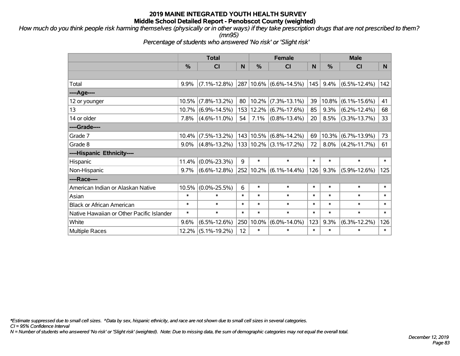*How much do you think people risk harming themselves (physically or in other ways) if they take prescription drugs that are not prescribed to them? (mn95)*

*Percentage of students who answered 'No risk' or 'Slight risk'*

|                                           | <b>Total</b> |                       |              | <b>Female</b> |                            | <b>Male</b> |          |                    |        |
|-------------------------------------------|--------------|-----------------------|--------------|---------------|----------------------------|-------------|----------|--------------------|--------|
|                                           | %            | <b>CI</b>             | $\mathsf{N}$ | %             | <b>CI</b>                  | N           | %        | <b>CI</b>          | N      |
|                                           |              |                       |              |               |                            |             |          |                    |        |
| Total                                     | $9.9\%$      | $(7.1\% - 12.8\%)$    | 287          |               | $10.6\%$ (6.6%-14.5%)      | 145         | 9.4%     | $(6.5\% - 12.4\%)$ | 142    |
| ----Age----                               |              |                       |              |               |                            |             |          |                    |        |
| 12 or younger                             | 10.5%        | $(7.8\% - 13.2\%)$    | 80           | 10.2%         | $(7.3\% - 13.1\%)$         | 39          | $10.8\%$ | $(6.1\% - 15.6\%)$ | 41     |
| 13                                        |              | $10.7\%$ (6.9%-14.5%) | 153          | 12.2%         | $(6.7\% - 17.6\%)$         | 85          | 9.3%     | $(6.2\% - 12.4\%)$ | 68     |
| 14 or older                               | 7.8%         | $(4.6\% - 11.0\%)$    | 54           | 7.1%          | $(0.8\% - 13.4\%)$         | 20          | 8.5%     | $(3.3\% - 13.7\%)$ | 33     |
| ----Grade----                             |              |                       |              |               |                            |             |          |                    |        |
| Grade 7                                   | $10.4\%$     | $(7.5\% - 13.2\%)$    |              | 143 10.5%     | $(6.8\% - 14.2\%)$         | 69          | 10.3%    | $(6.7\% - 13.9\%)$ | 73     |
| Grade 8                                   | $9.0\%$      | $(4.8\% - 13.2\%)$    |              |               | $133 10.2\% $ (3.1%-17.2%) | 72          | $8.0\%$  | $(4.2\% - 11.7\%)$ | 61     |
| ----Hispanic Ethnicity----                |              |                       |              |               |                            |             |          |                    |        |
| Hispanic                                  | 11.4%        | $(0.0\% - 23.3\%)$    | 9            | $\ast$        | $\ast$                     | $\ast$      | $\ast$   | $\ast$             | $\ast$ |
| Non-Hispanic                              | $9.7\%$      | $(6.6\% - 12.8\%)$    |              |               | 252 10.2% (6.1%-14.4%)     | 126         | 9.3%     | $(5.9\% - 12.6\%)$ | 125    |
| ----Race----                              |              |                       |              |               |                            |             |          |                    |        |
| American Indian or Alaskan Native         | 10.5%        | $(0.0\% - 25.5\%)$    | 6            | $\ast$        | $\ast$                     | $\ast$      | $\ast$   | $\ast$             | $\ast$ |
| Asian                                     | $\ast$       | $\ast$                | $\ast$       | $\ast$        | $\ast$                     | $\ast$      | $\ast$   | $\ast$             | $\ast$ |
| <b>Black or African American</b>          | $\ast$       | $\ast$                | $\ast$       | $\ast$        | $\ast$                     | $\ast$      | $\ast$   | $\ast$             | $\ast$ |
| Native Hawaiian or Other Pacific Islander | $\ast$       | $\ast$                | $\ast$       | $\ast$        | $\ast$                     | $\ast$      | $\ast$   | $\ast$             | $\ast$ |
| White                                     | 9.6%         | $(6.5\% - 12.6\%)$    | 250          | 10.0%         | $(6.0\% - 14.0\%)$         | 123         | 9.3%     | $(6.3\% - 12.2\%)$ | 126    |
| Multiple Races                            | 12.2%        | $(5.1\% - 19.2\%)$    | 12           | $\ast$        | $\ast$                     | $\ast$      | $\ast$   | $\ast$             | $\ast$ |

*\*Estimate suppressed due to small cell sizes. ^Data by sex, hispanic ethnicity, and race are not shown due to small cell sizes in several categories.*

*CI = 95% Confidence Interval*

*N = Number of students who answered 'No risk' or 'Slight risk' (weighted). Note: Due to missing data, the sum of demographic categories may not equal the overall total.*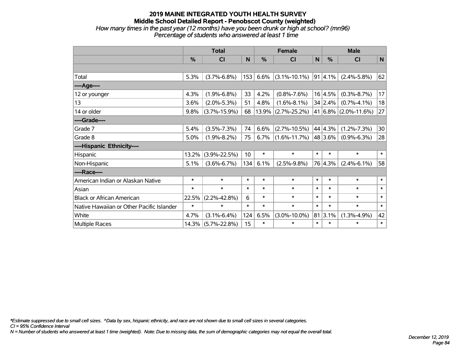#### **2019 MAINE INTEGRATED YOUTH HEALTH SURVEY Middle School Detailed Report - Penobscot County (weighted)** *How many times in the past year (12 months) have you been drunk or high at school? (mn96) Percentage of students who answered at least 1 time*

|                                           | <b>Total</b> |                    |        | <b>Female</b> |                    |              | <b>Male</b>     |                           |              |  |
|-------------------------------------------|--------------|--------------------|--------|---------------|--------------------|--------------|-----------------|---------------------------|--------------|--|
|                                           | %            | CI                 | N      | $\frac{0}{0}$ | <b>CI</b>          | $\mathsf{N}$ | $\%$            | <b>CI</b>                 | $\mathsf{N}$ |  |
|                                           |              |                    |        |               |                    |              |                 |                           |              |  |
| Total                                     | 5.3%         | $(3.7\% - 6.8\%)$  | 153    | 6.6%          | $(3.1\% - 10.1\%)$ |              | $91 \,   4.1\%$ | $(2.4\% - 5.8\%)$         | 62           |  |
| ----Age----                               |              |                    |        |               |                    |              |                 |                           |              |  |
| 12 or younger                             | 4.3%         | $(1.9\% - 6.8\%)$  | 33     | 4.2%          | $(0.8\% - 7.6\%)$  |              | 16 4.5%         | $(0.3\% - 8.7\%)$         | 17           |  |
| 13                                        | 3.6%         | $(2.0\% - 5.3\%)$  | 51     | 4.8%          | $(1.6\% - 8.1\%)$  |              | 34 2.4%         | $(0.7\% - 4.1\%)$         | 18           |  |
| 14 or older                               | 9.8%         | $(3.7\% - 15.9\%)$ | 68     | 13.9%         | $(2.7\% - 25.2\%)$ |              |                 | 41 $ 6.8\% $ (2.0%-11.6%) | 27           |  |
| ----Grade----                             |              |                    |        |               |                    |              |                 |                           |              |  |
| Grade 7                                   | 5.4%         | $(3.5\% - 7.3\%)$  | 74     | 6.6%          | $(2.7\% - 10.5\%)$ |              | 44 4.3%         | $(1.2\% - 7.3\%)$         | 30           |  |
| Grade 8                                   | 5.0%         | $(1.9\% - 8.2\%)$  | 75     | 6.7%          | $(1.6\% - 11.7\%)$ |              | 48 3.6%         | $(0.9\% - 6.3\%)$         | 28           |  |
| ----Hispanic Ethnicity----                |              |                    |        |               |                    |              |                 |                           |              |  |
| Hispanic                                  | 13.2%        | $(3.9\% - 22.5\%)$ | 10     | $\ast$        | $\ast$             | $\ast$       | $\ast$          | $\ast$                    | $\ast$       |  |
| Non-Hispanic                              | 5.1%         | $(3.6\% - 6.7\%)$  | 134    | 6.1%          | $(2.5\% - 9.8\%)$  |              | 76 4.3%         | $(2.4\% - 6.1\%)$         | 58           |  |
| ----Race----                              |              |                    |        |               |                    |              |                 |                           |              |  |
| American Indian or Alaskan Native         | $\ast$       | $\ast$             | $\ast$ | $\ast$        | $\ast$             | $\ast$       | $\ast$          | $\ast$                    | $\ast$       |  |
| Asian                                     | $\ast$       | $\ast$             | $\ast$ | $\ast$        | $\ast$             | $\ast$       | $\ast$          | $\ast$                    | $\ast$       |  |
| <b>Black or African American</b>          | 22.5%        | $(2.2\% - 42.8\%)$ | 6      | $\ast$        | $\ast$             | $\ast$       | $\ast$          | $\ast$                    | $\ast$       |  |
| Native Hawaiian or Other Pacific Islander | $\ast$       | $\ast$             | $\ast$ | $\ast$        | $\ast$             | $\ast$       | $\ast$          | $\ast$                    | $\ast$       |  |
| White                                     | 4.7%         | $(3.1\% - 6.4\%)$  | 124    | 6.5%          | $(3.0\% - 10.0\%)$ |              | 81 3.1%         | $(1.3\% - 4.9\%)$         | 42           |  |
| Multiple Races                            | 14.3%        | $(5.7\% - 22.8\%)$ | 15     | $\ast$        | $\ast$             | $\ast$       | $\ast$          | $\ast$                    | $\ast$       |  |

*\*Estimate suppressed due to small cell sizes. ^Data by sex, hispanic ethnicity, and race are not shown due to small cell sizes in several categories.*

*CI = 95% Confidence Interval*

*N = Number of students who answered at least 1 time (weighted). Note: Due to missing data, the sum of demographic categories may not equal the overall total.*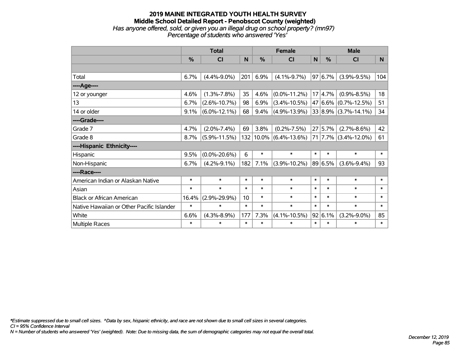### **2019 MAINE INTEGRATED YOUTH HEALTH SURVEY Middle School Detailed Report - Penobscot County (weighted)** *Has anyone offered, sold, or given you an illegal drug on school property? (mn97) Percentage of students who answered 'Yes'*

|                                           | <b>Total</b> |                    |        | <b>Female</b> |                    |        | <b>Male</b>   |                          |        |
|-------------------------------------------|--------------|--------------------|--------|---------------|--------------------|--------|---------------|--------------------------|--------|
|                                           | %            | <b>CI</b>          | N      | %             | CI                 | N      | $\frac{0}{0}$ | <b>CI</b>                | N      |
|                                           |              |                    |        |               |                    |        |               |                          |        |
| Total                                     | 6.7%         | $(4.4\% - 9.0\%)$  | 201    | 6.9%          | $(4.1\% - 9.7\%)$  |        | 97 6.7%       | $(3.9\% - 9.5\%)$        | 104    |
| ----Age----                               |              |                    |        |               |                    |        |               |                          |        |
| 12 or younger                             | 4.6%         | $(1.3\% - 7.8\%)$  | 35     | 4.6%          | $(0.0\% - 11.2\%)$ |        | 17 4.7%       | $(0.9\% - 8.5\%)$        | 18     |
| 13                                        | 6.7%         | $(2.6\% - 10.7\%)$ | 98     | 6.9%          | $(3.4\% - 10.5\%)$ |        |               | 47 6.6% (0.7%-12.5%)     | 51     |
| 14 or older                               | 9.1%         | $(6.0\% - 12.1\%)$ | 68     | 9.4%          | $(4.9\% - 13.9\%)$ |        |               | $33 8.9\% $ (3.7%-14.1%) | 34     |
| ----Grade----                             |              |                    |        |               |                    |        |               |                          |        |
| Grade 7                                   | 4.7%         | $(2.0\% - 7.4\%)$  | 69     | 3.8%          | $(0.2\% - 7.5\%)$  | 27     | 5.7%          | $(2.7\% - 8.6\%)$        | 42     |
| Grade 8                                   | 8.7%         | $(5.9\% - 11.5\%)$ |        | 132 10.0%     | $(6.4\% - 13.6\%)$ |        |               | $71$ 7.7% (3.4%-12.0%)   | 61     |
| ----Hispanic Ethnicity----                |              |                    |        |               |                    |        |               |                          |        |
| Hispanic                                  | 9.5%         | $(0.0\% - 20.6\%)$ | 6      | $\ast$        | $\ast$             | $\ast$ | $\ast$        | $\ast$                   | $\ast$ |
| Non-Hispanic                              | 6.7%         | $(4.2\% - 9.1\%)$  | 182    | 7.1%          | $(3.9\% - 10.2\%)$ |        | 89 6.5%       | $(3.6\% - 9.4\%)$        | 93     |
| ----Race----                              |              |                    |        |               |                    |        |               |                          |        |
| American Indian or Alaskan Native         | $\ast$       | $\ast$             | $\ast$ | $\ast$        | $\ast$             | $\ast$ | $\ast$        | $\ast$                   | $\ast$ |
| Asian                                     | $\ast$       | $\ast$             | $\ast$ | $\ast$        | $\ast$             | $\ast$ | $\ast$        | $\ast$                   | $\ast$ |
| <b>Black or African American</b>          | 16.4%        | $(2.9\% - 29.9\%)$ | 10     | $\ast$        | $\ast$             | $\ast$ | $\ast$        | $\ast$                   | $\ast$ |
| Native Hawaiian or Other Pacific Islander | $\ast$       | $\ast$             | $\ast$ | $\ast$        | $\ast$             | $\ast$ | $\ast$        | $\ast$                   | $\ast$ |
| White                                     | 6.6%         | $(4.3\% - 8.9\%)$  | 177    | 7.3%          | $(4.1\% - 10.5\%)$ |        | 92 6.1%       | $(3.2\% - 9.0\%)$        | 85     |
| <b>Multiple Races</b>                     | $\ast$       | $\ast$             | $\ast$ | $\ast$        | $\ast$             | $\ast$ | $\ast$        | $\ast$                   | $\ast$ |

*\*Estimate suppressed due to small cell sizes. ^Data by sex, hispanic ethnicity, and race are not shown due to small cell sizes in several categories.*

*CI = 95% Confidence Interval*

*N = Number of students who answered 'Yes' (weighted). Note: Due to missing data, the sum of demographic categories may not equal the overall total.*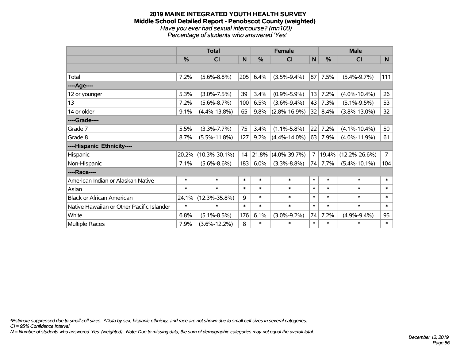#### **2019 MAINE INTEGRATED YOUTH HEALTH SURVEY Middle School Detailed Report - Penobscot County (weighted)** *Have you ever had sexual intercourse? (mn100) Percentage of students who answered 'Yes'*

|                                           | <b>Total</b>  |                     |             | <b>Female</b> |                    |        | <b>Male</b> |                     |                 |  |
|-------------------------------------------|---------------|---------------------|-------------|---------------|--------------------|--------|-------------|---------------------|-----------------|--|
|                                           | $\frac{0}{0}$ | CI                  | $\mathbf N$ | %             | <b>CI</b>          | N      | %           | <b>CI</b>           | N               |  |
|                                           |               |                     |             |               |                    |        |             |                     |                 |  |
| Total                                     | 7.2%          | $(5.6\% - 8.8\%)$   | 205         | 6.4%          | $(3.5\% - 9.4\%)$  | 87     | 7.5%        | $(5.4\% - 9.7\%)$   | 111             |  |
| ----Age----                               |               |                     |             |               |                    |        |             |                     |                 |  |
| 12 or younger                             | 5.3%          | $(3.0\% - 7.5\%)$   | 39          | 3.4%          | $(0.9\% - 5.9\%)$  | 13     | 7.2%        | $(4.0\% - 10.4\%)$  | 26              |  |
| 13                                        | 7.2%          | $(5.6\% - 8.7\%)$   | 100         | 6.5%          | $(3.6\% - 9.4\%)$  | 43     | 7.3%        | $(5.1\% - 9.5\%)$   | 53              |  |
| 14 or older                               | 9.1%          | $(4.4\% - 13.8\%)$  | 65          | 9.8%          | $(2.8\% - 16.9\%)$ | 32     | 8.4%        | $(3.8\% - 13.0\%)$  | 32 <sub>2</sub> |  |
| ----Grade----                             |               |                     |             |               |                    |        |             |                     |                 |  |
| Grade 7                                   | 5.5%          | $(3.3\% - 7.7\%)$   | 75          | 3.4%          | $(1.1\% - 5.8\%)$  | 22     | 7.2%        | $(4.1\% - 10.4\%)$  | 50              |  |
| Grade 8                                   | 8.7%          | $(5.5\% - 11.8\%)$  | 127         | 9.2%          | $(4.4\% - 14.0\%)$ | 63     | 7.9%        | $(4.0\% - 11.9\%)$  | 61              |  |
| ----Hispanic Ethnicity----                |               |                     |             |               |                    |        |             |                     |                 |  |
| Hispanic                                  | 20.2%         | $(10.3\% - 30.1\%)$ | 14          | 21.8%         | $(4.0\% - 39.7\%)$ | 7      | 19.4%       | $(12.2\% - 26.6\%)$ | $\overline{7}$  |  |
| Non-Hispanic                              | 7.1%          | $(5.6\% - 8.6\%)$   | 183         | 6.0%          | $(3.3\% - 8.8\%)$  | 74     | 7.7%        | $(5.4\% - 10.1\%)$  | 104             |  |
| ----Race----                              |               |                     |             |               |                    |        |             |                     |                 |  |
| American Indian or Alaskan Native         | $\ast$        | $\ast$              | $\ast$      | $\ast$        | $\ast$             | $\ast$ | $\ast$      | $\ast$              | $\ast$          |  |
| Asian                                     | $\ast$        | $\ast$              | $\ast$      | $\ast$        | $\ast$             | $\ast$ | $\ast$      | $\ast$              | $\ast$          |  |
| <b>Black or African American</b>          | 24.1%         | $(12.3\% - 35.8\%)$ | 9           | $\ast$        | $\ast$             | $\ast$ | $\ast$      | $\ast$              | $\ast$          |  |
| Native Hawaiian or Other Pacific Islander | $\ast$        | $\ast$              | $\ast$      | $\ast$        | $\ast$             | $\ast$ | $\ast$      | $\ast$              | $\ast$          |  |
| White                                     | 6.8%          | $(5.1\% - 8.5\%)$   | 176         | 6.1%          | $(3.0\% - 9.2\%)$  | 74     | 7.2%        | $(4.9\% - 9.4\%)$   | 95              |  |
| Multiple Races                            | 7.9%          | $(3.6\% - 12.2\%)$  | 8           | $\ast$        | $\ast$             | $\ast$ | $\ast$      | $\ast$              | $\ast$          |  |

*\*Estimate suppressed due to small cell sizes. ^Data by sex, hispanic ethnicity, and race are not shown due to small cell sizes in several categories.*

*CI = 95% Confidence Interval*

*N = Number of students who answered 'Yes' (weighted). Note: Due to missing data, the sum of demographic categories may not equal the overall total.*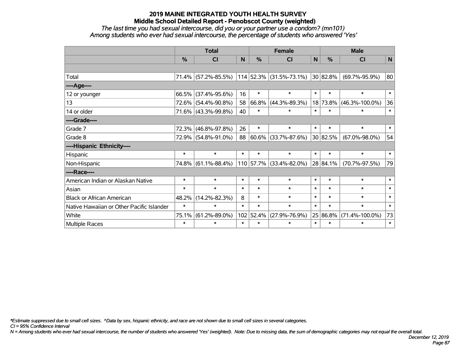*The last time you had sexual intercourse, did you or your partner use a condom? (mn101) Among students who ever had sexual intercourse, the percentage of students who answered 'Yes'*

|                                           | <b>Total</b>  |                     |        |           | <b>Female</b>           | <b>Male</b> |               |                      |        |
|-------------------------------------------|---------------|---------------------|--------|-----------|-------------------------|-------------|---------------|----------------------|--------|
|                                           | $\frac{0}{0}$ | CI                  | N      | %         | <b>CI</b>               | N           | $\frac{0}{0}$ | <b>CI</b>            | N      |
|                                           |               |                     |        |           |                         |             |               |                      |        |
| Total                                     |               | 71.4% (57.2%-85.5%) |        |           | 114 52.3% (31.5%-73.1%) |             | 30 82.8%      | $(69.7\% - 95.9\%)$  | 80     |
| ----Age----                               |               |                     |        |           |                         |             |               |                      |        |
| 12 or younger                             | 66.5%         | $(37.4\% - 95.6\%)$ | 16     | $\ast$    | $\ast$                  | $\ast$      | $\ast$        | $\ast$               | $\ast$ |
| 13                                        | 72.6%         | $(54.4\% - 90.8\%)$ | 58     | 66.8%     | $(44.3\% - 89.3\%)$     |             | 18 73.8%      | $(46.3\% - 100.0\%)$ | 36     |
| 14 or older                               |               | 71.6% (43.3%-99.8%) | 40     | $\ast$    | $\ast$                  | $\ast$      | $\ast$        | $\ast$               | $\ast$ |
| ----Grade----                             |               |                     |        |           |                         |             |               |                      |        |
| Grade 7                                   | 72.3%         | $(46.8\% - 97.8\%)$ | 26     | $\ast$    | $\ast$                  | $\ast$      | $\ast$        | $\ast$               | $\ast$ |
| Grade 8                                   |               | 72.9% (54.8%-91.0%) | 88     | 60.6%     | $(33.7\% - 87.6\%)$     |             | 30 82.5%      | $(67.0\% - 98.0\%)$  | 54     |
| ----Hispanic Ethnicity----                |               |                     |        |           |                         |             |               |                      |        |
| Hispanic                                  | $\ast$        | $\ast$              | $\ast$ | $\ast$    | $\ast$                  | $\ast$      | $\ast$        | $\ast$               | $\ast$ |
| Non-Hispanic                              |               | 74.8% (61.1%-88.4%) |        | 110 57.7% | $(33.4\% - 82.0\%)$     |             | 28 84.1%      | $(70.7\% - 97.5\%)$  | 79     |
| ----Race----                              |               |                     |        |           |                         |             |               |                      |        |
| American Indian or Alaskan Native         | $\ast$        | $\ast$              | $\ast$ | $\ast$    | $\ast$                  | $\ast$      | $\ast$        | $\ast$               | $\ast$ |
| Asian                                     | $\ast$        | $\ast$              | $\ast$ | $\ast$    | $\ast$                  | $\ast$      | $\ast$        | $\ast$               | $\ast$ |
| <b>Black or African American</b>          | 48.2%         | $(14.2\% - 82.3\%)$ | 8      | $\ast$    | $\ast$                  | $\ast$      | $\ast$        | $\ast$               | $\ast$ |
| Native Hawaiian or Other Pacific Islander | $\ast$        | $\ast$              | $\ast$ | $\ast$    | $\ast$                  | $\ast$      | $\ast$        | $\ast$               | $\ast$ |
| White                                     | 75.1%         | $(61.2\% - 89.0\%)$ | 102    | 52.4%     | $(27.9\% - 76.9\%)$     |             | 25 86.8%      | $(71.4\% - 100.0\%)$ | 73     |
| Multiple Races                            | $\ast$        | $\ast$              | $\ast$ | $\ast$    | $\ast$                  | $\ast$      | $\ast$        | $\ast$               | $\ast$ |

*\*Estimate suppressed due to small cell sizes. ^Data by sex, hispanic ethnicity, and race are not shown due to small cell sizes in several categories.*

*CI = 95% Confidence Interval*

*N = Among students who ever had sexual intercourse, the number of students who answered 'Yes' (weighted). Note: Due to missing data, the sum of demographic categories may not equal the overall total.*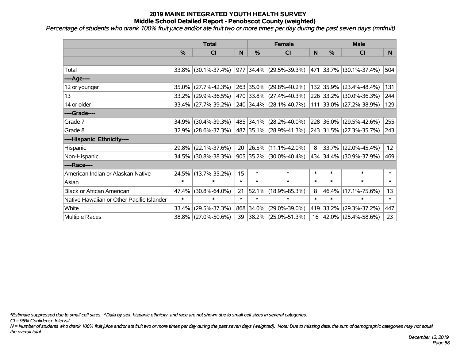*Percentage of students who drank 100% fruit juice and/or ate fruit two or more times per day during the past seven days (mnfruit)*

|                                           | <b>Total</b>  |                        | <b>Female</b> |               |                           | <b>Male</b>  |           |                         |                 |
|-------------------------------------------|---------------|------------------------|---------------|---------------|---------------------------|--------------|-----------|-------------------------|-----------------|
|                                           | $\frac{0}{0}$ | <b>CI</b>              | N             | $\frac{9}{6}$ | <b>CI</b>                 | <sub>N</sub> | %         | <b>CI</b>               | N <sub>1</sub>  |
|                                           |               |                        |               |               |                           |              |           |                         |                 |
| Total                                     |               | 33.8% (30.1%-37.4%)    |               |               | 977 34.4% (29.5%-39.3%)   |              |           | 471 33.7% (30.1%-37.4%) | 504             |
| ----Age----                               |               |                        |               |               |                           |              |           |                         |                 |
| 12 or younger                             | 35.0%         | $(27.7\% - 42.3\%)$    |               |               | 263 35.0% (29.8%-40.2%)   |              | 132 35.9% | $(23.4\% - 48.4\%)$     | 131             |
| 13                                        |               | 33.2% (29.9%-36.5%)    |               |               | 470 33.8% (27.4%-40.3%)   |              | 226 33.2% | $(30.0\% - 36.3\%)$     | 244             |
| 14 or older                               |               | $33.4\%$ (27.7%-39.2%) |               |               | 240 34.4% (28.1%-40.7%)   |              |           | 111 33.0% (27.2%-38.9%) | 129             |
| ----Grade----                             |               |                        |               |               |                           |              |           |                         |                 |
| Grade 7                                   | 34.9%         | $(30.4\% - 39.3\%)$    |               | 485 34.1%     | $(28.2\% - 40.0\%)$       |              | 228 36.0% | $(29.5\% - 42.6\%)$     | 255             |
| Grade 8                                   |               | 32.9% (28.6%-37.3%)    |               |               | 487 35.1% (28.9%-41.3%)   |              |           | 243 31.5% (27.3%-35.7%) | 243             |
| ----Hispanic Ethnicity----                |               |                        |               |               |                           |              |           |                         |                 |
| Hispanic                                  | 29.8%         | $(22.1\% - 37.6\%)$    | 20            | 26.5%         | $(11.1\% - 42.0\%)$       | 8            | 33.7%     | $(22.0\% - 45.4\%)$     | 12 <sub>2</sub> |
| Non-Hispanic                              |               | 34.5% (30.8%-38.3%)    |               |               | $905$ 35.2% (30.0%-40.4%) |              |           | 434 34.4% (30.9%-37.9%) | 469             |
| ----Race----                              |               |                        |               |               |                           |              |           |                         |                 |
| American Indian or Alaskan Native         | 24.5%         | $(13.7\% - 35.2\%)$    | 15            | $\ast$        | $\ast$                    | $\ast$       | $\ast$    | $\ast$                  | $\ast$          |
| Asian                                     | $\ast$        | $\ast$                 | $\ast$        | $\ast$        | $\ast$                    | $\ast$       | $\ast$    | $\ast$                  | $\ast$          |
| <b>Black or African American</b>          | 47.4%         | $(30.8\% - 64.0\%)$    | 21            | 52.1%         | $(18.9\% - 85.3\%)$       | 8            | 46.4%     | $(17.1\% - 75.6\%)$     | 13              |
| Native Hawaiian or Other Pacific Islander | $\ast$        | $\ast$                 | $\ast$        | $\ast$        | $\ast$                    | $\ast$       | $\ast$    | $\ast$                  | $\ast$          |
| White                                     | 33.4%         | $(29.5\% - 37.3\%)$    |               | 868 34.0%     | $(29.0\% - 39.0\%)$       | 419          | 33.2%     | $(29.3\% - 37.2\%)$     | 447             |
| Multiple Races                            |               | 38.8% (27.0%-50.6%)    | 39            |               | $ 38.2\% $ (25.0%-51.3%)  |              |           | 16 42.0% (25.4%-58.6%)  | 23              |

*\*Estimate suppressed due to small cell sizes. ^Data by sex, hispanic ethnicity, and race are not shown due to small cell sizes in several categories.*

*CI = 95% Confidence Interval*

*N = Number of students who drank 100% fruit juice and/or ate fruit two or more times per day during the past seven days (weighted). Note: Due to missing data, the sum of demographic categories may not equal the overall total.*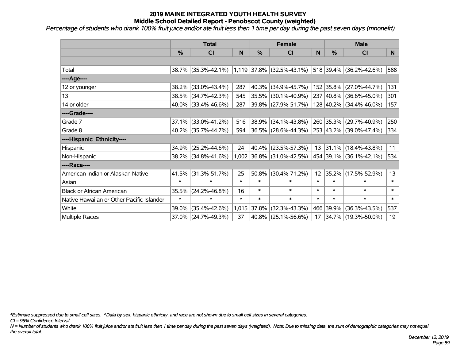*Percentage of students who drank 100% fruit juice and/or ate fruit less then 1 time per day during the past seven days (mnonefrt)*

|                                           | <b>Total</b>  |                     |        |               | <b>Female</b>               |                 | <b>Male</b>   |                          |          |  |
|-------------------------------------------|---------------|---------------------|--------|---------------|-----------------------------|-----------------|---------------|--------------------------|----------|--|
|                                           | $\frac{0}{0}$ | CI                  | N      | $\frac{0}{0}$ | <b>CI</b>                   | N               | $\frac{0}{0}$ | <b>CI</b>                | <b>N</b> |  |
|                                           |               |                     |        |               |                             |                 |               |                          |          |  |
| Total                                     |               | 38.7% (35.3%-42.1%) |        |               | $1,119$ 37.8% (32.5%-43.1%) |                 |               | 518 39.4% (36.2%-42.6%)  | 588      |  |
| ----Age----                               |               |                     |        |               |                             |                 |               |                          |          |  |
| 12 or younger                             | 38.2%         | $(33.0\% - 43.4\%)$ | 287    | 40.3%         | $(34.9\% - 45.7\%)$         |                 | 152 35.8%     | $(27.0\% - 44.7\%)$      | 131      |  |
| 13                                        |               | 38.5% (34.7%-42.3%) | 545    | 35.5%         | $(30.1\% - 40.9\%)$         |                 |               | 237 40.8% (36.6%-45.0%)  | 301      |  |
| 14 or older                               |               | 40.0% (33.4%-46.6%) | 287    |               | 39.8% (27.9%-51.7%)         |                 |               | 128 40.2% (34.4%-46.0%)  | 157      |  |
| ----Grade----                             |               |                     |        |               |                             |                 |               |                          |          |  |
| Grade 7                                   | 37.1%         | $(33.0\% - 41.2\%)$ | 516    | 38.9%         | $(34.1\% - 43.8\%)$         |                 | 260 35.3%     | $(29.7\% - 40.9\%)$      | 250      |  |
| Grade 8                                   |               | 40.2% (35.7%-44.7%) | 594    |               | $ 36.5\% $ (28.6%-44.3%)    |                 |               | 253 43.2% (39.0%-47.4%)  | 334      |  |
| ----Hispanic Ethnicity----                |               |                     |        |               |                             |                 |               |                          |          |  |
| Hispanic                                  | 34.9%         | $(25.2\% - 44.6\%)$ | 24     | 40.4%         | $(23.5\% - 57.3\%)$         | 13              |               | $ 31.1\% $ (18.4%-43.8%) | 11       |  |
| Non-Hispanic                              |               | 38.2% (34.8%-41.6%) |        |               | $1,002$ 36.8% (31.0%-42.5%) |                 |               | 454 39.1% (36.1%-42.1%)  | 534      |  |
| ----Race----                              |               |                     |        |               |                             |                 |               |                          |          |  |
| American Indian or Alaskan Native         | 41.5%         | $(31.3\% - 51.7\%)$ | 25     | 50.8%         | $(30.4\% - 71.2\%)$         | 12 <sup>2</sup> | 35.2%         | $(17.5\% - 52.9\%)$      | 13       |  |
| Asian                                     | $\ast$        | $\ast$              | $\ast$ | $\ast$        | $\ast$                      | $\ast$          | $\ast$        | $\ast$                   | $\ast$   |  |
| <b>Black or African American</b>          | 35.5%         | $(24.2\% - 46.8\%)$ | 16     | $\ast$        | $\ast$                      | $\ast$          | $\ast$        | $\ast$                   | $\ast$   |  |
| Native Hawaiian or Other Pacific Islander | $\ast$        | $\ast$              | $\ast$ | $\ast$        | $\ast$                      | $\ast$          | $\ast$        | $\ast$                   | $\ast$   |  |
| White                                     | 39.0%         | $(35.4\% - 42.6\%)$ |        | 1,015 37.8%   | $(32.3\% - 43.3\%)$         |                 | 466 39.9%     | $(36.3\% - 43.5\%)$      | 537      |  |
| <b>Multiple Races</b>                     |               | 37.0% (24.7%-49.3%) | 37     |               | 40.8% (25.1%-56.6%)         | 17              |               | 34.7% (19.3%-50.0%)      | 19       |  |

*\*Estimate suppressed due to small cell sizes. ^Data by sex, hispanic ethnicity, and race are not shown due to small cell sizes in several categories.*

*CI = 95% Confidence Interval*

*N = Number of students who drank 100% fruit juice and/or ate fruit less then 1 time per day during the past seven days (weighted). Note: Due to missing data, the sum of demographic categories may not equal the overall total.*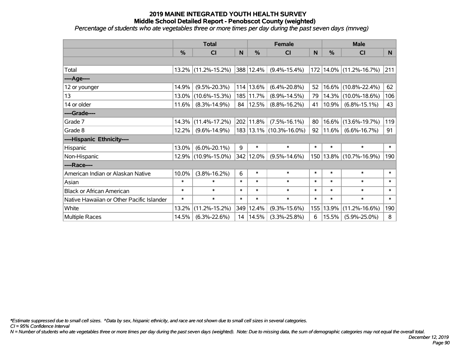*Percentage of students who ate vegetables three or more times per day during the past seven days (mnveg)*

|                                           | <b>Total</b>  |                        | <b>Female</b> |               |                             | <b>Male</b> |          |                     |                |
|-------------------------------------------|---------------|------------------------|---------------|---------------|-----------------------------|-------------|----------|---------------------|----------------|
|                                           | $\frac{0}{0}$ | CI                     | N             | $\frac{9}{6}$ | <b>CI</b>                   | N           | %        | <b>CI</b>           | N <sub>1</sub> |
|                                           |               |                        |               |               |                             |             |          |                     |                |
| Total                                     |               | $13.2\%$ (11.2%-15.2%) |               | 388 12.4%     | $(9.4\% - 15.4\%)$          | 172         |          | 14.0% (11.2%-16.7%) | 211            |
| ----Age----                               |               |                        |               |               |                             |             |          |                     |                |
| 12 or younger                             | 14.9%         | $(9.5\% - 20.3\%)$     |               | 114 13.6%     | $(6.4\% - 20.8\%)$          | 52          | 16.6%    | $(10.8\% - 22.4\%)$ | 62             |
| 13                                        | 13.0%         | $(10.6\% - 15.3\%)$    |               | 185 11.7%     | $(8.9\% - 14.5\%)$          | 79          | 14.3%    | $(10.0\% - 18.6\%)$ | 106            |
| 14 or older                               | 11.6%         | $(8.3\% - 14.9\%)$     |               | 84   12.5%    | $(8.8\% - 16.2\%)$          | 41          | $10.9\%$ | $(6.8\% - 15.1\%)$  | 43             |
| ----Grade----                             |               |                        |               |               |                             |             |          |                     |                |
| Grade 7                                   | 14.3%         | $(11.4\% - 17.2\%)$    |               | 202 11.8%     | $(7.5\% - 16.1\%)$          | 80          | 16.6%    | $(13.6\% - 19.7\%)$ | 119            |
| Grade 8                                   | 12.2%         | $(9.6\% - 14.9\%)$     |               |               | 183   13.1%   (10.3%-16.0%) | 92          | 11.6%    | $(6.6\% - 16.7\%)$  | 91             |
| ----Hispanic Ethnicity----                |               |                        |               |               |                             |             |          |                     |                |
| Hispanic                                  | 13.0%         | $(6.0\% - 20.1\%)$     | 9             | $\ast$        | $\ast$                      | $\ast$      | $\ast$   | $\ast$              | $\ast$         |
| Non-Hispanic                              |               | 12.9% (10.9%-15.0%)    |               | 342 12.0%     | $(9.5\% - 14.6\%)$          | 150         |          | 13.8% (10.7%-16.9%) | 190            |
| ----Race----                              |               |                        |               |               |                             |             |          |                     |                |
| American Indian or Alaskan Native         | 10.0%         | $(3.8\% - 16.2\%)$     | 6             | $\ast$        | $\ast$                      | $\ast$      | $\ast$   | $\ast$              | $\ast$         |
| Asian                                     | $\ast$        | $\ast$                 | $\ast$        | $\ast$        | $\ast$                      | $\ast$      | $\ast$   | $\ast$              | $\ast$         |
| <b>Black or African American</b>          | $\ast$        | $\ast$                 | $\ast$        | $\ast$        | $\ast$                      | $\ast$      | $\ast$   | $\ast$              | $\ast$         |
| Native Hawaiian or Other Pacific Islander | $\ast$        | $\ast$                 | $\ast$        | $\ast$        | $\ast$                      | $\ast$      | $\ast$   | $\ast$              | $\pmb{\ast}$   |
| White                                     | 13.2%         | $(11.2\% - 15.2\%)$    |               | 349 12.4%     | $(9.3\% - 15.6\%)$          | 155         | 13.9%    | $(11.2\% - 16.6\%)$ | 190            |
| Multiple Races                            | 14.5%         | $(6.3\% - 22.6\%)$     |               | 14   14.5%    | $(3.3\% - 25.8\%)$          | 6           | 15.5%    | $(5.9\% - 25.0\%)$  | 8              |

*\*Estimate suppressed due to small cell sizes. ^Data by sex, hispanic ethnicity, and race are not shown due to small cell sizes in several categories.*

*CI = 95% Confidence Interval*

*N = Number of students who ate vegetables three or more times per day during the past seven days (weighted). Note: Due to missing data, the sum of demographic categories may not equal the overall total.*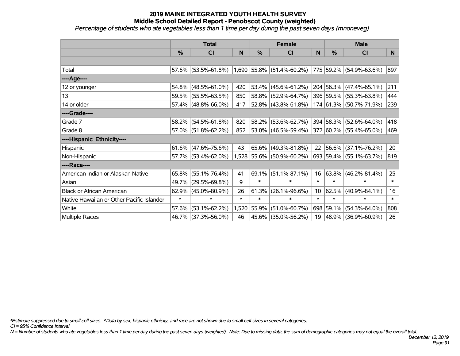*Percentage of students who ate vegetables less than 1 time per day during the past seven days (mnoneveg)*

|                                           | <b>Total</b>  |                        | <b>Female</b> |               |                             | <b>Male</b>     |               |                         |        |
|-------------------------------------------|---------------|------------------------|---------------|---------------|-----------------------------|-----------------|---------------|-------------------------|--------|
|                                           | $\frac{0}{0}$ | <b>CI</b>              | N             | $\frac{0}{0}$ | <b>CI</b>                   | N               | $\frac{0}{0}$ | <b>CI</b>               | N.     |
|                                           |               |                        |               |               |                             |                 |               |                         |        |
| Total                                     |               | 57.6% (53.5%-61.8%)    |               |               | $1,690$ 55.8% (51.4%-60.2%) |                 |               | 775 59.2% (54.9%-63.6%) | 897    |
| ----Age----                               |               |                        |               |               |                             |                 |               |                         |        |
| 12 or younger                             | 54.8%         | $(48.5\% - 61.0\%)$    | 420           | 53.4%         | $(45.6\% - 61.2\%)$         |                 |               | 204 56.3% (47.4%-65.1%) | 211    |
| 13                                        |               | 59.5% (55.5%-63.5%)    | 850           | 58.8%         | $(52.9\% - 64.7\%)$         |                 |               | 396 59.5% (55.3%-63.8%) | 444    |
| 14 or older                               |               | 57.4% (48.8%-66.0%)    | 417           |               | $52.8\%$ (43.8%-61.8%)      |                 |               | 174 61.3% (50.7%-71.9%) | 239    |
| ----Grade----                             |               |                        |               |               |                             |                 |               |                         |        |
| Grade 7                                   | 58.2%         | $(54.5\% - 61.8\%)$    | 820           | 58.2%         | $(53.6\% - 62.7\%)$         |                 |               | 394 58.3% (52.6%-64.0%) | 418    |
| Grade 8                                   |               | $57.0\%$ (51.8%-62.2%) | 852           |               | $ 53.0\% $ (46.5%-59.4%)    |                 |               | 372 60.2% (55.4%-65.0%) | 469    |
| ----Hispanic Ethnicity----                |               |                        |               |               |                             |                 |               |                         |        |
| Hispanic                                  | 61.6%         | $(47.6\% - 75.6\%)$    | 43            | 65.6%         | $(49.3\% - 81.8\%)$         | 22              |               | 56.6% (37.1%-76.2%)     | 20     |
| Non-Hispanic                              |               | 57.7% (53.4%-62.0%)    |               |               | 1,528 55.6% (50.9%-60.2%)   |                 |               | 693 59.4% (55.1%-63.7%) | 819    |
| ----Race----                              |               |                        |               |               |                             |                 |               |                         |        |
| American Indian or Alaskan Native         | 65.8%         | $(55.1\% - 76.4\%)$    | 41            | 69.1%         | $(51.1\% - 87.1\%)$         | 16              |               | $63.8\%$ (46.2%-81.4%)  | 25     |
| Asian                                     | 49.7%         | $(29.5\% - 69.8\%)$    | 9             | $\ast$        | $\ast$                      | $\ast$          | $\ast$        | $\ast$                  | $\ast$ |
| <b>Black or African American</b>          | 62.9%         | $(45.0\% - 80.9\%)$    | 26            | 61.3%         | $(26.1\% - 96.6\%)$         | 10 <sup>°</sup> | 62.5%         | $(40.9\% - 84.1\%)$     | 16     |
| Native Hawaiian or Other Pacific Islander | $\ast$        | $\ast$                 | $\ast$        | $\ast$        | $\ast$                      | $\ast$          | $\ast$        | $\ast$                  | $\ast$ |
| White                                     | 57.6%         | $(53.1\% - 62.2\%)$    | 1,520         | 55.9%         | $(51.0\% - 60.7\%)$         |                 | 698 59.1%     | $(54.3\% - 64.0\%)$     | 808    |
| Multiple Races                            |               | 46.7% (37.3%-56.0%)    | 46            |               | 45.6% (35.0%-56.2%)         |                 |               | 19 48.9% (36.9%-60.9%)  | 26     |

*\*Estimate suppressed due to small cell sizes. ^Data by sex, hispanic ethnicity, and race are not shown due to small cell sizes in several categories.*

*CI = 95% Confidence Interval*

*N = Number of students who ate vegetables less than 1 time per day during the past seven days (weighted). Note: Due to missing data, the sum of demographic categories may not equal the overall total.*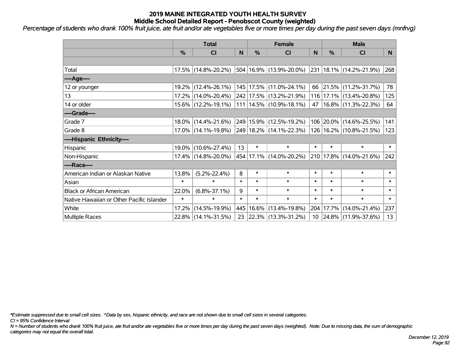*Percentage of students who drank 100% fruit juice, ate fruit and/or ate vegetables five or more times per day during the past seven days (mnfrvg)*

|                                           | <b>Total</b>  |                     | <b>Female</b> |        |                             | <b>Male</b> |           |                             |        |
|-------------------------------------------|---------------|---------------------|---------------|--------|-----------------------------|-------------|-----------|-----------------------------|--------|
|                                           | $\frac{0}{0}$ | CI                  | N             | %      | <b>CI</b>                   | N           | %         | <b>CI</b>                   | N.     |
|                                           |               |                     |               |        |                             |             |           |                             |        |
| Total                                     |               | 17.5% (14.8%-20.2%) |               |        | 504 16.9% (13.9%-20.0%)     |             |           | 231   18.1%   (14.2%-21.9%) | 268    |
| ----Age----                               |               |                     |               |        |                             |             |           |                             |        |
| 12 or younger                             |               | 19.2% (12.4%-26.1%) |               |        | 145   17.5%   (11.0%-24.1%) | 66          |           | $ 21.5\% $ (11.2%-31.7%)    | 78     |
| 13                                        |               | 17.2% (14.0%-20.4%) |               |        | 242 17.5% (13.2%-21.9%)     |             |           | 116 17.1% (13.4%-20.8%)     | 125    |
| 14 or older                               |               | 15.6% (12.2%-19.1%) |               |        | 111   14.5%   (10.9%-18.1%) |             |           | 47   16.8%   (11.3%-22.3%)  | 64     |
| ----Grade----                             |               |                     |               |        |                             |             |           |                             |        |
| Grade 7                                   |               | 18.0% (14.4%-21.6%) |               |        | 249 15.9% (12.5%-19.2%)     |             |           | 106 20.0% (14.6%-25.5%)     | 141    |
| Grade 8                                   |               | 17.0% (14.1%-19.8%) |               |        | 249 18.2% (14.1%-22.3%)     |             |           | 126   16.2%   (10.8%-21.5%) | 123    |
| ----Hispanic Ethnicity----                |               |                     |               |        |                             |             |           |                             |        |
| Hispanic                                  |               | 19.0% (10.6%-27.4%) | 13            | $\ast$ | $\ast$                      | $\ast$      | $\ast$    | $\ast$                      | $\ast$ |
| Non-Hispanic                              |               | 17.4% (14.8%-20.0%) |               |        | 454 17.1% (14.0%-20.2%)     |             |           | 210 17.8% (14.0%-21.6%)     | 242    |
| ----Race----                              |               |                     |               |        |                             |             |           |                             |        |
| American Indian or Alaskan Native         | 13.8%         | $(5.2\% - 22.4\%)$  | 8             | $\ast$ | $\ast$                      | $\ast$      | $\ast$    | $\ast$                      | $\ast$ |
| Asian                                     | $\ast$        | $\ast$              | $\ast$        | $\ast$ | $\ast$                      | $\ast$      | $\ast$    | $\ast$                      | $\ast$ |
| <b>Black or African American</b>          | 22.0%         | $(6.8\% - 37.1\%)$  | 9             | $\ast$ | $\ast$                      | $\ast$      | $\ast$    | $\ast$                      | $\ast$ |
| Native Hawaiian or Other Pacific Islander | $\ast$        | $\ast$              | $\ast$        | $\ast$ | $\ast$                      | $\ast$      | $\ast$    | $\ast$                      | $\ast$ |
| White                                     | 17.2%         | $(14.5\% - 19.9\%)$ | 445           | 16.6%  | $(13.4\% - 19.8\%)$         |             | 204 17.7% | $(14.0\% - 21.4\%)$         | 237    |
| <b>Multiple Races</b>                     |               | 22.8% (14.1%-31.5%) | 23            |        | $ 22.3\% $ (13.3%-31.2%)    |             |           | 10 24.8% (11.9%-37.6%)      | 13     |

*\*Estimate suppressed due to small cell sizes. ^Data by sex, hispanic ethnicity, and race are not shown due to small cell sizes in several categories.*

*CI = 95% Confidence Interval*

*N = Number of students who drank 100% fruit juice, ate fruit and/or ate vegetables five or more times per day during the past seven days (weighted). Note: Due to missing data, the sum of demographic categories may not equal the overall total.*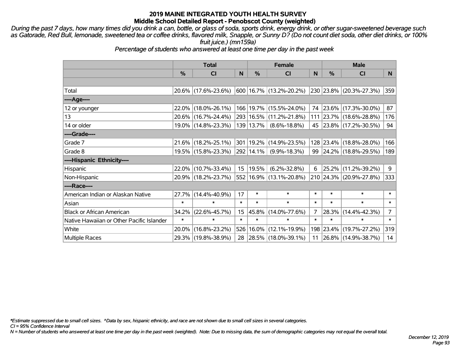*During the past 7 days, how many times did you drink a can, bottle, or glass of soda, sports drink, energy drink, or other sugar-sweetened beverage such as Gatorade, Red Bull, lemonade, sweetened tea or coffee drinks, flavored milk, Snapple, or Sunny D? (Do not count diet soda, other diet drinks, or 100% fruit juice.) (mn159a)*

*Percentage of students who answered at least one time per day in the past week*

|                                           | <b>Total</b>  |                     |        | <b>Female</b> | <b>Male</b>                              |        |           |                         |                |
|-------------------------------------------|---------------|---------------------|--------|---------------|------------------------------------------|--------|-----------|-------------------------|----------------|
|                                           | $\frac{0}{0}$ | <b>CI</b>           | N      | %             | <b>CI</b>                                | N      | %         | CI                      | N              |
|                                           |               |                     |        |               |                                          |        |           |                         |                |
| Total                                     |               | 20.6% (17.6%-23.6%) |        |               | $600 \mid 16.7\% \mid (13.2\% - 20.2\%)$ |        |           | 230 23.8% (20.3%-27.3%) | 359            |
| ----Age----                               |               |                     |        |               |                                          |        |           |                         |                |
| 12 or younger                             | $22.0\%$      | $(18.0\% - 26.1\%)$ |        |               | 166   19.7%   (15.5%-24.0%)              |        | 74 23.6%  | $(17.3\% - 30.0\%)$     | 87             |
| 13                                        |               | 20.6% (16.7%-24.4%) |        |               | 293   16.5%   (11.2%-21.8%)              |        |           | 111 23.7% (18.6%-28.8%) | 176            |
| 14 or older                               |               | 19.0% (14.8%-23.3%) |        | 139   13.7%   | $(8.6\% - 18.8\%)$                       |        |           | 45 23.8% (17.2%-30.5%)  | 94             |
| ----Grade----                             |               |                     |        |               |                                          |        |           |                         |                |
| Grade 7                                   | $21.6\%$      | $(18.2\% - 25.1\%)$ |        | 301 19.2%     | $(14.9\% - 23.5\%)$                      |        | 128 23.4% | $(18.8\% - 28.0\%)$     | 166            |
| Grade 8                                   |               | 19.5% (15.8%-23.3%) |        | 292 14.1%     | $(9.9\% - 18.3\%)$                       |        |           | 99 24.2% (18.8%-29.5%)  | 189            |
| ----Hispanic Ethnicity----                |               |                     |        |               |                                          |        |           |                         |                |
| Hispanic                                  | 22.0%         | $(10.7\% - 33.4\%)$ | 15     | 19.5%         | $(6.2\% - 32.8\%)$                       | 6      | 25.2%     | $(11.2\% - 39.2\%)$     | 9              |
| Non-Hispanic                              |               | 20.9% (18.2%-23.7%) |        |               | 552 16.9% (13.1%-20.8%)                  |        |           | 210 24.3% (20.9%-27.8%) | 333            |
| ----Race----                              |               |                     |        |               |                                          |        |           |                         |                |
| American Indian or Alaskan Native         | 27.7%         | $(14.4\% - 40.9\%)$ | 17     | $\ast$        | $\ast$                                   | $\ast$ | $\ast$    | $\ast$                  | $\ast$         |
| Asian                                     | $\ast$        | $\ast$              | $\ast$ | $\ast$        | $\ast$                                   | $\ast$ | $\ast$    | $\ast$                  | $\ast$         |
| <b>Black or African American</b>          | 34.2%         | $(22.6\% - 45.7\%)$ | 15     | 45.8%         | $(14.0\% - 77.6\%)$                      | 7      | 28.3%     | $(14.4\% - 42.3\%)$     | $\overline{7}$ |
| Native Hawaiian or Other Pacific Islander | $\ast$        | $\ast$              | $\ast$ | $\ast$        | $\ast$                                   | $\ast$ | $\ast$    | $\ast$                  | $\ast$         |
| White                                     | 20.0%         | $(16.8\% - 23.2\%)$ | 526    | 16.0%         | $(12.1\% - 19.9\%)$                      | 198    | 23.4%     | $(19.7\% - 27.2\%)$     | 319            |
| <b>Multiple Races</b>                     |               | 29.3% (19.8%-38.9%) | 28     |               | $ 28.5\% $ (18.0%-39.1%)                 |        |           | 11 26.8% (14.9%-38.7%)  | 14             |

*\*Estimate suppressed due to small cell sizes. ^Data by sex, hispanic ethnicity, and race are not shown due to small cell sizes in several categories.*

*CI = 95% Confidence Interval*

*N = Number of students who answered at least one time per day in the past week (weighted). Note: Due to missing data, the sum of demographic categories may not equal the overall total.*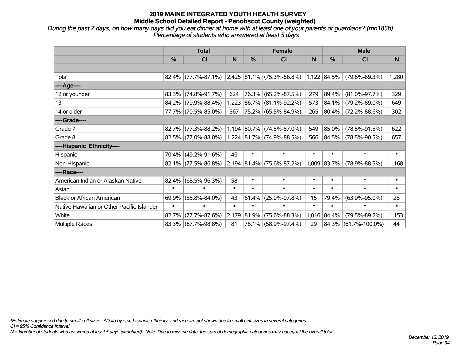*During the past 7 days, on how many days did you eat dinner at home with at least one of your parents or guardians? (mn185b) Percentage of students who answered at least 5 days*

|                                           | <b>Total</b>  |                                                           |        | <b>Female</b> |                                  | <b>Male</b> |               |                      |        |
|-------------------------------------------|---------------|-----------------------------------------------------------|--------|---------------|----------------------------------|-------------|---------------|----------------------|--------|
|                                           | $\frac{9}{6}$ | <b>CI</b>                                                 | N      | %             | <b>CI</b>                        | N           | $\frac{0}{0}$ | <b>CI</b>            | N      |
|                                           |               |                                                           |        |               |                                  |             |               |                      |        |
| Total                                     |               | 82.4% (77.7%-87.1%) 2,425 81.1% (75.3%-86.8%) 1,122 84.5% |        |               |                                  |             |               | $(79.6\% - 89.3\%)$  | 1,280  |
| ----Age----                               |               |                                                           |        |               |                                  |             |               |                      |        |
| 12 or younger                             |               | 83.3% (74.8%-91.7%)                                       | 624    | 76.3%         | $(65.2\% - 87.5\%)$              | 279         | 89.4%         | $(81.0\% - 97.7\%)$  | 329    |
| 13                                        |               | 84.2% (79.9%-88.4%)                                       | 1,223  |               | 86.7% (81.1%-92.2%)              | 573         | 84.1%         | $(79.2\% - 89.0\%)$  | 649    |
| 14 or older                               |               | 77.7% (70.5%-85.0%)                                       | 567    |               | 75.2% (65.5%-84.9%)              | 265         | 80.4%         | $(72.2\% - 88.6\%)$  | 302    |
| ----Grade----                             |               |                                                           |        |               |                                  |             |               |                      |        |
| Grade 7                                   |               | $82.7\%$ (77.3%-88.2%)                                    |        | 1,194 80.7%   | $(74.5\% - 87.0\%)$              | 549         | 85.0%         | $(78.5\% - 91.5\%)$  | 622    |
| Grade 8                                   |               | 82.5% (77.0%-88.0%)                                       |        |               | $1,224$ $ 81.7\% $ (74.9%-88.5%) | 566         | 84.5%         | $(78.5\% - 90.5\%)$  | 657    |
| ----Hispanic Ethnicity----                |               |                                                           |        |               |                                  |             |               |                      |        |
| Hispanic                                  | 70.4%         | $(49.2\% - 91.6\%)$                                       | 46     | $\ast$        | $\ast$                           | $\ast$      | $\ast$        | $\ast$               | $\ast$ |
| Non-Hispanic                              |               | $82.1\%$ (77.5%-86.8%)                                    |        |               | $2,194$ $ 81.4\% $ (75.6%-87.2%) | 1,009       | 83.7%         | $(78.9\% - 88.5\%)$  | 1,168  |
| ----Race----                              |               |                                                           |        |               |                                  |             |               |                      |        |
| American Indian or Alaskan Native         | 82.4%         | $(68.5\% - 96.3\%)$                                       | 58     | $\ast$        | $\ast$                           | $\ast$      | $\ast$        | $\ast$               | $\ast$ |
| Asian                                     | $\ast$        | $\ast$                                                    | $\ast$ | $\ast$        | $\ast$                           | $\ast$      | $\ast$        | $\ast$               | $\ast$ |
| <b>Black or African American</b>          | 69.9%         | $(55.8\% - 84.0\%)$                                       | 43     | 61.4%         | $(25.0\% - 97.8\%)$              | 15          | 79.4%         | $(63.9\% - 95.0\%)$  | 28     |
| Native Hawaiian or Other Pacific Islander | $\ast$        | $\ast$                                                    | $\ast$ | $\ast$        | $\ast$                           | $\ast$      | $\ast$        | $\ast$               | $\ast$ |
| White                                     | 82.7%         | $(77.7\% - 87.6\%)$                                       |        | 2,179 81.9%   | $(75.6\% - 88.3\%)$              | 1,016       | 84.4%         | $(79.5\% - 89.2\%)$  | 1,153  |
| <b>Multiple Races</b>                     |               | 83.3% (67.7%-98.8%)                                       | 81     |               | 78.1% (58.9%-97.4%)              | 29          |               | 84.3% (61.7%-100.0%) | 44     |

*\*Estimate suppressed due to small cell sizes. ^Data by sex, hispanic ethnicity, and race are not shown due to small cell sizes in several categories.*

*CI = 95% Confidence Interval*

*N = Number of students who answered at least 5 days (weighted). Note: Due to missing data, the sum of demographic categories may not equal the overall total.*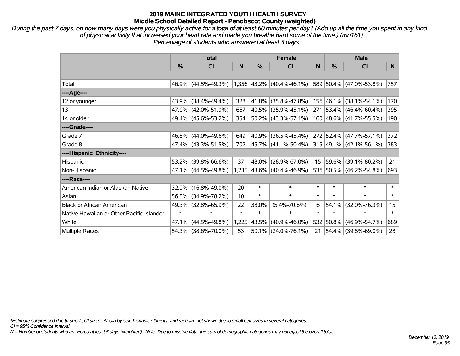*During the past 7 days, on how many days were you physically active for a total of at least 60 minutes per day? (Add up all the time you spent in any kind of physical activity that increased your heart rate and made you breathe hard some of the time.) (mn161) Percentage of students who answered at least 5 days*

|                                           | <b>Total</b> |                     |        |        | <b>Female</b>             |        | <b>Male</b>   |                         |                 |  |
|-------------------------------------------|--------------|---------------------|--------|--------|---------------------------|--------|---------------|-------------------------|-----------------|--|
|                                           | %            | C <sub>l</sub>      | N      | %      | C <sub>l</sub>            | N      | $\frac{0}{0}$ | <b>CI</b>               | N               |  |
|                                           |              |                     |        |        |                           |        |               |                         |                 |  |
| Total                                     |              | 46.9% (44.5%-49.3%) |        |        | 1,356 43.2% (40.4%-46.1%) |        |               | 589 50.4% (47.0%-53.8%) | 757             |  |
| ----Age----                               |              |                     |        |        |                           |        |               |                         |                 |  |
| 12 or younger                             | 43.9%        | $(38.4\% - 49.4\%)$ | 328    | 41.8%  | $(35.8\% - 47.8\%)$       |        |               | 156 46.1% (38.1%-54.1%) | 170             |  |
| 13                                        |              | 47.0% (42.0%-51.9%) | 667    |        | 40.5% (35.9%-45.1%)       |        |               | 271 53.4% (46.4%-60.4%) | 395             |  |
| 14 or older                               |              | 49.4% (45.6%-53.2%) | 354    |        | $50.2\%$ (43.3%-57.1%)    |        |               | 160 48.6% (41.7%-55.5%) | 190             |  |
| ----Grade----                             |              |                     |        |        |                           |        |               |                         |                 |  |
| Grade 7                                   | 46.8%        | $(44.0\% - 49.6\%)$ | 649    | 40.9%  | $(36.5\% - 45.4\%)$       |        |               | 272 52.4% (47.7%-57.1%) | 372             |  |
| Grade 8                                   |              | 47.4% (43.3%-51.5%) | 702    |        | 45.7% (41.1%-50.4%)       |        |               | 315 49.1% (42.1%-56.1%) | 383             |  |
| ----Hispanic Ethnicity----                |              |                     |        |        |                           |        |               |                         |                 |  |
| Hispanic                                  | 53.2%        | $(39.8\% - 66.6\%)$ | 37     | 48.0%  | $(28.9\% - 67.0\%)$       | 15     | 59.6%         | $(39.1\% - 80.2\%)$     | 21              |  |
| Non-Hispanic                              |              | 47.1% (44.5%-49.8%) |        |        | 1,235 43.6% (40.4%-46.9%) |        |               | 536 50.5% (46.2%-54.8%) | 693             |  |
| ----Race----                              |              |                     |        |        |                           |        |               |                         |                 |  |
| American Indian or Alaskan Native         | 32.9%        | $(16.8\% - 49.0\%)$ | 20     | $\ast$ | $\ast$                    | $\ast$ | $\ast$        | $\ast$                  | $\ast$          |  |
| Asian                                     | 56.5%        | $(34.9\% - 78.2\%)$ | 10     | $\ast$ | $\ast$                    | $\ast$ | $\ast$        | $\ast$                  | $\ast$          |  |
| <b>Black or African American</b>          | 49.3%        | $(32.8\% - 65.9\%)$ | 22     | 38.0%  | $(5.4\% - 70.6\%)$        | 6      | 54.1%         | $(32.0\% - 76.3\%)$     | 15 <sub>1</sub> |  |
| Native Hawaiian or Other Pacific Islander | $\ast$       | $\ast$              | $\ast$ | $\ast$ | $\ast$                    | $\ast$ | $\ast$        | $\ast$                  | $\ast$          |  |
| White                                     | 47.1%        | $(44.5\% - 49.8\%)$ | 1,225  | 43.5%  | $(40.9\% - 46.0\%)$       | 532    | 50.8%         | $(46.9\% - 54.7\%)$     | 689             |  |
| Multiple Races                            |              | 54.3% (38.6%-70.0%) | 53     |        | $50.1\%$ (24.0%-76.1%)    | 21     |               | 54.4% (39.8%-69.0%)     | 28              |  |

*\*Estimate suppressed due to small cell sizes. ^Data by sex, hispanic ethnicity, and race are not shown due to small cell sizes in several categories.*

*CI = 95% Confidence Interval*

*N = Number of students who answered at least 5 days (weighted). Note: Due to missing data, the sum of demographic categories may not equal the overall total.*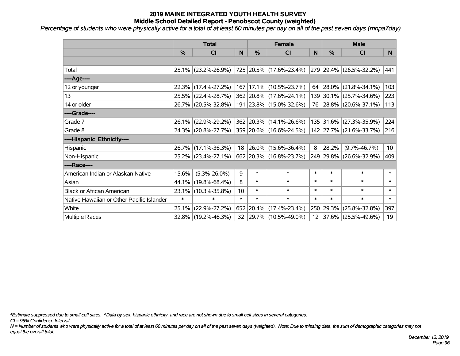*Percentage of students who were physically active for a total of at least 60 minutes per day on all of the past seven days (mnpa7day)*

|                                           | <b>Total</b>  |                                             |        | <b>Female</b> | <b>Male</b>                 |        |               |                         |                 |
|-------------------------------------------|---------------|---------------------------------------------|--------|---------------|-----------------------------|--------|---------------|-------------------------|-----------------|
|                                           | $\frac{0}{0}$ | <b>CI</b>                                   | N      | $\frac{0}{0}$ | <b>CI</b>                   | N      | $\frac{0}{0}$ | <b>CI</b>               | N.              |
|                                           |               |                                             |        |               |                             |        |               |                         |                 |
| Total                                     |               | 25.1% (23.2%-26.9%)                         |        |               | 725 20.5% (17.6%-23.4%)     |        |               | 279 29.4% (26.5%-32.2%) | 441             |
| ----Age----                               |               |                                             |        |               |                             |        |               |                         |                 |
| 12 or younger                             | 22.3%         | $(17.4\% - 27.2\%)$                         |        |               | 167   17.1%   (10.5%-23.7%) |        | 64 28.0%      | $(21.8\% - 34.1\%)$     | 103             |
| 13                                        |               | 25.5% (22.4%-28.7%)                         |        |               | 362 20.8% (17.6%-24.1%)     |        |               | 139 30.1% (25.7%-34.6%) | 223             |
| 14 or older                               |               | 26.7% (20.5%-32.8%)                         |        |               | 191 23.8% (15.0%-32.6%)     |        |               | 76 28.8% (20.6%-37.1%)  | 113             |
| ----Grade----                             |               |                                             |        |               |                             |        |               |                         |                 |
| Grade 7                                   |               | 26.1% (22.9%-29.2%)                         |        |               | 362 20.3% (14.1%-26.6%)     |        | 135 31.6%     | $(27.3\% - 35.9\%)$     | 224             |
| Grade 8                                   |               | 24.3% (20.8%-27.7%) 359 20.6% (16.6%-24.5%) |        |               |                             |        |               | 142 27.7% (21.6%-33.7%) | 216             |
| ----Hispanic Ethnicity----                |               |                                             |        |               |                             |        |               |                         |                 |
| Hispanic                                  |               | 26.7% (17.1%-36.3%)                         | 18     | $ 26.0\%$     | $(15.6\% - 36.4\%)$         | 8      | 28.2%         | $(9.7\% - 46.7\%)$      | 10 <sup>1</sup> |
| Non-Hispanic                              |               | 25.2% (23.4%-27.1%)                         |        |               | 662 20.3% (16.8%-23.7%)     |        |               | 249 29.8% (26.6%-32.9%) | 409             |
| ----Race----                              |               |                                             |        |               |                             |        |               |                         |                 |
| American Indian or Alaskan Native         | 15.6%         | $(5.3\% - 26.0\%)$                          | 9      | $\ast$        | $\ast$                      | $\ast$ | $\ast$        | $\ast$                  | $\ast$          |
| Asian                                     | 44.1%         | $(19.8\% - 68.4\%)$                         | 8      | $\ast$        | $\ast$                      | $\ast$ | $\ast$        | $\ast$                  | $\ast$          |
| <b>Black or African American</b>          | $23.1\%$      | $(10.3\% - 35.8\%)$                         | 10     | $\ast$        | $\ast$                      | $\ast$ | $\ast$        | $\ast$                  | $\ast$          |
| Native Hawaiian or Other Pacific Islander | $\ast$        | $\ast$                                      | $\ast$ | $\ast$        | $\ast$                      | $\ast$ | $\ast$        | $\ast$                  | $\ast$          |
| White                                     | 25.1%         | $(22.9\% - 27.2\%)$                         |        | 652 20.4%     | $(17.4\% - 23.4\%)$         | 250    | 29.3%         | $(25.8\% - 32.8\%)$     | 397             |
| <b>Multiple Races</b>                     |               | 32.8% (19.2%-46.3%)                         |        |               | 32 29.7% (10.5%-49.0%)      |        |               | 12 37.6% (25.5%-49.6%)  | 19              |

*\*Estimate suppressed due to small cell sizes. ^Data by sex, hispanic ethnicity, and race are not shown due to small cell sizes in several categories.*

*CI = 95% Confidence Interval*

*N = Number of students who were physically active for a total of at least 60 minutes per day on all of the past seven days (weighted). Note: Due to missing data, the sum of demographic categories may not equal the overall total.*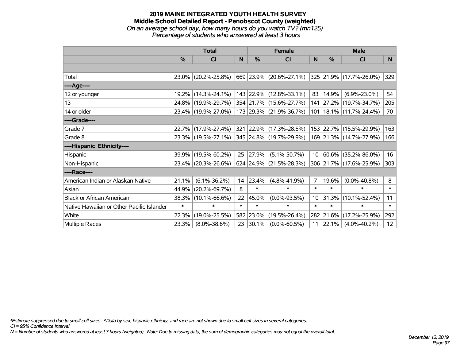#### **2019 MAINE INTEGRATED YOUTH HEALTH SURVEY Middle School Detailed Report - Penobscot County (weighted)** *On an average school day, how many hours do you watch TV? (mn125) Percentage of students who answered at least 3 hours*

|                                           | <b>Total</b>  |                     |        | <b>Female</b> | <b>Male</b>                                          |                 |        |                             |              |
|-------------------------------------------|---------------|---------------------|--------|---------------|------------------------------------------------------|-----------------|--------|-----------------------------|--------------|
|                                           | $\frac{0}{0}$ | <b>CI</b>           | N      | $\frac{0}{0}$ | <b>CI</b>                                            | <sub>N</sub>    | %      | <b>CI</b>                   | <b>N</b>     |
|                                           |               |                     |        |               |                                                      |                 |        |                             |              |
| Total                                     |               | 23.0% (20.2%-25.8%) |        |               | $ 669 23.9\% $ (20.6%-27.1%) 325 21.9% (17.7%-26.0%) |                 |        |                             | 329          |
| ----Age----                               |               |                     |        |               |                                                      |                 |        |                             |              |
| 12 or younger                             |               | 19.2% (14.3%-24.1%) |        |               | 143 22.9% (12.8%-33.1%)                              | 83              | 14.9%  | $(6.9\% - 23.0\%)$          | 54           |
| 13                                        |               | 24.8% (19.9%-29.7%) |        |               | 354 21.7% (15.6%-27.7%)                              |                 |        | 141 27.2% (19.7%-34.7%)     | 205          |
| 14 or older                               |               | 23.4% (19.9%-27.0%) |        |               | 173 29.3% (21.9%-36.7%)                              |                 |        | 101   18.1%   (11.7%-24.4%) | 70           |
| ----Grade----                             |               |                     |        |               |                                                      |                 |        |                             |              |
| Grade 7                                   |               | 22.7% (17.9%-27.4%) |        |               | 321 22.9% (17.3%-28.5%)                              |                 |        | 153 22.7% (15.5%-29.9%)     | 163          |
| Grade 8                                   |               | 23.3% (19.5%-27.1%) |        |               | 345 24.8% (19.7%-29.9%)                              |                 |        | 169 21.3% (14.7%-27.9%)     | 166          |
| ----Hispanic Ethnicity----                |               |                     |        |               |                                                      |                 |        |                             |              |
| Hispanic                                  |               | 39.9% (19.5%-60.2%) | 25     | 27.9%         | $(5.1\% - 50.7\%)$                                   | 10 <sup>°</sup> | 60.6%  | $(35.2\% - 86.0\%)$         | 16           |
| Non-Hispanic                              |               | 23.4% (20.3%-26.6%) |        |               | $624$ 24.9% (21.5%-28.3%)                            |                 |        | 306 21.7% (17.6%-25.9%)     | 303          |
| ----Race----                              |               |                     |        |               |                                                      |                 |        |                             |              |
| American Indian or Alaskan Native         | 21.1%         | $(6.1\% - 36.2\%)$  | 14     | 23.4%         | $(4.8\% - 41.9\%)$                                   | $\overline{7}$  | 19.6%  | $(0.0\% - 40.8\%)$          | 8            |
| Asian                                     | 44.9%         | $(20.2\% - 69.7\%)$ | 8      | $\ast$        | $\ast$                                               | $\ast$          | $\ast$ | $\ast$                      | $\pmb{\ast}$ |
| <b>Black or African American</b>          | 38.3%         | $(10.1\% - 66.6\%)$ | 22     | 45.0%         | $(0.0\% - 93.5\%)$                                   | 10 <sup>°</sup> | 31.3%  | $(10.1\% - 52.4\%)$         | 11           |
| Native Hawaiian or Other Pacific Islander | $\ast$        | $\ast$              | $\ast$ | $\ast$        | $\ast$                                               | $\ast$          | $\ast$ | $\ast$                      | $\ast$       |
| White                                     | 22.3%         | $(19.0\% - 25.5\%)$ |        | 582 23.0%     | $(19.5\% - 26.4\%)$                                  | 282             | 21.6%  | $(17.2\% - 25.9\%)$         | 292          |
| <b>Multiple Races</b>                     | 23.3%         | $(8.0\% - 38.6\%)$  | 23     | $ 30.1\% $    | $(0.0\% - 60.5\%)$                                   | 11              | 22.1%  | $(4.0\% - 40.2\%)$          | 12           |

*\*Estimate suppressed due to small cell sizes. ^Data by sex, hispanic ethnicity, and race are not shown due to small cell sizes in several categories.*

*CI = 95% Confidence Interval*

*N = Number of students who answered at least 3 hours (weighted). Note: Due to missing data, the sum of demographic categories may not equal the overall total.*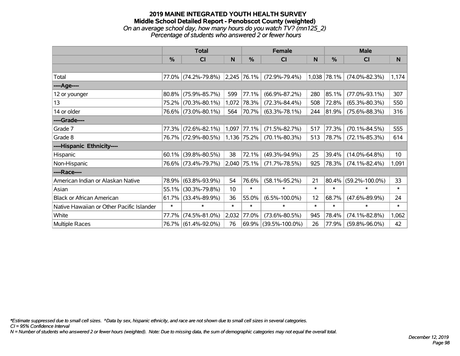### **2019 MAINE INTEGRATED YOUTH HEALTH SURVEY Middle School Detailed Report - Penobscot County (weighted)** *On an average school day, how many hours do you watch TV? (mn125\_2) Percentage of students who answered 2 or fewer hours*

|                                           | <b>Total</b> |                                 |        |             | <b>Female</b>        |        | <b>Male</b>   |                      |              |  |
|-------------------------------------------|--------------|---------------------------------|--------|-------------|----------------------|--------|---------------|----------------------|--------------|--|
|                                           | $\%$         | <b>CI</b>                       | N      | %           | <b>CI</b>            | N      | $\frac{0}{0}$ | <b>CI</b>            | <sub>N</sub> |  |
|                                           |              |                                 |        |             |                      |        |               |                      |              |  |
| Total                                     |              | 77.0% (74.2%-79.8%) 2,245 76.1% |        |             | $(72.9\% - 79.4\%)$  |        | 1,038 78.1%   | $(74.0\% - 82.3\%)$  | 1,174        |  |
| ----Age----                               |              |                                 |        |             |                      |        |               |                      |              |  |
| 12 or younger                             | 80.8%        | $(75.9\% - 85.7\%)$             | 599    | 77.1%       | $(66.9\% - 87.2\%)$  | 280    | 85.1%         | $(77.0\% - 93.1\%)$  | 307          |  |
| 13                                        | 75.2%        | $(70.3\% - 80.1\%)$             | 1,072  | 78.3%       | $(72.3\% - 84.4\%)$  | 508    | 72.8%         | $(65.3\% - 80.3\%)$  | 550          |  |
| 14 or older                               |              | 76.6% (73.0%-80.1%)             | 564    | 70.7%       | $(63.3\% - 78.1\%)$  | 244    | 81.9%         | $(75.6\% - 88.3\%)$  | 316          |  |
| ----Grade----                             |              |                                 |        |             |                      |        |               |                      |              |  |
| Grade 7                                   | 77.3%        | $(72.6\% - 82.1\%)$             |        | 1,097 77.1% | $(71.5\% - 82.7\%)$  | 517    | 77.3%         | $(70.1\% - 84.5\%)$  | 555          |  |
| Grade 8                                   |              | 76.7% (72.9%-80.5%)             |        | 1,136 75.2% | $(70.1\% - 80.3\%)$  | 513    | 78.7%         | $(72.1\% - 85.3\%)$  | 614          |  |
| ----Hispanic Ethnicity----                |              |                                 |        |             |                      |        |               |                      |              |  |
| Hispanic                                  | 60.1%        | $(39.8\% - 80.5\%)$             | 38     | 72.1%       | $(49.3\% - 94.9\%)$  | 25     | 39.4%         | $(14.0\% - 64.8\%)$  | 10           |  |
| Non-Hispanic                              |              | 76.6% (73.4%-79.7%)             | 2,040  | 75.1%       | $(71.7\% - 78.5\%)$  | 925    | 78.3%         | $(74.1\% - 82.4\%)$  | 1,091        |  |
| ----Race----                              |              |                                 |        |             |                      |        |               |                      |              |  |
| American Indian or Alaskan Native         | 78.9%        | $(63.8\% - 93.9\%)$             | 54     | 76.6%       | $(58.1\% - 95.2\%)$  | 21     | 80.4%         | $(59.2\% - 100.0\%)$ | 33           |  |
| Asian                                     | 55.1%        | $(30.3\% - 79.8\%)$             | 10     | $\ast$      | $\ast$               | $\ast$ | $\ast$        | $\ast$               | $\ast$       |  |
| <b>Black or African American</b>          | 61.7%        | $(33.4\% - 89.9\%)$             | 36     | 55.0%       | $(6.5\% - 100.0\%)$  | 12     | 68.7%         | $(47.6\% - 89.9\%)$  | 24           |  |
| Native Hawaiian or Other Pacific Islander | $\ast$       | $\ast$                          | $\ast$ | $\ast$      | $\ast$               | $\ast$ | $\ast$        | $\ast$               | $\ast$       |  |
| White                                     | 77.7%        | $(74.5\% - 81.0\%)$             | 2,032  | 77.0%       | $(73.6\% - 80.5\%)$  | 945    | 78.4%         | $(74.1\% - 82.8\%)$  | 1,062        |  |
| Multiple Races                            |              | 76.7% (61.4%-92.0%)             | 76     | 69.9%       | $(39.5\% - 100.0\%)$ | 26     | 77.9%         | $(59.8\% - 96.0\%)$  | 42           |  |

*\*Estimate suppressed due to small cell sizes. ^Data by sex, hispanic ethnicity, and race are not shown due to small cell sizes in several categories.*

*CI = 95% Confidence Interval*

*N = Number of students who answered 2 or fewer hours (weighted). Note: Due to missing data, the sum of demographic categories may not equal the overall total.*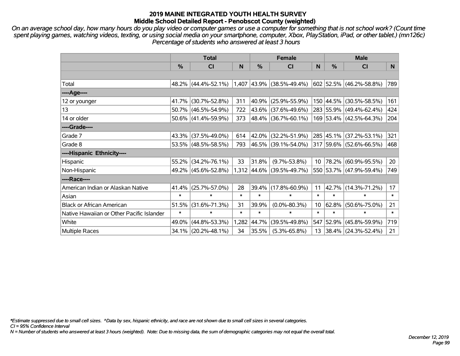*On an average school day, how many hours do you play video or computer games or use a computer for something that is not school work? (Count time spent playing games, watching videos, texting, or using social media on your smartphone, computer, Xbox, PlayStation, iPad, or other tablet.) (mn126c) Percentage of students who answered at least 3 hours*

|                                           | <b>Total</b>  |                        |        | <b>Female</b> |                             | <b>Male</b>     |               |                         |           |
|-------------------------------------------|---------------|------------------------|--------|---------------|-----------------------------|-----------------|---------------|-------------------------|-----------|
|                                           | $\frac{0}{0}$ | <b>CI</b>              | N      | $\%$          | <b>CI</b>                   | N               | $\frac{0}{0}$ | <b>CI</b>               | N         |
|                                           |               |                        |        |               |                             |                 |               |                         |           |
| Total                                     |               | 48.2% (44.4%-52.1%)    |        |               | $1,407$ 43.9% (38.5%-49.4%) |                 |               | 602 52.5% (46.2%-58.8%) | 789       |
| ----Age----                               |               |                        |        |               |                             |                 |               |                         |           |
| 12 or younger                             | 41.7%         | $(30.7\% - 52.8\%)$    | 311    | 40.9%         | $(25.9\% - 55.9\%)$         |                 |               | 150 44.5% (30.5%-58.5%) | 161       |
| 13                                        |               | 50.7% (46.5%-54.9%)    | 722    |               | 43.6% (37.6%-49.6%)         |                 |               | 283 55.9% (49.4%-62.4%) | 424       |
| 14 or older                               |               | $50.6\%$ (41.4%-59.9%) | 373    |               | $ 48.4\% $ (36.7%-60.1%)    |                 |               | 169 53.4% (42.5%-64.3%) | 204       |
| ----Grade----                             |               |                        |        |               |                             |                 |               |                         |           |
| Grade 7                                   |               | 43.3% (37.5%-49.0%)    | 614    |               | 42.0% (32.2%-51.9%)         |                 |               | 285 45.1% (37.2%-53.1%) | 321       |
| Grade 8                                   |               | 53.5% (48.5%-58.5%)    | 793    |               | $ 46.5\% $ (39.1%-54.0%)    |                 |               | 317 59.6% (52.6%-66.5%) | 468       |
| ----Hispanic Ethnicity----                |               |                        |        |               |                             |                 |               |                         |           |
| Hispanic                                  | 55.2%         | $(34.2\% - 76.1\%)$    | 33     | 31.8%         | $(9.7\% - 53.8\%)$          | 10              | 78.2%         | $(60.9\% - 95.5\%)$     | 20        |
| Non-Hispanic                              |               | 49.2% (45.6%-52.8%)    |        |               | 1,312 44.6% (39.5%-49.7%)   |                 |               | 550 53.7% (47.9%-59.4%) | 749       |
| ----Race----                              |               |                        |        |               |                             |                 |               |                         |           |
| American Indian or Alaskan Native         | 41.4%         | $(25.7\% - 57.0\%)$    | 28     | 39.4%         | $(17.8\% - 60.9\%)$         | 11              |               | 42.7% (14.3%-71.2%)     | 17        |
| Asian                                     | $\ast$        | $\ast$                 | $\ast$ | $\ast$        | $\ast$                      | $\ast$          | $\ast$        | $\ast$                  | $\ast$    |
| <b>Black or African American</b>          | 51.5%         | $(31.6\% - 71.3\%)$    | 31     | 39.9%         | $(0.0\% - 80.3\%)$          | 10 <sup>°</sup> | 62.8%         | $(50.6\% - 75.0\%)$     | 21        |
| Native Hawaiian or Other Pacific Islander | $\ast$        | $\ast$                 | $\ast$ | $\ast$        | $\ast$                      | $\ast$          | $\ast$        | $\ast$                  | $\ast$    |
| White                                     | 49.0%         | $(44.8\% - 53.3\%)$    | 1,282  | 44.7%         | $(39.5\% - 49.8\%)$         | 547             | 52.9%         | $(45.8\% - 59.9\%)$     | 719       |
| <b>Multiple Races</b>                     |               | 34.1% (20.2%-48.1%)    | 34     | 35.5%         | $(5.3\% - 65.8\%)$          | 13              |               | 38.4% (24.3%-52.4%)     | $21 \mid$ |

*\*Estimate suppressed due to small cell sizes. ^Data by sex, hispanic ethnicity, and race are not shown due to small cell sizes in several categories.*

*CI = 95% Confidence Interval*

*N = Number of students who answered at least 3 hours (weighted). Note: Due to missing data, the sum of demographic categories may not equal the overall total.*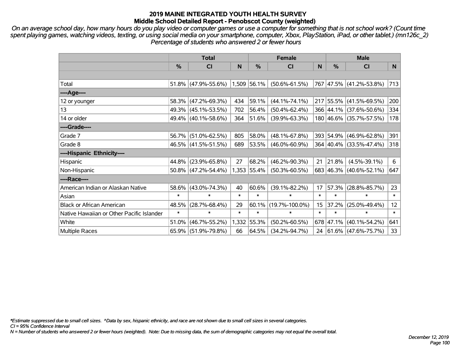*On an average school day, how many hours do you play video or computer games or use a computer for something that is not school work? (Count time spent playing games, watching videos, texting, or using social media on your smartphone, computer, Xbox, PlayStation, iPad, or other tablet.) (mn126c\_2) Percentage of students who answered 2 or fewer hours*

|                                           | <b>Total</b> |                     |        | <b>Female</b>    | <b>Male</b>          |        |               |                          |        |
|-------------------------------------------|--------------|---------------------|--------|------------------|----------------------|--------|---------------|--------------------------|--------|
|                                           | $\%$         | CI                  | N      | %                | CI                   | N      | $\frac{0}{0}$ | <b>CI</b>                | N.     |
|                                           |              |                     |        |                  |                      |        |               |                          |        |
| Total                                     | 51.8%        | $(47.9\% - 55.6\%)$ |        | $ 1,509 56.1\% $ | $(50.6\% - 61.5\%)$  |        |               | 767 47.5% (41.2%-53.8%)  | 713    |
| ----Age----                               |              |                     |        |                  |                      |        |               |                          |        |
| 12 or younger                             | 58.3%        | $(47.2\% - 69.3\%)$ | 434    | 59.1%            | $(44.1\% - 74.1\%)$  |        |               | 217 55.5% (41.5%-69.5%)  | 200    |
| 13                                        | 49.3%        | $(45.1\% - 53.5\%)$ | 702    | 56.4%            | $(50.4\% - 62.4\%)$  |        |               | 366 44.1% (37.6%-50.6%)  | 334    |
| 14 or older                               | 49.4%        | $(40.1\% - 58.6\%)$ | 364    | 51.6%            | $(39.9\% - 63.3\%)$  |        |               | 180 46.6% (35.7%-57.5%)  | 178    |
| ----Grade----                             |              |                     |        |                  |                      |        |               |                          |        |
| Grade 7                                   | 56.7%        | $(51.0\% - 62.5\%)$ | 805    | 58.0%            | $(48.1\% - 67.8\%)$  |        |               | 393 54.9% (46.9%-62.8%)  | 391    |
| Grade 8                                   |              | 46.5% (41.5%-51.5%) | 689    | 53.5%            | $(46.0\% - 60.9\%)$  |        |               | 364 40.4% (33.5%-47.4%)  | 318    |
| ----Hispanic Ethnicity----                |              |                     |        |                  |                      |        |               |                          |        |
| Hispanic                                  | 44.8%        | $(23.9\% - 65.8\%)$ | 27     | 68.2%            | $(46.2\% - 90.3\%)$  | 21     | 21.8%         | $(4.5\% - 39.1\%)$       | 6      |
| Non-Hispanic                              | $50.8\%$     | $(47.2\% - 54.4\%)$ |        | 1,353 55.4%      | $(50.3\% - 60.5\%)$  |        |               | 683 46.3% (40.6%-52.1%)  | 647    |
| ----Race----                              |              |                     |        |                  |                      |        |               |                          |        |
| American Indian or Alaskan Native         | 58.6%        | $(43.0\% - 74.3\%)$ | 40     | 60.6%            | $(39.1\% - 82.2\%)$  | 17     | 57.3%         | $(28.8\% - 85.7\%)$      | 23     |
| Asian                                     | $\ast$       | $\ast$              | $\ast$ | $\ast$           | $\ast$               | $\ast$ | $\ast$        | $\ast$                   | $\ast$ |
| <b>Black or African American</b>          | 48.5%        | $(28.7\% - 68.4\%)$ | 29     |                  | 60.1% (19.7%-100.0%) | 15     | 37.2%         | $(25.0\% - 49.4\%)$      | 12     |
| Native Hawaiian or Other Pacific Islander | $\ast$       | $\ast$              | $\ast$ | $\ast$           | $\ast$               | $\ast$ | $\ast$        | $\ast$                   | $\ast$ |
| White                                     | 51.0%        | $(46.7\% - 55.2\%)$ | 1,332  | 55.3%            | $(50.2\% - 60.5\%)$  | 678    | $ 47.1\% $    | $(40.1\% - 54.2\%)$      | 641    |
| <b>Multiple Races</b>                     | 65.9%        | $(51.9\% - 79.8\%)$ | 66     | 64.5%            | $(34.2\% - 94.7\%)$  | 24     |               | $ 61.6\% $ (47.6%-75.7%) | 33     |

*\*Estimate suppressed due to small cell sizes. ^Data by sex, hispanic ethnicity, and race are not shown due to small cell sizes in several categories.*

*CI = 95% Confidence Interval*

*N = Number of students who answered 2 or fewer hours (weighted). Note: Due to missing data, the sum of demographic categories may not equal the overall total.*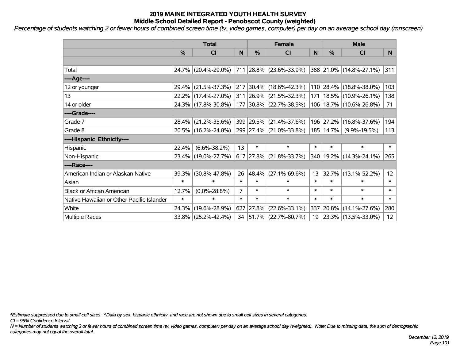*Percentage of students watching 2 or fewer hours of combined screen time (tv, video games, computer) per day on an average school day (mnscreen)*

|                                           | <b>Total</b>  |                        |                | <b>Female</b> | <b>Male</b>              |        |             |                             |                 |
|-------------------------------------------|---------------|------------------------|----------------|---------------|--------------------------|--------|-------------|-----------------------------|-----------------|
|                                           | $\frac{0}{0}$ | <b>CI</b>              | N              | %             | <b>CI</b>                | N      | %           | <b>CI</b>                   | N.              |
|                                           |               |                        |                |               |                          |        |             |                             |                 |
| Total                                     |               | 24.7% (20.4%-29.0%)    |                |               | 711 28.8% (23.6%-33.9%)  |        |             | 388 21.0% (14.8%-27.1%)     | 311             |
| ----Age----                               |               |                        |                |               |                          |        |             |                             |                 |
| 12 or younger                             |               | 29.4% (21.5%-37.3%)    |                |               | 217 30.4% (18.6%-42.3%)  |        |             | 110 28.4% (18.8%-38.0%)     | 103             |
| 13                                        |               | 22.2% (17.4%-27.0%)    |                |               | 311 26.9% (21.5%-32.3%)  |        |             | 171   18.5%   (10.9%-26.1%) | 138             |
| 14 or older                               |               | 24.3% (17.8%-30.8%)    |                |               | 177 30.8% (22.7%-38.9%)  |        |             | 106   18.7%   (10.6%-26.8%) | 71              |
| ----Grade----                             |               |                        |                |               |                          |        |             |                             |                 |
| Grade 7                                   |               | 28.4% (21.2%-35.6%)    |                | 399 29.5%     | $(21.4\% - 37.6\%)$      |        | 196 27.2%   | $(16.8\% - 37.6\%)$         | 194             |
| Grade 8                                   |               | 20.5% (16.2%-24.8%)    |                |               | 299 27.4% (21.0%-33.8%)  |        | 185   14.7% | $(9.9\% - 19.5\%)$          | 113             |
| ----Hispanic Ethnicity----                |               |                        |                |               |                          |        |             |                             |                 |
| Hispanic                                  | 22.4%         | $(6.6\% - 38.2\%)$     | 13             | $\ast$        | $\ast$                   | $\ast$ | $\ast$      | $\ast$                      | $\ast$          |
| Non-Hispanic                              |               | 23.4% (19.0%-27.7%)    |                |               | 617 27.8% (21.8%-33.7%)  |        |             | 340   19.2%   (14.3%-24.1%) | 265             |
| ----Race----                              |               |                        |                |               |                          |        |             |                             |                 |
| American Indian or Alaskan Native         |               | 39.3% (30.8%-47.8%)    | 26             | 48.4%         | $(27.1\% - 69.6\%)$      | 13     | 32.7%       | $(13.1\% - 52.2\%)$         | 12              |
| Asian                                     | $\ast$        | $\ast$                 | $\ast$         | $\ast$        | $\ast$                   | $\ast$ | $\ast$      | $\ast$                      | $\ast$          |
| <b>Black or African American</b>          | 12.7%         | $(0.0\% - 28.8\%)$     | $\overline{7}$ | $\ast$        | $\ast$                   | $\ast$ | $\ast$      | $\ast$                      | $\ast$          |
| Native Hawaiian or Other Pacific Islander | $\ast$        | $\ast$                 | $\ast$         | $\ast$        | $\ast$                   | $\ast$ | $\ast$      | $\ast$                      | $\ast$          |
| White                                     | 24.3%         | $(19.6\% - 28.9\%)$    | 627            | 27.8%         | $(22.6\% - 33.1\%)$      | 337    | 20.8%       | $(14.1\% - 27.6\%)$         | 280             |
| <b>Multiple Races</b>                     |               | $33.8\%$ (25.2%-42.4%) | 34             |               | $ 51.7\% $ (22.7%-80.7%) | 19     |             | $ 23.3\% $ (13.5%-33.0%)    | 12 <sup>2</sup> |

*\*Estimate suppressed due to small cell sizes. ^Data by sex, hispanic ethnicity, and race are not shown due to small cell sizes in several categories.*

*CI = 95% Confidence Interval*

*N = Number of students watching 2 or fewer hours of combined screen time (tv, video games, computer) per day on an average school day (weighted). Note: Due to missing data, the sum of demographic categories may not equal the overall total.*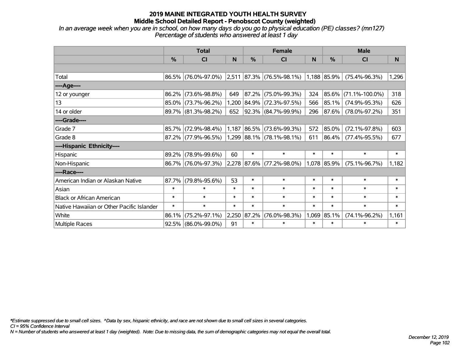*In an average week when you are in school, on how many days do you go to physical education (PE) classes? (mn127) Percentage of students who answered at least 1 day*

|                                           | <b>Total</b> |                                                           |        |               | <b>Female</b>               |        | <b>Male</b>   |                      |        |  |
|-------------------------------------------|--------------|-----------------------------------------------------------|--------|---------------|-----------------------------|--------|---------------|----------------------|--------|--|
|                                           | $\%$         | CI                                                        | N      | $\frac{0}{0}$ | <b>CI</b>                   | N      | $\frac{0}{0}$ | <b>CI</b>            | N      |  |
|                                           |              |                                                           |        |               |                             |        |               |                      |        |  |
| Total                                     |              | 86.5% (76.0%-97.0%) 2,511 87.3% (76.5%-98.1%) 1,188 85.9% |        |               |                             |        |               | $(75.4\% - 96.3\%)$  | 1,296  |  |
| ----Age----                               |              |                                                           |        |               |                             |        |               |                      |        |  |
| 12 or younger                             | 86.2%        | $(73.6\% - 98.8\%)$                                       | 649    | 87.2%         | $(75.0\% - 99.3\%)$         | 324    | 85.6%         | $(71.1\% - 100.0\%)$ | 318    |  |
| 13                                        |              | 85.0% (73.7%-96.2%)                                       |        |               | 1,200 84.9% (72.3%-97.5%)   | 566    | 85.1%         | $(74.9\% - 95.3\%)$  | 626    |  |
| 14 or older                               |              | 89.7% (81.3%-98.2%)                                       | 652    |               | 92.3% (84.7%-99.9%)         | 296    | 87.6%         | $(78.0\% - 97.2\%)$  | 351    |  |
| ----Grade----                             |              |                                                           |        |               |                             |        |               |                      |        |  |
| Grade 7                                   | 85.7%        | $(72.9\% - 98.4\%)$                                       |        | 1,187 86.5%   | $(73.6\% - 99.3\%)$         | 572    | 85.0%         | $(72.1\% - 97.8\%)$  | 603    |  |
| Grade 8                                   |              | 87.2% (77.9%-96.5%)                                       |        |               | $1,299$ 88.1% (78.1%-98.1%) | 611    | 86.4%         | $(77.4\% - 95.5\%)$  | 677    |  |
| ----Hispanic Ethnicity----                |              |                                                           |        |               |                             |        |               |                      |        |  |
| Hispanic                                  | 89.2%        | $(78.9\% - 99.6\%)$                                       | 60     | $\ast$        | $\ast$                      | $\ast$ | $\ast$        | $\ast$               | $\ast$ |  |
| Non-Hispanic                              |              | 86.7% (76.0%-97.3%)                                       |        |               | 2,278 87.6% (77.2%-98.0%)   |        | 1,078 85.9%   | $(75.1\% - 96.7\%)$  | 1,182  |  |
| ----Race----                              |              |                                                           |        |               |                             |        |               |                      |        |  |
| American Indian or Alaskan Native         | 87.7%        | $(79.8\% - 95.6\%)$                                       | 53     | $\ast$        | $\ast$                      | $\ast$ | $\ast$        | $\ast$               | $\ast$ |  |
| Asian                                     | $\ast$       | $\ast$                                                    | $\ast$ | $\ast$        | $\ast$                      | $\ast$ | $\ast$        | $\ast$               | $\ast$ |  |
| <b>Black or African American</b>          | $\ast$       | $\ast$                                                    | $\ast$ | $\ast$        | $\ast$                      | $\ast$ | $\ast$        | $\ast$               | $\ast$ |  |
| Native Hawaiian or Other Pacific Islander | $\ast$       | $\ast$                                                    | $\ast$ | $\ast$        | $\ast$                      | $\ast$ | $\ast$        | $\ast$               | $\ast$ |  |
| White                                     | 86.1%        | $(75.2\% - 97.1\%)$                                       |        | 2,250 87.2%   | $(76.0\% - 98.3\%)$         | 1,069  | 85.1%         | $(74.1\% - 96.2\%)$  | 1,161  |  |
| <b>Multiple Races</b>                     |              | 92.5% (86.0%-99.0%)                                       | 91     | $\ast$        | $\ast$                      | $\ast$ | $\ast$        | $\ast$               | $\ast$ |  |

*\*Estimate suppressed due to small cell sizes. ^Data by sex, hispanic ethnicity, and race are not shown due to small cell sizes in several categories.*

*CI = 95% Confidence Interval*

*N = Number of students who answered at least 1 day (weighted). Note: Due to missing data, the sum of demographic categories may not equal the overall total.*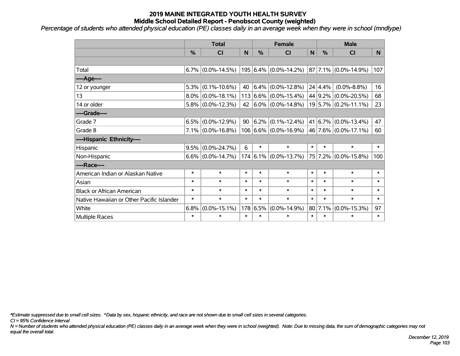*Percentage of students who attended physical education (PE) classes daily in an average week when they were in school (mndlype)*

|                                           | <b>Total</b>  |                      |        |          | <b>Female</b>                                  |        | <b>Male</b>   |                          |        |
|-------------------------------------------|---------------|----------------------|--------|----------|------------------------------------------------|--------|---------------|--------------------------|--------|
|                                           | $\frac{0}{0}$ | <b>CI</b>            | N      | $\%$     | <b>CI</b>                                      | N      | $\frac{0}{0}$ | <b>CI</b>                | N.     |
|                                           |               |                      |        |          |                                                |        |               |                          |        |
| Total                                     |               | $6.7\%$ (0.0%-14.5%) |        |          | $195 6.4\% $ (0.0%-14.2%) 87 7.1% (0.0%-14.9%) |        |               |                          | 107    |
| ----Age----                               |               |                      |        |          |                                                |        |               |                          |        |
| 12 or younger                             |               | $5.3\%$ (0.1%-10.6%) | 40     |          | $(6.4\% (0.0\% - 12.8\%)$                      |        | 24 4.4%       | $(0.0\% - 8.8\%)$        | 16     |
| 13                                        |               | $8.0\%$ (0.0%-18.1%) |        |          | $113 6.6\%  (0.0\% - 15.4\%)$                  |        |               | 44 9.2% (0.0%-20.5%)     | 68     |
| 14 or older                               |               | $5.8\%$ (0.0%-12.3%) |        |          | 42 $ 6.0\% $ (0.0%-14.8%)                      |        |               | 19 5.7% (0.2%-11.1%)     | 23     |
| ----Grade----                             |               |                      |        |          |                                                |        |               |                          |        |
| Grade 7                                   |               | $6.5\%$ (0.0%-12.9%) | 90     |          | $ 6.2\% $ (0.1%-12.4%)                         |        |               | 41   6.7%   (0.0%-13.4%) | 47     |
| Grade 8                                   |               | $7.1\%$ (0.0%-16.8%) |        |          | $106 6.6\% $ (0.0%-16.9%) 46 7.6% (0.0%-17.1%) |        |               |                          | 60     |
| ----Hispanic Ethnicity----                |               |                      |        |          |                                                |        |               |                          |        |
| Hispanic                                  | $9.5\%$       | $(0.0\% - 24.7\%)$   | 6      | $\ast$   | $\ast$                                         | $\ast$ | $\ast$        | $\ast$                   | $\ast$ |
| Non-Hispanic                              |               | $6.6\%$ (0.0%-14.7%) |        |          | $174 6.1\% $ (0.0%-13.7%)                      |        | 75 7.2%       | $(0.0\% - 15.8\%)$       | 100    |
| ----Race----                              |               |                      |        |          |                                                |        |               |                          |        |
| American Indian or Alaskan Native         | $\ast$        | $\ast$               | $\ast$ | $\ast$   | $\ast$                                         | $\ast$ | $\ast$        | $\ast$                   | $\ast$ |
| Asian                                     | $\ast$        | $\ast$               | $\ast$ | $\ast$   | $\ast$                                         | $\ast$ | $\ast$        | $\ast$                   | $\ast$ |
| <b>Black or African American</b>          | $\ast$        | $\ast$               | $\ast$ | $\ast$   | $\ast$                                         | $\ast$ | $\ast$        | $\ast$                   | $\ast$ |
| Native Hawaiian or Other Pacific Islander | $\ast$        | $\ast$               | $\ast$ | $\ast$   | $\ast$                                         | $\ast$ | $\ast$        | $\ast$                   | $\ast$ |
| White                                     | 6.8%          | $(0.0\% - 15.1\%)$   |        | 178 6.5% | $(0.0\% - 14.9\%)$                             |        | 80 7.1%       | $(0.0\% - 15.3\%)$       | 97     |
| Multiple Races                            | $\ast$        | $\ast$               | $\ast$ | $\ast$   | $\ast$                                         | $\ast$ | $\ast$        | $\ast$                   | $\ast$ |

*\*Estimate suppressed due to small cell sizes. ^Data by sex, hispanic ethnicity, and race are not shown due to small cell sizes in several categories.*

*CI = 95% Confidence Interval*

*N = Number of students who attended physical education (PE) classes daily in an average week when they were in school (weighted). Note: Due to missing data, the sum of demographic categories may not equal the overall total.*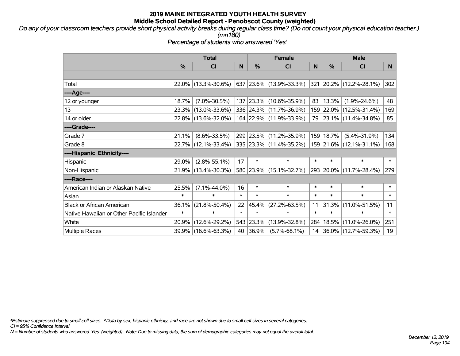*Do any of your classroom teachers provide short physical activity breaks during regular class time? (Do not count your physical education teacher.) (mn180)*

*Percentage of students who answered 'Yes'*

|                                           | <b>Total</b> |                     | <b>Female</b> |           |                         | <b>Male</b> |           |                                 |        |
|-------------------------------------------|--------------|---------------------|---------------|-----------|-------------------------|-------------|-----------|---------------------------------|--------|
|                                           | %            | <b>CI</b>           | N             | $\%$      | <b>CI</b>               | N           | %         | <b>CI</b>                       | N      |
|                                           |              |                     |               |           |                         |             |           |                                 |        |
| Total                                     |              | 22.0% (13.3%-30.6%) |               |           | 637 23.6% (13.9%-33.3%) |             |           | $ 321 20.2\% (12.2\% - 28.1\%)$ | 302    |
| ----Age----                               |              |                     |               |           |                         |             |           |                                 |        |
| 12 or younger                             | 18.7%        | $(7.0\% - 30.5\%)$  |               |           | 137 23.3% (10.6%-35.9%) | 83          | 13.3%     | $(1.9\% - 24.6\%)$              | 48     |
| 13                                        |              | 23.3% (13.0%-33.6%) |               |           | 336 24.3% (11.7%-36.9%) |             |           | 159 22.0% (12.5%-31.4%)         | 169    |
| 14 or older                               |              | 22.8% (13.6%-32.0%) |               |           | 164 22.9% (11.9%-33.9%) |             |           | 79 23.1% (11.4%-34.8%)          | 85     |
| ----Grade----                             |              |                     |               |           |                         |             |           |                                 |        |
| Grade 7                                   | 21.1%        | $(8.6\% - 33.5\%)$  |               | 299 23.5% | $(11.2\% - 35.9\%)$     | 159         | 18.7%     | $(5.4\% - 31.9\%)$              | 134    |
| Grade 8                                   |              | 22.7% (12.1%-33.4%) |               |           | 335 23.3% (11.4%-35.2%) |             |           | 159 21.6% (12.1%-31.1%)         | 168    |
| ----Hispanic Ethnicity----                |              |                     |               |           |                         |             |           |                                 |        |
| Hispanic                                  | 29.0%        | $(2.8\% - 55.1\%)$  | 17            | $\ast$    | $\ast$                  | $\ast$      | $\ast$    | $\ast$                          | $\ast$ |
| Non-Hispanic                              |              | 21.9% (13.4%-30.3%) |               |           | 580 23.9% (15.1%-32.7%) |             | 293 20.0% | $(11.7\% - 28.4\%)$             | 279    |
| ----Race----                              |              |                     |               |           |                         |             |           |                                 |        |
| American Indian or Alaskan Native         | 25.5%        | $(7.1\% - 44.0\%)$  | 16            | $\ast$    | $\ast$                  | $\ast$      | $\ast$    | $\ast$                          | $\ast$ |
| Asian                                     | $\ast$       | $\ast$              | $\ast$        | $\ast$    | $\ast$                  | $\ast$      | $\ast$    | $\ast$                          | $\ast$ |
| <b>Black or African American</b>          | 36.1%        | $(21.8\% - 50.4\%)$ | 22            | 45.4%     | $(27.2\% - 63.5\%)$     | 11          | 31.3%     | $(11.0\% - 51.5\%)$             | 11     |
| Native Hawaiian or Other Pacific Islander | $\ast$       | $\ast$              | $\ast$        | $\ast$    | $\ast$                  | $\ast$      | $\ast$    | $\ast$                          | $\ast$ |
| White                                     | 20.9%        | $(12.6\% - 29.2\%)$ | 543           | 23.3%     | $(13.9\% - 32.8\%)$     | 284         | 18.5%     | $(11.0\% - 26.0\%)$             | 251    |
| <b>Multiple Races</b>                     |              | 39.9% (16.6%-63.3%) |               | 40 36.9%  | $(5.7\% - 68.1\%)$      |             |           | 14 36.0% (12.7%-59.3%)          | 19     |

*\*Estimate suppressed due to small cell sizes. ^Data by sex, hispanic ethnicity, and race are not shown due to small cell sizes in several categories.*

*CI = 95% Confidence Interval*

*N = Number of students who answered 'Yes' (weighted). Note: Due to missing data, the sum of demographic categories may not equal the overall total.*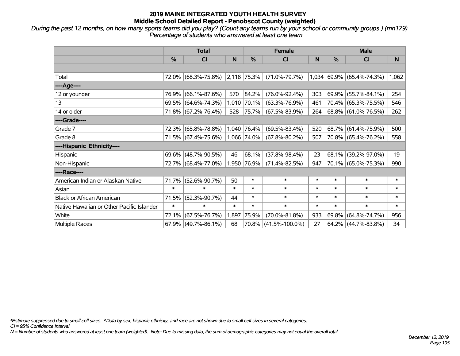*During the past 12 months, on how many sports teams did you play? (Count any teams run by your school or community groups.) (mn179) Percentage of students who answered at least one team*

|                                           | <b>Total</b> |                        |              |                  | <b>Female</b>        |        | <b>Male</b> |                           |        |  |
|-------------------------------------------|--------------|------------------------|--------------|------------------|----------------------|--------|-------------|---------------------------|--------|--|
|                                           | $\%$         | <b>CI</b>              | N            | $\frac{0}{0}$    | <b>CI</b>            | N      | $\%$        | <b>CI</b>                 | N      |  |
|                                           |              |                        |              |                  |                      |        |             |                           |        |  |
| Total                                     |              | 72.0% (68.3%-75.8%)    |              | $ 2,118 75.3\% $ | $(71.0\% - 79.7\%)$  |        |             | 1,034 69.9% (65.4%-74.3%) | 1,062  |  |
| ----Age----                               |              |                        |              |                  |                      |        |             |                           |        |  |
| 12 or younger                             | 76.9%        | $(66.1\% - 87.6\%)$    | 570          | 84.2%            | $(76.0\% - 92.4\%)$  | 303    | 69.9%       | $(55.7\% - 84.1\%)$       | 254    |  |
| 13                                        |              | 69.5% (64.6%-74.3%)    | 1,010        | 70.1%            | $(63.3\% - 76.9\%)$  | 461    |             | 70.4% (65.3%-75.5%)       | 546    |  |
| 14 or older                               |              | 71.8% (67.2%-76.4%)    | 528          | 75.7%            | $(67.5\% - 83.9\%)$  | 264    |             | 68.8% (61.0%-76.5%)       | 262    |  |
| ----Grade----                             |              |                        |              |                  |                      |        |             |                           |        |  |
| Grade 7                                   |              | 72.3% (65.8%-78.8%)    |              | 1,040 76.4%      | $(69.5\% - 83.4\%)$  | 520    |             | 68.7% (61.4%-75.9%)       | 500    |  |
| Grade 8                                   |              | 71.5% (67.4%-75.6%)    |              | $ 1,066 74.0\% $ | $(67.8\% - 80.2\%)$  | 507    |             | 70.8% (65.4%-76.2%)       | 558    |  |
| ----Hispanic Ethnicity----                |              |                        |              |                  |                      |        |             |                           |        |  |
| Hispanic                                  | 69.6%        | $(48.7\% - 90.5\%)$    | 46           | 68.1%            | $(37.8\% - 98.4\%)$  | 23     | 68.1%       | $(39.2\% - 97.0\%)$       | 19     |  |
| Non-Hispanic                              |              | 72.7% (68.4%-77.0%)    |              | 1,950 76.9%      | $(71.4\% - 82.5\%)$  | 947    |             | 70.1% (65.0%-75.3%)       | 990    |  |
| ----Race----                              |              |                        |              |                  |                      |        |             |                           |        |  |
| American Indian or Alaskan Native         | 71.7%        | $(52.6\% - 90.7\%)$    | 50           | $\ast$           | $\ast$               | $\ast$ | $\ast$      | $\ast$                    | $\ast$ |  |
| Asian                                     | $\ast$       | $\ast$                 | $\pmb{\ast}$ | $\ast$           | $\ast$               | $\ast$ | $\ast$      | $\ast$                    | $\ast$ |  |
| <b>Black or African American</b>          | 71.5%        | $(52.3\% - 90.7\%)$    | 44           | $\ast$           | $\ast$               | $\ast$ | $\ast$      | $\ast$                    | $\ast$ |  |
| Native Hawaiian or Other Pacific Islander | $\ast$       | $\ast$                 | $\ast$       | $\ast$           | $\ast$               | $\ast$ | $\ast$      | $\ast$                    | $\ast$ |  |
| White                                     | 72.1%        | $(67.5\% - 76.7\%)$    | 1,897        | 75.9%            | $(70.0\% - 81.8\%)$  | 933    | 69.8%       | $(64.8\% - 74.7\%)$       | 956    |  |
| Multiple Races                            |              | $67.9\%$ (49.7%-86.1%) | 68           | 70.8%            | $(41.5\% - 100.0\%)$ | 27     |             | $64.2\%$ (44.7%-83.8%)    | 34     |  |

*\*Estimate suppressed due to small cell sizes. ^Data by sex, hispanic ethnicity, and race are not shown due to small cell sizes in several categories.*

*CI = 95% Confidence Interval*

*N = Number of students who answered at least one team (weighted). Note: Due to missing data, the sum of demographic categories may not equal the overall total.*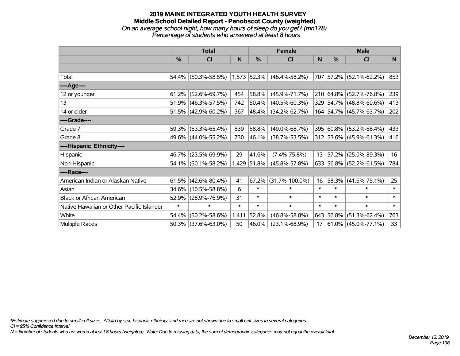#### **2019 MAINE INTEGRATED YOUTH HEALTH SURVEY Middle School Detailed Report - Penobscot County (weighted)** *On an average school night, how many hours of sleep do you get? (mn178) Percentage of students who answered at least 8 hours*

|                                           | <b>Total</b> |                        |        | <b>Female</b> | <b>Male</b>          |        |           |                          |                 |
|-------------------------------------------|--------------|------------------------|--------|---------------|----------------------|--------|-----------|--------------------------|-----------------|
|                                           | %            | <b>CI</b>              | N      | $\frac{0}{0}$ | <b>CI</b>            | N      | %         | <b>CI</b>                | N               |
|                                           |              |                        |        |               |                      |        |           |                          |                 |
| Total                                     | 54.4%        | $(50.3\% - 58.5\%)$    |        | 1,573 52.3%   | $(46.4\% - 58.2\%)$  |        |           | 707 57.2% (52.1%-62.2%)  | 853             |
| ----Age----                               |              |                        |        |               |                      |        |           |                          |                 |
| 12 or younger                             | 61.2%        | $(52.6\% - 69.7\%)$    | 454    | 58.8%         | $(45.9\% - 71.7\%)$  |        |           | 210 64.8% (52.7%-76.8%)  | 239             |
| 13                                        | 51.9%        | $(46.3\% - 57.5\%)$    | 742    | 50.4%         | $(40.5\% - 60.3\%)$  |        |           | 329 54.7% (48.8%-60.6%)  | 413             |
| 14 or older                               |              | $51.5\%$ (42.9%-60.2%) | 367    | $ 48.4\% $    | $(34.2\% - 62.7\%)$  |        |           | 164 54.7% (45.7%-63.7%)  | 202             |
| ----Grade----                             |              |                        |        |               |                      |        |           |                          |                 |
| Grade 7                                   | 59.3%        | $(53.3\% - 65.4\%)$    | 839    | 58.8%         | $(49.0\% - 68.7\%)$  | 395    |           | $ 60.8\% $ (53.2%-68.4%) | 433             |
| Grade 8                                   |              | 49.6% (44.0%-55.2%)    | 730    | $ 46.1\% $    | $(38.7\% - 53.5\%)$  |        |           | 312 53.6% (45.9%-61.3%)  | 416             |
| ----Hispanic Ethnicity----                |              |                        |        |               |                      |        |           |                          |                 |
| Hispanic                                  | 46.7%        | $(23.5\% - 69.9\%)$    | 29     | 41.6%         | $(7.4\% - 75.8\%)$   | 13     | 57.2%     | $(25.0\% - 89.3\%)$      | 16              |
| Non-Hispanic                              |              | 54.1% (50.1%-58.2%)    |        | 1,429 51.8%   | $(45.8\% - 57.8\%)$  |        |           | 633 56.8% (52.2%-61.5%)  | 784             |
| ----Race----                              |              |                        |        |               |                      |        |           |                          |                 |
| American Indian or Alaskan Native         | 61.5%        | $(42.6\% - 80.4\%)$    | 41     | 67.2%         | $(31.7\% - 100.0\%)$ | 16     | 58.3%     | $(41.6\% - 75.1\%)$      | 25              |
| Asian                                     | 34.6%        | $(10.5\% - 58.8\%)$    | 6      | $\ast$        | $\ast$               | $\ast$ | $\ast$    | $\ast$                   | $\ast$          |
| <b>Black or African American</b>          | 52.9%        | $(28.9\% - 76.9\%)$    | 31     | $\ast$        | $\ast$               | $\ast$ | $\ast$    | $\ast$                   | $\ast$          |
| Native Hawaiian or Other Pacific Islander | $\ast$       | $\ast$                 | $\ast$ | $\ast$        | $\ast$               | $\ast$ | $\ast$    | $\ast$                   | $\ast$          |
| White                                     | 54.4%        | $(50.2\% - 58.6\%)$    | 1,411  | 52.8%         | $(46.8\% - 58.8\%)$  |        | 643 56.8% | $(51.3\% - 62.4\%)$      | 763             |
| Multiple Races                            | 50.3%        | $(37.6\% - 63.0\%)$    | 50     | 46.0%         | $(23.1\% - 68.9\%)$  | 17     |           | $61.0\%$ (45.0%-77.1%)   | 33 <sup>2</sup> |

*\*Estimate suppressed due to small cell sizes. ^Data by sex, hispanic ethnicity, and race are not shown due to small cell sizes in several categories.*

*CI = 95% Confidence Interval*

*N = Number of students who answered at least 8 hours (weighted). Note: Due to missing data, the sum of demographic categories may not equal the overall total.*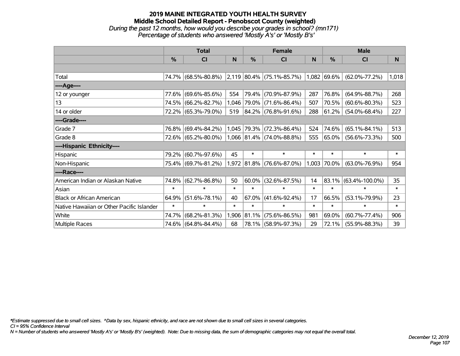## **2019 MAINE INTEGRATED YOUTH HEALTH SURVEY Middle School Detailed Report - Penobscot County (weighted)** *During the past 12 months, how would you describe your grades in school? (mn171) Percentage of students who answered 'Mostly A's' or 'Mostly B's'*

|                                           | <b>Total</b> |                     |        |               | <b>Female</b>                               |        | <b>Male</b>   |                      |        |  |
|-------------------------------------------|--------------|---------------------|--------|---------------|---------------------------------------------|--------|---------------|----------------------|--------|--|
|                                           | $\%$         | <b>CI</b>           | N      | $\frac{0}{0}$ | <b>CI</b>                                   | N      | $\frac{0}{0}$ | <b>CI</b>            | N.     |  |
|                                           |              |                     |        |               |                                             |        |               |                      |        |  |
| Total                                     |              | 74.7% (68.5%-80.8%) |        |               | $ 2,119 80.4\%  (75.1\% - 85.7\%)$          |        | 1,082 69.6%   | $(62.0\% - 77.2\%)$  | 1,018  |  |
| ----Age----                               |              |                     |        |               |                                             |        |               |                      |        |  |
| 12 or younger                             | 77.6%        | $(69.6\% - 85.6\%)$ | 554    | 79.4%         | $(70.9\% - 87.9\%)$                         | 287    | 76.8%         | $(64.9\% - 88.7\%)$  | 268    |  |
| 13                                        |              | 74.5% (66.2%-82.7%) | 1,046  | 79.0%         | $(71.6\% - 86.4\%)$                         | 507    | 70.5%         | $(60.6\% - 80.3\%)$  | 523    |  |
| 14 or older                               |              | 72.2% (65.3%-79.0%) | 519    |               | 84.2% (76.8%-91.6%)                         | 288    | 61.2%         | $(54.0\% - 68.4\%)$  | 227    |  |
| ----Grade----                             |              |                     |        |               |                                             |        |               |                      |        |  |
| Grade 7                                   |              | 76.8% (69.4%-84.2%) |        | 1,045 79.3%   | $(72.3\% - 86.4\%)$                         | 524    | 74.6%         | $(65.1\% - 84.1\%)$  | 513    |  |
| Grade 8                                   |              | 72.6% (65.2%-80.0%) |        |               | $(1,066 \mid 81.4\% \mid (74.0\% - 88.8\%)$ | 555    | 65.0%         | $(56.6\% - 73.3\%)$  | 500    |  |
| ----Hispanic Ethnicity----                |              |                     |        |               |                                             |        |               |                      |        |  |
| Hispanic                                  | 79.2%        | $(60.7\% - 97.6\%)$ | 45     | $\ast$        | $\ast$                                      | $\ast$ | $\ast$        | $\ast$               | $\ast$ |  |
| Non-Hispanic                              |              | 75.4% (69.7%-81.2%) |        |               | $1,972$ 81.8% (76.6%-87.0%)                 | 1,003  | 70.0%         | $(63.0\% - 76.9\%)$  | 954    |  |
| ----Race----                              |              |                     |        |               |                                             |        |               |                      |        |  |
| American Indian or Alaskan Native         | 74.8%        | $(62.7\% - 86.8\%)$ | 50     | 60.0%         | $(32.6\% - 87.5\%)$                         | 14     | 83.1%         | $(63.4\% - 100.0\%)$ | 35     |  |
| Asian                                     | $\ast$       | $\ast$              | $\ast$ | $\ast$        | $\ast$                                      | $\ast$ | $\ast$        | $\ast$               | $\ast$ |  |
| <b>Black or African American</b>          | 64.9%        | $(51.6\% - 78.1\%)$ | 40     | 67.0%         | $(41.6\% - 92.4\%)$                         | 17     | 66.5%         | $(53.1\% - 79.9\%)$  | 23     |  |
| Native Hawaiian or Other Pacific Islander | $\ast$       | $\ast$              | $\ast$ | $\ast$        | $\ast$                                      | $\ast$ | $\ast$        | $\ast$               | $\ast$ |  |
| White                                     | 74.7%        | $(68.2\% - 81.3\%)$ | 1,906  | 81.1%         | $(75.6\% - 86.5\%)$                         | 981    | 69.0%         | $(60.7\% - 77.4\%)$  | 906    |  |
| Multiple Races                            |              | 74.6% (64.8%-84.4%) | 68     |               | 78.1% (58.9%-97.3%)                         | 29     | 72.1%         | $(55.9\% - 88.3\%)$  | 39     |  |

*\*Estimate suppressed due to small cell sizes. ^Data by sex, hispanic ethnicity, and race are not shown due to small cell sizes in several categories.*

*CI = 95% Confidence Interval*

*N = Number of students who answered 'Mostly A's' or 'Mostly B's' (weighted). Note: Due to missing data, the sum of demographic categories may not equal the overall total.*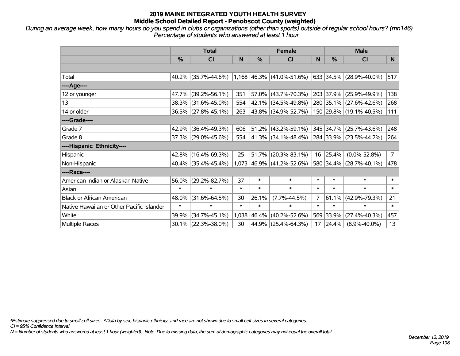*During an average week, how many hours do you spend in clubs or organizations (other than sports) outside of regular school hours? (mn146) Percentage of students who answered at least 1 hour*

|                                           | <b>Total</b> |                        |        | <b>Female</b> |                             |                | <b>Male</b> |                         |                |
|-------------------------------------------|--------------|------------------------|--------|---------------|-----------------------------|----------------|-------------|-------------------------|----------------|
|                                           | %            | CI                     | N      | %             | <b>CI</b>                   | N              | %           | <b>CI</b>               | N.             |
|                                           |              |                        |        |               |                             |                |             |                         |                |
| Total                                     |              | $40.2\%$ (35.7%-44.6%) |        |               | $1,168$ 46.3% (41.0%-51.6%) |                |             | 633 34.5% (28.9%-40.0%) | 517            |
| ----Age----                               |              |                        |        |               |                             |                |             |                         |                |
| 12 or younger                             | 47.7%        | $(39.2\% - 56.1\%)$    | 351    | 57.0%         | $(43.7\% - 70.3\%)$         |                | 203 37.9%   | $(25.9\% - 49.9\%)$     | 138            |
| 13                                        |              | 38.3% (31.6%-45.0%)    | 554    |               | 42.1% (34.5%-49.8%)         |                |             | 280 35.1% (27.6%-42.6%) | 268            |
| 14 or older                               |              | 36.5% (27.8%-45.1%)    | 263    |               | 43.8% (34.9%-52.7%)         |                |             | 150 29.8% (19.1%-40.5%) | 111            |
| ----Grade----                             |              |                        |        |               |                             |                |             |                         |                |
| Grade 7                                   | 42.9%        | $(36.4\% - 49.3\%)$    | 606    |               | $51.2\%$ (43.2%-59.1%)      |                | 345 34.7%   | $(25.7\% - 43.6\%)$     | 248            |
| Grade 8                                   |              | 37.3% (29.0%-45.6%)    | 554    |               | $41.3\%$ (34.1%-48.4%)      |                |             | 284 33.9% (23.5%-44.2%) | 264            |
| ----Hispanic Ethnicity----                |              |                        |        |               |                             |                |             |                         |                |
| Hispanic                                  | 42.8%        | $(16.4\% - 69.3\%)$    | 25     | 51.7%         | $(20.3\% - 83.1\%)$         | 16             | 25.4%       | $(0.0\% - 52.8\%)$      | $\overline{7}$ |
| Non-Hispanic                              |              | $40.4\%$ (35.4%-45.4%) |        |               | 1,073 46.9% (41.2%-52.6%)   |                |             | 580 34.4% (28.7%-40.1%) | 478            |
| ----Race----                              |              |                        |        |               |                             |                |             |                         |                |
| American Indian or Alaskan Native         | 56.0%        | $(29.2\% - 82.7\%)$    | 37     | $\ast$        | $\ast$                      | $\ast$         | $\ast$      | $\ast$                  | $\ast$         |
| Asian                                     | $\ast$       | $\ast$                 | $\ast$ | $\ast$        | $\ast$                      | $\ast$         | $\ast$      | $\ast$                  | $\ast$         |
| <b>Black or African American</b>          | 48.0%        | $(31.6\% - 64.5\%)$    | 30     | 26.1%         | $(7.7\% - 44.5\%)$          | $\overline{7}$ | 61.1%       | $(42.9\% - 79.3\%)$     | 21             |
| Native Hawaiian or Other Pacific Islander | $\ast$       | $\ast$                 | $\ast$ | $\ast$        | $\ast$                      | $\ast$         | $\ast$      | $\ast$                  | $\ast$         |
| White                                     | 39.9%        | $(34.7\% - 45.1\%)$    | 1,038  | 46.4%         | $(40.2\% - 52.6\%)$         | 569            | 33.9%       | $(27.4\% - 40.3\%)$     | 457            |
| Multiple Races                            |              | 30.1% (22.3%-38.0%)    | 30     | 44.9%         | $(25.4\% - 64.3\%)$         | 17             | 24.4%       | $(8.9\% - 40.0\%)$      | 13             |

*\*Estimate suppressed due to small cell sizes. ^Data by sex, hispanic ethnicity, and race are not shown due to small cell sizes in several categories.*

*CI = 95% Confidence Interval*

*N = Number of students who answered at least 1 hour (weighted). Note: Due to missing data, the sum of demographic categories may not equal the overall total.*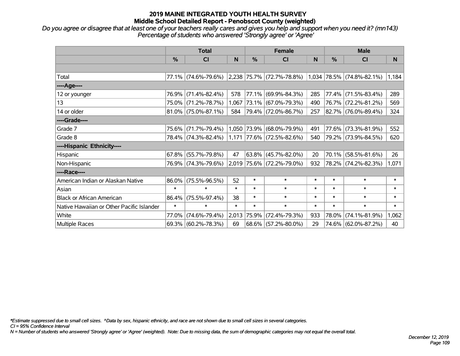# **2019 MAINE INTEGRATED YOUTH HEALTH SURVEY Middle School Detailed Report - Penobscot County (weighted)**

*Do you agree or disagree that at least one of your teachers really cares and gives you help and support when you need it? (mn143) Percentage of students who answered 'Strongly agree' or 'Agree'*

|                                           | <b>Total</b> |                        |        |               | <b>Female</b>                      |              | <b>Male</b> |                           |        |  |
|-------------------------------------------|--------------|------------------------|--------|---------------|------------------------------------|--------------|-------------|---------------------------|--------|--|
|                                           | $\%$         | <b>CI</b>              | N      | $\frac{0}{0}$ | <b>CI</b>                          | <sub>N</sub> | %           | <b>CI</b>                 | N      |  |
|                                           |              |                        |        |               |                                    |              |             |                           |        |  |
| Total                                     |              | 77.1% (74.6%-79.6%)    |        |               | $ 2,238 75.7\%  (72.7\% - 78.8\%)$ |              |             | 1,034 78.5% (74.8%-82.1%) | 1,184  |  |
| ----Age----                               |              |                        |        |               |                                    |              |             |                           |        |  |
| 12 or younger                             | 76.9%        | $(71.4\% - 82.4\%)$    | 578    | 77.1%         | $(69.9\% - 84.3\%)$                | 285          | 77.4%       | $(71.5\% - 83.4\%)$       | 289    |  |
| 13                                        |              | 75.0% (71.2%-78.7%)    | 1,067  |               | 73.1% (67.0%-79.3%)                | 490          |             | 76.7% (72.2%-81.2%)       | 569    |  |
| 14 or older                               |              | $81.0\%$ (75.0%-87.1%) | 584    |               | 79.4% (72.0%-86.7%)                | 257          |             | 82.7% (76.0%-89.4%)       | 324    |  |
| ----Grade----                             |              |                        |        |               |                                    |              |             |                           |        |  |
| Grade 7                                   | 75.6%        | $(71.7\% - 79.4\%)$    |        | 1,050 73.9%   | (68.0%-79.9%)                      | 491          | 77.6%       | $(73.3\% - 81.9\%)$       | 552    |  |
| Grade 8                                   |              | 78.4% (74.3%-82.4%)    |        |               | $1,171$ 77.6% (72.5%-82.6%)        | 540          |             | 79.2% (73.9%-84.5%)       | 620    |  |
| ----Hispanic Ethnicity----                |              |                        |        |               |                                    |              |             |                           |        |  |
| Hispanic                                  | 67.8%        | $(55.7\% - 79.8\%)$    | 47     | 63.8%         | $(45.7\% - 82.0\%)$                | 20           | 70.1%       | $(58.5\% - 81.6\%)$       | 26     |  |
| Non-Hispanic                              |              | 76.9% (74.3%-79.6%)    |        |               | 2,019 75.6% (72.2%-79.0%)          | 932          |             | 78.2% (74.2%-82.3%)       | 1,071  |  |
| ----Race----                              |              |                        |        |               |                                    |              |             |                           |        |  |
| American Indian or Alaskan Native         | 86.0%        | $(75.5\% - 96.5\%)$    | 52     | $\ast$        | $\ast$                             | $\ast$       | $\ast$      | $\ast$                    | $\ast$ |  |
| Asian                                     | $\ast$       | $\ast$                 | $\ast$ | $\ast$        | $\ast$                             | $\ast$       | $\ast$      | $\ast$                    | $\ast$ |  |
| <b>Black or African American</b>          | 86.4%        | $(75.5\% - 97.4\%)$    | 38     | $\ast$        | $\ast$                             | $\ast$       | $\ast$      | $\ast$                    | $\ast$ |  |
| Native Hawaiian or Other Pacific Islander | $\ast$       | $\ast$                 | $\ast$ | $\ast$        | $\ast$                             | $\ast$       | $\ast$      | $\ast$                    | $\ast$ |  |
| White                                     | 77.0%        | $(74.6\% - 79.4\%)$    | 2,013  | 75.9%         | $(72.4\% - 79.3\%)$                | 933          | 78.0%       | $(74.1\% - 81.9\%)$       | 1,062  |  |
| <b>Multiple Races</b>                     |              | $69.3\%$ (60.2%-78.3%) | 69     |               | $68.6\%$ (57.2%-80.0%)             | 29           |             | 74.6% (62.0%-87.2%)       | 40     |  |

*\*Estimate suppressed due to small cell sizes. ^Data by sex, hispanic ethnicity, and race are not shown due to small cell sizes in several categories.*

*CI = 95% Confidence Interval*

*N = Number of students who answered 'Strongly agree' or 'Agree' (weighted). Note: Due to missing data, the sum of demographic categories may not equal the overall total.*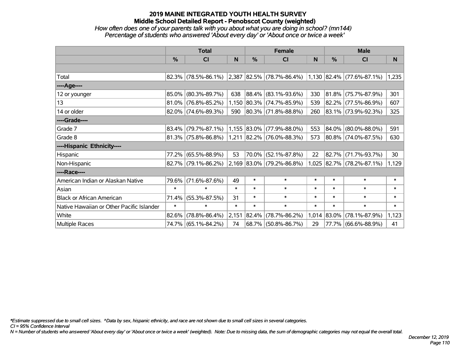# **2019 MAINE INTEGRATED YOUTH HEALTH SURVEY Middle School Detailed Report - Penobscot County (weighted)**

## *How often does one of your parents talk with you about what you are doing in school? (mn144) Percentage of students who answered 'About every day' or 'About once or twice a week'*

|                                           | <b>Total</b> |                        |        |            | <b>Female</b>                  |        | <b>Male</b>   |                             |          |
|-------------------------------------------|--------------|------------------------|--------|------------|--------------------------------|--------|---------------|-----------------------------|----------|
|                                           | %            | CI                     | N      | %          | <b>CI</b>                      | N      | $\frac{0}{0}$ | <b>CI</b>                   | <b>N</b> |
|                                           |              |                        |        |            |                                |        |               |                             |          |
| Total                                     |              | $82.3\%$ (78.5%-86.1%) | 2,387  |            | $ 82.5\% $ (78.7%-86.4%)       |        |               | $1,130$ 82.4% (77.6%-87.1%) | 1,235    |
| ----Age----                               |              |                        |        |            |                                |        |               |                             |          |
| 12 or younger                             | 85.0%        | $(80.3\% - 89.7\%)$    | 638    |            | 88.4% (83.1%-93.6%)            | 330    |               | $81.8\%$ (75.7%-87.9%)      | 301      |
| 13                                        |              | $81.0\%$ (76.8%-85.2%) | 1,150  |            | $ 80.3\% $ (74.7%-85.9%)       | 539    |               | $82.2\%$ (77.5%-86.9%)      | 607      |
| 14 or older                               |              | $82.0\%$ (74.6%-89.3%) | 590    |            | $ 80.3\% $ (71.8%-88.8%)       | 260    |               | 83.1% (73.9%-92.3%)         | 325      |
| ----Grade----                             |              |                        |        |            |                                |        |               |                             |          |
| Grade 7                                   | $83.4\%$     | $(79.7\% - 87.1\%)$    |        |            | $1,155$ 83.0% (77.9%-88.0%)    | 553    |               | 84.0% (80.0%-88.0%)         | 591      |
| Grade 8                                   |              | $81.3\%$ (75.8%-86.8%) |        |            | $1,211$ 82.2% (76.0%-88.3%)    | 573    |               | 80.8% (74.0%-87.5%)         | 630      |
| ----Hispanic Ethnicity----                |              |                        |        |            |                                |        |               |                             |          |
| Hispanic                                  | 77.2%        | $(65.5\% - 88.9\%)$    | 53     |            | 70.0% (52.1%-87.8%)            | 22     |               | 82.7% (71.7%-93.7%)         | 30       |
| Non-Hispanic                              |              | $82.7\%$ (79.1%-86.2%) |        |            | $2,169$ $83.0\%$ (79.2%-86.8%) | 1,025  |               | 82.7% (78.2%-87.1%)         | 1,129    |
| ----Race----                              |              |                        |        |            |                                |        |               |                             |          |
| American Indian or Alaskan Native         | 79.6%        | $(71.6\% - 87.6\%)$    | 49     | $\ast$     | $\ast$                         | $\ast$ | $\ast$        | $\ast$                      | $\ast$   |
| Asian                                     | $\ast$       | $\ast$                 | $\ast$ | $\ast$     | $\ast$                         | $\ast$ | $\ast$        | $\ast$                      | $\ast$   |
| <b>Black or African American</b>          | 71.4%        | $(55.3\% - 87.5\%)$    | 31     | $\ast$     | $\ast$                         | $\ast$ | $\ast$        | $\ast$                      | $\ast$   |
| Native Hawaiian or Other Pacific Islander | $\ast$       | $\ast$                 | $\ast$ | $\ast$     | $\ast$                         | $\ast$ | $\ast$        | $\ast$                      | $\ast$   |
| White                                     | 82.6%        | $(78.8\% - 86.4\%)$    | 2,151  | $ 82.4\% $ | $(78.7\% - 86.2\%)$            | 1,014  | 83.0%         | $(78.1\% - 87.9\%)$         | 1,123    |
| <b>Multiple Races</b>                     |              | 74.7% (65.1%-84.2%)    | 74     |            | 68.7% (50.8%-86.7%)            | 29     |               | 77.7% (66.6%-88.9%)         | 41       |

*\*Estimate suppressed due to small cell sizes. ^Data by sex, hispanic ethnicity, and race are not shown due to small cell sizes in several categories.*

*CI = 95% Confidence Interval*

*N = Number of students who answered 'About every day' or 'About once or twice a week' (weighted). Note: Due to missing data, the sum of demographic categories may not equal the overall total.*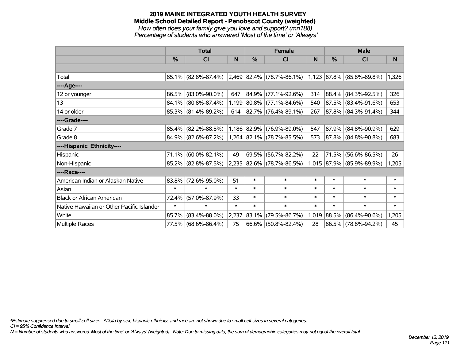#### **2019 MAINE INTEGRATED YOUTH HEALTH SURVEY Middle School Detailed Report - Penobscot County (weighted)** *How often does your family give you love and support? (mn188) Percentage of students who answered 'Most of the time' or 'Always'*

|                                           | <b>Total</b> |                        |        |             | <b>Female</b>                                                           |        | <b>Male</b>   |                           |        |  |
|-------------------------------------------|--------------|------------------------|--------|-------------|-------------------------------------------------------------------------|--------|---------------|---------------------------|--------|--|
|                                           | $\%$         | CI                     | N      | %           | <b>CI</b>                                                               | N      | $\frac{0}{0}$ | <b>CI</b>                 | N      |  |
|                                           |              |                        |        |             |                                                                         |        |               |                           |        |  |
| Total                                     |              |                        |        |             | 85.1% (82.8%-87.4%) 2,469 82.4% (78.7%-86.1%) 1,123 87.8% (85.8%-89.8%) |        |               |                           | 1,326  |  |
| ----Age----                               |              |                        |        |             |                                                                         |        |               |                           |        |  |
| 12 or younger                             | 86.5%        | $(83.0\% - 90.0\%)$    | 647    | $ 84.9\% $  | $(77.1\% - 92.6\%)$                                                     | 314    |               | 88.4% (84.3%-92.5%)       | 326    |  |
| 13                                        |              | 84.1% (80.8%-87.4%)    |        |             | 1,199 80.8% (77.1%-84.6%)                                               | 540    |               | 87.5% (83.4%-91.6%)       | 653    |  |
| 14 or older                               |              | $85.3\%$ (81.4%-89.2%) | 614    |             | $ 82.7\% $ (76.4%-89.1%)                                                | 267    |               | 87.8% (84.3%-91.4%)       | 344    |  |
| ----Grade----                             |              |                        |        |             |                                                                         |        |               |                           |        |  |
| Grade 7                                   | 85.4%        | $(82.2\% - 88.5\%)$    |        | 1,186 82.9% | $(76.9\% - 89.0\%)$                                                     | 547    | 87.9%         | $(84.8\% - 90.9\%)$       | 629    |  |
| Grade 8                                   |              | $84.9\%$ (82.6%-87.2%) |        |             | 1,264 82.1% (78.7%-85.5%)                                               | 573    |               | 87.8% (84.8%-90.8%)       | 683    |  |
| ----Hispanic Ethnicity----                |              |                        |        |             |                                                                         |        |               |                           |        |  |
| Hispanic                                  | 71.1%        | $(60.0\% - 82.1\%)$    | 49     | 69.5%       | $(56.7\% - 82.2\%)$                                                     | 22     | 71.5%         | $(56.6\% - 86.5\%)$       | 26     |  |
| Non-Hispanic                              |              | 85.2% (82.8%-87.5%)    |        |             | 2,235 82.6% (78.7%-86.5%)                                               |        |               | 1,015 87.9% (85.9%-89.9%) | 1,205  |  |
| ----Race----                              |              |                        |        |             |                                                                         |        |               |                           |        |  |
| American Indian or Alaskan Native         | 83.8%        | $(72.6\% - 95.0\%)$    | 51     | $\ast$      | $\ast$                                                                  | $\ast$ | $\ast$        | $\ast$                    | $\ast$ |  |
| Asian                                     | $\ast$       | $\ast$                 | $\ast$ | $\ast$      | $\ast$                                                                  | $\ast$ | $\ast$        | $\ast$                    | $\ast$ |  |
| <b>Black or African American</b>          | 72.4%        | $(57.0\% - 87.9\%)$    | 33     | $\ast$      | $\ast$                                                                  | $\ast$ | *             | $\ast$                    | $\ast$ |  |
| Native Hawaiian or Other Pacific Islander | $\ast$       | $\ast$                 | $\ast$ | $\ast$      | $\ast$                                                                  | $\ast$ | $\ast$        | $\ast$                    | $\ast$ |  |
| White                                     | 85.7%        | $(83.4\% - 88.0\%)$    | 2,237  | 83.1%       | $(79.5\% - 86.7\%)$                                                     | 1,019  | 88.5%         | $(86.4\% - 90.6\%)$       | 1,205  |  |
| <b>Multiple Races</b>                     |              | 77.5% (68.6%-86.4%)    | 75     |             | $66.6\%$ (50.8%-82.4%)                                                  | 28     |               | 86.5% (78.8%-94.2%)       | 45     |  |

*\*Estimate suppressed due to small cell sizes. ^Data by sex, hispanic ethnicity, and race are not shown due to small cell sizes in several categories.*

*CI = 95% Confidence Interval*

*N = Number of students who answered 'Most of the time' or 'Always' (weighted). Note: Due to missing data, the sum of demographic categories may not equal the overall total.*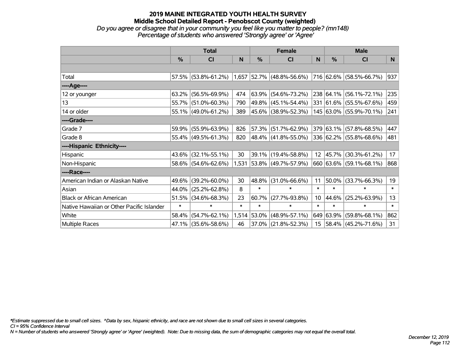## **2019 MAINE INTEGRATED YOUTH HEALTH SURVEY Middle School Detailed Report - Penobscot County (weighted)** *Do you agree or disagree that in your community you feel like you matter to people? (mn148) Percentage of students who answered 'Strongly agree' or 'Agree'*

|                                           | <b>Total</b>  |                     |        | <b>Female</b> |                                                                       |                  | <b>Male</b>   |                         |        |
|-------------------------------------------|---------------|---------------------|--------|---------------|-----------------------------------------------------------------------|------------------|---------------|-------------------------|--------|
|                                           | $\frac{0}{0}$ | CI                  | N      | %             | CI                                                                    | N                | $\frac{0}{0}$ | <b>CI</b>               | N.     |
|                                           |               |                     |        |               |                                                                       |                  |               |                         |        |
| Total                                     |               |                     |        |               | 57.5% (53.8%-61.2%) 1,657 52.7% (48.8%-56.6%) 716 62.6% (58.5%-66.7%) |                  |               |                         | 937    |
| ----Age----                               |               |                     |        |               |                                                                       |                  |               |                         |        |
| 12 or younger                             | 63.2%         | $(56.5\% - 69.9\%)$ | 474    | 63.9%         | $(54.6\% - 73.2\%)$                                                   |                  |               | 238 64.1% (56.1%-72.1%) | 235    |
| 13                                        |               | 55.7% (51.0%-60.3%) | 790    |               | 49.8% (45.1%-54.4%)                                                   |                  |               | 331 61.6% (55.5%-67.6%) | 459    |
| 14 or older                               |               | 55.1% (49.0%-61.2%) | 389    |               | 45.6% (38.9%-52.3%)                                                   |                  |               | 145 63.0% (55.9%-70.1%) | 241    |
| ----Grade----                             |               |                     |        |               |                                                                       |                  |               |                         |        |
| Grade 7                                   | 59.9%         | $(55.9\% - 63.9\%)$ | 826    |               | 57.3% (51.7%-62.9%)                                                   |                  |               | 379 63.1% (57.8%-68.5%) | 447    |
| Grade 8                                   |               | 55.4% (49.5%-61.3%) | 820    |               | 48.4% (41.8%-55.0%)                                                   |                  |               | 336 62.2% (55.8%-68.6%) | 481    |
| ----Hispanic Ethnicity----                |               |                     |        |               |                                                                       |                  |               |                         |        |
| Hispanic                                  | 43.6%         | $(32.1\% - 55.1\%)$ | 30     |               | 39.1% (19.4%-58.8%)                                                   | 12 <sup>2</sup>  | $ 45.7\% $    | $(30.3\% - 61.2\%)$     | 17     |
| Non-Hispanic                              |               | 58.6% (54.6%-62.6%) |        |               | 1,531 53.8% (49.7%-57.9%)                                             |                  |               | 660 63.6% (59.1%-68.1%) | 868    |
| ----Race----                              |               |                     |        |               |                                                                       |                  |               |                         |        |
| American Indian or Alaskan Native         | 49.6%         | $(39.2\% - 60.0\%)$ | 30     | 48.8%         | $(31.0\% - 66.6\%)$                                                   | 11               | 50.0%         | $(33.7\% - 66.3\%)$     | 19     |
| Asian                                     | 44.0%         | $(25.2\% - 62.8\%)$ | 8      | $\ast$        | $\ast$                                                                | $\ast$           | $\ast$        | $\ast$                  | $\ast$ |
| <b>Black or African American</b>          | 51.5%         | $(34.6\% - 68.3\%)$ | 23     | 60.7%         | $(27.7\% - 93.8\%)$                                                   | 10 <sup>°</sup>  | 44.6%         | $(25.2\% - 63.9\%)$     | 13     |
| Native Hawaiian or Other Pacific Islander | $\ast$        | $\ast$              | $\ast$ | $\ast$        | $\ast$                                                                | $\ast$           | $\ast$        | $\ast$                  | $\ast$ |
| White                                     | 58.4%         | $(54.7\% - 62.1\%)$ |        | 1,514 53.0%   | $(48.9\% - 57.1\%)$                                                   |                  | 649 63.9%     | $(59.8\% - 68.1\%)$     | 862    |
| Multiple Races                            |               | 47.1% (35.6%-58.6%) | 46     | 37.0%         | $(21.8\% - 52.3\%)$                                                   | 15 <sub>15</sub> |               | 58.4% (45.2%-71.6%)     | 31     |

*\*Estimate suppressed due to small cell sizes. ^Data by sex, hispanic ethnicity, and race are not shown due to small cell sizes in several categories.*

*CI = 95% Confidence Interval*

*N = Number of students who answered 'Strongly agree' or 'Agree' (weighted). Note: Due to missing data, the sum of demographic categories may not equal the overall total.*